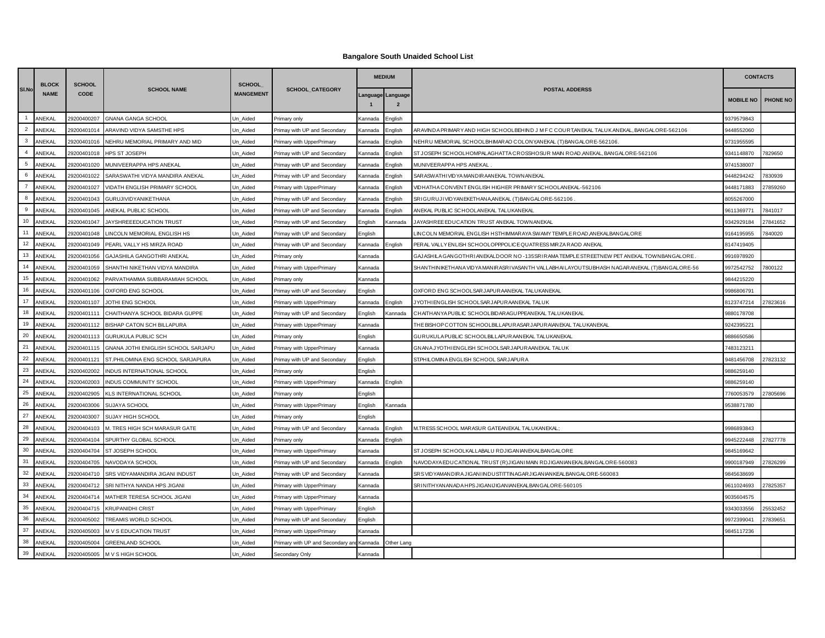## **Bangalore South Unaided School List**

|                | <b>BLOCK</b> | <b>SCHOOL</b> |                                     | <b>SCHOOL</b>    |                                  |         | <b>MEDIUM</b>                                                                                                     |                                                                                               | <b>CONTACTS</b>  |          |
|----------------|--------------|---------------|-------------------------------------|------------------|----------------------------------|---------|-------------------------------------------------------------------------------------------------------------------|-----------------------------------------------------------------------------------------------|------------------|----------|
| SI.No          | <b>NAME</b>  | <b>CODE</b>   | <b>SCHOOL NAME</b>                  | <b>MANGEMENT</b> | SCHOOL_CATEGORY                  |         | anguage Language<br>$\overline{2}$                                                                                | <b>POSTAL ADDERSS</b>                                                                         | <b>MOBILE NO</b> | PHONE NO |
| $\overline{1}$ | ANEKAL       | 29200400207   | <b>GNANA GANGA SCHOOL</b>           | Un Aided         | Primary only                     | Kannada | English                                                                                                           |                                                                                               | 9379579843       |          |
| $\overline{2}$ | ANEKAL       | 29200401014   | ARAVIND VIDYA SAMSTHE HPS           | Un Aided         | Primay with UP and Secondary     | Kannada | English                                                                                                           | ARAVINDA PRIMARY AND HIGH SCHOOLBEHIND J M F C COURT, ANEKAL TALUK ANEKAL, BANGALORE-562106   | 9448552060       |          |
| $\mathbf{3}$   | ANEKAL       | 29200401016   | NEHRU MEMORIAL PRIMARY AND MID      | Un Aided         | Primary with UpperPrimary        | Kannada | English                                                                                                           | NEHRU MEMORIAL SCHOOLBHIMARAO COLONYANEKAL (T)BANGALORE-562106.                               | 9731955595       |          |
| $\overline{4}$ | ANEKAL       | 29200401018   | <b>HPS ST JOSEPH</b>                | Un Aided         | Primay with UP and Secondary     | Kannada | English                                                                                                           | ST JOSEPH SCHOOLHOMPALAGHATTA CROSSHOSUR MAIN ROAD AN EKAL, BANGALORE-562106                  | 9341148870       | 7829650  |
| 5              | ANEKAL       | 29200401020   | MUNIVEERAPPA HPS ANEKAL             | Un Aided         | Primay with UP and Secondary     | Kannada | English                                                                                                           | MUNIVEERAPPA HPS ANEKAL                                                                       | 9741538007       |          |
| 6              | ANEKAL       | 29200401022   | SARASWATHI VIDYA MANDIRA ANEKAL     | Un Aided         | Primay with UP and Secondary     | Kannada | English                                                                                                           | SAR ASWATH I VID YA MANDIR AAN EKAL TOWN AN EKAL                                              | 9448294242       | '830939  |
| $\overline{7}$ | ANEKAL       | 29200401027   | VIDATH ENGLISH PRIMARY SCHOOL       | Un_Aided         | Primary with UpperPrimary        | Kannada | English                                                                                                           | VIDHATHA CONVENT ENGLISH HIGHER PRIMARY SCHOOLANEKAL-562106                                   | 9448171883       | 27859260 |
| 8              | ANEKAL       | 29200401043   | GURUJIVIDYANIKETHANA                | Un Aided         | Primay with UP and Secondary     | Kannada | English                                                                                                           | SRIGURUJI VIDYANEKETHANA,ANEKAL (T) BANGALORE-562106                                          | 8055267000       |          |
| 9              | ANEKAL       | 29200401045   | ANEKAL PUBLIC SCHOOL                | Un_Aided         | Primay with UP and Secondary     | Kannada | English                                                                                                           | ANEKAL PUBLIC SCHOOLANEKAL TALUKANEKAL                                                        | 9611369771       | 7841017  |
| 10             | ANEKAL       | 29200401047   | JAYSHREEEDUCATION TRUST             | Un Aided         | Primay with UP and Secondary     | English | <annada< td=""><td>JAYASHREE EDUCATION TRUST ANEKAL TOWNANEKAL</td><td>9342929184</td><td>27841652</td></annada<> | JAYASHREE EDUCATION TRUST ANEKAL TOWNANEKAL                                                   | 9342929184       | 27841652 |
| 11             | ANEKAL       | 29200401048   | LINCOLN MEMORIAL ENGLISH HS         | Un_Aided         | Primay with UP and Secondary     | English |                                                                                                                   | LINCOLN MEMORIAL ENGLISH HSTHIMMARAYA SWAMY TEMPLE ROAD,ANEKALBANGALORE                       | 9164195955       | 840020   |
| 12             | ANEKAL       | 29200401049   | PEARL VALLY HS MIRZA ROAD           | Un_Aided         | Primay with UP and Secondary     | Kannada | English                                                                                                           | PERAL VALLY ENLISH SCHOOLOPP.POLICE QUATRESS MIRZA RAOD ANEKAL                                | 3147419405       |          |
| 13             | ANEKAL       | 29200401056   | GAJASHILA GANGOTHRI ANEKAL          | Un_Aided         | Primary only                     | Kannada |                                                                                                                   | GAJASHILA GANGOTHRIANEKALDOOR NO -135SRIRAMA TEMPLE STREETNEW PET ANEKAL TOWNBANGALORE.       | 9916978920       |          |
| 14             | ANEKAL       | 29200401059   | SHANTHI NIKETHAN VIDYA MANDIRA      | Un Aided         | Primary with UpperPrimary        | Kannada |                                                                                                                   | SHANTHINIKETHANA VIDYA MANIRASRI VASANTH VALLABHAI LAYOUTSUBHASH NAGARANEKAL (T) BANGALORE-56 | 9972542752       | 7800122  |
| 15             | ANEKAL       | 29200401062   | PARVATHAMMA SUBBARAMIAH SCHOOL      | Un_Aided         | Primary only                     | Kannada |                                                                                                                   |                                                                                               | 9844215220       |          |
| 16             | ANEKAL       | 29200401106   | OXFORD ENG SCHOOL                   | Un_Aided         | Primay with UP and Secondary     | English |                                                                                                                   | OXFORD ENG SCHOOLSARJAPURAANEKAL TALUKANEKAL                                                  | 9986806791       |          |
| 17             | ANEKAL       | 29200401107   | JOTHI ENG SCHOOL                    | Un Aided         | Primary with UpperPrimary        | Kannada | English                                                                                                           | JYOTHI ENGLISH SCHOOLSAR JAPURAANEKAL TALUK                                                   | 3123747214       | 27823616 |
| 18             | ANEKAL       | 29200401111   | CHAITHANYA SCHOOL BIDARA GUPPE      | Un Aided         | Primay with UP and Secondary     | English | Kannada                                                                                                           | CHAITHANYA PUBLIC SCHOOLBIDAR AGUPPEANEKAL TALUKANEKAL                                        | 9880178708       |          |
| 19             | ANEKAL       | 29200401112   | BISHAP CATON SCH BILLAPURA          | Un Aided         | Primary with UpperPrimary        | Kannada |                                                                                                                   | THE BISHOP COTTON SCHOOLBILLAPUR ASAR JAPURAVAN EKAL TALUKAN EKAL                             | 9242395221       |          |
| 20             | ANEKAL       | 29200401113   | <b>GURUKULA PUBLIC SCH</b>          | Un_Aided         | Primary only                     | English |                                                                                                                   | GURUKULA PUBLIC SCHOOLBILLAPUR AANEKAL TALUKANEKAL                                            | 9886650586       |          |
| 21             | ANEKAL       | 29200401115   | GNANA JOTHI ENIGLISH SCHOOL SARJAPU | Un Aided         | Primary with UpperPrimary        | Kannada |                                                                                                                   | GNANA JYOTHI ENGLISH SCHOOLSAR JAPUR AANEKAL TALUK                                            | 7483123211       |          |
| 22             | ANEKAL       | 29200401121   | ST.PHILOMINA ENG SCHOOL SARJAPURA   | Un Aided         | Primay with UP and Secondary     | English |                                                                                                                   | ST.PHILOMINA ENGLISH SCHOOL SARJAPURA                                                         | 9481456708       | 27823132 |
| 23             | ANEKAL       | 29200402002   | INDUS INTERNATIONAL SCHOOL          | Un Aided         | Primary only                     | English |                                                                                                                   |                                                                                               | 9886259140       |          |
| 24             | ANEKAL       | 29200402003   | INDUS COMMUNITY SCHOOL              | Un Aided         | Primary with UpperPrimary        | Kannada | English                                                                                                           |                                                                                               | 9886259140       |          |
| 25             | ANEKAL       | 29200402905   | <b>KLS INTERNATIONAL SCHOOL</b>     | Un Aided         | Primary only                     | English |                                                                                                                   |                                                                                               | 7760053579       | 27805696 |
| 26             | ANEKAL       | 29200403006   | SUJAYA SCHOOL                       | Un Aided         | Primary with UpperPrimary        | English | Kannada                                                                                                           |                                                                                               | 9538871780       |          |
| 27             | ANEKAL       | 29200403007   | SUJAY HIGH SCHOOL                   | Un Aided         | Primary only                     | English |                                                                                                                   |                                                                                               |                  |          |
| 28             | ANEKAL       | 29200404103   | M. TRES HIGH SCH MARASUR GATE       | Un Aided         | Primay with UP and Secondary     | Kannada | English                                                                                                           | M.TRESS SCHOOL MARASUR GATEANEKAL TALUKANEKAL                                                 | 9986893843       |          |
| 29             | ANEKAL       | 29200404104   | SPURTHY GLOBAL SCHOOL               | Un Aided         | Primary only                     | Kannada | English                                                                                                           |                                                                                               | 9945222448       | 27827778 |
| 30             | ANEKAL       | 29200404704   | ST JOSEPH SCHOOL                    | Un Aided         | Primary with UpperPrimary        | Kannada |                                                                                                                   | ST JOSEPH SCHOOLKALLABALU RDJIGANIANEKALBANGALORE                                             | 9845169642       |          |
| 31             | ANEKAL       | 29200404705   | NAVODAYA SCHOOL                     | Un Aided         | Primay with UP and Secondary     | Kannada | English                                                                                                           | NAVODAYA EDUCATIONAL TRUST (R) JIGANI MAIN RDJIGANIANEKALBANGALORE-560083                     | 9900187949       | 27826299 |
| 32             | ANEKAL       | 29200404710   | SRS VIDYAMANDIRA JIGANI INDUST      | Un Aided         | Primay with UP and Secondary     | Kannada |                                                                                                                   | SRS VIDYAMANDIRA JIGANI INDUSTITTIN AGAR JIGAN IAN KEALBAN GALORE-560083                      | 9845638699       |          |
| 33             | ANEKAL       | 29200404712   | SRI NITHYA NANDA HPS JIGANI         | Un Aided         | Primary with UpperPrimary        | Kannada |                                                                                                                   | SRINITHYANANADA HPS JIGANIJIGANIAN EKALBANGALORE-560105                                       | 9611024693       | 27825357 |
| 34             | ANEKAL       | 29200404714   | MATHER TERESA SCHOOL JIGANI         | Un_Aided         | Primary with UpperPrimary        | Kannada |                                                                                                                   |                                                                                               | 9035604575       |          |
| 35             | ANEKAL       | 29200404715   | <b>KRUPANIDHI CRIST</b>             | Un Aided         | Primary with UpperPrimary        | English |                                                                                                                   |                                                                                               | 9343033556       | 15532452 |
| 36             | ANEKAL       | 29200405002   | TREAMIS WORLD SCHOOL                | Un_Aided         | Primay with UP and Secondary     | English |                                                                                                                   |                                                                                               | 9972399041       | 27839651 |
| 37             | ANEKAL       | 29200405003   | M V S EDUCATION TRUST               | Un Aided         | Primary with UpperPrimary        | Kannada |                                                                                                                   |                                                                                               | 9845117236       |          |
| 38             | ANEKAL       | 29200405004   | <b>GREENLAND SCHOOL</b>             | Un Aided         | Primary with UP and Secondary ar | Kannada | Other Lang                                                                                                        |                                                                                               |                  |          |
| 39             | ANEKAL       | 29200405005   | M V S HIGH SCHOOL                   | Un Aided         | Secondary Only                   | Kannada |                                                                                                                   |                                                                                               |                  |          |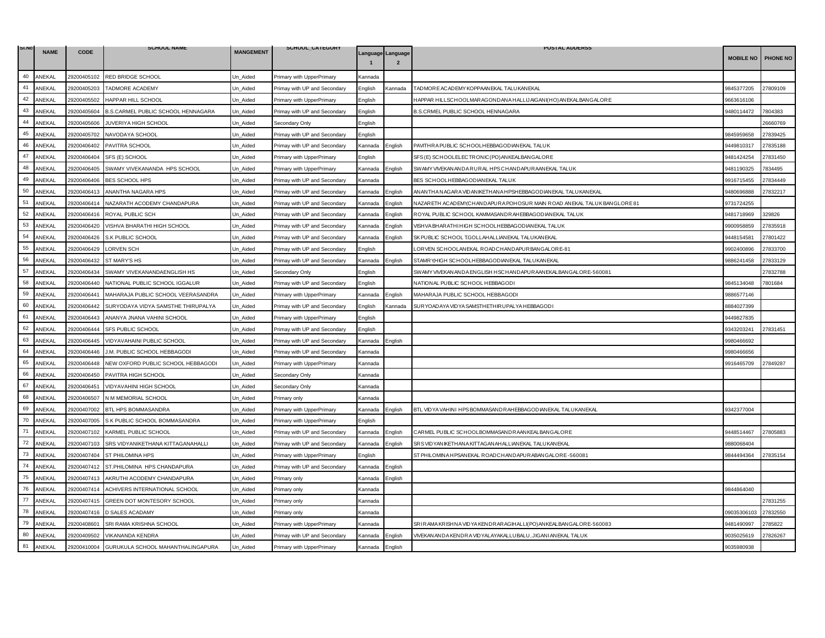| SI.NO | <b>NAME</b> | <b>CODE</b> | <b>SCHOOL NAME</b>                 | <b>MANGEMENT</b> | SCHOOL_CATEGORY              |         |                                     | <b>POSTAL ADDERSS</b>                                                   |                  |                 |
|-------|-------------|-------------|------------------------------------|------------------|------------------------------|---------|-------------------------------------|-------------------------------------------------------------------------|------------------|-----------------|
|       |             |             |                                    |                  |                              |         | Language Language<br>$\overline{2}$ |                                                                         | <b>MOBILE NO</b> | <b>PHONE NO</b> |
| 40    | ANEKAL      | 29200405102 | RED BRIDGE SCHOOL                  | Un_Aided         | Primary with UpperPrimary    | Kannada |                                     |                                                                         |                  |                 |
| 41    | ANEKAL      | 29200405203 | TADMORE ACADEMY                    | Jn Aided         | Primay with UP and Secondary | English | Kannada                             | TAD MORE AC ADEMY KOPPAAN EKAL TALUKAN EKAL                             | 9845377205       | 27809109        |
| 42    | ANEKAL      | 29200405502 | HAPPAR HILL SCHOOL                 | Un Aided         | Primary with UpperPrimary    | English |                                     | HAPPAR HILLSCHOOLMARAGONDANA HALLIJAIGANI(HO) ANEKALBANGALORE           | 9663616106       |                 |
| 43    | ANEKAL      | 29200405604 | B.S.CARMEL PUBLIC SCHOOL HENNAGARA | Jn_Aided         | Primay with UP and Secondary | English |                                     | B.S.CRMEL PUBLIC SCHOOL HENNAGARA                                       | 9480114472       | 7804383         |
| 44    | ANEKAL      | 29200405606 | JUVERIYA HIGH SCHOOL               | Jn Aided         | Secondary Only               | English |                                     |                                                                         |                  | 26660769        |
| 45    | ANEKAL      | 29200405702 | NAVODAYA SCHOOL                    | Un Aided         | Primay with UP and Secondary | English |                                     |                                                                         | 9845959658       | 27839425        |
| 46    | ANEKAL      | 29200406402 | PAVITRA SCHOOL                     | Jn Aided         | Primay with UP and Secondary | Kannada | English                             | PAVITHRA PUBLIC SCHOOLHEBBAGODIANEKAL TALUK                             | 9449810317       | 27835188        |
| 47    | ANEKAL      | 29200406404 | SFS (E) SCHOOL                     | Jn Aided         | Primary with UpperPrimary    | English |                                     | SFS (E) SCHOOLELECTRONIC (PO) ANKEALBANGALORE                           | 9481424254       | 27831450        |
| 48    | ANEKAL      | 29200406405 | SWAMY VIVEKANANDA HPS SCHOOL       | Un_Aided         | Primary with UpperPrimary    | Kannada | English                             | SWAMY VIVEKAN ANDA RURAL HPS CHANDAPURAAN EKAL TALUK                    | 9481190325       | 7834495         |
| 49    | ANEKAL      | 29200406406 | <b>BES SCHOOL HPS</b>              | Jn Aided         | Primay with UP and Secondary | Kannada |                                     | BES SCHOOLHEBBAGODIANEKAL TALUK                                         | 9916715455       | 27834449        |
| 50    | ANEKAL      | 29200406413 | ANANTHA NAGARA HPS                 | Un Aided         | Primay with UP and Secondary | Kannada | English                             | AN AN THAN AGARA VID AN IKETHAN A HPSHEBBAGOD IAN EKAL TALUKAN EKAL     | 9480696888       | 27832217        |
| 51    | ANEKAL      | 29200406414 | NAZARATH ACODEMY CHANDAPURA        | Un_Aided         | Primay with UP and Secondary | Kannada | English                             | NAZARETH ACADEMY, CHANDAPURA POHOSUR MAIN ROAD ANEKAL TALUK BANGLORE 81 | 9731724255       |                 |
| 52    | ANEKAL      | 29200406416 | ROYAL PUBLIC SCH                   | Jn_Aided         | Primay with UP and Secondary | Kannada | English                             | ROYAL PUBLIC SCHOOL KAMMASANDR AHEBBAGODIANEKAL TALUK                   | 9481718969       | 329826          |
| 53    | ANEKAL      | 29200406420 | VISHVA BHARATHI HIGH SCHOOL        | Un Aided         | Primay with UP and Secondary | Kannada | English                             | VISHVA BHAR ATHI HIGH SCHOOLHEBBAGODIAN EKAL TALUK                      | 9900958859       | 27835918        |
| 54    | ANEKAL      | 29200406426 | S.K PUBLIC SCHOOL                  | Un_Aided         | Primay with UP and Secondary | Kannada | English                             | SK PUBLIC SCHOOL T.GOLLAHALLIANEKAL TALUKANEKAL                         | 9448154581       | 27801422        |
| 55    | ANEKAL      | 29200406429 | <b>LORVEN SCH</b>                  | Un_Aided         | Primay with UP and Secondary | English |                                     | ORVEN SCHOOLANEKAL ROADCHANDAPURBANGALORE-81                            | 9902400896       | 27833700        |
| 56    | ANEKAL      | 29200406432 | ST MARY'S HS                       | Un Aided         | Primay with UP and Secondary | Kannada | Enalish                             | STAMRY, HIGH SCHOOLHEBBAGODIAN EKAL TALUKAN EKAL                        | 9886241458       | 27833129        |
| 57    | ANEKAL      | 29200406434 | SWAMY VIVEKANANDAENGLISH HS        | Jn Aided         | Secondary Only               | English |                                     | SWAMY VIVEKAN ANDA ENGLISH HSCHANDAPUR AANEKALBANGALORE-560081          |                  | 27832788        |
| 58    | ANEKAL      | 29200406440 | NATIONAL PUBLIC SCHOOL IGGALUR     | Un Aided         | Primay with UP and Secondary | English |                                     | NATIONAL PUBLIC SCHOOL HEBBAGODI                                        | 9845134048       | 7801684         |
| 59    | ANEKAL      | 29200406441 | MAHARAJA PUBLIC SCHOOL VEERASANDRA | Un_Aided         | Primary with UpperPrimary    | Kannada | <b>English</b>                      | MAHARAJA PUBLIC SCHOOL HEBBAGODI                                        | 9886577146       |                 |
| 60    | ANEKAL      | 29200406442 | SURYODAYA VIDYA SAMSTHE THIRUPALYA | Jn_Aided         | Primay with UP and Secondary | Enalish | Kannada                             | SUR YOAD AYA VIDYA SAMSTHETHIR UPALYA HEBBAGODI                         | 8884027399       |                 |
| 61    | ANEKAL      | 29200406443 | ANANYA JNANA VAHINI SCHOOL         | Un Aided         | Primary with UpperPrimary    | English |                                     |                                                                         | 9449827835       |                 |
| 62    | ANEKAL      | 29200406444 | SFS PUBLIC SCHOOL                  | Jn Aided         | Primay with UP and Secondary | English |                                     |                                                                         | 343203241        | 27831451        |
| 63    | ANEKAL      | 29200406445 | VIDYAVAHAINI PUBLIC SCHOOL         | Un_Aided         | Primay with UP and Secondary | Kannada | English                             |                                                                         | 9980466692       |                 |
| 64    | ANEKAL      | 29200406446 | J.M. PUBLIC SCHOOL HEBBAGODI       | Un_Aided         | Primay with UP and Secondary | Kannada |                                     |                                                                         | 9980466656       |                 |
| 65    | ANEKAL      | 29200406448 | NEW OXFORD PUBLIC SCHOOL HEBBAGODI | Jn Aided         | Primary with UpperPrimary    | Kannada |                                     |                                                                         | 9916465709       | 27849287        |
| 66    | ANEKAL      | 29200406450 | PAVITRA HIGH SCHOOL                | Jn_Aided         | Secondary Only               | Kannada |                                     |                                                                         |                  |                 |
| 67    | ANEKAL      | 29200406451 | VIDYAVAHINI HIGH SCHOOL            | Un_Aided         | Secondary Only               | Kannada |                                     |                                                                         |                  |                 |
| 68    | ANEKAL      | 29200406507 | N M MEMORIAL SCHOOL                | Jn Aided         | Primary only                 | Kannada |                                     |                                                                         |                  |                 |
| 69    | ANEKAL      | 29200407002 | BTL HPS BOMMASANDRA                | Un_Aided         | Primary with UpperPrimary    | Kannada | English                             | BTL VIDYA VAHINI HPS BOMMASANDR AHEBBAGODIANEKAL TALUKANEKAL            | 9342377004       |                 |
| 70    | ANEKAL      | 29200407005 | S K PUBLIC SCHOOL BOMMASANDRA      | Jn Aided         | Primary with UpperPrimary    | English |                                     |                                                                         |                  |                 |
| 71    | ANEKAL      | 29200407102 | KARMEL PUBLIC SCHOOL               | Jn Aided         | Primay with UP and Secondary | Kannada | English                             | CARMEL PUBLIC SCHOOLBOMMASANDRAANKEALBANGALORE                          | 9448514467       | 27805883        |
| 72    | ANEKAL      | 29200407103 | SRS VIDYANIKETHANA KITTAGANAHALLI  | Un_Aided         | Primay with UP and Secondary | Kannada | English                             | SR SVIDYAN IKETHAN A KITTAGAN AHALLIAN EKAL TALUKAN EKAL                | 9880068404       |                 |
| 73    | ANEKAL      | 29200407404 | ST PHILOMINA HPS                   | Jn Aided         | Primary with UpperPrimary    | English |                                     | ST PHILOMINA HPSANEKAL ROADCHANDAPUR ABANGALORE-560081                  | 9844494364       | 27835154        |
| 74    | ANEKAL      | 29200407412 | ST.PHILOMINA HPS CHANDAPURA        | Un Aided         | Primay with UP and Secondary | Kannada | English                             |                                                                         |                  |                 |
| 75    | ANEKAL      | 29200407413 | AKRUTHI ACODEMY CHANDAPURA         | Un_Aided         | Primary only                 | Kannada | English                             |                                                                         |                  |                 |
| 76    | ANEKAL      | 29200407414 | ACHIVERS INTERNATIONAL SCHOOL      | Jn Aided         | Primary only                 | Kannada |                                     |                                                                         | 9844864040       |                 |
| 77    | ANEKAL      | 29200407415 | GREEN DOT MONTESORY SCHOOL         | Un Aided         | Primary only                 | Kannada |                                     |                                                                         |                  | 27831255        |
| 78    | ANEKAL      | 29200407416 | D SALES ACADAMY                    | Jn_Aided         | Primary only                 | Kannada |                                     |                                                                         | 09035306103      | 27832550        |
| 79    | ANEKAL      | 29200408601 | SRI RAMA KRISHNA SCHOOL            | Jn Aided         | Primary with UpperPrimary    | Kannada |                                     | SRIR AMA KRISHNA VID YA KENDRARAGIHALLI(PO) AN KEALBANGALORE-560083     | 9481490997       | 2785822         |
| 80    | ANEKAL      | 29200409502 | VIKANANDA KENDRA                   | Un Aided         | Primay with UP and Secondary | Kannada | Enalish                             | VIVEKAN AND A KENDRA VIDYALAYAKALLUBALU, JIGANI ANEKAL TALUK            | 9035025619       | 27826267        |
| 81    | ANEKAL      | 29200410004 | GURUKULA SCHOOL MAHANTHALINGAPURA  | Un Aided         | Primary with UpperPrimary    | Kannada | English                             |                                                                         | 9035980938       |                 |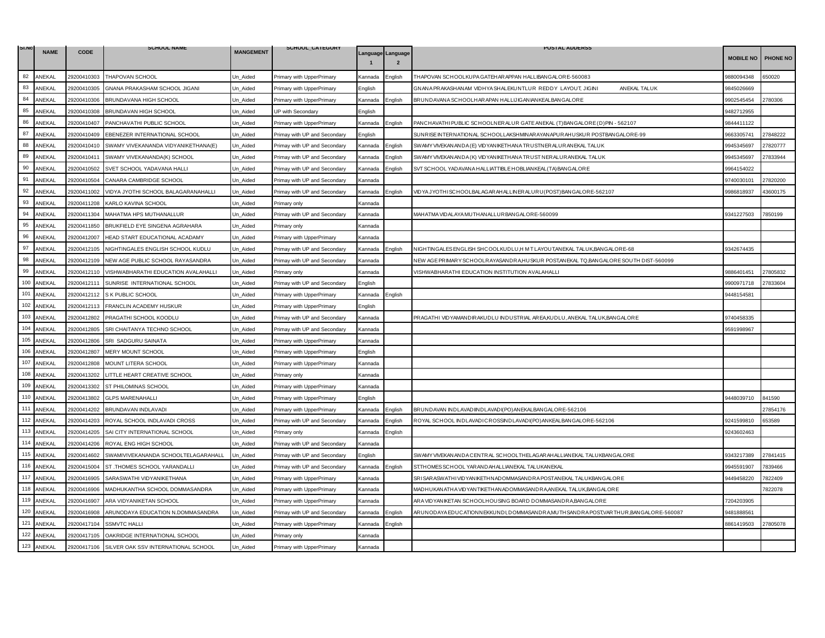| SI.NO   | <b>NAME</b> | <b>CODE</b> | <b>SCHOOL NAME</b>                  | <b>MANGEMENT</b> | SCHOOL_CATEGORY              |                |                                     | <b>POSTAL ADDERSS</b>                                                                  |                  |                 |
|---------|-------------|-------------|-------------------------------------|------------------|------------------------------|----------------|-------------------------------------|----------------------------------------------------------------------------------------|------------------|-----------------|
|         |             |             |                                     |                  |                              |                | Language Language<br>$\overline{2}$ |                                                                                        | <b>MOBILE NO</b> | <b>PHONE NO</b> |
| 82      | ANEKAL      | 29200410303 | THAPOVAN SCHOOL                     | Un_Aided         | Primary with UpperPrimary    | Kannada        | nalish                              | THAPOVAN SCHOOLKUPA GATEHAR APPAN HALLIBANGALORE-560083                                | 9880094348       | 650020          |
| 83      | ANEKAL      | 29200410305 | GNANA PRAKASHAM SCHOOL JIGANI       | Un Aided         | Primary with UpperPrimary    | English        |                                     | GNANA PRAKASHANAM VIDHYA SHALEKUNTLUR REDDY LAYOUT, JIGINI<br>AN EKAL TALUK            | 9845026669       |                 |
| 84      | ANEKAL      | 29200410306 | BRUNDAVANA HIGH SCHOOL              | Un Aided         | Primary with UpperPrimary    | Kannada        | English                             | BRUND AVANA SCHOOLHAR APAN HALLIJIGANIANKEALBANGALORE                                  | 9902545454       | 2780306         |
| 85      | ANEKAL      | 29200410308 | BRUNDAVAN HIGH SCHOOL               | Jn Aided         | JP with Secondary            | English        |                                     |                                                                                        | 9482712955       |                 |
| 86      | ANEKAL      | 29200410407 | PANCHAVATHI PUBLIC SCHOOL           | Un_Aided         | Primary with UpperPrimary    | Kannada        | English                             | PANCHAVATHIPUBLIC SCHOOLNERALUR GATE ANEKAL (T) BANGALORE (D) PIN - 562107             | 9844411122       |                 |
| 87      | ANEKAL      | 29200410409 | EBENEZER INTERNATIONAL SCHOOL       | Un_Aided         | Primay with UP and Secondary | English        |                                     | SUNRISE INTERNATIONAL SCHOOLLAKSHMINARAYANAPURAHUSKUR POSTBANGALORE-99                 | 9663305741       | 27848222        |
| 88      | ANEKAL      | 29200410410 | SWAMY VIVEKANANDA VIDYANIKETHANA(E) | Un_Aided         | Primay with UP and Secondary | Kannada        | English                             | SWAMY VIVEKAN ANDA (E) VID YAN IKETHAN A TRUSTNER ALUR ANEKAL TALUK                    | 9945345697       | 27820777        |
| 89      | ANEKAL      | 29200410411 | SWAMY VIVEKANANDA(K) SCHOOL         | Un Aided         | Primay with UP and Secondary | Kannada        | English                             | SWAMY VIVEKAN ANDA (K) VID YAN IKETHAN A TRUST NERALURANEKAL TALUK                     | 9945345697       | 27833944        |
| 90      | ANEKAL      | 29200410502 | SVET SCHOOL YADAVANA HALLI          | Un_Aided         | Primay with UP and Secondary | Kannada        | nglish:                             | SVT SCHOOL YADAVANA HALLIATTIBLE HOBLIANKEAL(TA) BANGALORE                             | 9964154022       |                 |
| 91      | ANEKAL      | 29200410504 | CANARA CAMBRIDGE SCHOOL             | Un Aided         | Primay with UP and Secondary | Kannada        |                                     |                                                                                        | 9740030101       | 27820200        |
| 92      | ANEKAL      | 29200411002 | VIDYA JYOTHI SCHOOL BALAGARANAHALLI | Un_Aided         | Primay with UP and Secondary | Kannada        | nglish                              | VIDYA JYOTHI SCHOOLBALAGAR AHALLINER ALURU (POST) BANGALORE-562107                     | 9986818937       | 43600175        |
| 93      | ANEKAL      | 29200411208 | KARLO KAVINA SCHOOL                 | Un Aided         | Primary only                 | <b>Kannada</b> |                                     |                                                                                        |                  |                 |
| 94      | ANEKAL      | 29200411304 | MAHATMA HPS MUTHANALLUR             | Un Aided         | Primay with UP and Secondary | Kannada        |                                     | MAHATMA VIDALAYA MUTHAN ALLUR BANGALORE-560099                                         | 9341227503       | 7850199         |
| 95      | ANEKAL      | 29200411850 | BRUKFIELD EYE SINGENA AGRAHARA      | Un_Aided         | Primary only                 | Kannada        |                                     |                                                                                        |                  |                 |
| 96      | ANEKAL      | 29200412007 | HEAD START EDUCATIONAL ACADAMY      | Jn Aided         | Primary with UpperPrimary    | Kannada        |                                     |                                                                                        |                  |                 |
| 97      | ANEKAL      | 29200412105 | NIGHTINGALES ENGLISH SCHOOL KUDLU   | Un Aided         | Primay with UP and Secondary | Kannada        | English                             | NIGHTINGALES ENGLISH SHCOOLKUDLU, HMT LAYOUT, AN EKAL TALUK, BANGALORE-68              | 9342674435       |                 |
| 98      | ANEKAL      | 29200412109 | NEW AGE PUBLIC SCHOOL RAYASANDRA    | Un_Aided         | Primay with UP and Secondary | Kannada        |                                     | NEW AGE PRIMARY SCHOOLRAYASANDRA,HUSKUR POST,ANEKAL TQ,BANGALORE SOUTH DIST-560099     |                  |                 |
| 99      | ANEKAL      | 29200412110 | VISHWABHARATHI EDUCATION AVALAHALLI | Un_Aided         | Primary only                 | Kannada        |                                     | VISHWABHARATHI EDUCATION INSTITUTION AVALAHALLI                                        | 9886401451       | 27805832        |
| 100     | ANEKAL      | 29200412111 | SUNRISE INTERNATIONAL SCHOOL        | Un_Aided         | Primay with UP and Secondary | Enalish        |                                     |                                                                                        | 9900971718       | 27833604        |
| 101     | ANEKAL      | 29200412112 | S K PUBLIC SCHOOL                   | Un Aided         | Primary with UpperPrimary    | Kannada        | English                             |                                                                                        | 9448154581       |                 |
| 102     | ANEKAL      | 29200412113 | FRANCLIN ACADEMY HUSKUR             | Un_Aided         | Primary with UpperPrimary    | English        |                                     |                                                                                        |                  |                 |
| 103     | ANEKAL      | 29200412802 | PRAGATHI SCHOOL KOODLU              | Un_Aided         | Primay with UP and Secondary | Kannada        |                                     | PRAGATHI VIDYAMANDIR AKUDLU INDUSTRIAL AREA, KUDLU, ANEKAL TALUK, BANGALORE            | 9740458335       |                 |
| 104     | ANEKAL      | 29200412805 | SRI CHAITANYA TECHNO SCHOOL         | Un Aided         | Primay with UP and Secondary | Kannada        |                                     |                                                                                        | 9591998967       |                 |
| 105     | ANEKAL      | 29200412806 | SRI SADGURU SAINATA                 | Un_Aided         | Primary with UpperPrimary    | Kannada        |                                     |                                                                                        |                  |                 |
| 106     | ANEKAL      | 29200412807 | MERY MOUNT SCHOOL                   | Un Aided         | Primary with UpperPrimary    | English        |                                     |                                                                                        |                  |                 |
| 107     | ANEKAL      | 29200412808 | MOUNT LITERA SCHOOL                 | Jn_Aided         | Primary with UpperPrimary    | Kannada        |                                     |                                                                                        |                  |                 |
| 108     | ANEKAL      | 29200413202 | LITTLE HEART CREATIVE SCHOOL        | Un_Aided         | Primary only                 | Kannada        |                                     |                                                                                        |                  |                 |
| 109     | ANEKAL      | 29200413302 | ST PHILOMINAS SCHOOL                | Un Aided         | Primary with UpperPrimary    | Kannada        |                                     |                                                                                        |                  |                 |
| 110     | ANEKAL      | 29200413802 | <b>GLPS MARENAHALLI</b>             | Un Aided         | Primary with UpperPrimary    | English        |                                     |                                                                                        | 9448039710       | 841590          |
| 111     | ANEKAL      | 29200414202 | BRUNDAVAN INDLAVADI                 | Un_Aided         | Primary with UpperPrimary    | Kannada        | English                             | BRUNDAVAN INDLAVADIINDLAVADI(PO) ANEKALBANGALORE-562106                                |                  | 27854176        |
| 112     | ANEKAL      | 29200414203 | ROYAL SCHOOL INDLAVADI CROSS        | Un_Aided         | Primay with UP and Secondary | Kannada        | English                             | ROYAL SCHOOL INDLAVADICROSSINDLAVADI(PO)ANKEALBANGALORE-562106                         | 9241599810       | 653589          |
| 113     | ANEKAL      | 29200414205 | SAI CITY INTERNATIONAL SCHOOL       | Un Aided         | Primary only                 | Kannada        | English                             |                                                                                        | 9243602463       |                 |
| 114     | ANEKAL      | 29200414206 | ROYAL ENG HIGH SCHOOL               | Un Aided         | Primay with UP and Secondary | Kannada        |                                     |                                                                                        |                  |                 |
| 115     | ANEKAL      | 29200414602 | SWAMIVIVEKANANDA SCHOOLTELAGARAHALL | Un_Aided         | Primay with UP and Secondary | Enalish        |                                     | SWAMY VIVEKAN ANDA CENTRAL SCHOOLTHELAGAR AHALLIAN EKAL TALUKBAN GALORE                | 9343217389       | 27841415        |
| 116     | ANEKAL      | 29200415004 | ST. THOMES SCHOOL YARANDALLI        | Un_Aided         | Primay with UP and Secondary | Kannada        | English                             | ST.THOMES SCHOOL YAR AND AHALLIAN EKAL TALUKAN EKAL                                    | 9945591907       | 7839466         |
| 117     | ANEKAL      | 29200416905 | SARASWATHI VIDYANIKETHANA           | Un Aided         | Primary with UpperPrimary    | Kannada        |                                     | SRISAR ASWATHI VID YAN IKETHN ADOMMASAN DRA POSTANEKAL TALUKBAN GALORE                 | 9449458220       | 7822409         |
| 118     | ANEKAL      | 29200416906 | MADHUKANTHA SCHOOL DOMMASANDRA      | Un_Aided         | Primary with UpperPrimary    | Kannada        |                                     | MADHUKAN ATHA VIDYAN TIKETHAN ADOMMASAN DRA, AN EKAL TALUK, BANGALORE                  |                  | 7822078         |
| 119     | ANEKAL      | 29200416907 | ARA VIDYANIKETAN SCHOOL             | Un_Aided         | Primary with UpperPrimary    | Kannada        |                                     | ARA VIDYAN IKETAN SCHOOLHOUSING BOARD DOMMASANDRA,BANGALORE                            | 7204203905       |                 |
| 120     | ANEKAL      | 29200416908 | ARUNODAYA EDUCATION N.DOMMASANDRA   | Un_Aided         | Primay with UP and Secondary | Kannada        | English                             | ARUNODAYA EDUCATIONN EKKUNDI, DOMMASANDRA, MUTH SANDRA POST, VARTHUR, BANGALORE-560087 | 9481888561       |                 |
| 121     | ANEKAL      | 29200417104 | <b>SSMVTC HALLI</b>                 | Un Aided         | Primary with UpperPrimary    | Kannada        | English                             |                                                                                        | 8861419503       | 27805078        |
| 122     | ANEKAL      | 29200417105 | OAKRIDGE INTERNATIONAL SCHOOL       | Jn Aided         | Primary only                 | Kannada        |                                     |                                                                                        |                  |                 |
| $123\,$ | ANEKAL      | 29200417106 | SILVER OAK SSV INTERNATIONAL SCHOOL | Un Aided         | Primary with UpperPrimary    | Kannada        |                                     |                                                                                        |                  |                 |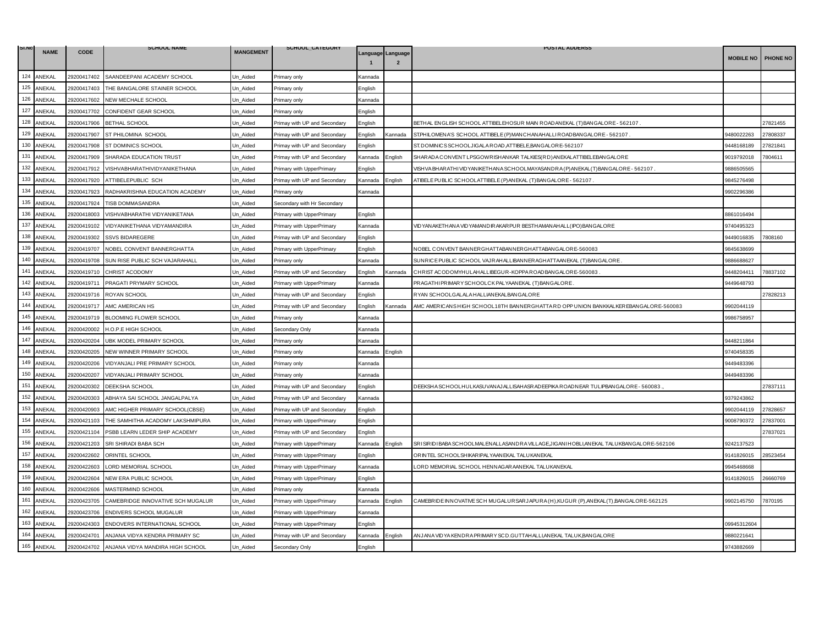| SI.NO | <b>NAME</b> | <b>CODE</b> | <b>SCHOOL NAME</b>                | <b>MANGEMENT</b> | SCHOOL_CATEGORY              |                                                                         |                                     | <b>POSTAL ADDERSS</b>                                                                        |                  |          |
|-------|-------------|-------------|-----------------------------------|------------------|------------------------------|-------------------------------------------------------------------------|-------------------------------------|----------------------------------------------------------------------------------------------|------------------|----------|
|       |             |             |                                   |                  |                              |                                                                         | Language Language<br>$\overline{2}$ |                                                                                              | <b>MOBILE NO</b> | PHONE NO |
| 124   | ANEKAL      | 29200417402 | SAANDEEPANI ACADEMY SCHOOL        | Un_Aided         | Primary only                 | Kannada                                                                 |                                     |                                                                                              |                  |          |
| 125   | ANEKAL      | 29200417403 | THE BANGALORE STAINER SCHOOL      | Jn Aided         | Primary only                 | English                                                                 |                                     |                                                                                              |                  |          |
| 126   | ANEKAL      | 29200417602 | NEW MECHALE SCHOOL                | Un Aided         | Primary only                 | Kannada                                                                 |                                     |                                                                                              |                  |          |
| 127   | ANEKAL      | 29200417702 | CONFIDENT GEAR SCHOOL             | Un_Aided         | <sup>2</sup> rimary only     | English                                                                 |                                     |                                                                                              |                  |          |
| 128   | ANEKAL      | 29200417906 | <b>BETHAL SCHOOL</b>              | Jn_Aided         | Primay with UP and Secondary | English                                                                 |                                     | BETHAL ENGLISH SCHOOL ATTIBELEHOSUR MAIN ROADANEKAL (T) BANGALORE - 562107                   |                  | 27821455 |
| 129   | ANEKAL      | 29200417907 | ST PHILOMINA SCHOOL               | Un Aided         | Primay with UP and Secondary | English                                                                 | Kannada                             | ST.PHILOMENA'S SCHOOL ATTIBELE (P) MANCHANAHALLI ROADBANGALORE - 562107.                     | 9480022263       | 27808337 |
| 130   | ANEKAL      | 29200417908 | ST DOMINICS SCHOOL                | Jn Aided         | Primay with UP and Secondary | English                                                                 |                                     | ST. DOMINICS SCHOOLJIGALA ROAD, ATTIBELE, BANGALORE-562107                                   | 448168189        | 27821841 |
| 131   | ANEKAL      | 29200417909 | SHARADA EDUCATION TRUST           | Un_Aided         | Primay with UP and Secondary | Kannada                                                                 | English                             | SHAR AD A CONVENT LPSGOW RISHANKAR TALKIES (RD) AN EKALATTIBELEBANG ALORE                    | 9019792018       | 804611   |
| 132   | ANEKAL      | 29200417912 | VISHVABHARATHIVIDYANIKETHANA      | Un_Aided         | Primary with UpperPrimary    | English                                                                 |                                     | VISH VA BHAR ATHI VID YAN IKETHAN A SCHOOLMAYASANDRA (P) AN EKAL (T) BANG ALORE - 562107     | 9886505565       |          |
| 133   | ANEKAL      | 29200417920 | ATTIBELEPUBLIC SCH                | Jn_Aided         | Primay with UP and Secondary | Kannada                                                                 | English                             | ATIBELE PUBLIC SCHOOLATTIBELE (P) AN EKAL (T) BANGALORE - 562107                             | 9845276498       |          |
| 134   | ANEKAL      | 29200417923 | RADHAKRISHNA EDUCATION ACADEMY    | Un Aided         | Primary only                 | <annada< td=""><td></td><td></td><td>9902296386</td><td></td></annada<> |                                     |                                                                                              | 9902296386       |          |
| 135   | ANEKAL      | 29200417924 | <b>TISB DOMMASANDRA</b>           | Un_Aided         | Secondary with Hr Secondary  |                                                                         |                                     |                                                                                              |                  |          |
| 136   | ANEKAL      | 29200418003 | VISHVABHARATHI VIDYANIKETANA      | Jn_Aided         | Primary with UpperPrimary    | English                                                                 |                                     |                                                                                              | 3861016494       |          |
| 137   | ANEKAL      | 29200419102 | VIDYANIKETHANA VIDYAMANDIRA       | Un_Aided         | Primary with UpperPrimary    | Kannada                                                                 |                                     | VIDYANAKETHANA VIDYAMANDIR AKAR PUR BESTHAMANAHALL (IPO) BANGALOR E                          | 9740495323       |          |
| 138   | ANEKAL      | 29200419302 | <b>SSVS BIDAREGERE</b>            | Un Aided         | Primay with UP and Secondary | English                                                                 |                                     |                                                                                              | 9449016835       | 808160   |
| 139   | ANEKAL      | 29200419707 | NOBEL CONVENT BANNERGHATTA        | Un_Aided         | Primary with UpperPrimary    | English                                                                 |                                     | NOBEL CONVENT BANNER GHATTABANNER GHATTABANGALOR E-560083                                    | 9845638699       |          |
| 140   | ANEKAL      | 29200419708 | SUN RISE PUBLIC SCH VAJARAHALL    | Un_Aided         | Primary only                 | Kannada                                                                 |                                     | SUNRICE PUBLIC SCHOOL VAJRAHALLIBANNERAGHATTAANEKAL (T) BANGALORE.                           | 9886688627       |          |
| 141   | ANEKAL      | 29200419710 | CHRIST ACODOMY                    | Un Aided         | Primay with UP and Secondary | English                                                                 | Kannada                             | CHRIST ACODOMYHULAHALLIBEGUR-KOPPA ROADBANGALORE-560083                                      | 9448204411       | '8837102 |
| 142   | ANEKAL      | 29200419711 | PRAGATI PRYMARY SCHOOL            | Un_Aided         | Primary with UpperPrimary    | Kannada                                                                 |                                     | PRAGATHIPRIMARY SCHOOLCK PALYAANEKAL (T) BANGALORE.                                          | 9449648793       |          |
| 143   | ANEKAL      | 29200419716 | ROYAN SCHOOL                      | Un_Aided         | Primay with UP and Secondary | English                                                                 |                                     | RYAN SCHOOLGALALA HALLIANEKALBANGALORE                                                       |                  | 27828213 |
| 144   | ANEKAL      | 29200419717 | AMC AMERICAN HS                   | Un_Aided         | Primay with UP and Secondary | English                                                                 | Kannada                             | AMC AMERICANSHIGH SCHOOL18TH BANNERGHATTA RD OPP UNION BANKKALKEREBANGALORE-560083           | 9902044119       |          |
| 145   | ANEKAL      | 29200419719 | BLOOMING FLOWER SCHOOL            | Un Aided         | Primary only                 | Kannada                                                                 |                                     |                                                                                              | 9986758957       |          |
| 146   | ANEKAL      | 29200420002 | H.O.P.E HIGH SCHOOL               | Jn_Aided         | Secondary Only               | <annada< td=""><td></td><td></td><td></td><td></td></annada<>           |                                     |                                                                                              |                  |          |
| 147   | ANEKAL      | 29200420204 | UBK MODEL PRIMARY SCHOOL          | Un Aided         | Primary only                 | Kannada                                                                 |                                     |                                                                                              | 9448211864       |          |
| 148   | ANEKAL      | 29200420205 | NEW WINNER PRIMARY SCHOOL         | Un_Aided         | Primary only                 | Kannada                                                                 | English                             |                                                                                              | 9740458335       |          |
| 149   | ANEKAL      | 29200420206 | VIDYANJALI PRE PRIMARY SCHOOL     | Jn_Aided         | Primary only                 | Kannada                                                                 |                                     |                                                                                              | 9449483396       |          |
| 150   | ANEKAL      | 29200420207 | VIDYANJALI PRIMARY SCHOOL         | Un Aided         | Primary only                 | Kannada                                                                 |                                     |                                                                                              | 9449483396       |          |
| 151   | ANEKAL      | 29200420302 | DEEKSHA SCHOOL                    | Un Aided         | Primay with UP and Secondary | English                                                                 |                                     | DEEKSHA SCHOOLHULKASUVANAJALLISAHASRADEEPIKA ROADNEAR TULIPBANGALORE - 560083                |                  | 27837111 |
| 152   | ANEKAL      | 29200420303 | ABHAYA SAI SCHOOL JANGALPALYA     | Jn_Aided         | Primay with UP and Secondary | Kannada                                                                 |                                     |                                                                                              | 9379243862       |          |
| 153   | ANEKAL      | 29200420903 | AMC HIGHER PRIMARY SCHOOL(CBSE)   | Un Aided         | Primay with UP and Secondary | English                                                                 |                                     |                                                                                              | 9902044119       | 27828657 |
| 154   | ANEKAL      | 29200421103 | THE SAMHITHA ACADOMY LAKSHMIPURA  | Un Aided         | Primary with UpperPrimary    | English                                                                 |                                     |                                                                                              | 9008790372       | 27837001 |
| 155   | ANEKAL      | 29200421104 | PSBB LEARN LEDER SHIP ACADEMY     | Un_Aided         | Primay with UP and Secondary | English                                                                 |                                     |                                                                                              |                  | 27837021 |
| 156   | ANEKAL      | 29200421203 | SRI SHIRADI BABA SCH              | Un_Aided         | Primary with UpperPrimary    | Kannada                                                                 | Enalish                             | SRISIRIDI BABA SCHOOLMALEN ALLASANDRA VILLAGE, JIGAN I HOBLI, AN EKAL TALUKBAN GALORE-562106 | 9242137523       |          |
| 157   | ANEKAL      | 29200422602 | ORINTEL SCHOOL                    | Jn Aided         | Primary with UpperPrimary    | English                                                                 |                                     | OR INTEL SCHOOLSHIKAR IPALYAAN EKAL TALUKAN EKAL                                             | 9141826015       | 28523454 |
| 158   | ANEKAL      | 29200422603 | LORD MEMORIAL SCHOOL              | Un Aided         | Primary with UpperPrimary    | Kannada                                                                 |                                     | LORD MEMORIAL SCHOOL HENNAGARAANEKAL TALUKANEKAL                                             | 9945468668       |          |
| 159   | ANEKAL      | 29200422604 | NEW ERA PUBLIC SCHOOL             | Un_Aided         | Primary with UpperPrimary    | English                                                                 |                                     |                                                                                              | 9141826015       | 26660769 |
| 160   | ANEKAL      | 29200422606 | MASTERMIND SCHOOL                 | Un Aided         | rimary only                  | Kannada                                                                 |                                     |                                                                                              |                  |          |
| 161   | ANEKAL      | 29200423705 | CAMEBRIDGE INNOVATIVE SCH MUGALUR | Un_Aided         | Primary with UpperPrimary    | Kannada                                                                 | Enalish                             | CAMEBRIDE INNOVATIVE SCH MUGALURSARJAPURA (H),KUGUR (P),ANEKAL (T),BANGALORE-562125          | 9902145750       | 7870195  |
| 162   | ANEKAL      | 29200423706 | ENDIVERS SCHOOL MUGALUR           | Un_Aided         | Primary with UpperPrimary    | Kannada                                                                 |                                     |                                                                                              |                  |          |
| 163   | ANEKAL      | 29200424303 | ENDOVERS INTERNATIONAL SCHOOL     | Un Aided         | Primary with UpperPrimary    | English                                                                 |                                     |                                                                                              | 09945312604      |          |
| 164   | ANEKAL      | 29200424701 | ANJANA VIDYA KENDRA PRIMARY SC    | Un Aided         | Primay with UP and Secondary | Kannada                                                                 | English                             | AN JAN A VID YA KENDRA PRIMAR Y SC D. GUTTAH ALLI,AN EKAL TALUK,BAN GALOR E                  | 9880221641       |          |
| 165   | ANEKAL      | 29200424702 | ANJANA VIDYA MANDIRA HIGH SCHOOL  | Un_Aided         | Secondary Only               | English                                                                 |                                     |                                                                                              | 9743882669       |          |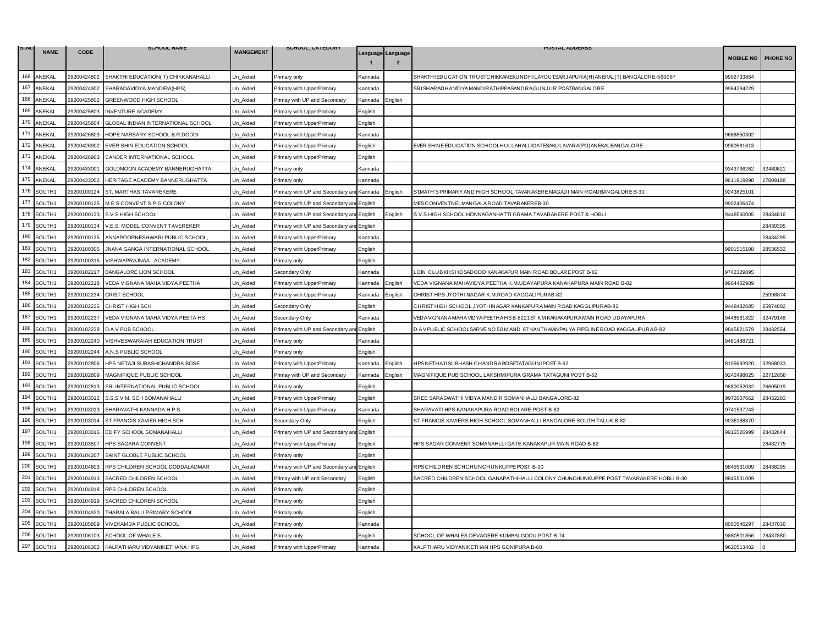| SI.NO | <b>NAME</b> | <b>CODE</b> | <b>SCHOOL NAME</b>                        | <b>MANGEMENT</b> | SCHOOL_CATEGORY                   |         |                                     | <b>POSTAL ADDERSS</b>                                                                   |                  |                 |
|-------|-------------|-------------|-------------------------------------------|------------------|-----------------------------------|---------|-------------------------------------|-----------------------------------------------------------------------------------------|------------------|-----------------|
|       |             |             |                                           |                  |                                   |         | Language Language<br>$\overline{2}$ |                                                                                         | <b>MOBILE NO</b> | <b>PHONE NO</b> |
| 166   | ANEKAL      | 29200424802 | SHAKTHI EDUCATION( T) CHIKKANAHALLI       | Un_Aided         | Primary only                      | Kannada |                                     | SHAKTHI EDUCATION TRUSTCHIKKAN EKUNDHI LAYOUT,SAR JAPURA(H) AN EKAL(T) BANGALORE-560087 | 9902733864       |                 |
| 167   | ANEKAL      | 29200424902 | SHARADAVIDYA MANDIRA(HPS)                 | Un Aided         | Primary with UpperPrimary         | Kannada |                                     | SRISHARADHA VIDYA MANDIRATHIPPASANDRA, GUNJUR POST, BANGALORE                           | 9964294229       |                 |
| 168   | ANEKAL      | 29200425802 | GREENWOOD HIGH SCHOOL                     | Un Aided         | Primay with UP and Secondary      | Kannada | English                             |                                                                                         |                  |                 |
| 169   | ANEKAL      | 29200425803 | <b>INVENTURE ACADEMY</b>                  | Jn Aided         | Primary with UpperPrimary         | English |                                     |                                                                                         |                  |                 |
| 170   | ANEKAL      | 29200425804 | GLOBAL INDIAN INTERNATIONAL SCHOOL        | Un_Aided         | Primary with UpperPrimary         | English |                                     |                                                                                         |                  |                 |
| 171   | ANEKAL      | 29200426803 | HOPE NARSARY SCHOOL B.R.DODDI             | Un_Aided         | Primary with UpperPrimary         | Kannada |                                     |                                                                                         | 9686850302       |                 |
| 172   | ANEKAL      | 29200426902 | EVER SHIN EDUCATION SCHOOL                | Un_Aided         | Primary with UpperPrimary         | English |                                     | EVER SHINE EDUCATION SCHOOLHULLAHALLIGATESAKULAVARA(PO)ANEKALBANGALORE                  | 9980561613       |                 |
| 173   | ANEKAL      | 29200426903 | CANDER INTERNATIONAL SCHOOL               | Un Aided         | Primary with UpperPrimary         | English |                                     |                                                                                         |                  |                 |
| 174   | ANEKAL      | 29200433001 | GOLDMOON ACADEMY BANNERUGHATTA            | Un Aided         | Primary only                      | Kannada |                                     |                                                                                         | 9343736262       | 32480821        |
| 175   | ANEKAL      | 29200433002 | HERITAGE ACADEMY BANNERUGHATTA            | Un Aided         | Primary only                      | Kannada |                                     |                                                                                         | 9611819898       | 27809188        |
| 176   | SOUTH1      | 29200100124 | ST. MARTHAS TAVAREKERE                    | Un_Aided         | Primary with UP and Secondary an  | Kannada | English                             | STMATH'S PRIMARY AND HIGH SCHOOL TAVAR AKERE MAGADI MAIN ROADBANGALORE B-30             | 9243825101       |                 |
| 177   | SOUTH1      | 29200100125 | M E S CONVENT S P G COLONY                | Un Aided         | Primary with UP and Secondary ar  | English |                                     | MESCONVENTNELMANGALAROAD TAVAR AKEREB-30                                                | 9902406474       |                 |
| 178   | SOUTH1      | 29200100133 | S.V.S HIGH SCHOOL                         | Un Aided         | Primary with UP and Secondary an  | English | English                             | S.V.S HIGH SCHOOL HONNAGANHATTI GRAMA TAVARAKERE POST & HOBLI                           | 9448560005       | 28434816        |
| 179   | SOUTH1      | 29200100134 | V.E.S. MODEL CONVENT TAVEREKER            | Un_Aided         | Primary with UP and Secondary ar  | English |                                     |                                                                                         |                  | 28430305        |
| 180   | SOUTH1      | 29200100135 | ANNAPOORNESHWARI PUBLIC SCHOOL            | Un Aided         | Primary with UpperPrimary         | Kannada |                                     |                                                                                         |                  | 28434295        |
| 181   | SOUTH1      | 29200100305 | JNANA GANGA INTERNATIONAL SCHOOL          | Un Aided         | Primary with UpperPrimary         | English |                                     |                                                                                         | 9901515108       | 28536532        |
| 182   | SOUTH1      | 29200100315 | VISHWAPRAJNAA ACADEMY                     | Un_Aided         | Primary only                      | English |                                     |                                                                                         |                  |                 |
| 183   | SOUTH1      | 29200102217 | <b>BANGALORE LION SCHOOL</b>              | Un_Aided         | Secondary Only                    | Kannada |                                     | LOIN CLUB KHS HOSADODDIKAN AKAPUR MAIN ROAD BOLARE POST B-82                            | 9742329895       |                 |
| 184   | SOUTH1      | 29200102218 | VEDA VIGNANA MAHA VIDYA PEETHA            | Un_Aided         | Primary with UpperPrimary         | Kannada | English                             | VEDA VIGNANA MAHAVIDYA PEETHA K.M.UDAYAPURA KANAKAPURA MAIN ROAD B-82                   | 9964402989       |                 |
| 185   | SOUTH1      | 29200102234 | <b>CRIST SCHOOL</b>                       | Jn Aided         | Primary with UpperPrimary         | Kannada | Enalish                             | CHRIST HPS JYOTHI NAGAR K.M.ROAD KAGGALIPURAB-82                                        |                  | 25998874        |
| 186   | SOUTH1      | 29200102236 | CHRIST HIGH SCH                           | Un_Aided         | Secondary Only                    | English |                                     | CHRIST HIGH SCHOOL JYOTHINAGAR KANKAPURA MAIN ROAD KAGGLIPURAB-82                       | 9448482685       | 25974882        |
| 187   | SOUTH1      | 29200102237 | VEDA VIGNANA MAHA VIDYA PEETA HS          | Un_Aided         | Secondary Only                    | Kannada |                                     | VEDA VIGNANA MAHA VIDYA PEETHA HS B-8221ST KM KANAKAPURA MAIN ROAD UDAYAPURA            | 9448561822       | 32479148        |
| 188   | SOUTH1      | 29200102238 | D.A.V PUB SCHOOL                          | Un Aided         | Primary with UP and Secondary and | English |                                     | D A V PUBLIC SCHOOLSAR VE NO 58 M AND 67 KANTHAIAN PALYA PIPELINE ROAD KAGGALIPURA B-82 | 9845821579       | 28432554        |
| 189   | SOUTH1      | 29200102240 | VISHVESWARAIAH EDUCATION TRUST            | Un_Aided         | Primary only                      | Kannada |                                     |                                                                                         | 9481488721       |                 |
| 190   | SOUTH1      | 29200102244 | A.N.S PUBLIC SCHOOL                       | Un Aided         | Primary only                      | English |                                     |                                                                                         |                  |                 |
| 191   | SOUTH1      | 29200102806 | HPS NETAJI SUBASHCHANDRA BOSE             | Un_Aided         | Primary with UpperPrimary         | Kannada | English                             | IPS NETHAJI SUBHASH CHANDRA BOSETATAGUNI POST B-62                                      | 8105693920       | 32968033        |
| 192   | SOUTH1      | 29200102809 | MAGNIFIQUE PUBLIC SCHOOL                  | Un Aided         | Primay with UP and Secondary      | Kannada | English                             | MAGNIFIQUE PUB SCHOOL LAKSHMIPURA GRAMA TATAGUNI POST B-62                              | 9242498025       | 22712858        |
| 193   | SOUTH1      | 29200102813 | SRI INTERNATIONAL PUBLIC SCHOOL           | Un Aided         | Primary only                      | English |                                     |                                                                                         | 9880052032       | 26605019        |
| 194   | SOUTH1      | 29200103012 | S.S.S.V.M. SCH SOMANAHALLI                | Un Aided         | Primary with UpperPrimary         | English |                                     | SREE SARASWATHI VIDYA MANDIR SOMANHALLI BANGALORE-82                                    | 9972007662       | 28432283        |
| 195   | SOUTH1      | 29200103013 | SHARAVATHI KANNADA H P S                  | Un_Aided         | Primary with UpperPrimary         | Kannada |                                     | SHARAVATI HPS KANAKAPURA ROAD BOLARE POST B-82                                          | 9741537243       |                 |
| 196   | SOUTH1      | 29200103014 | ST FRANCIS XAVIER HIGH SCH                | Un_Aided         | Secondary Only                    | English |                                     | ST FRANCIS XAVIERS HIGH SCHOOL SOMANHALLI BANGALORE SOUTH TALUK B-82                    | 9036168870       |                 |
| 197   | SOUTH1      | 29200103016 | EDIFY SCHOOL SOMANAHALLI                  | Un Aided         | Primary with UP and Secondary an  | English |                                     |                                                                                         | 9916526999       | 28432644        |
| 198   | SOUTH1      | 29200103507 | <b>HPS SAGARA CONVENT</b>                 | Un Aided         | Primary with UpperPrimary         | English |                                     | IPS SAGAR CONVENT SOMANAHLLI GATE KANAKAPUR MAIN ROAD B-82                              |                  | 28432775        |
| 199   | SOUTH1      | 29200104207 | SAINT GLOBLE PUBLIC SCHOOL                | Un_Aided         | Primary only                      | English |                                     |                                                                                         |                  |                 |
| 200   | SOUTH1      | 29200104603 | RPS CHILDREN SCHOOL DODDALADMAR           | Un_Aided         | Primary with UP and Secondary a   | English |                                     | RPS CHILDREN SCHCHUNCHUNKUPPE POST B-30                                                 | 9845531009       | 28438295        |
| 201   | SOUTH1      | 29200104913 | SACRED CHILDREN SCHOOL                    | Un Aided         | Primay with UP and Secondary      | English |                                     | SACRED CHILDREN SCHOOL GANAPATHIHALLI COLONY CHUNCHUNKUPPE POST TAVARAKERE HOBLI B-30   | 9845531009       |                 |
| 202   | SOUTH1      | 29200104918 | RPS CHILDREN SCHOOL                       | Un Aided         | Primary only                      | English |                                     |                                                                                         |                  |                 |
| 203   | SOUTH1      | 29200104919 | SACRED CHILDREN SCHOOL                    | Un_Aided         | Primary only                      | English |                                     |                                                                                         |                  |                 |
| 204   | SOUTH1      | 29200104920 | THARALA BALU PRIMARY SCHOOL               | Un_Aided         | Primary only                      | English |                                     |                                                                                         |                  |                 |
| 205   | SOUTH1      | 29200105809 | VIVEKAMDA PUBLIC SCHOOL                   | Un Aided         | Primary only                      | Kannada |                                     |                                                                                         | 8050546297       | 28437036        |
| 206   | SOUTH1      | 29200106103 | SCHOOL OF WHALE S                         | Jn Aided         | Primary only                      | English |                                     | SCHOOL OF WHALES DEVAGERE KUMBALGODU POST B-74                                          | 3880501856       | 28437880        |
| 207   | SOUTH1      |             | 29200106302 KALPATHARU VIDYANIKETHANA HPS | Un Aided         | Primary with UpperPrimary         | Kannada |                                     | KALPTHARU VIDYANIKETHAN HPS GONIPURA B-60                                               | 9620513482       |                 |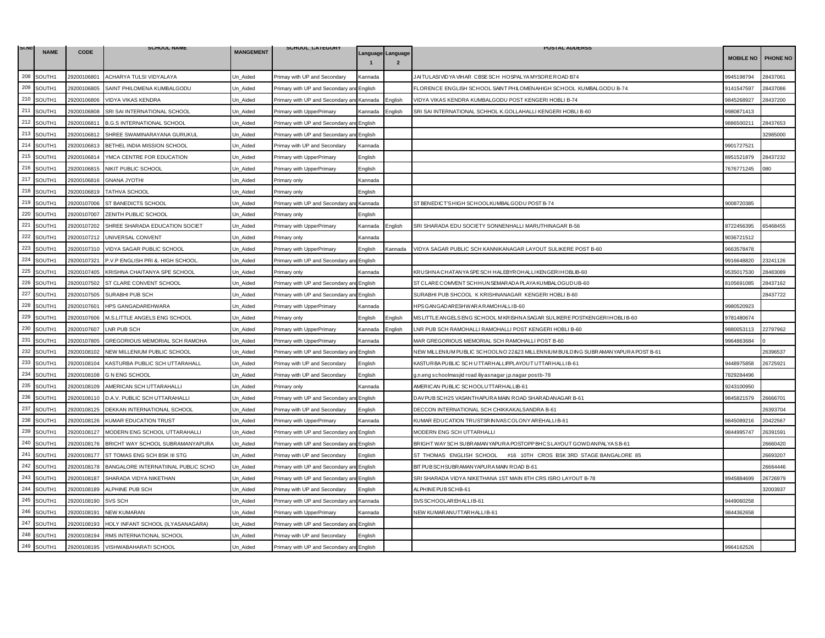| SI.NO   | <b>NAME</b> | <b>CODE</b> | <b>SCHOOL NAME</b>                  | <b>MANGEMENT</b> | SCHOOL_CATEGORY                           |                   |                | <b>POSTAL ADDERSS</b>                                                            |                  |          |
|---------|-------------|-------------|-------------------------------------|------------------|-------------------------------------------|-------------------|----------------|----------------------------------------------------------------------------------|------------------|----------|
|         |             |             |                                     |                  |                                           | Language Language | $\overline{2}$ |                                                                                  | <b>MOBILE NO</b> | PHONE NO |
| 208     | SOUTH1      | 29200106801 | ACHARYA TULSI VIDYALAYA             | Un_Aided         | Primay with UP and Secondary              | Kannada           |                | JAITULASI VIDYA VIHAR CBSESCH HOSPALYA MYSORE ROAD B74                           | 9945198794       | 28437061 |
| 209     | SOUTH1      | 29200106805 | SAINT PHILOMENA KUMBALGODU          | Un Aided         | Primary with UP and Secondary a           | English           |                | FLORENCE ENGLISH SCHOOL SAINT PHILOMENAHIGH SCHOOL KUMBALGODU B-74               | 9141547597       | 28437086 |
| 210     | SOUTH1      | 29200106806 | <b>VIDYA VIKAS KENDRA</b>           | Un Aided         | Primary with UP and Secondary an          | Kannada           | English        | VIDYA VIKAS KENDRA KUMBALGODU POST KENGERI HOBLI B-74                            | 9845268927       | 28437200 |
| 211     | SOUTH1      | 29200106808 | SRI SAI INTERNATIONAL SCHOOL        | Un Aided         | Primary with UpperPrimary                 | Kannada           | English        | SRI SAI INTERNATIONAL SCHHOL K.GOLLAHALLI KENGERI HOBLI B-60                     | 9980871413       |          |
| 212     | SOUTH1      | 29200106811 | <b>B.G.S INTERNATIONAL SCHOOL</b>   | Un_Aided         | Primary with UP and Secondary an          | English           |                |                                                                                  | 9886500211       | 28437653 |
| 213     | SOUTH1      | 29200106812 | SHREE SWAMINARAYANA GURUKUL         | Un Aided         | Primary with UP and Secondary an          | English           |                |                                                                                  |                  | 32985000 |
| 214     | SOUTH1      | 29200106813 | BETHEL INDIA MISSION SCHOOL         | Jn Aided         | Primay with UP and Secondary              | Kannada           |                |                                                                                  | 9901727521       |          |
| 215     | SOUTH1      | 29200106814 | YMCA CENTRE FOR EDUCATION           | Un_Aided         | Primary with UpperPrimary                 | English           |                |                                                                                  | 3951521879       | 28437232 |
| 216     | SOUTH1      | 29200106815 | NIKIT PUBLIC SCHOOL                 | Un_Aided         | Primary with UpperPrimary                 | English           |                |                                                                                  | 7676771245       | 080      |
| 217     | SOUTH1      | 29200106816 | <b>GNANA JYOTHI</b>                 | Un Aided         | Primary only                              | Kannada           |                |                                                                                  |                  |          |
| 218     | SOUTH1      | 29200106819 | <b>TATHVA SCHOOL</b>                | Un Aided         | Primary only                              | English           |                |                                                                                  |                  |          |
| 219     | SOUTH1      | 29200107006 | ST BANEDICTS SCHOOL                 | Un_Aided         | Primary with UP and Secondary ar          | Kannada           |                | ST BENEDICT'S HIGH SCHOOLKUMBALGODU POST B-74                                    | 9008720385       |          |
| 220     | SOUTH1      | 29200107007 | ZENITH PUBLIC SCHOOL                | Un_Aided         | Primary only                              | English           |                |                                                                                  |                  |          |
| 221     | SOUTH1      | 29200107202 | SHREE SHARADA EDUCATION SOCIET      | Un_Aided         | Primary with UpperPrimary                 | Kannada           | :nglish        | SRI SHARADA EDU SOCIETY SONNENHALLI MARUTHINAGAR B-56                            | 8722456395       | 65468455 |
| 222     | SOUTH1      | 29200107212 | UNIVERSAL CONVENT                   | Un Aided         | Primary only                              | Kannada           |                |                                                                                  | 9036721512       |          |
| 223     | SOUTH1      | 29200107310 | VIDYA SAGAR PUBLIC SCHOOL           | Un Aided         | Primary with UpperPrimary                 | English           | Kannada        | VIDYA SAGAR PUBLIC SCH KANNIKANAGAR LAYOUT SULIKERE POST B-60                    | 9663578478       |          |
| 224     | SOUTH1      | 29200107321 | P.V.P ENGLISH PRI &. HIGH SCHOOL    | Un_Aided         | Primary with UP and Secondary ar          | English           |                |                                                                                  | 9916648820       | 23241126 |
| 225     | SOUTH1      | 29200107405 | KRISHNA CHAITANYA SPE SCHOOL        | Un Aided         | Primary only                              | Kannada           |                | KRUSHNA CHATANYA SPE SCH HALEBYROHALLIKENGERIHOBLIB-60                           | 9535017530       | 28483089 |
| 226     | SOUTH1      | 29200107502 | ST CLARE CONVENT SCHOOL             | Un_Aided         | Primary with UP and Secondary and         | English           |                | ST CLARE COMVENT SCHHUNSEMAR ADA PLAYA KUMBALOGUDUB-60                           | 8105691085       | 28437162 |
| 227     | SOUTH1      | 29200107505 | SURABHI PUB SCH                     | Un Aided         | Primary with UP and Secondary an          | English           |                | SURABHI PUB SHCOOL K KRISHNANAGAR KENGERI HOBLI B-60                             |                  | 28437722 |
| 228     | SOUTH1      | 29200107601 | HPS GANGADAREHWARA                  | Un Aided         | Primary with UpperPrimary                 | Kannada           |                | HPS GANGADARESHWARA RAMOHALLIB-60                                                | 9980520923       |          |
| 229     | SOUTH1      | 29200107606 | M.S.LITTLE ANGELS ENG SCHOOL        | Un Aided         | Primary only                              | English           | English        | MS LITTLE ANGELS ENG SCHOOL M KRISHNA SAGAR SULIKERE POSTKENGER I HOBLI B-60     | 9781480674       |          |
| 230     | SOUTH1      | 29200107607 | <b>LNR PUB SCH</b>                  | Jn_Aided         | Primary with UpperPrimary                 | Kannada           | English        | LNR PUB SCH RAMOHALLI RAMOHALLI POST KENGERI HOBLI B-60                          | 9880053113       | 22797962 |
| 231     | SOUTH1      | 29200107805 | GREGORIOUS MEMORIAL SCH RAMOHA      | Un Aided         | Primary with UpperPrimary                 | Kannada           |                | MAR GREGORIOUS MEMORIAL SCH RAMOHALLI POST B-60                                  | 9964863684       |          |
| 232     | SOUTH1      | 29200108102 | NEW MILLENIUM PUBLIC SCHOOL         | Un Aided         | Primary with UP and Secondary ar          | English           |                | NEW MILLENIUM PUBLIC SCHOOLNO 22&23 MILLENNIUM BUILDING SUBRAMANYAPURA POST B-61 |                  | 26396537 |
| 233     | SOUTH1      | 29200108104 | KASTURBA PUBLIC SCH UTTARAHALL      | Un_Aided         | Primay with UP and Secondary              | English           |                | KASTURBA PUBLIC SCH UTTARHALLIP.PLAYOUT UTTARHALLI B-61                          | 9448975858       | 26725921 |
| 234     | SOUTH1      | 29200108108 | <b>G N ENG SCHOOL</b>               | Un_Aided         | Primay with UP and Secondary              | English           |                | g.n.eng schoolmasjid road iliyasnagar j.p.nagar postb-78                         | 7829284496       |          |
| 235     | SOUTH1      | 29200108109 | AMERICAN SCH UTTARAHALLI            | Un Aided         | Primary only                              | Kannada           |                | AMERICAN PUBLIC SCHOOLUTTARHALLIB-61                                             | 9243100950       |          |
| 236     | SOUTH1      | 29200108110 | D.A.V. PUBLIC SCH UTTARAHALLI       | Un Aided         | Primary with UP and Secondary an          | English           |                | DAV PUB SCH25 VASANTHAPURA MAIN ROAD SHARADANAGAR B-61                           | 9845821579       | 26666701 |
| 237     | SOUTH1      | 29200108125 | DEKKAN INTERNATIONAL SCHOOL         | Un_Aided         | Primay with UP and Secondary              | English           |                | DECCON INTERNATIONAL SCH CHIKKAKALSANDRA B-61                                    |                  | 26393704 |
| 238     | SOUTH1      | 29200108126 | <b>KUMAR EDUCATION TRUST</b>        | Jn Aided         | Primary with UpperPrimary                 | Kannada           |                | KUMAR EDUCATION TRUSTSRINIVAS COLONY AREHALLIB-61                                | 9845089216       | 20422567 |
| 239     | SOUTH1      | 29200108127 | MODERN ENG SCHOOL UTTARAHALLI       | Un Aided         | Primary with UP and Secondary ar          | English           |                | MODERN ENG SCH UTTARHALLI                                                        | 9844995747       | 26391591 |
| 240     | SOUTH1      | 29200108176 | BRICHT WAY SCHOOL SUBRAMANYAPURA    | Un Aided         | Primary with UP and Secondary ar          | English           |                | BRIGHT WAY SCH SUBRAMAN YAPURA POSTOPP BHCS LAYOUT GOWDAN PALYAS B-61            |                  | 26660420 |
| 241     | SOUTH1      | 29200108177 | ST TOMAS ENG SCH BSK III STG        | Un_Aided         | Primay with UP and Secondary              | English           |                | ST THOMAS ENGLISH SCHOOL #16 10TH CROS BSK 3RD STAGE BANGALORE 85                |                  | 26693207 |
| 242     | SOUTH1      | 29200108178 | BANGALORE INTERNATIINAL PUBLIC SCHO | Un_Aided         | Primary with UP and Secondary a           | English           |                | BIT PUB SCHSUBRAMANYAPURA MAIN ROAD B-61                                         |                  | 26664446 |
| 243     | SOUTH1      | 29200108187 | SHARADA VIDYA NIKETHAN              | Un Aided         | Primary with UP and Secondary and         | English           |                | SRI SHARADA VIDYA NIKETHANA 1ST MAIN 8TH CRS ISRO LAYOUT B-78                    | 9945884699       | 26726979 |
| 244     | SOUTH1      | 29200108189 | ALPHINE PUB SCH                     | Un Aided         | Primay with UP and Secondary              | English           |                | ALPHINE PUBSCHB-61                                                               |                  | 32003937 |
| 245     | SOUTH1      | 29200108190 | <b>SVS SCH</b>                      | Un_Aided         | Primary with UP and Secondary an          | Kannada           |                | SVS SCHOOLAREHALLIB-61                                                           | 9449060258       |          |
| 246     | SOUTH1      | 29200108191 | <b>NEW KUMARAN</b>                  | Un_Aided         | Primary with UpperPrimary                 | Kannada           |                | NEW KUMARANUTTARHALLIB-61                                                        | 9844362658       |          |
| 247     | SOUTH1      | 29200108193 | HOLY INFANT SCHOOL (ILYASANAGARA)   | Un Aided         | Primary with UP and Secondary ar          | English           |                |                                                                                  |                  |          |
| 248     | SOUTH1      | 29200108194 | RMS INTERNATIONAL SCHOOL            | Jn Aided         | Primay with UP and Secondary              | Enalish           |                |                                                                                  |                  |          |
| $249\,$ | SOUTH1      | 29200108195 | VISHWABAHARATI SCHOOL               | Un Aided         | Primary with UP and Secondary and English |                   |                |                                                                                  | 9964162526       |          |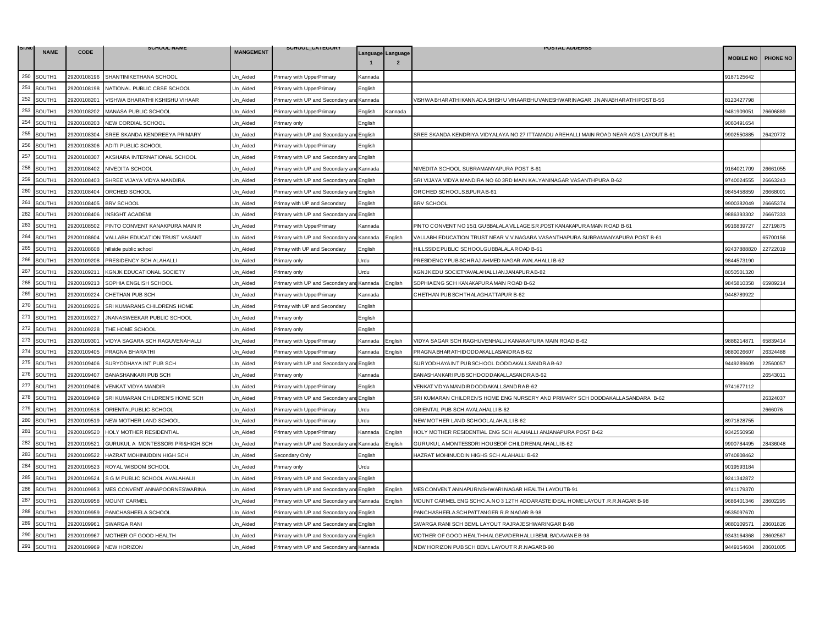| SI.NO | <b>NAME</b> | <b>CODE</b> | <b>SCHOOL NAME</b>                | <b>MANGEMENT</b> | SCHOOL_CATEGORY                           |                |                   | <b>POSTAL ADDERSS</b>                                                                  |                  |          |
|-------|-------------|-------------|-----------------------------------|------------------|-------------------------------------------|----------------|-------------------|----------------------------------------------------------------------------------------|------------------|----------|
|       |             |             |                                   |                  |                                           |                | Language Language |                                                                                        | <b>MOBILE NO</b> | PHONE NO |
| 250   | SOUTH1      | 29200108196 | SHANTINIKETHANA SCHOOL            | Un_Aided         | Primary with UpperPrimary                 | Kannada        |                   |                                                                                        | 9187125642       |          |
| 251   | SOUTH1      | 29200108198 | NATIONAL PUBLIC CBSE SCHOOL       | Jn Aided         | Primary with UpperPrimary                 | English        |                   |                                                                                        |                  |          |
| 252   | SOUTH1      | 29200108201 | VISHWA BHARATHI KSHISHU VIHAAR    | Un Aided         | Primary with UP and Secondary an          | Kannada        |                   | /ISHWA BHAR ATHI KANNADA SHISHU VIHAAR BHU VANESHWAR INAGAR JNANABHAR ATHI POST B-56   | 8123427798       |          |
| 253   | SOUTH1      | 29200108202 | MANASA PUBLIC SCHOOL              | Jn_Aided         | Primary with UpperPrimary                 | <b>English</b> | Kannada           |                                                                                        | 9481909051       | 26606889 |
| 254   | SOUTH1      | 29200108203 | NEW CORDIAL SCHOOL                | Jn_Aided         | Primary only                              | English        |                   |                                                                                        | 9060491654       |          |
| 255   | SOUTH1      | 29200108304 | SREE SKANDA KENDREEYA PRIMARY     | Un Aided         | Primary with UP and Secondary and English |                |                   | SREE SKANDA KENDRIYA VIDYALAYA NO 27 ITTAMADU AREHALLI MAIN ROAD NEAR AG'S LAYOUT B-61 | 9902550885       | 26420772 |
| 256   | SOUTH1      | 29200108306 | ADITI PUBLIC SCHOOL               | Jn Aided         | Primary with UpperPrimary                 | English        |                   |                                                                                        |                  |          |
| 257   | SOUTH1      | 29200108307 | AKSHARA INTERNATIONAL SCHOOL      | Un_Aided         | Primary with UP and Secondary ar          | English        |                   |                                                                                        |                  |          |
| 258   | SOUTH1      | 29200108402 | NIVEDITA SCHOOL                   | Un_Aided         | Primary with UP and Secondary ar          | Kannada        |                   | NIVEDITA SCHOOL SUBRAMANYAPURA POST B-61                                               | 9164021709       | 26661055 |
| 259   | SOUTH1      | 29200108403 | SHREE VIJAYA VIDYA MANDIRA        | Jn Aided         | Primary with UP and Secondary and         | English        |                   | SRI VIJAYA VIDYA MANDIRA NO 60 3RD MAIN KALYANINAGAR VASANTHPURA B-62                  | 9740024555       | 26663243 |
| 260   | SOUTH1      | 29200108404 | ORCHED SCHOOL                     | Un Aided         | Primary with UP and Secondary an          | English        |                   | ORCHED SCHOOLS.B.PURAB-61                                                              | 9845458859       | 26668001 |
| 261   | SOUTH1      | 29200108405 | <b>BRV SCHOOL</b>                 | Un_Aided         | Primay with UP and Secondary              | English        |                   | <b>BRV SCHOOL</b>                                                                      | 9900382049       | 26665374 |
| 262   | SOUTH1      | 29200108406 | <b>INSIGHT ACADEMI</b>            | Jn Aided         | Primary with UP and Secondary and         | English        |                   |                                                                                        | 3886393302       | 26667333 |
| 263   | SOUTH1      | 29200108502 | PINTO CONVENT KANAKPURA MAIN R    | Un_Aided         | Primary with UpperPrimary                 | Kannada        |                   | PINTO CONVENT NO 15/1 GUBBALALA VILLAGE S.R. POST KANAKAPURA MAIN ROAD B-61            | 9916839727       | 22719875 |
| 264   | SOUTH1      | 29200108604 | VALLABH EDUCATION TRUST VASANT    | Un Aided         | Primary with UP and Secondary ar          | Kannada        | Enalish           | VALLABH EDUCATION TRUST NEAR V.V.NAGARA VASANTHAPURA SUBRAMANYAPURA POST B-61          |                  | 65700156 |
| 265   | SOUTH1      | 29200108608 | hillside public school            | Un Aided         | Primay with UP and Secondary              | English        |                   | HILLSSIDE PUBLIC SCHOOLGUBBALALA ROAD B-61                                             | 92437888820      | 22722019 |
| 266   | SOUTH1      | 29200109208 | PRESIDENCY SCH ALAHALLI           | Un_Aided         | Primary only                              | Urdu           |                   | PRESIDENCY PUBSCHRAJ AHMED NAGAR AVALAHALLIB-62                                        | 9844573190       |          |
| 267   | SOUTH1      | 29200109211 | KGNJK EDUCATIONAL SOCIETY         | Jn Aided         | Primary only                              | Irdu           |                   | KGNJK EDU SOCIETYAVALAHALLI ANJANAPURA B-82                                            | 8050501320       |          |
| 268   | SOUTH1      | 29200109213 | SOPHIA ENGLISH SCHOOL             | Un Aided         | Primary with UP and Secondary and Kannada |                | English           | SOPHIA ENG SCH KANAKAPURA MAIN ROAD B-62                                               | 9845810358       | 65989214 |
| 269   | SOUTH1      | 29200109224 | CHETHAN PUB SCH                   | Jn Aided         | Primary with UpperPrimary                 | Kannada        |                   | CHETHAN PUBSCHTHALAGHATTAPUR B-62                                                      | 9448789922       |          |
| 270   | SOUTH1      | 29200109226 | SRI KUMARANS CHILDRENS HOME       | Un_Aided         | Primay with UP and Secondary              | English        |                   |                                                                                        |                  |          |
| 271   | SOUTH1      | 29200109227 | JNANASWEEKAR PUBLIC SCHOOL        | Un_Aided         | Primary only                              | English        |                   |                                                                                        |                  |          |
| 272   | SOUTH1      | 29200109228 | THE HOME SCHOOL                   | Jn Aided         | Primary only                              | English        |                   |                                                                                        |                  |          |
| 273   | SOUTH1      | 29200109301 | VIDYA SAGARA SCH RAGUVENAHALLI    | Un_Aided         | Primary with UpperPrimary                 | Kannada        | English           | VIDYA SAGAR SCH RAGHUVENHALLI KANAKAPURA MAIN ROAD B-62                                | 9886214871       | 65839414 |
| 274   | SOUTH1      | 29200109405 | PRAGNA BHARATHI                   | Un_Aided         | Primary with UpperPrimary                 | Kannada        | Enalish           | PRAGNA BHARATHIDODDAKALLASANDRA B-62                                                   | 9880026607       | 26324488 |
| 275   | SOUTH1      | 29200109406 | SURYODHAYA INT PUB SCH            | Jn Aided         | Primary with UP and Secondary and         | English        |                   | SURYODHAYA INT PUB SCHOOL DODDAKALLSANDRA B-62                                         | 9449289609       | 22560057 |
| 276   | SOUTH1      | 29200109407 | BANASHANKARI PUB SCH              | Un Aided         | Primary only                              | Kannada        |                   | BANASHANKARI PUB SCHDODD AKALLASANDRA B-62                                             |                  | 26543011 |
| 277   | SOUTH1      | 29200109408 | VENKAT VIDYA MANDIR               | Jn Aided         | Primary with UpperPrimary                 | English        |                   | VENKAT VIDYA MANDIRDODDAKALLSANDRA B-62                                                | 9741677112       |          |
| 278   | SOUTH1      | 29200109409 | SRI KUMARAN CHILDREN'S HOME SCH   | Un Aided         | Primary with UP and Secondary and English |                |                   | SRI KUMARAN CHILDREN'S HOME ENG NURSERY AND PRIMARY SCH DODDAKALLASANDARA B-62         |                  | 26324037 |
| 279   | SOUTH1      | 29200109518 | ORIENTALPUBLIC SCHOOL             | Un_Aided         | Primary with UpperPrimary                 | Urdu           |                   | ORIENTAL PUB SCH AVALAHALLI B-62                                                       |                  | 2666076  |
| 280   | SOUTH1      | 29200109519 | NEW MOTHER LAND SCHOOL            | Jn Aided         | Primary with UpperPrimary                 | Urdu           |                   | NEW MOTHER LAND SCHOOLALAHALLIB-62                                                     | 8971828755       |          |
| 281   | SOUTH1      | 29200109520 | HOLY MOTHER RESIDENTIAL           | Un Aided         | Primary with UpperPrimary                 | Kannada        | English           | HOLY MOTHER RESIDENTIAL ENG SCH ALAHALLI ANJANAPURA POST B-62                          | 9342550958       |          |
| 282   | SOUTH1      | 29200109521 | GURUKUL A MONTESSORI PRI&HIGH SCH | Un_Aided         | Primary with UP and Secondary an          | Kannada        | English           | GURUKUL AMONTESSORIHOUSEOF CHILDRENALAHALLIB-62                                        | 9900784495       | 28436048 |
| 283   | SOUTH1      | 29200109522 | HAZRAT MOHINUDDIN HIGH SCH        | Jn_Aided         | Secondary Only                            | English        |                   | HAZRAT MOHINUDDIN HIGHS SCH ALAHALLI B-62                                              | 9740808462       |          |
| 284   | SOUTH1      | 29200109523 | ROYAL WISDOM SCHOOL               | Un_Aided         | Primary only                              | Urdu           |                   |                                                                                        | 9019593184       |          |
| 285   | SOUTH1      | 29200109524 | S G M PUBLIC SCHOOL AVALAHALII    | Jn Aided         | Primary with UP and Secondary ar          | English        |                   |                                                                                        | 3241342872       |          |
| 286   | SOUTH1      | 29200109953 | MES CONVENT ANNAPOORNESWARINA     | Un Aided         | Primary with UP and Secondary and         | English        | English           | MESCONVENT ANNAPURNSHWARINAGAR HEALTH LAYOUTB-91                                       | 9741179370       |          |
| 287   | SOUTH1      | 29200109958 | <b>MOUNT CARMEL</b>               | Un_Aided         | Primary with UP and Secondary an          | Kannada        | English           | MOUNT CARMEL ENG SCHC A. NO 3 12TH ADDARASTE IDEAL HOME LAYOUT .R.R.NAGAR B-98         | 9686401346       | 28602295 |
| 288   | SOUTH1      | 29200109959 | PANCHASHEELA SCHOOL               | Jn Aided         | Primary with UP and Secondary and         | English        |                   | PANCHASHEELA SCHPATTANGER R.R.NAGAR B-98                                               | 9535097670       |          |
| 289   | SOUTH1      | 29200109961 | <b>SWARGA RANI</b>                | Un Aided         | Primary with UP and Secondary and         | English        |                   | SWARGA RANI SCH BEML LAYOUT RAJRAJESHWARINGAR B-98                                     | 9880109571       | 28601826 |
| 290   | SOUTH1      | 29200109967 | MOTHER OF GOOD HEALTH             | Un_Aided         | Primary with UP and Secondary and         | English        |                   | MOTHER OF GOOD HEALTHHALGEVADER HALLI BEML BADAVANE B-98                               | 9343164368       | 28602567 |
| 291   | SOUTH1      | 29200109969 | <b>NEW HORIZON</b>                | Un_Aided         | Primary with UP and Secondary and Kannada |                |                   | NEW HORIZON PUBSCH BEML LAYOUT R.R.NAGARB-98                                           | 9449154604       | 28601005 |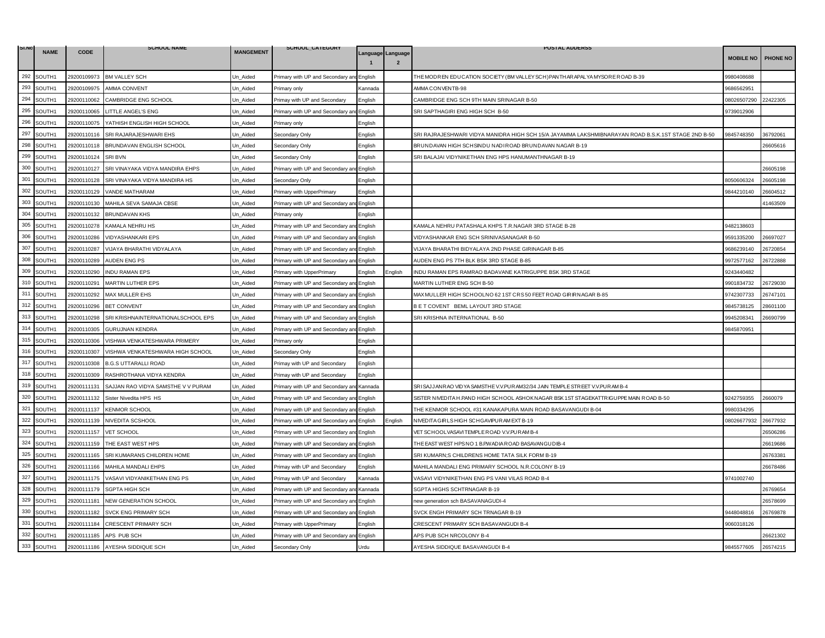| SI.NO | <b>NAME</b> | <b>CODE</b> | <b>SCHOOL NAME</b>                 | <b>MANGEMENT</b> | SCHOOL_CATEGORY                           |                                                                                                                       |                                     | <b>POSTAL ADDERSS</b>                                                                               |                  |          |
|-------|-------------|-------------|------------------------------------|------------------|-------------------------------------------|-----------------------------------------------------------------------------------------------------------------------|-------------------------------------|-----------------------------------------------------------------------------------------------------|------------------|----------|
|       |             |             |                                    |                  |                                           |                                                                                                                       | Language Language<br>$\overline{2}$ |                                                                                                     | <b>MOBILE NO</b> | PHONE NO |
| 292   | SOUTH1      | 29200109973 | <b>BM VALLEY SCH</b>               | Un_Aided         | Primary with UP and Secondary ar          | English                                                                                                               |                                     | THE MODREN EDUCATION SOCIETY (BM VALLEY SCH) PANTHAR APALYA MYSORE ROAD B-39                        | 9980408688       |          |
| 293   | SOUTH1      | 29200109975 | AMMA CONVENT                       | Jn Aided         | <sup>9</sup> rimary only                  | Kannada                                                                                                               |                                     | AMMA CONVENTB-98                                                                                    | 9686562951       |          |
| 294   | SOUTH1      | 29200110062 | CAMBRIDGE ENG SCHOOL               | Un Aided         | Primay with UP and Secondary              | English                                                                                                               |                                     | CAMBRIDGE ENG SCH 9TH MAIN SRINAGAR B-50                                                            | 08026507290      | 22422305 |
| 295   | SOUTH1      | 29200110065 | LITTLE ANGEL'S ENG                 | Jn_Aided         | Primary with UP and Secondary ar          | English                                                                                                               |                                     | SRI SAPTHAGIRI ENG HIGH SCH B-50                                                                    | 9739012906       |          |
| 296   | SOUTH1      | 29200110075 | YATHISH ENGLISH HIGH SCHOOL        | Jn_Aided         | <sup>2</sup> rimary only                  | English                                                                                                               |                                     |                                                                                                     |                  |          |
| 297   | SOUTH1      | 29200110116 | SRI RAJARAJESHWARI EHS             | Un Aided         | Secondary Only                            | English                                                                                                               |                                     | SRI RAJRAJESHWARI VIDYA MANIDRA HIGH SCH 15/A JAYAMMA LAKSHMIBNARAYAN ROAD B.S.K.1ST STAGE 2ND B-50 | 9845748350       | 36792061 |
| 298   | SOUTH1      | 29200110118 | BRUNDAVAN ENGLISH SCHOOL           | Jn Aided         | Secondary Only                            | English                                                                                                               |                                     | BRUNDAVAN HIGH SCHSINDU NADI ROAD BRUNDAVAN NAGAR B-19                                              |                  | 26605616 |
| 299   | SOUTH1      | 29200110124 | <b>SRI BVN</b>                     | Un_Aided         | Secondary Only                            | English                                                                                                               |                                     | SRI BALAJAI VIDYNIKETHAN ENG HPS HANUMANTHNAGAR B-19                                                |                  |          |
| 300   | SOUTH1      | 29200110127 | SRI VINAYAKA VIDYA MANDIRA EHPS    | Un_Aided         | Primary with UP and Secondary ar          | English                                                                                                               |                                     |                                                                                                     |                  | 26605198 |
| 301   | SOUTH1      | 29200110128 | SRI VINAYAKA VIDYA MANDIRA HS      | Jn Aided         | Secondary Only                            | English                                                                                                               |                                     |                                                                                                     | 8050606324       | 26605198 |
| 302   | SOUTH1      | 29200110129 | VANDE MATHARAM                     | Un Aided         | Primary with UpperPrimary                 | English                                                                                                               |                                     |                                                                                                     | 9844210140       | 26604512 |
| 303   | SOUTH1      | 29200110130 | MAHILA SEVA SAMAJA CBSE            | Un_Aided         | Primary with UP and Secondary an          | English                                                                                                               |                                     |                                                                                                     |                  | 41463509 |
| 304   | SOUTH1      | 29200110132 | <b>BRUNDAVAN KHS</b>               | Un Aided         | Primary only                              | English                                                                                                               |                                     |                                                                                                     |                  |          |
| 305   | SOUTH1      | 29200110278 | KAMALA NEHRU HS                    | Un_Aided         | Primary with UP and Secondary ar          | English                                                                                                               |                                     | KAMALA NEHRU PATASHALA KHPS T.R.NAGAR 3RD STAGE B-28                                                | 9482138603       |          |
| 306   | SOUTH1      | 29200110286 | <b>VIDYASHANKARI EPS</b>           | Un Aided         | Primary with UP and Secondary an          | Enalish                                                                                                               |                                     | VIDYASHANKAR ENG SCH SRINIVASANAGAR B-50                                                            | 9591335200       | 26697027 |
| 307   | SOUTH1      | 29200110287 | VIJAYA BHARATHI VIDYALAYA          | Un Aided         | Primary with UP and Secondary an          | English                                                                                                               |                                     | VIJAYA BHARATHI BIDYALAYA 2ND PHASE GIRINAGAR B-85                                                  | 9686239140       | 26720854 |
| 308   | SOUTH1      | 29200110289 | AUDEN ENG PS                       | Un Aided         | rimary with UP and Secondary a            | English                                                                                                               |                                     | AUDEN ENG PS 7TH BLK BSK 3RD STAGE B-85                                                             | 9972577162       | 26722888 |
| 309   | SOUTH1      | 29200110290 | <b>INDU RAMAN EPS</b>              | Jn Aided         | Primary with UpperPrimary                 | English                                                                                                               | English                             | INDU RAMAN EPS RAMRAO BADAVANE KATRIGUPPE BSK 3RD STAGE                                             | 9243440482       |          |
| 310   | SOUTH1      | 29200110291 | <b>MARTIN LUTHER EPS</b>           | Un Aided         | Primary with UP and Secondary and English |                                                                                                                       |                                     | MARTIN LUTHER ENG SCH B-50                                                                          | 9901834732       | 26729030 |
| 311   | SOUTH1      | 29200110292 | <b>MAX MULLER EHS</b>              | Jn Aided         | Primary with UP and Secondary ar          | English                                                                                                               |                                     | MAX MULLER HIGH SCHOOLNO 62 1ST CRS 50 FEET ROAD GIRIRNAGAR B-85                                    | 9742307733       | 26747101 |
| 312   | SOUTH1      | 29200110296 | <b>BET CONVENT</b>                 | Un_Aided         | Primary with UP and Secondary and         | English                                                                                                               |                                     | BET COVENT BEML LAYOUT 3RD STAGE                                                                    | 9845738125       | 28601100 |
| 313   | SOUTH1      | 29200110298 | SRI KRISHNAINTERNATIONALSCHOOL EPS | Un_Aided         | Primary with UP and Secondary ar          | English                                                                                                               |                                     | SRI KRISHNA INTERNATIONAL B-50                                                                      | 9945208341       | 26690799 |
| 314   | SOUTH1      | 29200110305 | <b>GURUJNAN KENDRA</b>             | Jn Aided         | Primary with UP and Secondary and         | English                                                                                                               |                                     |                                                                                                     | 9845870951       |          |
| 315   | SOUTH1      | 29200110306 | VISHWA VENKATESHWARA PRIMERY       | Un_Aided         | Primary only                              | English                                                                                                               |                                     |                                                                                                     |                  |          |
| 316   | SOUTH1      | 29200110307 | VISHWA VENKATESHWARA HIGH SCHOOL   | Un_Aided         | Secondary Only                            | English                                                                                                               |                                     |                                                                                                     |                  |          |
| 317   | SOUTH1      | 29200110308 | <b>B.G.S UTTARALLI ROAD</b>        | Jn Aided         | Primay with UP and Secondary              | English                                                                                                               |                                     |                                                                                                     |                  |          |
| 318   | SOUTH1      | 29200110309 | RASHROTHANA VIDYA KENDRA           | Un Aided         | Primay with UP and Secondary              | English                                                                                                               |                                     |                                                                                                     |                  |          |
| 319   | SOUTH1      | 29200111131 | SAJJAN RAO VIDYA SAMSTHE V V PURAM | Jn Aided         | Primary with UP and Secondary ar          | Kannada                                                                                                               |                                     | SRISAJJANRAO VIDYA SAMSTHE V.V.PURAM32/34 JAIN TEMPLE STREET V.V.PURAM B-4                          |                  |          |
| 320   | SOUTH1      | 29200111132 | Sister Nivedita HPS HS             | Un_Aided         | Primary with UP and Secondary and         | English                                                                                                               |                                     | SISTER NIVEDITA H.P.AND HIGH SCHOOL ASHOK NAGAR BSK1ST STAGEKATTRIGUPPE MAIN ROAD B-50              | 9242759355       | 2660079  |
| 321   | SOUTH1      | 29200111137 | <b>KENMOR SCHOOL</b>               | Un_Aided         | Primary with UP and Secondary ar          | English                                                                                                               |                                     | THE KENMOR SCHOOL #31 KANAKAPURA MAIN ROAD BASAVANGUDI B-04                                         | 9980334295       |          |
| 322   | SOUTH1      | 29200111139 | NIVEDITA SCSHOOL                   | Jn Aided         | Primary with UP and Secondary and         | English                                                                                                               | English                             | NIVEDITA GIRLS HIGH SCHGAVIPUR AM EXT B-19                                                          | 08026677932      | 26677932 |
| 323   | SOUTH1      | 29200111157 | <b>VET SCHOOL</b>                  | Un Aided         | Primary with UP and Secondary ar          | English                                                                                                               |                                     | VET SCHOOLVASAVITEMPLE ROAD V.V.PURAM B-4                                                           |                  | 26506286 |
| 324   | SOUTH1      | 29200111159 | THE EAST WEST HPS                  | Un_Aided         | rimary with UP and Secondary ar           | English                                                                                                               |                                     | THE EAST WEST HPS NO 1 B.P.WADIA ROAD BASAVANGUDIB-4                                                |                  | 26619686 |
| 325   | SOUTH1      | 29200111165 | SRI KUMARANS CHILDREN HOME         | Un_Aided         | rimary with UP and Secondary ar           | English                                                                                                               |                                     | SRI KUMARN;S CHILDRENS HOME TATA SILK FORM B-19                                                     |                  | 26763381 |
| 326   | SOUTH1      | 29200111166 | MAHILA MANDALI EHPS                | Un_Aided         | Primay with UP and Secondary              | English                                                                                                               |                                     | MAHILA MANDALI ENG PRIMARY SCHOOL N.R.COLONY B-19                                                   |                  | 26678486 |
| 327   | SOUTH1      | 29200111175 | VASAVI VIDYANIKETHAN ENG PS        | Jn Aided         | Primay with UP and Secondary              | <annada< td=""><td></td><td>VASAVI VIDYNIKETHAN ENG PS VANI VILAS ROAD B-4</td><td>9741002740</td><td></td></annada<> |                                     | VASAVI VIDYNIKETHAN ENG PS VANI VILAS ROAD B-4                                                      | 9741002740       |          |
| 328   | SOUTH1      | 29200111179 | <b>SGPTA HIGH SCH</b>              | Un Aided         | Primary with UP and Secondary a           | Kannada                                                                                                               |                                     | SGPTA HIGHS SCHTRNAGAR B-19                                                                         |                  | 26769654 |
| 329   | SOUTH1      | 29200111181 | NEW GENERATION SCHOOL              | Un_Aided         | Primary with UP and Secondary ar          | English                                                                                                               |                                     | new generation sch BASAVANAGUDI-4                                                                   |                  | 26578699 |
| 330   | SOUTH1      | 29200111182 | SVCK ENG PRIMARY SCH               | Jn Aided         | Primary with UP and Secondary and         | English                                                                                                               |                                     | SVCK ENGH PRIMARY SCH TRNAGAR B-19                                                                  | 9448048816       | 26769878 |
| 331   | SOUTH1      | 29200111184 | <b>CRESCENT PRIMARY SCH</b>        | Un Aided         | Primary with UpperPrimary                 | English                                                                                                               |                                     | CRESCENT PRIMARY SCH BASAVANGUDI B-4                                                                | 9060318126       |          |
| 332   | SOUTH1      | 29200111185 | APS PUB SCH                        | Un_Aided         | Primary with UP and Secondary an          | English                                                                                                               |                                     | APS PUB SCH NRCOLONY B-4                                                                            |                  | 26621302 |
| 333   | SOUTH1      | 29200111186 | AYESHA SIDDIQUE SCH                | Un_Aided         | Secondary Only                            | Urdu                                                                                                                  |                                     | AYESHA SIDDIQUE BASAVANGUDI B-4                                                                     | 9845577605       | 26574215 |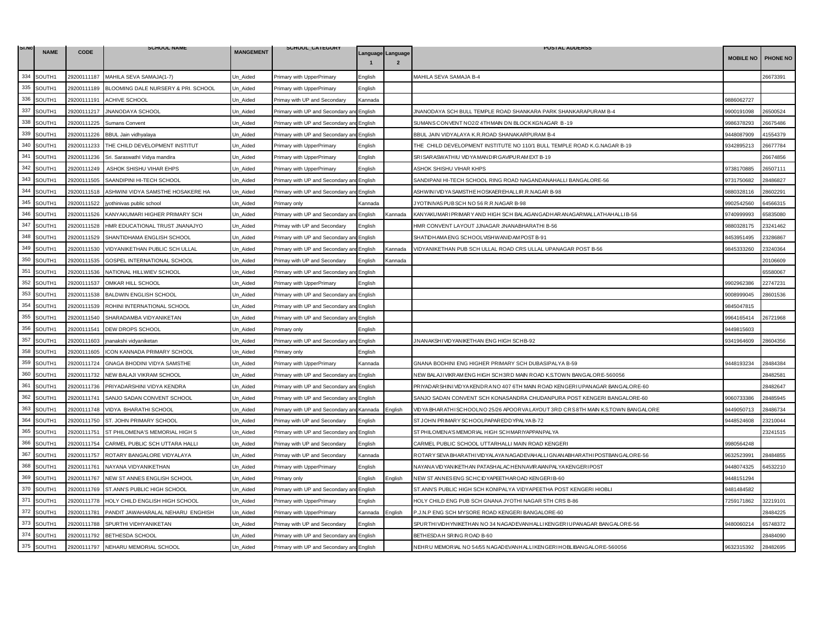| SI.NO | <b>NAME</b> | <b>CODE</b> | <b>SCHOOL NAME</b>                  | <b>MANGEMENT</b> | SCHOOL_CATEGORY                           |         |                   | <b>POSTAL ADDERSS</b>                                                             |                  |                 |
|-------|-------------|-------------|-------------------------------------|------------------|-------------------------------------------|---------|-------------------|-----------------------------------------------------------------------------------|------------------|-----------------|
|       |             |             |                                     |                  |                                           |         | Language Language |                                                                                   | <b>MOBILE NO</b> | <b>PHONE NO</b> |
| 334   | SOUTH1      | 29200111187 | MAHILA SEVA SAMAJA(1-7)             | Un_Aided         | Primary with UpperPrimary                 | English |                   | MAHILA SEVA SAMAJA B-4                                                            |                  | 26673391        |
| 335   | SOUTH1      | 29200111189 | BLOOMING DALE NURSERY & PRI. SCHOOL | Jn Aided         | Primary with UpperPrimary                 | English |                   |                                                                                   |                  |                 |
| 336   | SOUTH1      | 29200111191 | <b>ACHIVE SCHOOL</b>                | Un Aided         | Primay with UP and Secondary              | Kannada |                   |                                                                                   | 9886062727       |                 |
| 337   | SOUTH1      | 29200111217 | <b>JNANODAYA SCHOOL</b>             | Jn Aided         | Primary with UP and Secondary ar          | English |                   | INANODAYA SCH BULL TEMPLE ROAD SHANKARA PARK SHANKARAPURAM B-4                    | 9900191098       | 26500524        |
| 338   | SOUTH1      | 29200111225 | Sumans Convent                      | Jn_Aided         | Primary with UP and Secondary an          | English |                   | SUMANSCONVENT NO2/2 4THMAIN DN BLOCK KGNAGAR B-19                                 | 9986378293       | 26675486        |
| 339   | SOUTH1      | 29200111226 | BBUL Jain vidhyalaya                | Un Aided         | Primary with UP and Secondary and         | English |                   | BBUL JAIN VIDYALAYA K.R.ROAD SHANAKARPURAM B-4                                    | 9448087909       | 41554379        |
| 340   | SOUTH1      | 29200111233 | THE CHILD DEVELOPMENT INSTITUT      | Jn Aided         | Primary with UpperPrimary                 | English |                   | THE CHILD DEVELOPMENT INSTITUTE NO 110/1 BULL TEMPLE ROAD K.G.NAGAR B-19          | 342895213        | 26677784        |
| 341   | SOUTH1      | 29200111236 | Sri. Saraswathl Vidya mandira       | Un_Aided         | Primary with UpperPrimary                 | English |                   | SRISAR ASWATHIU VID YA MANDIR GAVIPUR AM EXT B-19                                 |                  | 26674856        |
| 342   | SOUTH1      | 29200111249 | ASHOK SHISHU VIHAR EHPS             | Un_Aided         | Primary with UpperPrimary                 | English |                   | ASHOK SHISHU VIHAR KHPS                                                           | 9738170885       | 26507111        |
| 343   | SOUTH1      | 29200111505 | SAANDIPINI HI-TECH SCHOOL           | Jn Aided         | Primary with UP and Secondary an          | English |                   | SANDIPANI HI-TECH SCHOOL RING ROAD NAGANDANAHALLI BANGALORE-56                    | 9731750682       | 28486827        |
| 344   | SOUTH1      | 29200111518 | ASHWINI VIDYA SAMSTHE HOSAKERE HA   | Jn Aided         | Primary with UP and Secondary an          | English |                   | ASHWINI VID YA SAMSTHE HOSKAER EHALLIR.R.NAGAR B-98                               | 9880328116       | 28602291        |
| 345   | SOUTH1      | 29200111522 | jyothinivas public school           | Jn_Aided         | Primary only                              | Kannada |                   | JYOTINIVAS PUB SCH NO 56 R.R.NAGAR B-98                                           | 9902542560       | 64566315        |
| 346   | SOUTH1      | 29200111526 | KANYAKUMARI HIGHER PRIMARY SCH      | Un_Aided         | Primary with UP and Secondary and         | English | Kannada           | KANYAKUMARI PRIMARY AND HIGH SCH BALAGANGADHAR AN AGARMALLATHAHALLI B-56          | 9740999993       | 65835080        |
| 347   | SOUTH1      | 29200111528 | HMR EDUCATIONAL TRUST JNANAJYO      | Un_Aided         | Primay with UP and Secondary              | English |                   | HMR CONVENT LAYOUT JJNAGAR JNANABHARATHI B-56                                     | 9880328175       | 23241462        |
| 348   | SOUTH1      | 29200111529 | SHANTIDHAMA ENGLISH SCHOOL          | Jn Aided         | Primary with UP and Secondary an          | English |                   | SHATIDHAMA ENG SCHOOLVISHWANIDAM POST B-91                                        | 3453951495       | 23286867        |
| 349   | SOUTH1      | 29200111530 | VIDYANIKETHAN PUBLIC SCH ULLAL      | Un Aided         | Primary with UP and Secondary a           | English | <b>Kannada</b>    | VIDYANIKETHAN PUB SCH ULLAL ROAD CRS ULLAL UPANAGAR POST B-56                     | 9845333260       | 23240364        |
| 350   | SOUTH1      | 29200111535 | GOSPEL INTERNATIONAL SCHOOL         | Jn_Aided         | Primay with UP and Secondary              | Enalish | Kannada           |                                                                                   |                  | 20106609        |
| 351   | SOUTH1      | 29200111536 | NATIONAL HILLWIEV SCHOOL            | Jn Aided         | Primary with UP and Secondary ar          | English |                   |                                                                                   |                  | 65580067        |
| 352   | SOUTH1      | 29200111537 | OMKAR HILL SCHOOL                   | Un_Aided         | Primary with UpperPrimary                 | English |                   |                                                                                   | 9902962386       | 22747231        |
| 353   | SOUTH1      | 29200111538 | <b>BALDWIN ENGLISH SCHOOL</b>       | Jn Aided         | Primary with UP and Secondary an          | English |                   |                                                                                   | 9008999045       | 28601536        |
| 354   | SOUTH1      | 29200111539 | ROHINI INTERNATIONAL SCHOOL         | Un Aided         | Primary with UP and Secondary and         | English |                   |                                                                                   | 9845047815       |                 |
| 355   | SOUTH1      | 29200111540 | SHARADAMBA VIDYANIKETAN             | Un Aided         | Primary with UP and Secondary an          | English |                   |                                                                                   | 9964165414       | 26721968        |
| 356   | SOUTH1      | 29200111541 | DEW DROPS SCHOOL                    | Jn Aided         | Primary only                              | English |                   |                                                                                   | 9449815603       |                 |
| 357   | SOUTH1      | 29200111603 | jnanakshi vidyaniketan              | Un Aided         | Primary with UP and Secondary an          | English |                   | JNANAKSHIVIDYANIKETHAN ENG HIGH SCHB-92                                           | 9341964609       | 28604356        |
| 358   | SOUTH1      | 29200111605 | ICON KANNADA PRIMARY SCHOOL         | Jn Aided         | Primary only                              | English |                   |                                                                                   |                  |                 |
| 359   | SOUTH1      | 29200111724 | GNAGA BHODINI VIDYA SAMSTHE         | Jn_Aided         | Primary with UpperPrimary                 | Kannada |                   | GNANA BODHINI ENG HIGHER PRIMARY SCH DUBASIPALYA B-59                             | 3448193234       | 28484384        |
| 360   | SOUTH1      | 29200111732 | NEW BALAJI VIKRAM SCHOOL            | Un_Aided         | Primary with UP and Secondary ar          | English |                   | NEW BALAJIVIKRAM ENG HIGH SCH3RD MAIN ROAD K.S.TOWN BANGALORE-560056              |                  | 28482581        |
| 361   | SOUTH1      | 29200111736 | PRIYADARSHINI VIDYA KENDRA          | Jn Aided         | Primary with UP and Secondary an          | English |                   | PRIYADAR SHINI VIDYA KENDRA NO 407 6TH MAIN ROAD KENGERI UPANAGAR BANGALORE-60    |                  | 28482647        |
| 362   | SOUTH1      | 29200111741 | SANJO SADAN CONVENT SCHOOL          | Jn Aided         | Primary with UP and Secondary an          | English |                   | SANJO SADAN CONVENT SCH KONASANDRA CHUDANPURA POST KENGERI BANGALORE-60           | 9060733386       | 28485945        |
| 363   | SOUTH1      | 29200111748 | VIDYA BHARATHI SCHOOL               | Un_Aided         | Primary with UP and Secondary an          | Kannada | English           | VIDYA BHARATHI SCHOOLNO 25/26 APOOR VA LAYOUT 3RD CRS 8TH MAIN K.S.TOWN BANGALORE | 9449050713       | 28486734        |
| 364   | SOUTH1      | 29200111750 | ST. JOHN PRIMARY SCHOOL             | Jn Aided         | Primay with UP and Secondary              | English |                   | ST JOHN PRIMARY SCHOOLPAPAREDDYPALYA B-72                                         | 9448524608       | 23210044        |
| 365   | SOUTH1      | 29200111751 | ST PHILOMENA'S MEMORIAL HIGH S      | Un Aided         | Primary with UP and Secondary ar          | English |                   | ST PHILOMENA'S MEMORIAL HIGH SCHMAR IYAPPAN PALYA                                 |                  | 23241515        |
| 366   | SOUTH1      | 29200111754 | CARMEL PUBLIC SCH UTTARA HALLI      | Jn Aided         | Primay with UP and Secondary              | English |                   | CARMEL PUBLIC SCHOOL UTTARHALLI MAIN ROAD KENGERI                                 | 980564248        |                 |
| 367   | SOUTH1      | 29200111757 | ROTARY BANGALORE VIDYALAYA          | Un Aided         | Primay with UP and Secondary              | Kannada |                   | ROTARY SEVA BHARATHI VID YALAYA NAGAD EVAHALLI GNANABHARATHI POSTBANGALORE-56     | 9632523991       | 28484855        |
| 368   | SOUTH1      | 29200111761 | NAYANA VIDYANIKETHAN                | Un_Aided         | Primary with UpperPrimary                 | English |                   | NAYANA VIDYAN IKETHAN PATASHALACHENNAVIR AIANPALYA KENGER I POST                  | 9448074325       | 64532210        |
| 369   | SOUTH1      | 29200111767 | NEW ST ANNES ENGLISH SCHOOL         | Jn Aided         | Primary only                              | English | Enalish           | NEW ST ANNES ENG SCHCIDYAPEETHAROAD KENGERIB-60                                   | 9448151294       |                 |
| 370   | SOUTH1      | 29200111769 | ST.ANN'S PUBLIC HIGH SCHOOL         | Jn Aided         | Primary with UP and Secondary an          | English |                   | ST.ANN'S PUBLIC HIGH SCH KONIPALYA VIDYAPEETHA POST KENGERI HIOBLI                | 3481484582       |                 |
| 371   | SOUTH1      | 29200111778 | HOLY CHILD ENGLISH HIGH SCHOOL      | Un_Aided         | Primary with UpperPrimary                 | English |                   | HOLY CHILD ENG PUB SCH GNANA JYOTHI NAGAR 5TH CRS B-86                            | 7259171862       | 32219101        |
| 372   | SOUTH1      | 29200111781 | PANDIT JAWAHARALAL NEHARU ENGHISH   | Un_Aided         | Primary with UpperPrimary                 | Kannada | English           | P.J.N.P ENG SCH MYSORE ROAD KENGERI BANGALORE-60                                  |                  | 28484225        |
| 373   | SOUTH1      | 29200111788 | SPURTHI VIDHYANIKETAN               | Jn Aided         | Primay with UP and Secondary              | English |                   | SPURTHI VIDHYNIKETHAN NO 34 NAGADEVANHALLIKENGERI UPANAGAR BANGALORE-56           | 9480060214       | 65748372        |
| 374   | SOUTH1      | 29200111792 | BETHESDA SCHOOL                     | Jn Aided         | Primary with UP and Secondary an          | English |                   | BETHESDAH SRING ROAD B-60                                                         |                  | 28484090        |
| 375   | SOUTH1      | 29200111797 | NEHARU MEMORIAL SCHOOL              | Un Aided         | Primary with UP and Secondary and English |         |                   | NEHRU MEMORIAL NO 54/55 NAGAD EVANHALLIKENGERI HOBLIBANGALORE-560056              | 9632315392       | 28482695        |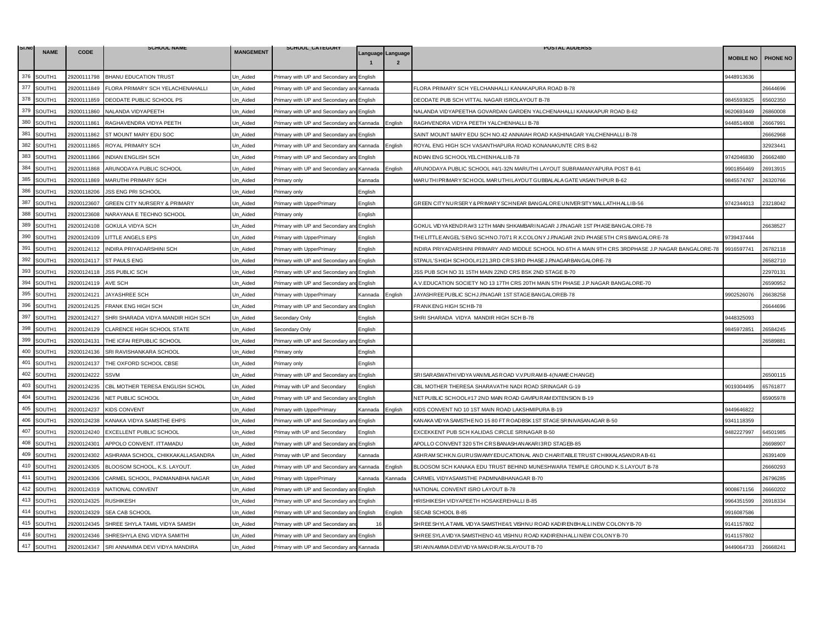| SI.NO |             |             | <b>SCHOOL NAME</b>                      |                  | SCHOOL_CATEGORY                           |                |                                     | <b>POSTAL ADDERSS</b>                                                                                |                  |          |
|-------|-------------|-------------|-----------------------------------------|------------------|-------------------------------------------|----------------|-------------------------------------|------------------------------------------------------------------------------------------------------|------------------|----------|
|       | <b>NAME</b> | <b>CODE</b> |                                         | <b>MANGEMENT</b> |                                           |                | Language Language<br>$\overline{2}$ |                                                                                                      | <b>MOBILE NO</b> | PHONE NO |
| 376   | SOUTH1      | 29200111798 | <b>BHANU EDUCATION TRUST</b>            | Un_Aided         | Primary with UP and Secondary an          | English        |                                     |                                                                                                      | 9448913636       |          |
| 377   | SOUTH1      | 29200111849 | FLORA PRIMARY SCH YELACHENAHALLI        | Jn Aided         | Primary with UP and Secondary and         | r Kannada      |                                     | FLORA PRIMARY SCH YELCHANHALLI KANAKAPURA ROAD B-78                                                  |                  | 6644696  |
| 378   | SOUTH1      | 29200111859 | DEODATE PUBLIC SCHOOL PS                | Un Aided         | Primary with UP and Secondary and English |                |                                     | DEODATE PUB SCH VITTAL NAGAR ISROLAYOUT B-78                                                         | 9845593825       | 65602350 |
| 379   | SOUTH1      | 29200111860 | NALANDA VIDYAPEETH                      | Jn Aided         | Primary with UP and Secondary an          | English        |                                     | NALANDA VIDYAPEETHA GOVARDAN GARDEN YALCHENAHALLI KANAKAPUR ROAD B-62                                | 0620693449       | 26860008 |
| 380   | SOUTH1      | 29200111861 | RAGHAVENDRA VIDYA PEETH                 | Un Aided         | Primary with UP and Secondary and Kannada |                | English                             | RAGHVENDRA VIDYA PEETH YALCHENHALLI B-78                                                             | 9448514808       | 26667991 |
| 381   | SOUTH1      | 29200111862 | ST MOUNT MARY EDU SOC                   | Un_Aided         | Primary with UP and Secondary ar          | English        |                                     | SAINT MOUNT MARY EDU SCH NO.42 ANNAIAH ROAD KASHINAGAR YALCHENHALLI B-78                             |                  | 26662968 |
| 382   | SOUTH1      | 29200111865 | ROYAL PRIMARY SCH                       | Jn Aided         | Primary with UP and Secondary and Kannada |                | English                             | ROYAL ENG HIGH SCH VASANTHAPURA ROAD KONANAKUNTE CRS B-62                                            |                  | 32923441 |
| 383   | SOUTH1      | 29200111866 | INDIAN ENGLISH SCH                      | Un Aided         | Primary with UP and Secondary an          | English        |                                     | INDIAN ENG SCHOOLYELCHENHALLIB-78                                                                    | 9742046830       | 26662480 |
| 384   | SOUTH1      | 29200111868 | ARUNODAYA PUBLIC SCHOOL                 | Un Aided         | Primary with UP and Secondary an          | Kannada        | English                             | ARUNODAYA PUBLIC SCHOOL #4/1-32N MARUTHI LAYOUT SUBRAMANYAPURA POST B-61                             | 9901856469       | 26913915 |
| 385   | SOUTH1      | 29200111869 | <b>MARUTHI PRIMARY SCH</b>              | Jn Aided         | <sup>9</sup> rimary only                  | Kannada        |                                     | MARUTHI PRIMARY SCHOOL MARUTHI LAYOUT GUBBALALA GATE VASANTHPUR B-62                                 | 9845574767       | 26320766 |
| 386   | SOUTH1      | 29200118206 | JSS ENG PRI SCHOOL                      | Un Aided         | Primary only                              | English        |                                     |                                                                                                      |                  |          |
| 387   | SOUTH1      | 29200123607 | <b>GREEN CITY NURSERY &amp; PRIMARY</b> | Jn Aided         | Primary with UpperPrimary                 | English        |                                     | GREEN CITY NURSERY & PRIMARY SCHNEAR BANGALORE UNIVERSITY MALLATHHALLI B-56                          | 9742344013       | 23218042 |
| 388   | SOUTH1      | 29200123608 | NARAYANA E TECHNO SCHOOL                | Un Aided         | Primarv onlv                              | English        |                                     |                                                                                                      |                  |          |
| 389   | SOUTH1      | 29200124108 | GOKULA VIDYA SCH                        | Un_Aided         | Primary with UP and Secondary ar          | English        |                                     | GOKUL VID YA KENDRA#3 12TH MAIN SHKAMBARINAGAR J.PNAGAR 1ST PHASE BANGALORE-78                       |                  | 26638527 |
| 390   | SOUTH1      | 29200124109 | LITTLE ANGELS EPS                       | Jn Aided         | Primary with UpperPrimary                 | English        |                                     | THE LITTLE ANGEL'S ENG SCHNO.70/71 R.K.COLONY J.P.NAGAR 2ND PHASE 5TH CRSBANGALORE-78                | 9739437444       |          |
| 391   | SOUTH1      | 29200124112 | INDIRA PRIYADARSHINI SCH                | Un Aided         | Primary with UpperPrimary                 | English        |                                     | INDIRA PRIYADARSHINI PRIMARY AND MIDDLE SCHOOL NO.6TH A MAIN 9TH CRS 3RDPHASE J.P.NAGAR BANGALORE-78 | 9916597741       | 26782118 |
| 392   | SOUTH1      | 29200124117 | <b>ST PAULS ENG</b>                     | Jn_Aided         | Primary with UP and Secondary ar          | English        |                                     | STPAUL'S HIGH SCHOOL#121,3RD CRS3RD PHASE J.P.NAGARBANGALORE-78                                      |                  | 26582710 |
| 393   | SOUTH1      | 29200124118 | <b>JSS PUBLIC SCH</b>                   | Un_Aided         | Primary with UP and Secondary an          | English        |                                     | JSS PUB SCH NO 31 15TH MAIN 22ND CRS BSK 2ND STAGE B-70                                              |                  | 22970131 |
| 394   | SOUTH1      | 29200124119 | <b>AVE SCH</b>                          | Un_Aided         | Primary with UP and Secondary ar          | English        |                                     | A.V.EDUCATION SOCIETY NO 13 17TH CRS 20TH MAIN 5TH PHASE J.P.NAGAR BANGALORE-70                      |                  | 26590952 |
| 395   | SOUTH1      | 29200124121 | JAYASHREE SCH                           | Jn Aided         | Primary with UpperPrimary                 | <b>Kannada</b> | English                             | JAYASHREE PUBLIC SCHJ.PNAGAR 1ST STAGE BANGALOREB-78                                                 | 902526076        | 26638258 |
| 396   | SOUTH1      | 29200124125 | <b>FRANK ENG HIGH SCH</b>               | Un Aided         | Primary with UP and Secondary ar          | English        |                                     | FRANK ENG HIGH SCHB-78                                                                               |                  | 26644696 |
| 397   | SOUTH1      | 29200124127 | SHRI SHARADA VIDYA MANDIR HIGH SCH      | Un_Aided         | Secondary Only                            | English        |                                     | SHRI SHARADA VIDYA MANDIR HIGH SCH B-78                                                              | 9448325093       |          |
| 398   | SOUTH1      | 29200124129 | CLARENCE HIGH SCHOOL STATE              | Jn Aided         | Secondary Only                            | English        |                                     |                                                                                                      | 9845972851       | 26584245 |
| 399   | SOUTH1      | 29200124131 | THE ICFAI REPUBLIC SCHOOL               | Un Aided         | Primary with UP and Secondary ar          | English        |                                     |                                                                                                      |                  | 26589881 |
| 400   | SOUTH1      | 29200124136 | SRI RAVISHANKARA SCHOOL                 | Jn Aided         | <sup>2</sup> rimary only                  | English        |                                     |                                                                                                      |                  |          |
| 401   | SOUTH1      | 29200124137 | THE OXFORD SCHOOL CBSE                  | Jn_Aided         | Primary only                              | English        |                                     |                                                                                                      |                  |          |
| 402   | SOUTH1      | 29200124222 | <b>SSVM</b>                             | Un Aided         | Primary with UP and Secondary ar          | English        |                                     | SRISAR ASWATHIVID YA VANIVILAS ROAD V.V.PURAM B-4 (NAME CHANGE)                                      |                  | 26500115 |
| 403   | SOUTH1      | 29200124235 | CBL MOTHER TERESA ENGLISH SCHOL         | Un Aided         | Primay with UP and Secondary              | English        |                                     | CBL MOTHER THERESA SHARAVATHI NADI ROAD SRINAGAR G-19                                                | 9019304495       | 65761877 |
| 404   | SOUTH1      | 29200124236 | NET PUBLIC SCHOOL                       | Un Aided         | Primary with UP and Secondary ar          | English        |                                     | NET PUBLIC SCHOOL#17 2ND MAIN ROAD GAVIPURAM EXTENSION B-19                                          |                  | 55905978 |
| 405   | SOUTH1      | 29200124237 | <b>KIDS CONVENT</b>                     | Un Aided         | Primary with UpperPrimary                 | Kannada        | English                             | KIDS CONVENT NO 10 1ST MAIN ROAD LAKSHMIPURA B-19                                                    | 9449646822       |          |
| 406   | SOUTH1      | 29200124238 | KANAKA VIDYA SAMSTHE EHPS               | Jn_Aided         | Primary with UP and Secondary ar          | English        |                                     | KANAKA VID YA SAMSTHE NO 15 80 FT ROADBSK 1ST STAGE SRINIVASANAGAR B-50                              | 9341118359       |          |
| 407   | SOUTH1      | 29200124240 | EXCELLENT PUBLIC SCHOOL                 | Un Aided         | Primay with UP and Secondary              | English        |                                     | EXCEKKENT PUB SCH KALIDAS CIRCLE SRINAGAR B-50                                                       | 9482227997       | 64501985 |
| 408   | SOUTH1      | 29200124301 | APPOLO CONVENT. ITTAMADU                | Jn Aided         | Primary with UP and Secondary a           | English        |                                     | APOLLO CONVENT 320 5TH CRS BANASHAN AKARI 3RD STAGEB-85                                              |                  | 26698907 |
| 409   | SOUTH1      | 29200124302 | ASHRAMA SCHOOL, CHIKKAKALLASANDRA       | Un Aided         | Primay with UP and Secondary              | Kannada        |                                     | ASHRAM SCHK.N.GURUSWAMY EDUCATIONAL AND CHARITABLE TRUST CHIKKALASANDRA B-61                         |                  | 26391409 |
| 410   | SOUTH1      | 29200124305 | BLOOSOM SCHOOL, K.S. LAYOUT             | Un_Aided         | Primary with UP and Secondary ar          | Kannada        | English                             | BLOOSOM SCH KANAKA EDU TRUST BEHIND MUNESHWARA TEMPLE GROUND K.S.LAYOUT B-78                         |                  | 26660293 |
| 411   | SOUTH1      | 29200124306 | CARMEL SCHOOL, PADMANABHA NAGAR         | Jn Aided         | Primary with UpperPrimary                 | Kannada        | Kannada                             | CARMEL VIDYASAMSTHE PADMNABHANAGAR B-70                                                              |                  | 26796285 |
| 412   | SOUTH1      | 29200124319 | NATIONAL CONVENT                        | Un Aided         | Primary with UP and Secondary a           | English        |                                     | NATIONAL CONVENT ISRO LAYOUT B-78                                                                    | 9008671156       | 26660202 |
| 413   | SOUTH1      | 29200124325 | <b>RUSHIKESH</b>                        | Un_Aided         | Primary with UP and Secondary an          | English        |                                     | HRISHIKESH VIDYAPEETH HOSAKEREHALLI B-85                                                             | 9964351599       | 26918334 |
| 414   | SOUTH1      | 29200124329 | SEA CAB SCHOOL                          | Un_Aided         | Primary with UP and Secondary an          | English        | English                             | SECAB SCHOOL B-85                                                                                    | 9916087586       |          |
| 415   | SOUTH1      | 29200124345 | SHREE SHYLA TAMIL VIDYA SAMSH           | Un Aided         | Primary with UP and Secondary ar          | 16             |                                     | SHREE SHYLA TAMIL VIDYA SAMSTHE4/1 VISHNU ROAD KADIRENBHALLINEW COLONY B-70                          | 9141157802       |          |
| 416   | SOUTH1      | 29200124346 | SHRESHYLA ENG VIDYA SAMITHI             | Jn Aided         | Primary with UP and Secondary and         | English        |                                     | SHREE SYLA VIDYA SAMSTHENO 4/1 VISHNU ROAD KADIRENHALLINEW COLONY B-70                               | 141157802        |          |
| 417   | SOUTH1      | 29200124347 | SRI ANNAMMA DEVI VIDYA MANDIRA          | Un Aided         | Primary with UP and Secondary and Kannada |                |                                     | SRI ANNAMMA DEVI VID YA MANDIR AK.SLAYOUT B-70                                                       | 9449064733       | 26668241 |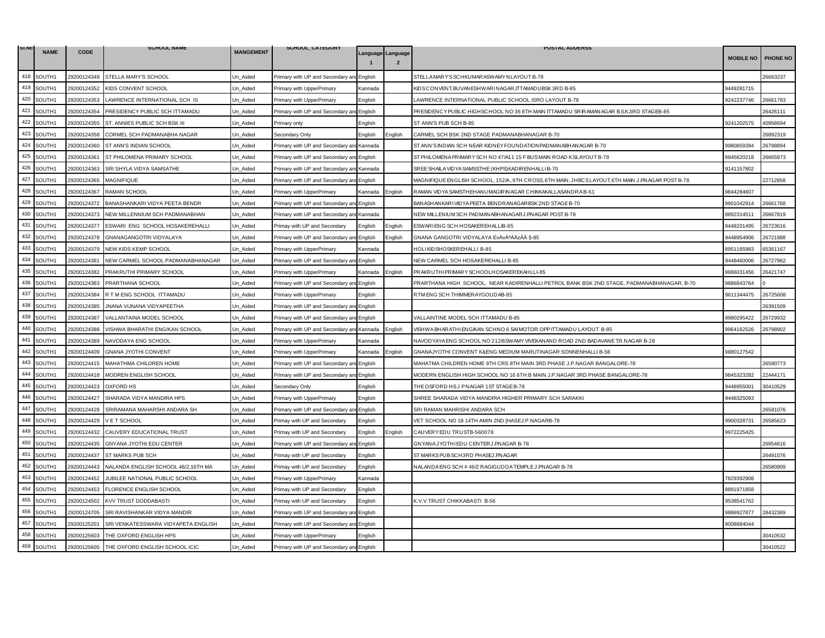| SI.NO |             |             | <b>SCHOOL NAME</b>                  |                  | SCHOOL_CATEGORY                           |                                                                                                                                         |                   | <b>POSTAL ADDERSS</b>                                                                               |                  |                 |
|-------|-------------|-------------|-------------------------------------|------------------|-------------------------------------------|-----------------------------------------------------------------------------------------------------------------------------------------|-------------------|-----------------------------------------------------------------------------------------------------|------------------|-----------------|
|       | <b>NAME</b> | <b>CODE</b> |                                     | <b>MANGEMENT</b> |                                           |                                                                                                                                         | Language Language |                                                                                                     | <b>MOBILE NO</b> | <b>PHONE NO</b> |
| 418   | SOUTH1      | 29200124349 | STELLA MARY'S SCHOOL                | Un_Aided         | Primary with UP and Secondary an          | English                                                                                                                                 |                   | STELLA MARY'S SCHKUMAR ASWAMY NLAYOUT B-78                                                          |                  | 6663237         |
| 419   | SOUTH1      | 29200124352 | KIDS CONVENT SCHOOL                 | Jn Aided         | Primary with UpperPrimary                 | Kannada                                                                                                                                 |                   | KIDSCONVENT, BUVANESHWARI NAGAR ,ITTAMADUBSK 3RD B-85                                               | 9449281715       |                 |
| 420   | SOUTH1      | 29200124353 | LAWRENCE INTERNATIONAL SCH IS       | Un Aided         | Primary with UpperPrimary                 | English                                                                                                                                 |                   | LAWRENCE INTERNATIONAL PUBLIC SCHOOL ISRO LAYOUT B-78                                               | 9242237746       | 26661783        |
| 421   | SOUTH1      | 29200124354 | PRESIDENCY PUBLIC SCH ITTAMADU      | Jn Aided         | Primary with UP and Secondary an          | English                                                                                                                                 |                   | PRESIDENCY PUBLIC HIGHSCHOOL NO 36 8TH MAIN ITTAMADU SRIRAMANAGAR B.S.K.3RD STAGEB-85               |                  | 26426111        |
| 422   | SOUTH1      | 29200124355 | ST. ANNIES PUBLIC SCH BSK III       | Jn Aided         | <sup>2</sup> rimary only                  | English                                                                                                                                 |                   | ST ANN'S PUB SCH B-85                                                                               | 9241202575       | 40958694        |
| 423   | SOUTH1      | 29200124358 | CORMEL SCH PADMANABHA NAGAR         | Un_Aided         | Secondary Only                            | English                                                                                                                                 | Enalish           | CARMEL SCH BSK 2ND STAGE PADMANABHANAGAR B-70                                                       |                  | 26892319        |
| 424   | SOUTH1      | 29200124360 | ST ANN'S INDIAN SCHOOL              | Jn Aided         | Primary with UP and Secondary and         | Kannada                                                                                                                                 |                   | ST ANN'S INDIAN SCH NEAR KIDNEY FOUNDATIONPADMANABHANAGAR B-70                                      | 9980859394       | 26798894        |
| 425   | SOUTH1      | 29200124361 | ST PHILOMENA PRIMARY SCHOOL         | Un Aided         | Primary with UP and Secondary an          | English                                                                                                                                 |                   | ST PHILOMENA PRIMARY SCH NO 47/A11 15 F BUS MAIN ROAD K.SLAYOUT B-78                                | 9845620218       | 26665973        |
| 426   | SOUTH1      | 29200124363 | SRI SHYLA VIDYA SAMSATHE            | Un Aided         | Primary with UP and Secondary and         | Kannada                                                                                                                                 |                   | SREE SHAILA VID YA SAMSSTHE (KHPS) KAD IR ENHALLI B-70                                              | 9141157802       |                 |
| 427   | SOUTH1      | 29200124365 | <b>MAGNIFIQUE</b>                   | Jn Aided         | Primary with UP and Secondary and         | English                                                                                                                                 |                   | MAGNIFIQUE ENGLISH SCHOOL, 152/A , 9TH CROSS, 6TH MAIN , JHBCS LAYOUT, 6TH MAIN J.P.NAGAR POST B-78 |                  | 22712858        |
| 428   | SOUTH1      | 29200124367 | RAMAN SCHOOL                        | Un Aided         | Primary with UpperPrimary                 | Kannada                                                                                                                                 | English           | RAMAN VIDYA SAMSTHEHANUMAGIR INAGAR CHIKKAKALLASANDRA B-61                                          | 9844284607       |                 |
| 429   | SOUTH1      | 29200124372 | BANASHANKARI VIDYA PEETA BENDR      | Jn Aided         | Primary with UP and Secondary an          | English                                                                                                                                 |                   | BANASHANKAR I VIDYA PEETA BENDRANAGAR BSK 2ND STAGE B-70                                            | 9901042914       | 26661768        |
| 430   | SOUTH1      | 29200124373 | NEW MILLENNIUM SCH PADMANABHAN      | Un Aided         | Primary with UP and Secondary an          | Kannada                                                                                                                                 |                   | NEW MILLENIUM SCH PADMANABHANAGAR J.P.NAGAR POST B-78                                               | 8892314511       | 26667819        |
| 431   | SOUTH1      | 29200124377 | ESWARI ENG SCHOOL HOSAKEREHALLI     | Un_Aided         | Primay with UP and Secondary              | English                                                                                                                                 | English           | ESWARIENG SCH HOSAKEREHALLIB-85                                                                     | 9448201495       | 26723616        |
| 432   | SOUTH1      | 29200124378 | GNANAGANGOTRI VIDYALAYA             | Jn Aided         | Primary with UP and Secondary ar          | Enalish                                                                                                                                 | Enalish           | GNANA GANGOTRI VIDYALAYA EvÀvÀªÀÄzÀÄ §-85                                                           | 9448954906       | 26721988        |
| 433   | SOUTH1      | 29200124379 | NEW KIDS KEMP SCHOOL                | Un Aided         | Primary with UpperPrimary                 | Kannada                                                                                                                                 |                   | HOLIKIDSHOSKEREHALLI B-85                                                                           | 3951165983       | 35361167        |
| 434   | SOUTH1      | 29200124381 | NEW CARMEL SCHOOL PADMANABHANAGAR   | Un_Aided         | Primary with UP and Secondary ar          | English                                                                                                                                 |                   | NEW CARMEL SCH HOSAKEREHALLI B-85                                                                   | 448460006        | 26727962        |
| 435   | SOUTH1      | 29200124382 | PRAKRUTHI PRIMARY SCHOOL            | Un_Aided         | Primary with UpperPrimary                 | Kannada                                                                                                                                 | English           | PRAKRUTHIPRIMARY SCHOOLHOSAKEREKAHLLI-85                                                            | 9986031456       | 26421747        |
| 436   | SOUTH1      | 29200124383 | PRARTHANA SCHOOL                    | Un_Aided         | Primary with UP and Secondary an          | English                                                                                                                                 |                   | PRARTHANA HIGH SCHOOL, NEAR KADIRENHALLI PETROL BANK BSK 2ND STAGE, PADMANABHANAGAR, B-70           | 9886843764       |                 |
| 437   | SOUTH1      | 29200124384 | R T M ENG SCHOOL ITTAMADU           | Jn Aided         | Primary with UpperPrimary                 | English                                                                                                                                 |                   | RTM ENG SCH THIMMER AYGOUD AB-85                                                                    | 0611344475       | 26725608        |
| 438   | SOUTH1      | 29200124385 | JNANA VIJNANA VIDYAPEETHA           | Un_Aided         | Primary with UP and Secondary ar          | English                                                                                                                                 |                   |                                                                                                     |                  | 26391509        |
| 439   | SOUTH1      | 29200124387 | VALLANTAINA MODEL SCHOOL            | Un_Aided         | Primary with UP and Secondary ar          | English                                                                                                                                 |                   | VALLAINTINE MODEL SCH ITTAMADU B-85                                                                 | 9980295422       | 26729932        |
| 440   | SOUTH1      | 29200124388 | VISHWA BHARATHI ENG/KAN SCHOOL      | Jn Aided         | Primary with UP and Secondary and         | Kannada                                                                                                                                 | English           | VISHWA BHARATHI ENG/KAN SCHNO 6 SAI MOTOR OPP ITTAMADU LAYOUT B-85                                  | 9964162526       | 16798902        |
| 441   | SOUTH1      | 29200124389 | NAVODAYA ENG SCHOOL                 | Un_Aided         | Primary with UpperPrimary                 | Kannada                                                                                                                                 |                   | NAVODYAYA ENG SCHOOL NO 212/6SWAMY VIVEKANAND ROAD 2ND BADAVANE T.R.NAGAR B-28                      |                  |                 |
| 442   | SOUTH1      | 29200124409 | <b>GNANA JYOTHI CONVENT</b>         | Jn Aided         | Primary with UpperPrimary                 | <annada< td=""><td>English</td><td>GNANAJYOTHI CONVENT KŊ MEDIUM MARUTINAGAR SONNENHALLI B-56</td><td>880127542</td><td></td></annada<> | English           | GNANAJYOTHI CONVENT KŊ MEDIUM MARUTINAGAR SONNENHALLI B-56                                          | 880127542        |                 |
| 443   | SOUTH1      | 29200124415 | MAHATHMA CHILDREN HOME              | Jn_Aided         | Primary with UP and Secondary ar          | English                                                                                                                                 |                   | MAHATMA CHILDREN HOME 9TH CRS 8TH MAIN 3RD PHASE J.P.NAGAR BANGALORE-78                             |                  | 26590773        |
| 444   | SOUTH1      | 29200124418 | MODREN ENGLISH SCHOOL               | Un Aided         | Primary with UP and Secondary ar          | English                                                                                                                                 |                   | MODERN ENGLISH HIGH SCHOOL NO 16 6TH B MAIN J.P.NAGAR 3RD PHASE BANGALORE-78                        | 9845323282       | 22444171        |
| 445   | SOUTH1      | 29200124423 | <b>OXFORD HS</b>                    | Jn Aided         | Secondary Only                            | English                                                                                                                                 |                   | THE OSFORD HS J PNAGAR 1ST STAGE B-78                                                               | 9448955001       | 30410529        |
| 446   | SOUTH1      | 29200124427 | SHARADA VIDYA MANDIRA HPS           | Un Aided         | Primary with UpperPrimary                 | English                                                                                                                                 |                   | SHREE SHARADA VIDYA MANDIRA HIGHER PRIMARY SCH SARAKKI                                              | 9448325093       |                 |
| 447   | SOUTH1      | 29200124428 | SRIRAMANA MAHARSHI ANDARA SH        | Un_Aided         | Primary with UP and Secondary ar          | English                                                                                                                                 |                   | SRI RAMAN MAHRISHI ANDARA SCH                                                                       |                  | 26581076        |
| 448   | SOUTH1      | 29200124429 | V E T SCHOOL                        | Un_Aided         | Primay with UP and Secondary              | English                                                                                                                                 |                   | VET SCHOOL NO 18 14TH AMIN 2ND [HASEJ.P.NAGARB-78                                                   | 9900328731       | 26585623        |
| 449   | SOUTH1      | 29200124432 | CAUVERY EDUCATIONAL TRUST           | Un Aided         | Primay with UP and Secondary              | English                                                                                                                                 | English           | CAUVERY EDU TRUSTB-560078                                                                           | 9972225425       |                 |
| 450   | SOUTH1      | 29200124435 | <b>GNYANA JYOTHI EDU CENTER</b>     | Jn Aided         | Primary with UP and Secondary a           | English                                                                                                                                 |                   | GNYANA JYOTHI EDU CENTER J.P.NAGAR B-78                                                             |                  | 26954616        |
| 451   | SOUTH1      | 29200124437 | ST MARKS PUB SCH                    | Un Aided         | Primay with UP and Secondary              | English                                                                                                                                 |                   | ST MARKS PUBSCH3RD PHASEJ.PNAGAR                                                                    |                  | 26491076        |
| 452   | SOUTH1      | 29200124443 | NALANDA ENGLISH SCHOOL 46/2,16TH MA | Un_Aided         | Primay with UP and Secondary              | English                                                                                                                                 |                   | NALANDA ENG SCH # 46/2 RAGIGUDDA TEMPLE J.PNAGAR B-78                                               |                  | 26580909        |
| 453   | SOUTH1      | 29200124452 | JUBILEE NATIONAL PUBLIC SCHOOL      | Jn Aided         | Primary with UpperPrimary                 | <b>Kannada</b>                                                                                                                          |                   |                                                                                                     | 7829392908       |                 |
| 454   | SOUTH1      | 29200124453 | FLORENCE ENGLISH SCHOOL             | Un Aided         | Primay with UP and Secondary              | Enalish                                                                                                                                 |                   |                                                                                                     | 8891971858       |                 |
| 455   | SOUTH1      | 29200124502 | KVV TRUST DODDABASTI                | Un_Aided         | Primay with UP and Secondary              | English                                                                                                                                 |                   | K.V.V.TRUST CHIKKABASTI B-56                                                                        | 9538541762       |                 |
| 456   | SOUTH1      | 29200124705 | SRI RAVISHANKAR VIDYA MANDIR        | Jn_Aided         | Primary with UP and Secondary ar          | English                                                                                                                                 |                   |                                                                                                     | 9886927877       | 28432369        |
| 457   | SOUTH1      | 29200125201 | SRI VENKATESSWARA VIDYAPETA ENGLISH | Un Aided         | Primary with UP and Secondary ar          | English                                                                                                                                 |                   |                                                                                                     | 9008884044       |                 |
| 458   | SOUTH1      | 29200125603 | THE OXFORD ENGLISH HPS              | Jn Aided         | Primary with UpperPrimary                 | English                                                                                                                                 |                   |                                                                                                     |                  | 30410532        |
| 459   | SOUTH1      | 29200125605 | THE OXFORD ENGLISH SCHOOL ICIC      | Un Aided         | Primary with UP and Secondary and English |                                                                                                                                         |                   |                                                                                                     |                  | 30410522        |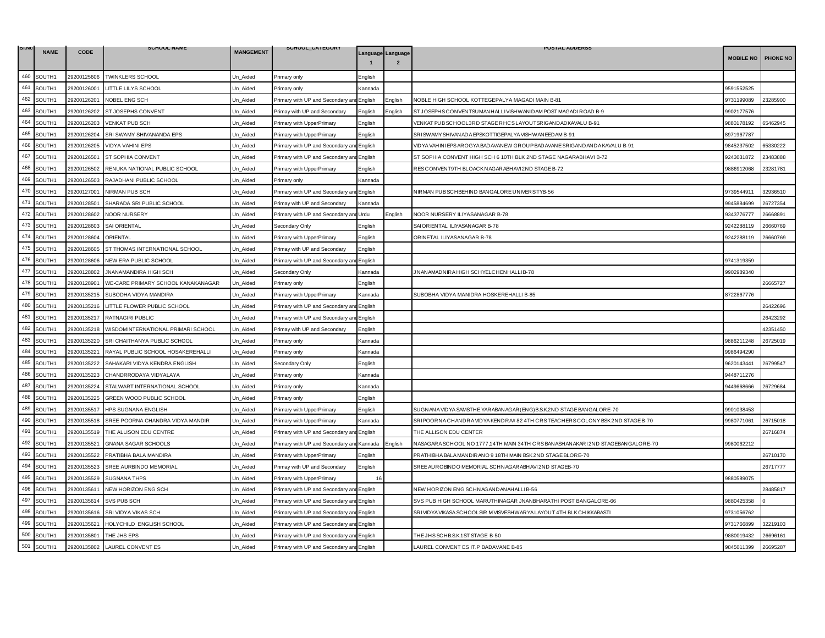| SI.NO       | <b>NAME</b> | <b>CODE</b> | <b>SCHOOL NAME</b>                 | <b>MANGEMENT</b> | SCHOOL_CATEGORY                           |         |                                     | <b>POSTAL ADDERSS</b>                                                          |                  |          |
|-------------|-------------|-------------|------------------------------------|------------------|-------------------------------------------|---------|-------------------------------------|--------------------------------------------------------------------------------|------------------|----------|
|             |             |             |                                    |                  |                                           |         | Language Language<br>$\overline{2}$ |                                                                                | <b>MOBILE NO</b> | PHONE NO |
| 460         | SOUTH1      | 29200125606 | <b>TWINKLERS SCHOOL</b>            | Un_Aided         | Primary only                              | English |                                     |                                                                                |                  |          |
| 461         | SOUTH1      | 29200126001 | <b>ITTLE LILYS SCHOOL</b>          | Un Aided         | <sup>2</sup> rimary only                  | Kannada |                                     |                                                                                | 9591552525       |          |
| 462         | SOUTH1      | 29200126201 | NOBEL ENG SCH                      | Un Aided         | Primary with UP and Secondary an          | English | English                             | NOBLE HIGH SCHOOL KOTTEGEPALYA MAGADI MAIN B-81                                | 9731199089       | 23285900 |
| 463         | SOUTH1      | 29200126202 | ST JOSEPHS CONVENT                 | Jn_Aided         | Primay with UP and Secondary              | English | Enalish                             | ST JOSEPHS CONVENTSUMANHALLIVISHWANIDAM POST MAGADIROAD B-9                    | 9902177576       |          |
| 464         | SOUTH1      | 29200126203 | VENKAT PUB SCH                     | Jn_Aided         | Primary with UpperPrimary                 | English |                                     | VENKAT PUB SCHOOL3RD STAGE RHCS LAYOUTSRIGANDADKAVALU B-91                     | 9880178192       | 35462945 |
| 465         | SOUTH1      | 29200126204 | SRI SWAMY SHIVANANDA EPS           | Un Aided         | Primary with UpperPrimary                 | English |                                     | SRISWAMY SHIVAN AD A EPSKOTTIGEPAL YA VISHWAN EED AM B-91                      | 8971967787       |          |
| 466         | SOUTH1      | 29200126205 | <b>VIDYA VAHINI EPS</b>            | Jn Aided         | Primary with UP and Secondary an          | English |                                     | VIDYA VAHIN I EPS AR OGYA BADAVAN EW GROUP BADAVAN E SRIGANDAN DA KAVALU B-91  | 9845237502       | 35330222 |
| 467         | SOUTH1      | 29200126501 | ST SOPHIA CONVENT                  | Un_Aided         | Primary with UP and Secondary and         | English |                                     | ST SOPHIA CONVENT HIGH SCH 6 10TH BLK 2ND STAGE NAGARABHAVI B-72               | 9243031872       | 23483888 |
| 468         | SOUTH1      | 29200126502 | RENUKA NATIONAL PUBLIC SCHOOL      | Un_Aided         | Primary with UpperPrimary                 | English |                                     | RESCONVENT9TH BLOACKNAGARABHAVI2ND STAGE B-72                                  | 9886912068       | 23281781 |
| 469         | SOUTH1      | 29200126503 | RAJADHANI PUBLIC SCHOOL            | Jn Aided         | Primary only                              | Kannada |                                     |                                                                                |                  |          |
| 470         | SOUTH1      | 29200127001 | NIRMAN PUB SCH                     | Un Aided         | Primary with UP and Secondary ar          | English |                                     | NIRMAN PUB SCHBEHIND BANGALORE UNIVER SITYB-56                                 | 9739544911       | 32936510 |
| 471         | SOUTH1      | 29200128501 | SHARADA SRI PUBLIC SCHOOL          | Un_Aided         | Primay with UP and Secondary              | Kannada |                                     |                                                                                | 9945884699       | 26727354 |
| 472         | SOUTH1      | 29200128602 | <b>NOOR NURSERY</b>                | Un_Aided         | Primary with UP and Secondary and         | Urdu    | English                             | NOOR NURSERY ILIYASANAGAR B-78                                                 | 9343776777       | 26668891 |
| 473         | SOUTH1      | 29200128603 | <b>SAI ORIENTAL</b>                | Un_Aided         | Secondary Only                            | English |                                     | SAIORIENTAL ILIYASANAGAR B-78                                                  | 9242288119       | 26660769 |
| 474         | SOUTH1      | 29200128604 | ORIENTAL                           | Un Aided         | Primary with UpperPrimary                 | English |                                     | ORINETAL ILIYASANAGAR B-78                                                     | 9242288119       | 26660769 |
| 475         | SOUTH1      | 29200128605 | ST THOMAS INTERNATIONAL SCHOOL     | Un Aided         | Primay with UP and Secondary              | English |                                     |                                                                                |                  |          |
| 476         | SOUTH1      | 29200128606 | NEW ERA PUBLIC SCHOOL              | Un Aided         | Primary with UP and Secondary ar          | English |                                     |                                                                                | 9741319359       |          |
| 477         | SOUTH1      | 29200128802 | <b>JNANAMANDIRA HIGH SCH</b>       | Jn Aided         | Secondary Only                            | Kannada |                                     | JNANAMADNIRA HIGH SCHYELCHENHALLIB-78                                          | 9902989340       |          |
| 478         | SOUTH1      | 29200128901 | WE-CARE PRIMARY SCHOOL KANAKANAGAR | Un Aided         | Primary only                              | English |                                     |                                                                                |                  | 26665727 |
| 479         | SOUTH1      | 29200135215 | SUBODHA VIDYA MANDIRA              | Jn Aided         | Primary with UpperPrimary                 | Kannada |                                     | SUBOBHA VIDYA MANIDRA HOSKEREHALLI B-85                                        | 3722867776       |          |
| 480         | SOUTH1      | 29200135216 | LITTLE FLOWER PUBLIC SCHOOL        | Un_Aided         | Primary with UP and Secondary an          | English |                                     |                                                                                |                  | 26422696 |
| 481         | SOUTH1      | 29200135217 | RATNAGIRI PUBLIC                   | Un_Aided         | Primary with UP and Secondary ar          | English |                                     |                                                                                |                  | 26423292 |
| 482         | SOUTH1      | 29200135218 | WISDOMINTERNATIONAL PRIMARI SCHOOL | Jn Aided         | Primay with UP and Secondary              | English |                                     |                                                                                |                  | 42351450 |
| 483         | SOUTH1      | 29200135220 | SRI CHAITHANYA PUBLIC SCHOOL       | Un_Aided         | Primary only                              | Kannada |                                     |                                                                                | 9886211248       | 26725019 |
| 484         | SOUTH1      | 29200135221 | RAYAL PUBLIC SCHOOL HOSAKEREHALLI  | Un_Aided         | Primary only                              | Kannada |                                     |                                                                                | 9986494290       |          |
| 485         | SOUTH1      | 29200135222 | SAHAKARI VIDYA KENDRA ENGLISH      | Jn_Aided         | Secondary Only                            | English |                                     |                                                                                | 9620143441       | 26799547 |
| 486         | SOUTH1      | 29200135223 | CHANDRRODAYA VIDYALAYA             | Un Aided         | Primary only                              | Kannada |                                     |                                                                                | 9448711276       |          |
| 487         | SOUTH1      | 29200135224 | STALWART INTERNATIONAL SCHOOL      | Jn Aided         | Primary only                              | Kannada |                                     |                                                                                | 9449668666       | 26729684 |
| 488         | SOUTH1      | 29200135225 | GREEN WOOD PUBLIC SCHOOL           | Un_Aided         | Primary only                              | English |                                     |                                                                                |                  |          |
| 489         | SOUTH1      | 29200135517 | HPS SUGNANA ENGLISH                | Un_Aided         | Primary with UpperPrimary                 | English |                                     | SUGNANA VID YA SAMSTHE YARABANAGAR (ENG) B.S.K.2ND STAGE BANGALORE-70          | 9901038453       |          |
| 490         | SOUTH1      | 29200135518 | SREE POORNA CHANDRA VIDYA MANDIR   | Un Aided         | Primary with UpperPrimary                 | Kannada |                                     | SRIPOORNA CHANDRA VIDYA KENDRA# 82 4TH CRSTEACHERS COLONY BSK 2ND STAGE B-70   | 9980771061       | 26715018 |
| 491         | SOUTH1      | 29200135519 | THE ALLISON EDU CENTRE             | Un Aided         | Primary with UP and Secondary ar          | English |                                     | THE ALLISON EDU CENTER                                                         |                  | 26716874 |
| 492         | SOUTH1      | 29200135521 | GNANA SAGAR SCHOOLS                | Un_Aided         | Primary with UP and Secondary an          | Kannada | English                             | NASAGARA SCHOOL NO 1777,14TH MAIN 34TH CRS BANASHANAKARI 2ND STAGEBANGALORE-70 | 9980062212       |          |
| 493         | SOUTH1      | 29200135522 | PRATIBHA BALA MANDIRA              | Un_Aided         | Primary with UpperPrimary                 | English |                                     | PRATHIBHA BALA MANDIRANO 9 18TH MAIN BSK 2ND STAGE BLORE-70                    |                  | 26710170 |
| 494         | SOUTH1      | 29200135523 | SREE AURBINDO MEMORIAL             | Un_Aided         | Primay with UP and Secondary              | English |                                     | SREE AUROBINDO MEMORIAL SCHNAGARABHAVI 2ND STAGEB-70                           |                  | 26717777 |
| 495         | SOUTH1      | 29200135529 | <b>SUGNANA THPS</b>                | Jn Aided         | Primary with UpperPrimary                 | 16      |                                     |                                                                                | 9880589075       |          |
| 496         | SOUTH1      | 29200135611 | NEW HORIZON ENG SCH                | Un Aided         | Primary with UP and Secondary and         | English |                                     | NEW HORIZON ENG SCHNAGANDANAHALLIB-56                                          |                  | 28485817 |
| 497         | SOUTH1      | 29200135614 | SVS PUB SCH                        | Un_Aided         | Primary with UP and Secondary an          | English |                                     | SVS PUB HIGH SCHOOL MARUTHINAGAR JNANBHARATHI POST BANGALORE-66                | 9880425358       |          |
| 498         | SOUTH1      | 29200135616 | SRI VIDYA VIKAS SCH                | Un Aided         | Primary with UP and Secondary and         | English |                                     | SRI VIDYA VIKASA SCHOOLSIR M VISVESHWAR YA LAYOUT 4TH BLK CHIKKABASTI          | 9731056762       |          |
| 499         | SOUTH1      | 29200135621 | HOLYCHILD ENGLISH SCHOOL           | Un Aided         | Primary with UP and Secondary and         | English |                                     |                                                                                | 9731766899       | 32219103 |
| 500         | SOUTH1      | 29200135801 | THE JHS EPS                        | Un_Aided         | Primary with UP and Secondary and         | English |                                     | THE JHS SCHB.S.K.1 ST STAGE B-50                                               | 9880019432       | 26696161 |
| ${\bf 501}$ | SOUTH1      |             | 29200135802 LAUREL CONVENT ES      | Un_Aided         | Primary with UP and Secondary and English |         |                                     | LAUREL CONVENT ES IT.P BADAVANE B-85                                           | 9845011399       | 26695287 |
|             |             |             |                                    |                  |                                           |         |                                     |                                                                                |                  |          |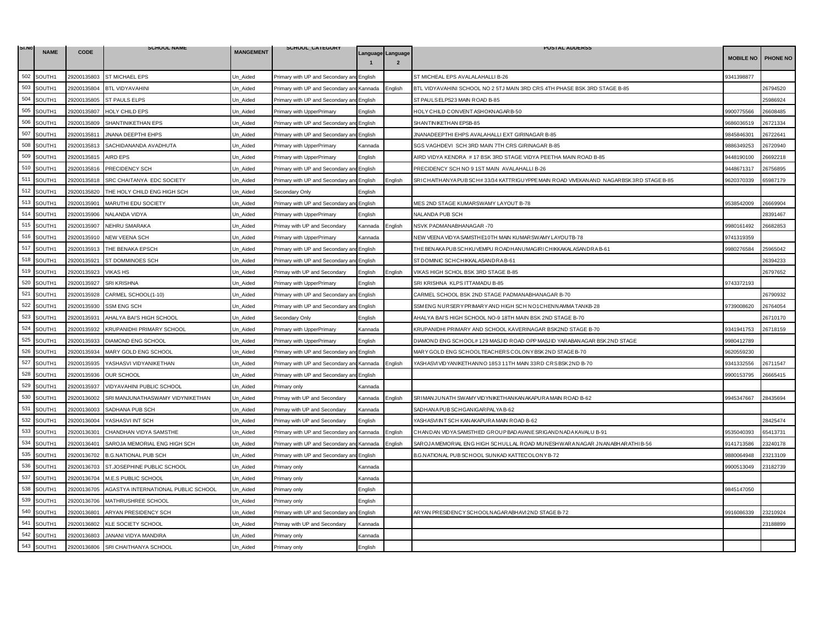| SI.NO       |                    |             | <b>SCHOOL NAME</b>                  |                  | SCHOOL_CATEGORY                           |                |                                     | <b>POSTAL ADDERSS</b>                                                                   |                  |          |
|-------------|--------------------|-------------|-------------------------------------|------------------|-------------------------------------------|----------------|-------------------------------------|-----------------------------------------------------------------------------------------|------------------|----------|
|             | <b>NAME</b>        | <b>CODE</b> |                                     | <b>MANGEMENT</b> |                                           |                | Language Language<br>$\overline{2}$ |                                                                                         | <b>MOBILE NO</b> | PHONE NO |
| 502         | SOUTH1             | 29200135803 | <b>ST MICHAEL EPS</b>               | Un_Aided         | Primary with UP and Secondary an          | English        |                                     | ST MICHEAL EPS AVALALAHALLI B-26                                                        | 9341398877       |          |
| 503         | SOUTH1             | 29200135804 | <b>BTL VIDYAVAHINI</b>              | Un Aided         | Primary with UP and Secondary and Kannada |                | English                             | BTL VIDYAVAHINI SCHOOL NO 2 5TJ MAIN 3RD CRS 4TH PHASE BSK 3RD STAGE B-85               |                  | 26794520 |
| 504         | SOUTH1             | 29200135805 | <b>ST PAULS ELPS</b>                | Un Aided         | Primary with UP and Secondary and English |                |                                     | ST PAULS ELPS23 MAIN ROAD B-85                                                          |                  | 25986924 |
| 505         | SOUTH1             | 29200135807 | HOLY CHILD EPS                      | Jn Aided         | Primary with UpperPrimary                 | English        |                                     | <b>IOLY CHILD CONVENT ASHOKNAGAR B-50</b>                                               | 9900775566       | 26608485 |
| 506         | SOUTH1             | 29200135809 | SHANTINIKETHAN EPS                  | Un Aided         | Primary with UP and Secondary and         | <b>English</b> |                                     | SHANTINIKETHAN EPSB-85                                                                  | 9686036519       | 26721334 |
| 507         | SOUTH1             | 29200135811 | JNANA DEEPTHI EHPS                  | Un Aided         | Primary with UP and Secondary ar          | English        |                                     | JNANADEEPTHI EHPS AVALAHALLI EXT GIRINAGAR B-85                                         | 9845846301       | 26722641 |
| 508         | SOUTH1             | 29200135813 | SACHIDANANDA AVADHUTA               | Un Aided         | Primary with UpperPrimary                 | Kannada        |                                     | SGS VAGHDEVI SCH 3RD MAIN 7TH CRS GIRINAGAR B-85                                        | 9886349253       | 26720940 |
| 509         | SOUTH1             | 29200135815 | <b>AIRD EPS</b>                     | Un Aided         | Primary with UpperPrimary                 | English        |                                     | AIRD VIDYA KENDRA # 17 BSK 3RD STAGE VIDYA PEETHA MAIN ROAD B-85                        | 9448190100       | 26692218 |
| 510         | SOUTH1             | 29200135816 | PRECIDENCY SCH                      | Un Aided         | Primary with UP and Secondary ar          | English        |                                     | PRECIDENCY SCH NO 9 1ST MAIN AVALAHALLI B-26                                            | 9448671317       | 26756895 |
| 511         | SOUTH1             | 29200135818 | SRC CHAITANYA EDC SOCIETY           | Un_Aided         | Primary with UP and Secondary an          | English        | English                             | SRI CHAITHANYA PUB SCH# 33/34 KATTRIGUYPPE MAIN ROAD VIVEKANAND NAGARBSK 3RD STAGE B-85 | 9620370339       | 65987179 |
| 512         | SOUTH1             | 29200135820 | THE HOLY CHILD ENG HIGH SCH         | Un Aided         | Secondary Only                            | English        |                                     |                                                                                         |                  |          |
| 513         | SOUTH1             | 29200135901 | MARUTHI EDU SOCIETY                 | Un Aided         | Primary with UP and Secondary an          | English        |                                     | MES 2ND STAGE KUMARSWAMY LAYOUT B-78                                                    | 9538542009       | 26669904 |
| 514         | SOUTH1             | 29200135906 | NALANDA VIDYA                       | Un_Aided         | Primary with UpperPrimary                 | English        |                                     | NALANDA PUB SCH                                                                         |                  | 28391467 |
| 515         | SOUTH1             | 29200135907 | NEHRU SMARAKA                       | Un_Aided         | Primay with UP and Secondary              | Kannada        | Enalish                             | NSVK PADMANABHANAGAR -70                                                                | 9980161492       | 26682853 |
| 516         | SOUTH1             | 29200135910 | <b>NEW VEENA SCH</b>                | Un Aided         | Primary with UpperPrimary                 | Kannada        |                                     | NEW VEENA VID YA SAMSTHE10TH MAIN KUMAR SWAMY LAYOUTB-78                                | 9741319359       |          |
| 517         | SOUTH1             | 29200135913 | THE BENAKA EPSCH                    | Un Aided         | Primary with UP and Secondary an          | English        |                                     | THE BEN AKA PUB SCHKUVEMPUROADHAN UMAGIR I CHIKKAKALASAN DRA B-61                       | 9980276584       | 25965042 |
| 518         | SOUTH1             | 29200135921 | ST DOMMINOES SCH                    | Un Aided         | Primary with UP and Secondary an          | English        |                                     | ST DOMINIC SCHCHIKKALASANDRA B-61                                                       |                  | 26394233 |
| 519         | SOUTH1             | 29200135923 | <b>VIKAS HS</b>                     | Un Aided         | Primay with UP and Secondary              | English        | English                             | VIKAS HIGH SCHOL BSK 3RD STAGE B-85                                                     |                  | 26797652 |
| 520         | SOUTH1             | 29200135927 | <b>SRI KRISHNA</b>                  | Un_Aided         | Primary with UpperPrimary                 | English        |                                     | SRI KRISHNA KLPS ITTAMADU B-85                                                          | 9743372193       |          |
| 521         | SOUTH1             | 29200135928 | CARMEL SCHOOL(1-10)                 | Jn Aided         | Primary with UP and Secondary an          | English        |                                     | CARMEL SCHOOL BSK 2ND STAGE PADMANABHANAGAR B-70                                        |                  | 26790932 |
| 522         | SOUTH1             | 29200135930 | <b>SSM ENG SCH</b>                  | Un Aided         | Primary with UP and Secondary and         | English        |                                     | SSM ENG NURSERY PRIMARY AND HIGH SCH NO1CHENNAMMA TANKB-28                              | 9739008620       | 26764054 |
| 523         | SOUTH1             | 29200135931 | AHALYA BAI'S HIGH SCHOOL            | Un_Aided         | Secondary Only                            | English        |                                     | AHALYA BAI'S HIGH SCHOOL NO-9 18TH MAIN BSK 2ND STAGE B-70                              |                  | 26710170 |
| 524         | SOUTH1             | 29200135932 | KRUPANIDHI PRIMARY SCHOOL           | Un Aided         | Primary with UpperPrimary                 | Kannada        |                                     | (RUPANIDHI PRIMARY AND SCHOOL KAVERINAGAR BSK2ND STAGE B-70                             | 9341941753       | 26718159 |
| 525         | SOUTH1             | 29200135933 | DIAMOND ENG SCHOOL                  | Un Aided         | Primary with UpperPrimary                 | English        |                                     | DIAMOND ENG SCHOOL# 129 MASJID ROAD OPP MASJID YARABANAGAR BSK 2ND STAGE                | 9980412789       |          |
| 526         | SOUTH1             | 29200135934 | MARY GOLD ENG SCHOOL                | Un_Aided         | Primary with UP and Secondary an          | English        |                                     | MARY GOLD ENG SCHOOLTEACHERS COLONY BSK 2ND STAGE B-70                                  | 9620559230       |          |
| 527         | SOUTH1             | 29200135935 | YASHASVI VIDYANIKETHAN              | Un_Aided         | Primary with UP and Secondary an          | Kannada        | English                             | YASHASVI VIDYANIKETHANNO 1853 11TH MAIN 33RD CRS BSK 2ND B-70                           | 9341332556       | 26711547 |
| 528         | SOUTH1             | 29200135936 | <b>OUR SCHOOL</b>                   | Un Aided         | Primary with UP and Secondary and English |                |                                     |                                                                                         | 9900153795       | 26665415 |
| 529         | SOUTH <sub>1</sub> | 29200135937 | <b>VIDYAVAHINI PUBLIC SCHOOL</b>    | Jn Aided         | Primary only                              | Kannada        |                                     |                                                                                         |                  |          |
| 530         | SOUTH1             | 29200136002 | SRI MANJUNATHASWAMY VIDYNIKETHAN    | Un_Aided         | Primay with UP and Secondary              | Kannada        | English                             | SRI MANJUNATH SWAMY VID YN IKETHAN KANAKAPURA MAIN ROAD B-62                            | 9945347667       | 28435694 |
| 531         | SOUTH1             | 29200136003 | SADHANA PUB SCH                     | Un_Aided         | Primay with UP and Secondary              | Kannada        |                                     | SADHANA PUB SCHGANIGAR PALYA B-62                                                       |                  |          |
| 532         | SOUTH1             | 29200136004 | YASHASVI INT SCH                    | Un Aided         | Primay with UP and Secondary              | English        |                                     | YASHASVI INT SCH KANAKAPURA MAIN ROAD B-62                                              |                  | 28425474 |
| 533         | SOUTH1             | 29200136301 | CHANDHAN VIDYA SAMSTHE              | Un Aided         | Primary with UP and Secondary ar          | Kannada        | English                             | CHANDAN VIDYA SAMSTHED GROUP BADAVANE SRIGANDNADA KAVALU B-91                           | 9535040393       | 65413731 |
| 534         | SOUTH1             | 29200136401 | SAROJA MEMORIAL ENG HIGH SCH        | Un Aided         | Primary with UP and Secondary an          | Kannada        | :nalish                             | SAROJA MEMORIAL ENG HIGH SCHULLAL ROAD MUNESHWARA NAGAR JNANABHARATHIB-56               | 9141713586       | 23240178 |
| 535         | SOUTH1             | 29200136702 | <b>B.G.NATIONAL PUB SCH</b>         | Un Aided         | Primary with UP and Secondary an          | English        |                                     | B.G.NATIONAL PUB SCHOOL SUNKAD KATTECOLONY B-72                                         | 9880064948       | 23213109 |
| 536         | SOUTH1             | 29200136703 | ST.JOSEPHINE PUBLIC SCHOOL          | Un_Aided         | Primary only                              | Kannada        |                                     |                                                                                         | 9900513049       | 23182739 |
| 537         | SOUTH1             | 29200136704 | M.E.S PUBLIC SCHOOL                 | Jn Aided         | Primary only                              | Kannada        |                                     |                                                                                         |                  |          |
| 538         | SOUTH1             | 29200136705 | AGASTYA INTERNATIONAL PUBLIC SCHOOL | Un Aided         | Primary only                              | English        |                                     |                                                                                         | 9845147050       |          |
| 539         | SOUTH1             | 29200136706 | MATHRUSHREE SCHOOL                  | Un_Aided         | Primary only                              | English        |                                     |                                                                                         |                  |          |
| 540         | SOUTH1             | 29200136801 | ARYAN PRESIDENCY SCH                | Un Aided         | Primary with UP and Secondary an          | GEnglish       |                                     | ARYAN PRESIDENCY SCHOOLNAGARABHAVI 2ND STAGE B-72                                       | 9916086339       | 23210924 |
| 541         | SOUTH1             | 29200136802 | <b>KLE SOCIETY SCHOOL</b>           | Un Aided         | Primay with UP and Secondary              | Kannada        |                                     |                                                                                         |                  | 23188899 |
| 542         | SOUTH1             | 29200136803 | JANANI VIDYA MANDIRA                | Un_Aided         | Primary only                              | Kannada        |                                     |                                                                                         |                  |          |
| ${\bf 543}$ | SOUTH1             |             | 29200136806 SRI CHAITHANYA SCHOOL   | Un_Aided         | Primary only                              | English        |                                     |                                                                                         |                  |          |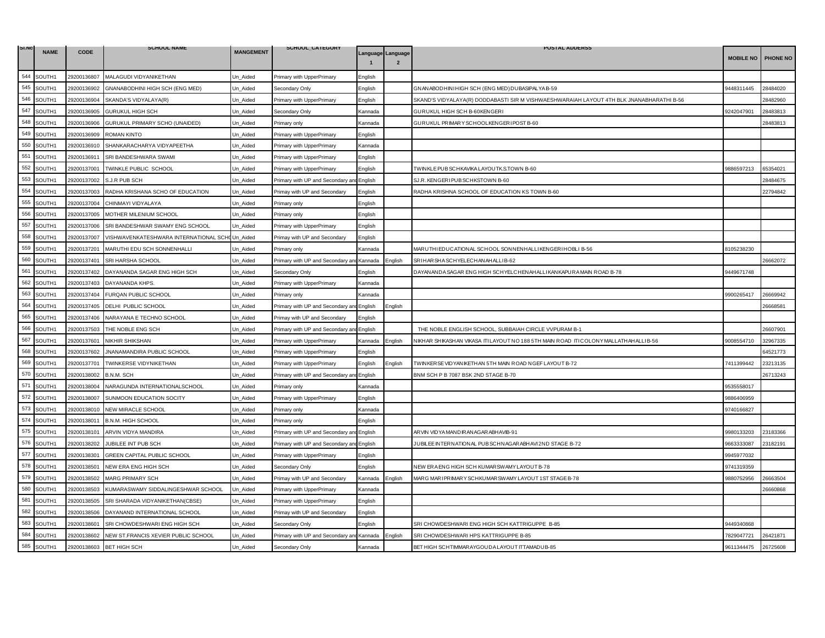| SI.NO |             |             | <b>SCHOOL NAME</b>                             |                  | SCHOOL_CATEGORY                   |         |                                     | <b>POSTAL ADDERSS</b>                                                                    |                  |          |
|-------|-------------|-------------|------------------------------------------------|------------------|-----------------------------------|---------|-------------------------------------|------------------------------------------------------------------------------------------|------------------|----------|
|       | <b>NAME</b> | CODE        |                                                | <b>MANGEMENT</b> |                                   |         | Language Language<br>$\overline{2}$ |                                                                                          | <b>MOBILE NO</b> | PHONE NO |
| 544   | SOUTH1      | 29200136807 | MALAGUDI VIDYANIKETHAN                         | Un_Aided         | Primary with UpperPrimary         | English |                                     |                                                                                          |                  |          |
| 545   | SOUTH1      | 29200136902 | GNANABODHINI HIGH SCH (ENG MED)                | Un Aided         | Secondary Only                    | English |                                     | GNANABODHINI HIGH SCH (ENG MED) DUBASIPALYA B-59                                         | 9448311445       | 28484020 |
| 546   | SOUTH1      | 29200136904 | SKANDA'S VIDYALAYA(R)                          | Un_Aided         | Primary with UpperPrimary         | English |                                     | SKAND'S VIDYALAYA(R) DODDABASTI SIR M VISHWAESHWARAIAH LAYOUT 4TH BLK JNANABHARATHI B-56 |                  | 28482960 |
| 547   | SOUTH1      | 29200136905 | <b>GURUKUL HIGH SCH</b>                        | Un Aided         | Secondary Only                    | Kannada |                                     | GURUKUL HIGH SCH B-60KENGERI                                                             | 9242047901       | 28483813 |
| 548   | SOUTH1      | 29200136906 | GURUKUL PRIMARY SCHO (UNAIDED)                 | Un Aided         | Primary only                      | Kannada |                                     | GURUKUL PRIMARY SCHOOLKENGERI POST B-60                                                  |                  | 28483813 |
| 549   | SOUTH1      | 29200136909 | <b>ROMAN KINTO</b>                             | Un_Aided         | Primary with UpperPrimary         | English |                                     |                                                                                          |                  |          |
| 550   | SOUTH1      | 29200136910 | SHANKARACHARYA VIDYAPEETHA                     | Un_Aided         | Primary with UpperPrimary         | Kannada |                                     |                                                                                          |                  |          |
| 551   | SOUTH1      | 29200136911 | SRI BANDESHWARA SWAMI                          | Un Aided         | Primary with UpperPrimary         | English |                                     |                                                                                          |                  |          |
| 552   | SOUTH1      | 29200137001 | TWINKLE PUBLIC SCHOOL                          | Un_Aided         | Primary with UpperPrimary         | English |                                     | TWINKLE PUB SCHKAVIKA LAYOUTK.S.TOWN B-60                                                | 9886597213       | 65354021 |
| 553   | SOUTH1      | 29200137002 | S.J.R PUB SCH                                  | Un_Aided         | Primary with UP and Secondary ar  | English |                                     | SJ.R. KENGER I PUBSCHKSTOWN B-60                                                         |                  | 28484675 |
| 554   | SOUTH1      | 29200137003 | RADHA KRISHANA SCHO OF EDUCATION               | Un Aided         | Primay with UP and Secondary      | English |                                     | RADHA KRISHNA SCHOOL OF EDUCATION KS TOWN B-60                                           |                  | 22794842 |
| 555   | SOUTH1      | 29200137004 | CHINMAYI VIDYALAYA                             | Un_Aided         | Primary only                      | English |                                     |                                                                                          |                  |          |
| 556   | SOUTH1      | 29200137005 | MOTHER MILENIUM SCHOOL                         | Un_Aided         | Primary only                      | English |                                     |                                                                                          |                  |          |
| 557   | SOUTH1      | 29200137006 | SRI BANDESHWAR SWAMY ENG SCHOOL                | Un Aided         | Primary with UpperPrimary         | English |                                     |                                                                                          |                  |          |
| 558   | SOUTH1      | 29200137007 | VISHWAVENKATESHWARA INTERNATIONAL SCHOUn Aided |                  | Primay with UP and Secondary      | English |                                     |                                                                                          |                  |          |
| 559   | SOUTH1      | 29200137201 | MARUTHI EDU SCH SONNENHALLI                    | Un Aided         | Primary only                      | Kannada |                                     | MARUTHI EDUCATIONAL SCHOOL SONNENHALLIKENGERIHOBLI B-56                                  | 3105238230       |          |
| 560   | SOUTH1      | 29200137401 | SRI HARSHA SCHOOL                              | Un_Aided         | Primary with UP and Secondary ar  | Kannada | <b>English</b>                      | SRIHAR SHA SCHYELECHAN AHALLIB-62                                                        |                  | 26662072 |
| 561   | SOUTH1      | 29200137402 | DAYANANDA SAGAR ENG HIGH SCH                   | Un_Aided         | Secondary Only                    | English |                                     | DAYANANDA SAGAR ENG HIGH SCHYELCHENAHALLI KANKAPURA MAIN ROAD B-78                       | 9449671748       |          |
| 562   | SOUTH1      | 29200137403 | DAYANANDA KHPS.                                | Un_Aided         | Primary with UpperPrimary         | Kannada |                                     |                                                                                          |                  |          |
| 563   | SOUTH1      | 29200137404 | FURQAN PUBLIC SCHOOL                           | Un Aided         | Primary only                      | Kannada |                                     |                                                                                          | 9900265417       | 26669942 |
| 564   | SOUTH1      | 29200137405 | DELHI PUBLIC SCHOOL                            | Un_Aided         | Primary with UP and Secondary an  | English | English                             |                                                                                          |                  | 26668581 |
| 565   | SOUTH1      | 29200137406 | NARAYANA E TECHNO SCHOOL                       | Un_Aided         | Primay with UP and Secondary      | English |                                     |                                                                                          |                  |          |
| 566   | SOUTH1      | 29200137503 | THE NOBLE ENG SCH                              | Un Aided         | Primary with UP and Secondary ar  | English |                                     | THE NOBLE ENGLISH SCHOOL, SUBBAIAH CIRCLE VVPURAM B-1                                    |                  | 26607901 |
| 567   | SOUTH1      | 29200137601 | NIKHIR SHIKSHAN                                | Un_Aided         | Primary with UpperPrimary         | Kannada | English                             | NIKHAR SHIKASHAN VIKASA ITILAYOUT NO 188 5TH MAIN ROAD ITI COLONY MALLATHAHALLI B-56     | 9008554710       | 32967335 |
| 568   | SOUTH1      | 29200137602 | JNANAMANDIRA PUBLIC SCHOOL                     | Un_Aided         | Primary with UpperPrimary         | English |                                     |                                                                                          |                  | 64521773 |
| 569   | SOUTH1      | 29200137701 | TWINKERSE VIDYNIKETHAN                         | Un Aided         | Primary with UpperPrimary         | English | <b>English</b>                      | TWINKER SE VIDYANIKETHAN 5TH MAIN ROAD NGEF LAYOUT B-72                                  | 7411399442       | 23213135 |
| 570   | SOUTH1      | 29200138002 | B.N.M. SCH                                     | Un_Aided         | Primary with UP and Secondary and | English |                                     | BNM SCH P B 7087 BSK 2ND STAGE B-70                                                      |                  | 26713243 |
| 571   | SOUTH1      | 29200138004 | NARAGUNDA INTERNATIONALSCHOOL                  | Un Aided         | Primary only                      | Kannada |                                     |                                                                                          | 9535558017       |          |
| 572   | SOUTH1      | 29200138007 | SUNMOON EDUCATION SOCITY                       | Un Aided         | Primary with UpperPrimary         | English |                                     |                                                                                          | 9886406959       |          |
| 573   | SOUTH1      | 29200138010 | NEW MIRACLE SCHOOL                             | Un_Aided         | Primary only                      | Kannada |                                     |                                                                                          | 9740166827       |          |
| 574   | SOUTH1      | 29200138011 | <b>B.N.M. HIGH SCHOOL</b>                      | Un Aided         | Primary only                      | English |                                     |                                                                                          |                  |          |
| 575   | SOUTH1      | 29200138101 | ARVIN VIDYA MANDIRA                            | Un Aided         | Primary with UP and Secondary an  | English |                                     | ARVIN VIDYA MANDIRANAGARABHAVIB-91                                                       | 9980133203       | 23183366 |
| 576   | SOUTH1      | 29200138202 | JUBILEE INT PUB SCH                            | Un_Aided         | Primary with UP and Secondary an  | English |                                     | JUBILEE INTERNATIONAL PUB SCHNAGARABHAVI 2ND STAGE B-72                                  | 9663333087       | 23182191 |
| 577   | SOUTH1      | 29200138301 | GREEN CAPITAL PUBLIC SCHOOL                    | Un Aided         | Primary with UpperPrimary         | English |                                     |                                                                                          | 9945977032       |          |
| 578   | SOUTH1      | 29200138501 | NEW ERA ENG HIGH SCH                           | Un Aided         | Secondary Only                    | English |                                     | NEW ERAENG HIGH SCH KUMAR SWAMY LAYOUT B-78                                              | 9741319359       |          |
| 579   | SOUTH1      | 29200138502 | MARG PRIMARY SCH                               | Un_Aided         | Primay with UP and Secondary      | Kannada | English                             | MARG MARI PRIMARY SCHKUMARSWAMY LAYOUT 1ST STAGE B-78                                    | 9880752956       | 26663504 |
| 580   | SOUTH1      | 29200138503 | KUMARASWAMY SIDDALINGESHWAR SCHOOL             | Un_Aided         | Primary with UpperPrimary         | Kannada |                                     |                                                                                          |                  | 6660868  |
| 581   | SOUTH1      | 29200138505 | SRI SHARADA VIDYANIKETHAN(CBSE)                | Un Aided         | Primary with UpperPrimary         | English |                                     |                                                                                          |                  |          |
| 582   | SOUTH1      | 29200138506 | DAYANAND INTERNATIONAL SCHOOL                  | Un_Aided         | Primay with UP and Secondary      | English |                                     |                                                                                          |                  |          |
| 583   | SOUTH1      | 29200138601 | SRI CHOWDESHWARI ENG HIGH SCH                  | Un Aided         | Secondary Only                    | English |                                     | SRI CHOWDESHWARI ENG HIGH SCH KATTRIGUPPE B-85                                           | 9449340868       |          |
| 584   | SOUTH1      | 29200138602 | NEW ST.FRANCIS XEVIER PUBLIC SCHOOL            | Un Aided         | Primary with UP and Secondary an  | Kannada | English                             | SRI CHOWDESHWARI HPS KATTRIGUPPE B-85                                                    | 7829047721       | 26421871 |
| 585   | SOUTH1      | 29200138603 | <b>BET HIGH SCH</b>                            | Un Aided         | Secondary Only                    | Kannada |                                     | BET HIGH SCHTIMMAR AYGOUDA LAYOUT ITTAMADUB-85                                           | 9611344475       | 26725608 |
|       |             |             |                                                |                  |                                   |         |                                     |                                                                                          |                  |          |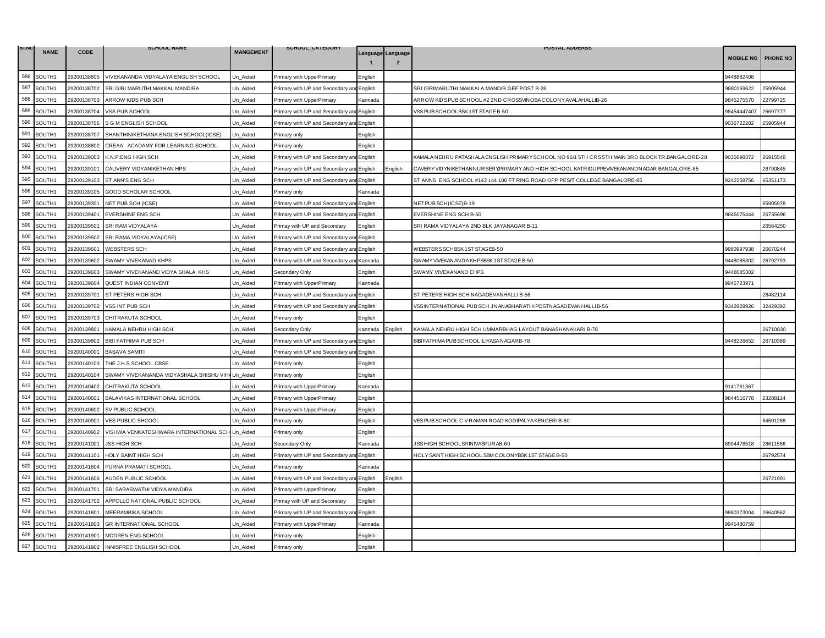| SI.NO |             |             | <b>SCHOOL NAME</b>                                |                  | SCHOOL_CATEGORY                   |                   |                | <b>POSTAL ADDERSS</b>                                                                             |                  |          |
|-------|-------------|-------------|---------------------------------------------------|------------------|-----------------------------------|-------------------|----------------|---------------------------------------------------------------------------------------------------|------------------|----------|
|       | <b>NAME</b> | <b>CODE</b> |                                                   | <b>MANGEMENT</b> |                                   | Language Language | $\overline{2}$ |                                                                                                   | <b>MOBILE NO</b> | PHONE NO |
| 586   | SOUTH1      | 29200138605 | VIVEKANANDA VIDYALAYA ENGLISH SCHOOL              | Un_Aided         | Primary with UpperPrimary         | English           |                |                                                                                                   | 3448882408       |          |
| 587   | SOUTH1      | 29200138702 | SRI GIRI MARUTHI MAKKAL MANDIRA                   | Jn Aided         | Primary with UP and Secondary an  | English           |                | SRI GIRIMARUTHI MAKKALA MANDIR GEF POST B-26                                                      | 9880159622       | 25905944 |
| 588   | SOUTH1      | 29200138703 | ARROW KIDS PUB SCH                                | Un Aided         | Primary with UpperPrimary         | Kannada           |                | ARROW KIDS PUBSCHOOL #2 2ND CROSSVINOBA COLONY AVALAHALLIB-26                                     | 9845275570       | 22799725 |
| 589   | SOUTH1      | 29200138704 | VSS PUB SCHOOL                                    | Jn_Aided         | Primary with UP and Secondary an  | English           |                | VSS PUB SCHOOLBSK 1 ST STAGE B-50                                                                 | 8454447407       | 26697777 |
| 590   | SOUTH1      | 29200138706 | S G M ENGLISH SCHOOL                              | Un Aided         | Primary with UP and Secondary and | English           |                |                                                                                                   | 9036722282       | 25905944 |
| 591   | SOUTH1      | 29200138707 | SHANTHINIKETHANA ENGLISH SCHOOL(ICSE)             | Un_Aided         | Primary only                      | English           |                |                                                                                                   |                  |          |
| 592   | SOUTH1      | 29200138802 | CREAA ACADAMY FOR LEARNING SCHOOL                 | Un_Aided         | Primary only                      | English           |                |                                                                                                   |                  |          |
| 593   | SOUTH1      | 29200139003 | K.N.P.ENG HIGH SCH                                | Un Aided         | Primary with UP and Secondary ar  | English           |                | KAMALA NEHRU PATASHALA ENGLISH PRIMARY SCHOOL NO 96/1 5TH CRS 5TH MAIN 3RD BLOCK T.R.BANGALORE-28 | 9035698372       | 26915548 |
| 594   | SOUTH1      | 29200139101 | CAUVERY VIDYANIKETHAN HPS                         | Un_Aided         | Primary with UP and Secondary ar  | English           | English        | CAVER YVIDYNIKETHANNUR SER YPR IMAR YAND HIGH SCHOOL KATRIGU PPEVIVEKAN ANDNAGAR BANGALORE-85     |                  | 26790845 |
| 595   | SOUTH1      | 29200139103 | ST ANN'S ENG SCH                                  | Jn_Aided         | Primary with UP and Secondary and | English           |                | ST ANNS ENG SCHOOL #143 144 100 FT RING ROAD OPP PESIT COLLEGE BANGALORE-85                       | 9242258756       | 65351173 |
| 596   | SOUTH1      | 29200139105 | GOOD SCHOLAR SCHOOL                               | Un_Aided         | Primary only                      | Kannada           |                |                                                                                                   |                  |          |
| 597   | SOUTH1      | 29200139301 | NET PUB SCH (ICSE)                                | Un Aided         | Primary with UP and Secondary and | English           |                | NET PUBSCH(ICSE)B-19                                                                              |                  | 5905978  |
| 598   | SOUTH1      | 29200139401 | <b>EVERSHINE ENG SCH</b>                          | Un_Aided         | Primary with UP and Secondary an  | English           |                | EVERSHINE ENG SCH B-50                                                                            | 9845075444       | 26755696 |
| 599   | SOUTH1      | 29200139501 | SRI RAM VIDYALAYA                                 | Un_Aided         | Primay with UP and Secondary      | English           |                | SRI RAMA VIDYALAYA 2ND BLK JAYANAGAR B-11                                                         |                  | 26564250 |
| 600   | SOUTH1      | 29200139502 | SRI RAMA VIDYALAYA(ICSE)                          | Un Aided         | Primary with UP and Secondary an  | English           |                |                                                                                                   |                  |          |
| 601   | SOUTH1      | 29200139601 | <b>WEBSTERS SCH</b>                               | Un Aided         | Primary with UP and Secondary ar  | English           |                | WEBSTERS SCHBSK1ST STAGEB-50                                                                      | 9980997938       | 26670244 |
| 602   | SOUTH1      | 29200139602 | SWAMY VIVEKANAD KHPS                              | Jn_Aided         | Primary with UP and Secondary an  | Kannada           |                | SWAMY VIVEKAN AN DA KHPSBSK 1ST STAGE B-50                                                        | 9448085302       | 16792793 |
| 603   | SOUTH1      | 29200139603 | SWAMY VIVEKANAND VIDYA SHALA KHS                  | Un Aided         | Secondary Only                    | English           |                | SWAMY VIVEKANAND EHPS                                                                             | 9448085302       |          |
| 604   | SOUTH1      | 29200139604 | QUEST INDIAN CONVENT                              | Un_Aided         | Primary with UpperPrimary         | Kannada           |                |                                                                                                   | 9945723971       |          |
| 605   | SOUTH1      | 29200139701 | ST PETERS HIGH SCH                                | Jn Aided         | Primary with UP and Secondary ar  | English           |                | ST PETERS HIGH SCH NAGADEVANHALLI B-56                                                            |                  | 28482114 |
| 606   | SOUTH1      | 29200139702 | VSS INT PUB SCH                                   | Un Aided         | Primary with UP and Secondary and | English           |                | VSS INTERNATIONAL PUB SCH JNANABHARATHI POSTNAGAD EVANHALLI B-56                                  | 9342829926       | 32429392 |
| 607   | SOUTH1      | 29200139703 | CHITRAKUTA SCHOOL                                 | Un_Aided         | Primary only                      | English           |                |                                                                                                   |                  |          |
| 608   | SOUTH1      | 29200139801 | KAMALA NEHRU HIGH SCH                             | Jn Aided         | Secondary Only                    | Kannada           | English        | KAMALA NEHRU HIGH SCH UMMARBHAG LAYOUT BANASHANAKARI B-78                                         |                  | 26710830 |
| 609   | SOUTH1      | 29200139802 | BIBI FATHIMA PUB SCH                              | Un Aided         | Primary with UP and Secondary ar  | English           |                | BIBI FATH IMA PUB SCHOOL ILIYASA NAGAR B-78                                                       | 9448226652       | 26710389 |
| 610   | SOUTH1      | 29200140001 | <b>BASAVA SAMITI</b>                              | Un_Aided         | Primary with UP and Secondary ar  | English           |                |                                                                                                   |                  |          |
| 611   | SOUTH1      | 29200140103 | THE J.H.S SCHOOL CBSE                             | Jn_Aided         | Primary only                      | English           |                |                                                                                                   |                  |          |
| 612   | SOUTH1      | 29200140104 | SWAMY VIVEKANANDA VIDYASHALA SHISHU VIH/ Un Aided |                  | Primary only                      | English           |                |                                                                                                   |                  |          |
| 613   | SOUTH1      | 29200140402 | CHITRAKUTA SCHOOL                                 | Jn Aided         | Primary with UpperPrimary         | Kannada           |                |                                                                                                   | 141761367        |          |
| 614   | SOUTH1      | 29200140601 | BALAVIKAS INTERNATIONAL SCHOOL                    | Un_Aided         | Primary with UpperPrimary         | English           |                |                                                                                                   | 9844516778       | 23288124 |
| 615   | SOUTH1      | 29200140602 | SV PUBLIC SCHOOL                                  | Un_Aided         | Primary with UpperPrimary         | English           |                |                                                                                                   |                  |          |
| 616   | SOUTH1      | 29200140901 | VES PUBLIC SHCOOL                                 | Jn Aided         | Primary only                      | English           |                | VES PUB SCHOOL C VRAMAN ROAD KODIPALYA KENGERIB-60                                                |                  | 34501288 |
| 617   | SOUTH1      | 29200140902 | VISHWA VENKATESHWARA INTERNATIONAL SCH Un_Aided   |                  | Primary only                      | English           |                |                                                                                                   |                  |          |
| 618   | SOUTH1      | 29200141001 | <b>JSS HIGH SCH</b>                               | Un_Aided         | Secondary Only                    | Kannada           |                | JSS HIGH SCHOOLSR IN IVASPURAB-60                                                                 | 3904476518       | 28611566 |
| 619   | SOUTH1      | 29200141101 | HOLY SAINT HIGH SCH                               | Jn Aided         | Primary with UP and Secondary ar  | English           |                | HOLY SAINT HIGH SCHOOL SBM COLONYBSK 1ST STAGE B-50                                               |                  | 26792574 |
| 620   | SOUTH1      | 29200141604 | PURNA PRAMATI SCHOOL                              | Un_Aided         | Primary only                      | Kannada           |                |                                                                                                   |                  |          |
| 621   | SOUTH1      | 29200141606 | AUDEN PUBLIC SCHOOL                               | Jn Aided         | Primary with UP and Secondary an  | English           | English        |                                                                                                   |                  | 26721901 |
| 622   | SOUTH1      | 29200141701 | SRI SARASWATHI VIDYA MANDIRA                      | Un Aided         | Primary with UpperPrimary         | English           |                |                                                                                                   |                  |          |
| 623   | SOUTH1      | 29200141702 | APPOLLO NATIONAL PUBLIC SCHOOL                    | Un_Aided         | Primay with UP and Secondary      | English           |                |                                                                                                   |                  |          |
| 624   | SOUTH1      | 29200141801 | MEERAMBIKA SCHOOL                                 | Jn Aided         | Primary with UP and Secondary and | English           |                |                                                                                                   | 9880373004       | 26640562 |
| 625   | SOUTH1      | 29200141803 | <b>GR INTERNATIONAL SCHOOL</b>                    | Un Aided         | Primary with UpperPrimary         | Kannada           |                |                                                                                                   | 9945480759       |          |
| 626   | SOUTH1      | 29200141901 | MODREN ENG SCHOOL                                 | Un_Aided         | Primary only                      | English           |                |                                                                                                   |                  |          |
| 627   | SOUTH1      | 29200141902 | INNISFREE ENGLISH SCHOOL                          | Un_Aided         | Primary only                      | English           |                |                                                                                                   |                  |          |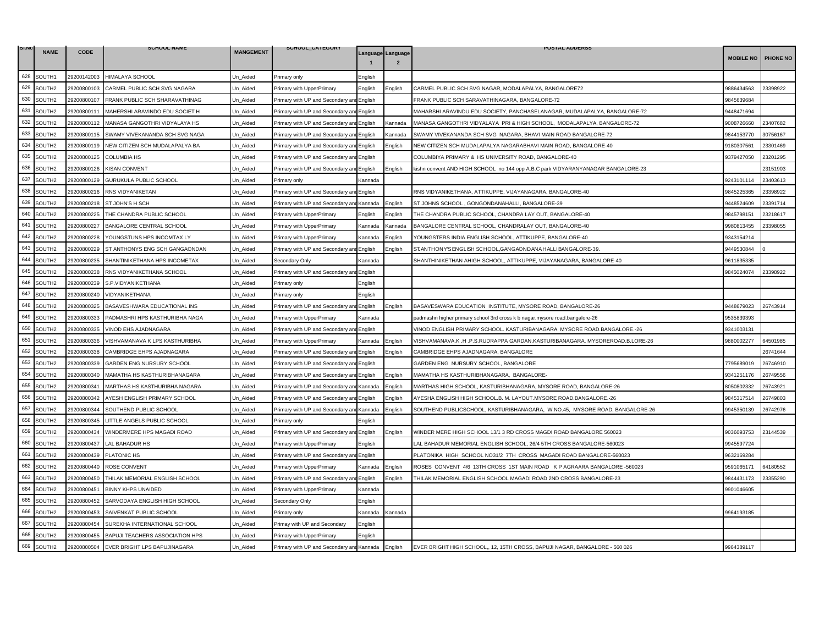| SI.NO |                    |             | <b>SCHOOL NAME</b>                       |                  | SCHOOL_CATEGORY                           |         |                                     | <b>POSTAL ADDERSS</b>                                                            |                  |                 |
|-------|--------------------|-------------|------------------------------------------|------------------|-------------------------------------------|---------|-------------------------------------|----------------------------------------------------------------------------------|------------------|-----------------|
|       | <b>NAME</b>        | <b>CODE</b> |                                          | <b>MANGEMENT</b> |                                           |         | Language Language<br>$\overline{2}$ |                                                                                  | <b>MOBILE NO</b> | <b>PHONE NO</b> |
| 628   | SOUTH1             | 29200142003 | HIMALAYA SCHOOL                          | Un_Aided         | Primary only                              | Enalish |                                     |                                                                                  |                  |                 |
| 629   | SOUTH2             | 29200800103 | CARMEL PUBLIC SCH SVG NAGARA             | Jn Aided         | Primary with UpperPrimary                 | English | Enalish                             | CARMEL PUBLIC SCH SVG NAGAR, MODALAPALYA, BANGALORE72                            | 3886434563       | 23398922        |
| 630   | SOUTH2             | 29200800107 | FRANK PUBLIC SCH SHARAVATHINAG           | Un Aided         | Primary with UP and Secondary and English |         |                                     | FRANK PUBLIC SCH SARAVATHINAGARA, BANGALORE-72                                   | 9845639684       |                 |
| 631   | SOUTH2             | 29200800111 | MAHERSHI ARAVINDO EDU SOCIET H           | Jn Aided         | Primary with UP and Secondary an          | English |                                     | MAHARSHI ARAVINDU EDU SOCIETY. PANCHASELANAGAR. MUDALAPALYA. BANGALORE-72        | 3448471694       |                 |
| 632   | SOUTH2             | 29200800112 | MANASA GANGOTHRI VIDYALAYA HS            | Jn_Aided         | Primary with UP and Secondary and         | English | Kannada                             | MANASA GANGOTHRI VIDYALAYA PRI & HIGH SCHOOL, MODALAPALYA, BANGALORE-72          | 9008726660       | 23407682        |
| 633   | SOUTH2             | 29200800115 | SWAMY VIVEKANANDA SCH SVG NAGA           | Un_Aided         | Primary with UP and Secondary ar          | English | Kannada                             | SWAMY VIVEKANANDA SCH SVG NAGARA, BHAVI MAIN ROAD BANGALORE-72                   | 9844153770       | 30756167        |
| 634   | SOUTH2             | 29200800119 | NEW CITIZEN SCH MUDALAPALYA BA           | Jn Aided         | Primary with UP and Secondary an          | English | English                             | NEW CITIZEN SCH MUDALAPALYA NAGARABHAVI MAIN ROAD, BANGALORE-40                  | 9180307561       | 23301469        |
| 635   | SOUTH2             | 29200800125 | <b>COLUMBIA HS</b>                       | Un Aided         | Primary with UP and Secondary an          | English |                                     | COLUMBIYA PRIMARY & HS UNIVERSITY ROAD, BANGALORE-40                             | 9379427050       | 23201295        |
| 636   | SOUTH2             | 29200800126 | <b>KISAN CONVENT</b>                     | Un_Aided         | Primary with UP and Secondary ar          | English | Enalish                             | kishn convent AND HIGH SCHOOL no 144 opp A.B.C park VIDYARANYANAGAR BANGALORE-23 |                  | 23151903        |
| 637   | SOUTH2             | 29200800129 | GURUKULA PUBLIC SCHOOL                   | Jn Aided         | Primary only                              | Kannada |                                     |                                                                                  | 9243101114       | 23403613        |
| 638   | SOUTH2             | 29200800216 | RNS VIDYANIKETAN                         | Un Aided         | Primary with UP and Secondary an          | English |                                     | RNS VIDYANIKETHANA, ATTIKUPPE, VIJAYANAGARA. BANGALORE-40                        | 9845225365       | 23398922        |
| 639   | SOUTH2             | 29200800218 | ST JOHN'S H SCH                          | Un Aided         | Primary with UP and Secondary ar          | Kannada | English                             | ST JOHNS SCHOOL, GONGONDANAHALLI, BANGALORE-39                                   | 9448524609       | 23391714        |
| 640   | SOUTH2             | 29200800225 | THE CHANDRA PUBLIC SCHOOL                | Un Aided         | Primary with UpperPrimary                 | English | English                             | THE CHANDRA PUBLIC SCHOOL, CHANDRA LAY OUT, BANGALORE-40                         | 9845798151       | 23218617        |
| 641   | SOUTH2             | 29200800227 | BANGALORE CENTRAL SCHOOL                 | Un_Aided         | Primary with UpperPrimary                 | Kannada | <b>Cannada</b>                      | BANGALORE CENTRAL SCHOOL, CHANDRALAY OUT, BANGALORE-40                           | 9980813455       | 23398055        |
| 642   | SOUTH <sub>2</sub> | 29200800228 | YOUNGSTUNS HPS INCOMTAX LY               | Jn Aided         | Primary with UpperPrimary                 | Kannada | English                             | YOUNGSTERS INDIA ENGLISH SCHOOL, ATTIKUPPE, BANGALORE-40                         | 9343154214       |                 |
| 643   | SOUTH2             | 29200800229 | ST ANTHONYS ENG SCH GANGAONDAN           | Un Aided         | Primary with UP and Secondary ar          | English | Enalish                             | ST. ANTHONY'S ENGLISH SCHOOL, GANGAOND AN A HALLI, BANGALORE-39.                 | 9449530844       |                 |
| 644   | SOUTH2             | 29200800235 | SHANTINIKETHANA HPS INCOMETAX            | Jn Aided         | Secondary Only                            | Kannada |                                     | SHANTHINIKETHAN AHIGH SCHOOL, ATTIKUPPE, VIJAYANAGARA, BANGALORE-40              | 9611835335       |                 |
| 645   | SOUTH2             | 29200800238 | RNS VIDYANIKETHANA SCHOOL                | Un Aided         | Primary with UP and Secondary an          | English |                                     |                                                                                  | 9845024074       | 23398922        |
| 646   | SOUTH2             | 29200800239 | S.P.VIDYANIKETHANA                       | Un_Aided         | Primary only                              | English |                                     |                                                                                  |                  |                 |
| 647   | SOUTH2             | 29200800240 | VIDYANIKETHANA                           | Jn Aided         | Primary only                              | English |                                     |                                                                                  |                  |                 |
| 648   | SOUTH2             | 29200800325 | BASAVESHWARA EDUCATIONAL INS             | Un Aided         | Primary with UP and Secondary an          | English | English                             | BASAVESWARA EDUCATION INSTITUTE, MYSORE ROAD, BANGALORE-26                       | 9448679023       | 26743914        |
| 649   | SOUTH2             | 29200800333 | PADMASHRI HPS KASTHURIBHA NAGA           | Un_Aided         | Primary with UpperPrimary                 | Kannada |                                     | padmashri higher primary school 3rd cross k b nagar.mysore road.bangalore-26     | 9535839393       |                 |
| 650   | SOUTH2             | 29200800335 | VINOD EHS AJADNAGARA                     | Jn_Aided         | Primary with UP and Secondary and         | English |                                     | /INOD ENGLISH PRIMARY SCHOOL. KASTURIBANAGARA. MYSORE ROAD.BANGALORE.-26         | 9341003131       |                 |
| 651   | SOUTH2             | 29200800336 | VISHVAMANAVA K LPS KASTHURIBHA           | Un Aided         | Primary with UpperPrimary                 | Kannada | English                             | /ISHVAMANAVA.K .H .P.S.RUDRAPPA GARDAN.KASTURIBANAGARA. MYSOREROAD.B.LORE-26     | 9880002277       | 64501985        |
| 652   | SOUTH <sub>2</sub> | 29200800338 | CAMBRIDGE EHPS AJADNAGARA                | Jn Aided         | Primary with UP and Secondary an          | English | English                             | CAMBRIDGE EHPS AJADNAGARA, BANGALORE                                             |                  | 26741644        |
| 653   | SOUTH2             | 29200800339 | GARDEN ENG NURSURY SCHOOL                | Un_Aided         | Primary with UP and Secondary and         | English |                                     | GARDEN ENG NURSURY SCHOOL, BANGALORE                                             | 7795689019       | 26746910        |
| 654   | SOUTH2             | 29200800340 | MAMATHA HS KASTHURIBHANAGARA             | Un_Aided         | Primary with UP and Secondary ar          | English | English                             | MAMATHA HS KASTHURIBHANAGARA, BANGALORE-                                         | 9341251176       | 26749556        |
| 655   | SOUTH <sub>2</sub> | 29200800341 | MARTHAS HS KASTHURIBHA NAGARA            | Jn Aided         | Primary with UP and Secondary an          | Kannada | English                             | MARTHAS HIGH SCHOOL, KASTURIBHANAGARA, MYSORE ROAD, BANGALORE-26                 | 8050802332       | 26743921        |
| 656   | SOUTH2             | 29200800342 | AYESH ENGLISH PRIMARY SCHOOL             | Un Aided         | Primary with UP and Secondary ar          | English | English                             | AYESHA ENGLISH HIGH SCHOOL.B. M. LAYOUT.MYSORE ROAD.BANGALORE.-26                | 9845317514       | 26749803        |
| 657   | SOUTH2             | 29200800344 | SOUTHEND PUBLIC SCHOOL                   | Jn_Aided         | Primary with UP and Secondary an          | Kannada | Enalish                             | SOUTHEND PUBLICSCHOOL, KASTURIBHANAGARA, W.NO.45, MYSORE ROAD, BANGALORE-26      | 9945350139       | 26742976        |
| 658   | SOUTH2             | 29200800345 | LITTLE ANGELS PUBLIC SCHOOL              | Jn_Aided         | Primary only                              | English |                                     |                                                                                  |                  |                 |
| 659   | SOUTH2             | 29200800434 | WINDERMERE HPS MAGADI ROAD               | Un_Aided         | Primary with UP and Secondary an          | English | Enalish                             | WINDER MERE HIGH SCHOOL 13/1 3 RD CROSS MAGDI ROAD BANGALORE 560023              | 9036093753       | 23144539        |
| 660   | SOUTH2             | 29200800437 | LAL BAHADUR HS                           | Jn Aided         | Primary with UpperPrimary                 | English |                                     | AL BAHADUR MEMORIAL ENGLISH SCHOOL. 26/4 5TH CROSS BANGALORE-560023              | 9945597724       |                 |
| 661   | SOUTH2             | 29200800439 | PLATONIC HS                              | Un Aided         | Primary with UP and Secondary ar          | English |                                     | PLATONIKA HIGH SCHOOL NO31/2 7TH CROSS MAGADI ROAD BANGALORE-560023              | 9632169284       |                 |
| 662   | SOUTH2             | 29200800440 | <b>ROSE CONVENT</b>                      | Un Aided         | Primary with UpperPrimary                 | Kannada | English                             | ROSES CONVENT 4/6 13TH CROSS 1ST MAIN ROAD KP AGRAARA BANGALORE -560023          | 9591065171       | 64180552        |
| 663   | SOUTH2             | 29200800450 | THILAK MEMORIAL ENGLISH SCHOOL           | Jn Aided         | Primary with UP and Secondary an          | English | English                             | THILAK MEMORIAL ENGLISH SCHOOL MAGADI ROAD 2ND CROSS BANGALORE-23                | 9844431173       | 23355290        |
| 664   | SOUTH2             | 29200800451 | <b>BINNY KHPS UNAIDED</b>                | Un_Aided         | Primary with UpperPrimary                 | Kannada |                                     |                                                                                  | 9901046605       |                 |
| 665   | SOUTH2             | 29200800452 | SARVODAYA ENGLISH HIGH SCHOOL            | Jn Aided         | Secondary Only                            | English |                                     |                                                                                  |                  |                 |
| 666   | SOUTH2             | 29200800453 | SAIVENKAT PUBLIC SCHOOL                  | Un Aided         | Primary only                              | Kannada | Kannada                             |                                                                                  | 9964193185       |                 |
| 667   | SOUTH2             | 29200800454 | SUREKHA INTERNATIONAL SCHOOL             | Un_Aided         | Primay with UP and Secondary              | English |                                     |                                                                                  |                  |                 |
| 668   | SOUTH <sub>2</sub> | 29200800455 | BAPUJI TEACHERS ASSOCIATION HPS          | Jn Aided         | Primary with UpperPrimary                 | Enalish |                                     |                                                                                  |                  |                 |
| 669   | SOUTH2             |             | 29200800504 EVER BRIGHT LPS BAPUJINAGARA | Un Aided         | Primary with UP and Secondary and Kannada |         | English                             | EVER BRIGHT HIGH SCHOOL,, 12, 15TH CROSS, BAPUJI NAGAR, BANGALORE - 560 026      | 9964389117       |                 |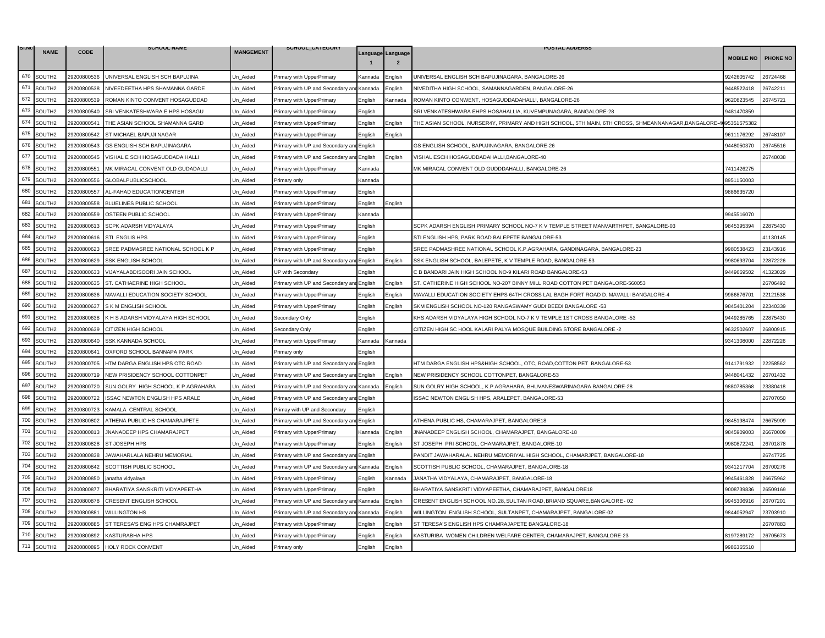| SI.NO | <b>NAME</b>        |             | <b>SCHOOL NAME</b>                 | <b>MANGEMENT</b> | SCHOOL_CATEGORY                           |         |                   | <b>POSTAL ADDERSS</b>                                                                               |                  |                 |
|-------|--------------------|-------------|------------------------------------|------------------|-------------------------------------------|---------|-------------------|-----------------------------------------------------------------------------------------------------|------------------|-----------------|
|       |                    | <b>CODE</b> |                                    |                  |                                           |         | Language Language |                                                                                                     | <b>MOBILE NO</b> | <b>PHONE NO</b> |
| 670   | SOUTH2             | 29200800536 | UNIVERSAL ENGLISH SCH BAPUJINA     | Un_Aided         | Primary with UpperPrimary                 | Kannada | Enalish           | UNIVERSAL ENGLISH SCH BAPUJINAGARA, BANGALORE-26                                                    | 9242605742       | 26724468        |
| 671   | SOUTH2             | 29200800538 | NIVEEDEETHA HPS SHAMANNA GARDE     | Jn Aided         | Primary with UP and Secondary ar          | Kannada | Enalish           | NIVEDITHA HIGH SCHOOL, SAMANNAGARDEN, BANGALORE-26                                                  | 9448522418       | 26742211        |
| 672   | SOUTH2             | 29200800539 | ROMAN KINTO CONVENT HOSAGUDDAD     | Un_Aided         | Primary with UpperPrimary                 | English | Kannada           | ROMAN KINTO CONWENT, HOSAGUDDADAHALLI, BANGALORE-26                                                 | 9620823545       | 26745721        |
| 673   | SOUTH2             | 29200800540 | SRI VENKATESHWARA E HPS HOSAGU     | Jn Aided         | Primary with UpperPrimary                 | English |                   | SRI VENKATESHWARA EHPS HOSAHALLIA, KUVEMPUNAGARA, BANGALORE-28                                      | 3481470859       |                 |
| 674   | SOUTH2             | 29200800541 | THE ASIAN SCHOOL SHAMANNA GARD     | Un Aided         | rimary with UpperPrimary                  | English | English           | THE ASIAN SCHOOL, NURSER4Y, PRIMARY AND HIGH SCHOOL, 5TH MAIN, 6TH CROSS, SHMEANNANAGAR, BANGALORE- | 095351575382     |                 |
| 675   | SOUTH2             | 29200800542 | ST MICHAEL BAPUJI NAGAR            | Un_Aided         | Primary with UpperPrimary                 | English | Enalish           |                                                                                                     | 9611176292       | 26748107        |
| 676   | SOUTH2             | 29200800543 | <b>GS ENGLISH SCH BAPUJINAGARA</b> | Jn Aided         | Primary with UP and Secondary ar          | English |                   | GS ENGLISH SCHOOL, BAPUJINAGARA, BANGALORE-26                                                       | 3448050370       | 26745516        |
| 677   | SOUTH2             | 29200800545 | VISHAL E SCH HOSAGUDDADA HALLI     | Un Aided         | Primary with UP and Secondary an          | English | English           | VISHAL ESCH HOSAGUDDADAHALLI, BANGALORE-40                                                          |                  | 26748038        |
| 678   | SOUTH2             | 29200800551 | MK MIRACAL CONVENT OLD GUDADALLI   | Un_Aided         | Primary with UpperPrimary                 | Kannada |                   | MK MIRACAL CONVENT OLD GUDDDAHALLI, BANGALORE-26                                                    | 7411426275       |                 |
| 679   | SOUTH2             | 29200800556 | GLOBALPUBLICSCHOOL                 | Jn Aided         | Primary only                              | Kannada |                   |                                                                                                     | 3951150003       |                 |
| 680   | SOUTH2             | 29200800557 | AL-FAHAD EDUCATIONCENTER           | Un_Aided         | Primary with UpperPrimary                 | English |                   |                                                                                                     | 9886635720       |                 |
| 681   | SOUTH2             | 29200800558 | BLUELINES PUBLIC SCHOOL            | Un_Aided         | Primary with UpperPrimary                 | English | Enalish           |                                                                                                     |                  |                 |
| 682   | SOUTH2             | 29200800559 | OSTEEN PUBLIC SCHOOL               | Jn_Aided         | Primary with UpperPrimary                 | Kannada |                   |                                                                                                     | 945516070        |                 |
| 683   | SOUTH2             | 29200800613 | SCPK ADARSH VIDYALAYA              | Un_Aided         | Primary with UpperPrimary                 | English |                   | SCPK ADARSH ENGLISH PRIMARY SCHOOL NO-7 K V TEMPLE STREET MANVARTHPET, BANGALORE-03                 | 9845395394       | 22875430        |
| 684   | SOUTH2             | 29200800616 | STI ENGLIS HPS                     | Jn Aided         | Primary with UpperPrimary                 | English |                   | STI ENGLISH HPS, PARK ROAD BALEPETE BANGALORE-53                                                    |                  | 41130145        |
| 685   | SOUTH2             | 29200800623 | SREE PADMASREE NATIONAL SCHOOL K P | Un Aided         | Primary with UpperPrimary                 | English |                   | SREE PADMASHREE NATIONAL SCHOOL K.P.AGRAHARA, GANDINAGARA, BANGALORE-23                             | 9980538423       | 23143916        |
| 686   | SOUTH2             | 29200800629 | <b>SSK ENGLISH SCHOOL</b>          | Un_Aided         | Primary with UP and Secondary a           | English | Enalish           | SSK ENGLISH SCHOOL, BALEPETE, K V TEMPLE ROAD, BANGALORE-53                                         | 9980693704       | 22872226        |
| 687   | SOUTH <sub>2</sub> | 29200800633 | VIJAYALABDISOORI JAIN SCHOOL       | Jn Aided         | JP with Secondary                         | English |                   | C B BANDARI JAIN HIGH SCHOOL NO-9 KILARI ROAD BANGALORE-53                                          | 9449669502       | 41323029        |
| 688   | SOUTH2             | 29200800635 | ST. CATHAERINE HIGH SCHOOL         | Un Aided         | Primary with UP and Secondary ar          | English | English           | ST. CATHERINE HIGH SCHOOL NO-207 BINNY MILL ROAD COTTON PET BANGALORE-560053                        |                  | 26706492        |
| 689   | SOUTH2             | 29200800636 | MAVALLI EDUCATION SOCIETY SCHOOL   | Un_Aided         | Primary with UpperPrimary                 | English | English           | MAVALLI EDUCATION SOCIETY EHPS 64TH CROSS LAL BAGH FORT ROAD D. MAVALLI BANGALORE-4                 | 986876701        | 22121538        |
| 690   | SOUTH2             | 29200800637 | S K M ENGLISH SCHOOL               | Jn_Aided         | Primary with UpperPrimary                 | English | English           | SKM ENGLISH SCHOOL NO-120 RANGASWAMY GUDI BEEDI BANGALORE -53                                       | 9845401204       | 22340339        |
| 691   | SOUTH2             | 29200800638 | K H S ADARSH VIDYALAYA HIGH SCHOOL | Un_Aided         | Secondary Only                            | English |                   | KHS ADARSH VIDYALAYA HIGH SCHOOL NO-7 K V TEMPLE 1ST CROSS BANGALORE -53                            | 9449285765       | 22875430        |
| 692   | SOUTH2             | 29200800639 | CITIZEN HIGH SCHOOL                | Jn Aided         | Secondary Only                            | English |                   | CITIZEN HIGH SC HOOL KALARI PALYA MOSQUE BUILDING STORE BANGALORE -2                                | 0632502607       | 26800915        |
| 693   | SOUTH2             | 29200800640 | <b>SSK KANNADA SCHOOL</b>          | Un Aided         | Primary with UpperPrimary                 | Kannada | Kannada           |                                                                                                     | 9341308000       | 2872226         |
| 694   | SOUTH <sub>2</sub> | 29200800641 | OXFORD SCHOOL BANNAPA PARK         | Un_Aided         | Primary only                              | English |                   |                                                                                                     |                  |                 |
| 695   | SOUTH2             | 29200800705 | HTM DARGA ENGLISH HPS OTC ROAD     | Jn Aided         | Primary with UP and Secondary ar          | English |                   | HTM DARGA ENGLISH HPS&HIGH SCHOOL, OTC, ROAD,COTTON PET BANGALORE-53                                | 9141791932       | 2258562         |
| 696   | SOUTH2             | 29200800719 | NEW PRISIDENCY SCHOOL COTTONPET    | Un Aided         | Primary with UP and Secondary ar          | English | English           | NEW PRISIDENCY SCHOOL COTTONPET, BANGALORE-53                                                       | 9448041432       | 26701432        |
| 697   | SOUTH2             | 29200800720 | SUN GOLRY HIGH SCHOOL K P AGRAHARA | Un_Aided         | Primary with UP and Secondary an          | Kannada | Enalish           | SUN GOLRY HIGH SCHOOL, K.P.AGRAHARA, BHUVANESWARINAGARA BANGALORE-28                                | 9880785368       | 23380418        |
| 698   | SOUTH2             | 29200800722 | ISSAC NEWTON ENGLISH HPS ARALE     | Jn_Aided         | Primary with UP and Secondary and English |         |                   | ISSAC NEWTON ENGLISH HPS, ARALEPET, BANGALORE-53                                                    |                  | 26707050        |
| 699   | SOUTH2             | 29200800723 | KAMALA CENTRAL SCHOOL              | Un Aided         | Primay with UP and Secondary              | English |                   |                                                                                                     |                  |                 |
| 700   | SOUTH2             | 29200800802 | ATHENA PUBLIC HS CHAMARAJPETE      | Jn Aided         | Primary with UP and Secondary ar          | English |                   | ATHENA PUBLIC HS, CHAMARAJPET, BANGALORE18                                                          | 9845198474       | 26675909        |
| 701   | SOUTH2             | 29200800813 | JNANADEEP HPS CHAMARAJPET          | Un_Aided         | Primary with UpperPrimary                 | Kannada | English           | JNANADEEP ENGLISH SCHOOL, CHAMARAJPET, BANGALORE-18                                                 | 9845909003       | 26670009        |
| 702   | SOUTH2             | 29200800828 | ST JOSEPH HPS                      | Un_Aided         | Primary with UpperPrimary                 | English | English           | ST JOSEPH PRI SCHOOL, CHAMARAJPET, BANGALORE-10                                                     | 9980872241       | 26701878        |
| 703   | SOUTH2             | 29200800838 | JAWAHARLALA NEHRU MEMORIAL         | Jn Aided         | Primary with UP and Secondary ar          | English |                   | PANDIT JAWAHARALAL NEHRU MEMORIYAL HIGH SCHOOL, CHAMARJPET, BANGALORE-18                            |                  | 26747725        |
| 704   | SOUTH2             | 29200800842 | SCOTTISH PUBLIC SCHOOL             | Un Aided         | Primary with UP and Secondary and         | Kannada | English           | SCOTTISH PUBLIC SCHOOL, CHAMARAJPET, BANGALORE-18                                                   | 9341217704       | 26700276        |
| 705   | SOUTH2             | 29200800850 | janatha vidyalaya                  | Un_Aided         | Primary with UpperPrimary                 | English | Kannada           | JANATHA VIDYALAYA, CHAMARAJPET, BANGALORE-18                                                        | 9945461828       | 26675962        |
| 706   | SOUTH2             | 29200800877 | BHARATIYA SANSKRITI VIDYAPEETHA    | Jn_Aided         | Primary with UpperPrimary                 | English |                   | BHARATIYA SANSKRITI VIDYAPEETHA, CHAMARAJPET, BANGALORE18                                           | 9008739836       | 26509169        |
| 707   | SOUTH2             | 29200800878 | CRESENT ENGLISH SCHOOL             | Un Aided         | Primary with UP and Secondary a           | Kannada | English           | CRESENT ENGLISH SCHOOL, NO. 28, SULTAN ROAD, BRIAND SQUARE, BANGALORE - 02                          | 9945306916       | 26707201        |
| 708   | SOUTH2             | 29200800881 | <b>WILLINGTON HS</b>               | Jn_Aided         | Primary with UP and Secondary ar          | Kannada | English           | WILLINGTON ENGLISH SCHOOL, SULTANPET, CHAMARAJPET, BANGALORE-02                                     | 844052947        | 23703910        |
| 709   | SOUTH2             | 29200800885 | ST TERESA'S ENG HPS CHAMRAJPET     | Un Aided         | Primary with UpperPrimary                 | Enalish | English           | ST TERESA'S ENGLISH HPS CHAMRAJAPETE BANGALORE-18                                                   |                  | 26707883        |
| 710   | SOUTH2             | 29200800892 | <b>KASTURABHA HPS</b>              | Un Aided         | Primary with UpperPrimary                 | Enalish | English           | KASTURIBA WOMEN CHILDREN WELFARE CENTER, CHAMARAJPET, BANGALORE-23                                  | 3197289172       | 26705673        |
| 711   | SOUTH2             | 29200800895 | HOLY ROCK CONVENT                  | Un_Aided         | Primary only                              | English | English           |                                                                                                     | 9986365510       |                 |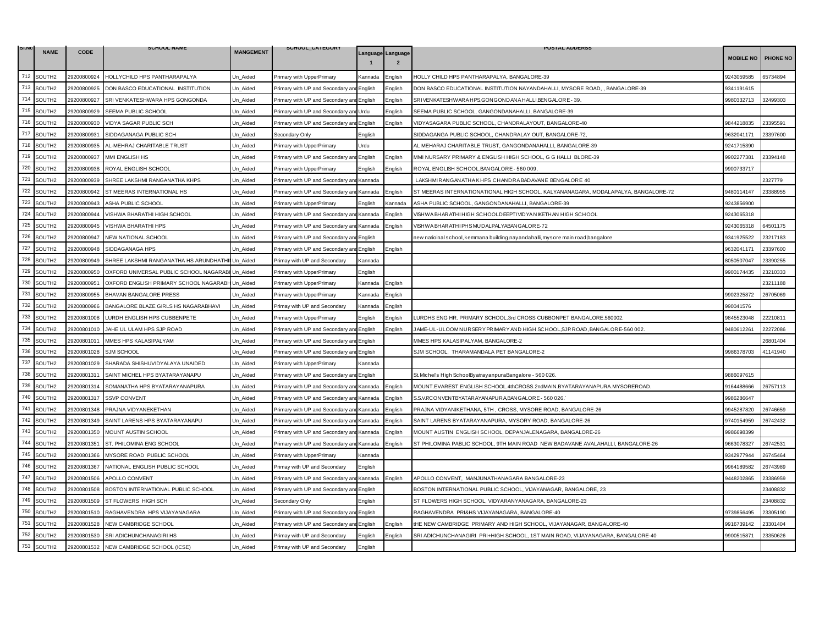| Language Language<br><b>MOBILE NO</b><br>$\overline{2}$<br>712 SOUTH2<br>29200800924<br>HOLLYCHILD HPS PANTHARAPALYA<br>Un_Aided<br>HOLLY CHILD HPS PANTHARAPALYA, BANGALORE-39<br>9243059585<br>Primary with UpperPrimary<br>Kannada<br>Enalish<br>713<br>SOUTH2<br>29200800925<br>DON BASCO EDUCATIONAL INSTITUTION<br>Jn Aided<br>DON BASCO EDUCATIONAL INSTITUTION NAYANDAHALLI. MYSORE ROAD. . BANGALORE-39<br>9341191615<br>Primary with UP and Secondary an<br>English<br>Enalish<br>714<br>SOUTH2<br>29200800927<br>SRI VENKATESHWARA HPS GONGONDA<br>Un_Aided<br>English<br>English<br>SRIVENKATESHWARA HPS,GONGONDANA HALLI,BENGALORE - 39.<br>9980332713<br>Primary with UP and Secondary and<br>715<br>SOUTH2<br>SEEMA PUBLIC SCHOOL<br>SEEMA PUBLIC SCHOOL, GANGONDANAHALLI, BANGALORE-39<br>29200800929<br>Jn Aided<br>Primary with UP and Secondary ar<br>Urdu<br>English<br>716<br>SOUTH2<br>VIDYA SAGAR PUBLIC SCH<br>VIDYASAGARA PUBLIC SCHOOL, CHANDRALAYOUT, BANGALORE-40<br>9844218835<br>29200800930<br>Un_Aided<br>Primary with UP and Secondary an<br>English<br>English<br>717<br>SOUTH2<br>29200800931<br>SIDDAGANAGA PUBLIC SCH<br>Un_Aided<br>English<br>SIDDAGANGA PUBLIC SCHOOL, CHANDRALAY OUT, BANGALORE-72,<br>9632041171<br>Secondary Only<br>718<br>SOUTH2<br>29200800935<br>AL-MEHRAJ CHARITABLE TRUST<br>Jn Aided<br>AL MEHARAJ CHARITABLE TRUST, GANGONDANAHALLI, BANGALORE-39<br>9241715390<br>Primary with UpperPrimary<br><b>Jrdu</b><br>719<br>SOUTH2<br>29200800937<br>MMI ENGLISH HS<br>Un_Aided<br>English<br>MMI NURSARY PRIMARY & ENGLISH HIGH SCHOOL, G G HALLI BLORE-39<br>9902277381<br>Primary with UP and Secondary ar<br>English<br>720<br>SOUTH2<br>9900733717<br>29200800938<br>ROYAL ENGLISH SCHOOL<br>ROYAL ENGLISH SCHOOL, BANGALORE - 560 009<br>Un_Aided<br>Primary with UpperPrimary<br>English<br>English<br>721<br>SOUTH2<br>29200800939<br>SHREE LAKSHMI RANGANATHA KHPS<br>Jn Aided<br>LAKSHMIRANGANATHA KHPS CHANDRA BADAVANE BENGALORE 40<br>Primary with UP and Secondary an<br>Kannada<br>722<br>SOUTH2<br>9480114147<br>29200800942<br>ST MEERAS INTERNATIONAL HS<br>Un Aided<br>Primary with UP and Secondary ar<br>Kannada<br>English<br>ST MEERAS INTERNATIONATIONAL HIGH SCHOOL. KALYANANAGARA, MODALAPALYA, BANGALORE-72<br>723<br>SOUTH2<br>29200800943<br>ASHA PUBLIC SCHOOL<br>Un_Aided<br>Primary with UpperPrimary<br>ASHA PUBLIC SCHOOL, GANGONDANAHALLI, BANGALORE-39<br>9243856900<br>Enalish<br>Kannada<br>724<br>SOUTH2<br>29200800944<br>VISHWA BHARATHI HIGH SCHOOL<br>Jn_Aided<br>Primary with UP and Secondary an<br>Kannada<br>English<br>VISHWA BHAR ATHI HIGH SCHOOLD EEPTI VID YA NIKETHAN HIGH SCHOOL<br>9243065318<br>725<br>SOUTH2<br>29200800945<br>VISHWA BHARATHI HPS<br>VISHWA BHAR ATHI PHS MUDALPAL YABAN GALORE-72<br>9243065318<br>Un Aided<br>Primary with UP and Secondary and<br>English<br>Kannada<br>726<br>SOUTH2<br>29200800947<br>NEW NATIONAL SCHOOL<br>9341925522<br>Jn Aided<br>Primary with UP and Secondary ar<br>English<br>ew natioinal school, kemmana building,nayandahalli, mysore main road,bangalore<br>727<br>SOUTH2<br>29200800948<br>SIDDAGANAGA HPS<br>9632041171<br>Un_Aided<br>Primary with UP and Secondary an<br>English<br>English<br>728<br>SOUTH2<br>SHREE LAKSHMI RANGANATHA HS ARUNDHATHII Un_Aided<br>8050507047<br>29200800949<br>Primay with UP and Secondary<br>Kannada<br>729<br>SOUTH2<br>29200800950<br>OXFORD UNIVERSAL PUBLIC SCHOOL NAGARABI Un Aided<br>9900174435<br>Primary with UpperPrimary<br>English<br>730<br>SOUTH2<br>29200800951<br>OXFORD ENGLISH PRIMARY SCHOOL NAGARABH Un Aided<br>English<br>Primary with UpperPrimary<br>Kannada<br>731<br>SOUTH2<br>9902325872<br>29200800955<br>BHAVAN BANGALORE PRESS<br>Un Aided<br>Kannada<br>English<br>Primary with UpperPrimary<br>732<br>SOUTH2<br>29200800966<br>BANGALORE BLAZE GIRLS HS NAGARABHAVI<br>Jn Aided<br>990041576<br>Primay with UP and Secondary<br>Kannada<br>English | SI.NO | <b>NAME</b> |      | <b>SCHOOL NAME</b> | <b>MANGEMENT</b> | SCHOOL_CATEGORY |  | <b>POSTAL ADDERSS</b> |          |
|----------------------------------------------------------------------------------------------------------------------------------------------------------------------------------------------------------------------------------------------------------------------------------------------------------------------------------------------------------------------------------------------------------------------------------------------------------------------------------------------------------------------------------------------------------------------------------------------------------------------------------------------------------------------------------------------------------------------------------------------------------------------------------------------------------------------------------------------------------------------------------------------------------------------------------------------------------------------------------------------------------------------------------------------------------------------------------------------------------------------------------------------------------------------------------------------------------------------------------------------------------------------------------------------------------------------------------------------------------------------------------------------------------------------------------------------------------------------------------------------------------------------------------------------------------------------------------------------------------------------------------------------------------------------------------------------------------------------------------------------------------------------------------------------------------------------------------------------------------------------------------------------------------------------------------------------------------------------------------------------------------------------------------------------------------------------------------------------------------------------------------------------------------------------------------------------------------------------------------------------------------------------------------------------------------------------------------------------------------------------------------------------------------------------------------------------------------------------------------------------------------------------------------------------------------------------------------------------------------------------------------------------------------------------------------------------------------------------------------------------------------------------------------------------------------------------------------------------------------------------------------------------------------------------------------------------------------------------------------------------------------------------------------------------------------------------------------------------------------------------------------------------------------------------------------------------------------------------------------------------------------------------------------------------------------------------------------------------------------------------------------------------------------------------------------------------------------------------------------------------------------------------------------------------------------------------------------------------------------------------------------------------------------------------------------------------------------------------------------------------------------------------------------------------------------------------------------------------------------------------------------------------------------------------------------------------------------------------------------------------------|-------|-------------|------|--------------------|------------------|-----------------|--|-----------------------|----------|
|                                                                                                                                                                                                                                                                                                                                                                                                                                                                                                                                                                                                                                                                                                                                                                                                                                                                                                                                                                                                                                                                                                                                                                                                                                                                                                                                                                                                                                                                                                                                                                                                                                                                                                                                                                                                                                                                                                                                                                                                                                                                                                                                                                                                                                                                                                                                                                                                                                                                                                                                                                                                                                                                                                                                                                                                                                                                                                                                                                                                                                                                                                                                                                                                                                                                                                                                                                                                                                                                                                                                                                                                                                                                                                                                                                                                                                                                                                                                                                                                    |       |             | CODE |                    |                  |                 |  |                       | PHONE NO |
|                                                                                                                                                                                                                                                                                                                                                                                                                                                                                                                                                                                                                                                                                                                                                                                                                                                                                                                                                                                                                                                                                                                                                                                                                                                                                                                                                                                                                                                                                                                                                                                                                                                                                                                                                                                                                                                                                                                                                                                                                                                                                                                                                                                                                                                                                                                                                                                                                                                                                                                                                                                                                                                                                                                                                                                                                                                                                                                                                                                                                                                                                                                                                                                                                                                                                                                                                                                                                                                                                                                                                                                                                                                                                                                                                                                                                                                                                                                                                                                                    |       |             |      |                    |                  |                 |  |                       | 65734894 |
|                                                                                                                                                                                                                                                                                                                                                                                                                                                                                                                                                                                                                                                                                                                                                                                                                                                                                                                                                                                                                                                                                                                                                                                                                                                                                                                                                                                                                                                                                                                                                                                                                                                                                                                                                                                                                                                                                                                                                                                                                                                                                                                                                                                                                                                                                                                                                                                                                                                                                                                                                                                                                                                                                                                                                                                                                                                                                                                                                                                                                                                                                                                                                                                                                                                                                                                                                                                                                                                                                                                                                                                                                                                                                                                                                                                                                                                                                                                                                                                                    |       |             |      |                    |                  |                 |  |                       |          |
|                                                                                                                                                                                                                                                                                                                                                                                                                                                                                                                                                                                                                                                                                                                                                                                                                                                                                                                                                                                                                                                                                                                                                                                                                                                                                                                                                                                                                                                                                                                                                                                                                                                                                                                                                                                                                                                                                                                                                                                                                                                                                                                                                                                                                                                                                                                                                                                                                                                                                                                                                                                                                                                                                                                                                                                                                                                                                                                                                                                                                                                                                                                                                                                                                                                                                                                                                                                                                                                                                                                                                                                                                                                                                                                                                                                                                                                                                                                                                                                                    |       |             |      |                    |                  |                 |  |                       | 32499303 |
|                                                                                                                                                                                                                                                                                                                                                                                                                                                                                                                                                                                                                                                                                                                                                                                                                                                                                                                                                                                                                                                                                                                                                                                                                                                                                                                                                                                                                                                                                                                                                                                                                                                                                                                                                                                                                                                                                                                                                                                                                                                                                                                                                                                                                                                                                                                                                                                                                                                                                                                                                                                                                                                                                                                                                                                                                                                                                                                                                                                                                                                                                                                                                                                                                                                                                                                                                                                                                                                                                                                                                                                                                                                                                                                                                                                                                                                                                                                                                                                                    |       |             |      |                    |                  |                 |  |                       |          |
|                                                                                                                                                                                                                                                                                                                                                                                                                                                                                                                                                                                                                                                                                                                                                                                                                                                                                                                                                                                                                                                                                                                                                                                                                                                                                                                                                                                                                                                                                                                                                                                                                                                                                                                                                                                                                                                                                                                                                                                                                                                                                                                                                                                                                                                                                                                                                                                                                                                                                                                                                                                                                                                                                                                                                                                                                                                                                                                                                                                                                                                                                                                                                                                                                                                                                                                                                                                                                                                                                                                                                                                                                                                                                                                                                                                                                                                                                                                                                                                                    |       |             |      |                    |                  |                 |  |                       | 23395591 |
|                                                                                                                                                                                                                                                                                                                                                                                                                                                                                                                                                                                                                                                                                                                                                                                                                                                                                                                                                                                                                                                                                                                                                                                                                                                                                                                                                                                                                                                                                                                                                                                                                                                                                                                                                                                                                                                                                                                                                                                                                                                                                                                                                                                                                                                                                                                                                                                                                                                                                                                                                                                                                                                                                                                                                                                                                                                                                                                                                                                                                                                                                                                                                                                                                                                                                                                                                                                                                                                                                                                                                                                                                                                                                                                                                                                                                                                                                                                                                                                                    |       |             |      |                    |                  |                 |  |                       | 23397600 |
|                                                                                                                                                                                                                                                                                                                                                                                                                                                                                                                                                                                                                                                                                                                                                                                                                                                                                                                                                                                                                                                                                                                                                                                                                                                                                                                                                                                                                                                                                                                                                                                                                                                                                                                                                                                                                                                                                                                                                                                                                                                                                                                                                                                                                                                                                                                                                                                                                                                                                                                                                                                                                                                                                                                                                                                                                                                                                                                                                                                                                                                                                                                                                                                                                                                                                                                                                                                                                                                                                                                                                                                                                                                                                                                                                                                                                                                                                                                                                                                                    |       |             |      |                    |                  |                 |  |                       |          |
|                                                                                                                                                                                                                                                                                                                                                                                                                                                                                                                                                                                                                                                                                                                                                                                                                                                                                                                                                                                                                                                                                                                                                                                                                                                                                                                                                                                                                                                                                                                                                                                                                                                                                                                                                                                                                                                                                                                                                                                                                                                                                                                                                                                                                                                                                                                                                                                                                                                                                                                                                                                                                                                                                                                                                                                                                                                                                                                                                                                                                                                                                                                                                                                                                                                                                                                                                                                                                                                                                                                                                                                                                                                                                                                                                                                                                                                                                                                                                                                                    |       |             |      |                    |                  |                 |  |                       | 23394148 |
|                                                                                                                                                                                                                                                                                                                                                                                                                                                                                                                                                                                                                                                                                                                                                                                                                                                                                                                                                                                                                                                                                                                                                                                                                                                                                                                                                                                                                                                                                                                                                                                                                                                                                                                                                                                                                                                                                                                                                                                                                                                                                                                                                                                                                                                                                                                                                                                                                                                                                                                                                                                                                                                                                                                                                                                                                                                                                                                                                                                                                                                                                                                                                                                                                                                                                                                                                                                                                                                                                                                                                                                                                                                                                                                                                                                                                                                                                                                                                                                                    |       |             |      |                    |                  |                 |  |                       |          |
|                                                                                                                                                                                                                                                                                                                                                                                                                                                                                                                                                                                                                                                                                                                                                                                                                                                                                                                                                                                                                                                                                                                                                                                                                                                                                                                                                                                                                                                                                                                                                                                                                                                                                                                                                                                                                                                                                                                                                                                                                                                                                                                                                                                                                                                                                                                                                                                                                                                                                                                                                                                                                                                                                                                                                                                                                                                                                                                                                                                                                                                                                                                                                                                                                                                                                                                                                                                                                                                                                                                                                                                                                                                                                                                                                                                                                                                                                                                                                                                                    |       |             |      |                    |                  |                 |  |                       | 2327779  |
|                                                                                                                                                                                                                                                                                                                                                                                                                                                                                                                                                                                                                                                                                                                                                                                                                                                                                                                                                                                                                                                                                                                                                                                                                                                                                                                                                                                                                                                                                                                                                                                                                                                                                                                                                                                                                                                                                                                                                                                                                                                                                                                                                                                                                                                                                                                                                                                                                                                                                                                                                                                                                                                                                                                                                                                                                                                                                                                                                                                                                                                                                                                                                                                                                                                                                                                                                                                                                                                                                                                                                                                                                                                                                                                                                                                                                                                                                                                                                                                                    |       |             |      |                    |                  |                 |  |                       | 23388955 |
|                                                                                                                                                                                                                                                                                                                                                                                                                                                                                                                                                                                                                                                                                                                                                                                                                                                                                                                                                                                                                                                                                                                                                                                                                                                                                                                                                                                                                                                                                                                                                                                                                                                                                                                                                                                                                                                                                                                                                                                                                                                                                                                                                                                                                                                                                                                                                                                                                                                                                                                                                                                                                                                                                                                                                                                                                                                                                                                                                                                                                                                                                                                                                                                                                                                                                                                                                                                                                                                                                                                                                                                                                                                                                                                                                                                                                                                                                                                                                                                                    |       |             |      |                    |                  |                 |  |                       |          |
|                                                                                                                                                                                                                                                                                                                                                                                                                                                                                                                                                                                                                                                                                                                                                                                                                                                                                                                                                                                                                                                                                                                                                                                                                                                                                                                                                                                                                                                                                                                                                                                                                                                                                                                                                                                                                                                                                                                                                                                                                                                                                                                                                                                                                                                                                                                                                                                                                                                                                                                                                                                                                                                                                                                                                                                                                                                                                                                                                                                                                                                                                                                                                                                                                                                                                                                                                                                                                                                                                                                                                                                                                                                                                                                                                                                                                                                                                                                                                                                                    |       |             |      |                    |                  |                 |  |                       |          |
|                                                                                                                                                                                                                                                                                                                                                                                                                                                                                                                                                                                                                                                                                                                                                                                                                                                                                                                                                                                                                                                                                                                                                                                                                                                                                                                                                                                                                                                                                                                                                                                                                                                                                                                                                                                                                                                                                                                                                                                                                                                                                                                                                                                                                                                                                                                                                                                                                                                                                                                                                                                                                                                                                                                                                                                                                                                                                                                                                                                                                                                                                                                                                                                                                                                                                                                                                                                                                                                                                                                                                                                                                                                                                                                                                                                                                                                                                                                                                                                                    |       |             |      |                    |                  |                 |  |                       | 64501175 |
|                                                                                                                                                                                                                                                                                                                                                                                                                                                                                                                                                                                                                                                                                                                                                                                                                                                                                                                                                                                                                                                                                                                                                                                                                                                                                                                                                                                                                                                                                                                                                                                                                                                                                                                                                                                                                                                                                                                                                                                                                                                                                                                                                                                                                                                                                                                                                                                                                                                                                                                                                                                                                                                                                                                                                                                                                                                                                                                                                                                                                                                                                                                                                                                                                                                                                                                                                                                                                                                                                                                                                                                                                                                                                                                                                                                                                                                                                                                                                                                                    |       |             |      |                    |                  |                 |  |                       | 23217183 |
|                                                                                                                                                                                                                                                                                                                                                                                                                                                                                                                                                                                                                                                                                                                                                                                                                                                                                                                                                                                                                                                                                                                                                                                                                                                                                                                                                                                                                                                                                                                                                                                                                                                                                                                                                                                                                                                                                                                                                                                                                                                                                                                                                                                                                                                                                                                                                                                                                                                                                                                                                                                                                                                                                                                                                                                                                                                                                                                                                                                                                                                                                                                                                                                                                                                                                                                                                                                                                                                                                                                                                                                                                                                                                                                                                                                                                                                                                                                                                                                                    |       |             |      |                    |                  |                 |  |                       | 23397600 |
|                                                                                                                                                                                                                                                                                                                                                                                                                                                                                                                                                                                                                                                                                                                                                                                                                                                                                                                                                                                                                                                                                                                                                                                                                                                                                                                                                                                                                                                                                                                                                                                                                                                                                                                                                                                                                                                                                                                                                                                                                                                                                                                                                                                                                                                                                                                                                                                                                                                                                                                                                                                                                                                                                                                                                                                                                                                                                                                                                                                                                                                                                                                                                                                                                                                                                                                                                                                                                                                                                                                                                                                                                                                                                                                                                                                                                                                                                                                                                                                                    |       |             |      |                    |                  |                 |  |                       | 23390255 |
|                                                                                                                                                                                                                                                                                                                                                                                                                                                                                                                                                                                                                                                                                                                                                                                                                                                                                                                                                                                                                                                                                                                                                                                                                                                                                                                                                                                                                                                                                                                                                                                                                                                                                                                                                                                                                                                                                                                                                                                                                                                                                                                                                                                                                                                                                                                                                                                                                                                                                                                                                                                                                                                                                                                                                                                                                                                                                                                                                                                                                                                                                                                                                                                                                                                                                                                                                                                                                                                                                                                                                                                                                                                                                                                                                                                                                                                                                                                                                                                                    |       |             |      |                    |                  |                 |  |                       | 23210333 |
|                                                                                                                                                                                                                                                                                                                                                                                                                                                                                                                                                                                                                                                                                                                                                                                                                                                                                                                                                                                                                                                                                                                                                                                                                                                                                                                                                                                                                                                                                                                                                                                                                                                                                                                                                                                                                                                                                                                                                                                                                                                                                                                                                                                                                                                                                                                                                                                                                                                                                                                                                                                                                                                                                                                                                                                                                                                                                                                                                                                                                                                                                                                                                                                                                                                                                                                                                                                                                                                                                                                                                                                                                                                                                                                                                                                                                                                                                                                                                                                                    |       |             |      |                    |                  |                 |  |                       | 23211188 |
|                                                                                                                                                                                                                                                                                                                                                                                                                                                                                                                                                                                                                                                                                                                                                                                                                                                                                                                                                                                                                                                                                                                                                                                                                                                                                                                                                                                                                                                                                                                                                                                                                                                                                                                                                                                                                                                                                                                                                                                                                                                                                                                                                                                                                                                                                                                                                                                                                                                                                                                                                                                                                                                                                                                                                                                                                                                                                                                                                                                                                                                                                                                                                                                                                                                                                                                                                                                                                                                                                                                                                                                                                                                                                                                                                                                                                                                                                                                                                                                                    |       |             |      |                    |                  |                 |  |                       | 26705069 |
|                                                                                                                                                                                                                                                                                                                                                                                                                                                                                                                                                                                                                                                                                                                                                                                                                                                                                                                                                                                                                                                                                                                                                                                                                                                                                                                                                                                                                                                                                                                                                                                                                                                                                                                                                                                                                                                                                                                                                                                                                                                                                                                                                                                                                                                                                                                                                                                                                                                                                                                                                                                                                                                                                                                                                                                                                                                                                                                                                                                                                                                                                                                                                                                                                                                                                                                                                                                                                                                                                                                                                                                                                                                                                                                                                                                                                                                                                                                                                                                                    |       |             |      |                    |                  |                 |  |                       |          |
| 733<br>SOUTH2<br>LURDH ENGLISH HPS CUBBENPETE<br>LURDHS ENG HR. PRIMARY SCHOOL.3rd CROSS CUBBONPET BANGALORE.560002.<br>29200801008<br>Un Aided<br>English<br>9845523048<br>Primary with UpperPrimary<br>Enalish                                                                                                                                                                                                                                                                                                                                                                                                                                                                                                                                                                                                                                                                                                                                                                                                                                                                                                                                                                                                                                                                                                                                                                                                                                                                                                                                                                                                                                                                                                                                                                                                                                                                                                                                                                                                                                                                                                                                                                                                                                                                                                                                                                                                                                                                                                                                                                                                                                                                                                                                                                                                                                                                                                                                                                                                                                                                                                                                                                                                                                                                                                                                                                                                                                                                                                                                                                                                                                                                                                                                                                                                                                                                                                                                                                                   |       |             |      |                    |                  |                 |  |                       | 22210811 |
| 734<br>SOUTH2<br>29200801010<br>JAHE UL ULAM HPS SJP ROAD<br>Jn Aided<br>JAME-UL-ULOOM NURSERY PRIMARY AND HIGH SCHOOL, SJP. ROAD, BANGALORE-560 002.<br>3480612261<br>Primary with UP and Secondary ar<br>English<br>inalish                                                                                                                                                                                                                                                                                                                                                                                                                                                                                                                                                                                                                                                                                                                                                                                                                                                                                                                                                                                                                                                                                                                                                                                                                                                                                                                                                                                                                                                                                                                                                                                                                                                                                                                                                                                                                                                                                                                                                                                                                                                                                                                                                                                                                                                                                                                                                                                                                                                                                                                                                                                                                                                                                                                                                                                                                                                                                                                                                                                                                                                                                                                                                                                                                                                                                                                                                                                                                                                                                                                                                                                                                                                                                                                                                                      |       |             |      |                    |                  |                 |  |                       | 22272086 |
| 735<br>SOUTH2<br>MMES HPS KALASIPALYAM<br>29200801011<br>Un_Aided<br>Primary with UP and Secondary an<br>English<br>MMES HPS KALASIPALYAM, BANGALORE-2                                                                                                                                                                                                                                                                                                                                                                                                                                                                                                                                                                                                                                                                                                                                                                                                                                                                                                                                                                                                                                                                                                                                                                                                                                                                                                                                                                                                                                                                                                                                                                                                                                                                                                                                                                                                                                                                                                                                                                                                                                                                                                                                                                                                                                                                                                                                                                                                                                                                                                                                                                                                                                                                                                                                                                                                                                                                                                                                                                                                                                                                                                                                                                                                                                                                                                                                                                                                                                                                                                                                                                                                                                                                                                                                                                                                                                             |       |             |      |                    |                  |                 |  |                       | 26801404 |
| 736<br>SOUTH2<br>9986378703<br>29200801028<br>SJM SCHOOL<br>Un_Aided<br>SJM SCHOOL, THARAMANDALA PET BANGALORE-2<br>Primary with UP and Secondary an<br>English                                                                                                                                                                                                                                                                                                                                                                                                                                                                                                                                                                                                                                                                                                                                                                                                                                                                                                                                                                                                                                                                                                                                                                                                                                                                                                                                                                                                                                                                                                                                                                                                                                                                                                                                                                                                                                                                                                                                                                                                                                                                                                                                                                                                                                                                                                                                                                                                                                                                                                                                                                                                                                                                                                                                                                                                                                                                                                                                                                                                                                                                                                                                                                                                                                                                                                                                                                                                                                                                                                                                                                                                                                                                                                                                                                                                                                    |       |             |      |                    |                  |                 |  |                       | 41141940 |
| 737<br>SOUTH2<br>29200801029<br>SHARADA SHISHUVIDYALAYA UNAIDED<br>Un_Aided<br>Primary with UpperPrimary<br>Kannada                                                                                                                                                                                                                                                                                                                                                                                                                                                                                                                                                                                                                                                                                                                                                                                                                                                                                                                                                                                                                                                                                                                                                                                                                                                                                                                                                                                                                                                                                                                                                                                                                                                                                                                                                                                                                                                                                                                                                                                                                                                                                                                                                                                                                                                                                                                                                                                                                                                                                                                                                                                                                                                                                                                                                                                                                                                                                                                                                                                                                                                                                                                                                                                                                                                                                                                                                                                                                                                                                                                                                                                                                                                                                                                                                                                                                                                                                |       |             |      |                    |                  |                 |  |                       |          |
| 738<br>SOUTH2<br>29200801311<br>SAINT MICHEL HPS BYATARAYANAPU<br>Un Aided<br>9886097615<br>rimary with UP and Secondary ar<br>English<br>St. Michel's High SchoolByatrayanpuraBangalore - 560 026.                                                                                                                                                                                                                                                                                                                                                                                                                                                                                                                                                                                                                                                                                                                                                                                                                                                                                                                                                                                                                                                                                                                                                                                                                                                                                                                                                                                                                                                                                                                                                                                                                                                                                                                                                                                                                                                                                                                                                                                                                                                                                                                                                                                                                                                                                                                                                                                                                                                                                                                                                                                                                                                                                                                                                                                                                                                                                                                                                                                                                                                                                                                                                                                                                                                                                                                                                                                                                                                                                                                                                                                                                                                                                                                                                                                                |       |             |      |                    |                  |                 |  |                       |          |
| 739<br>SOUTH2<br>29200801314<br>SOMANATHA HPS BYATARAYANAPURA<br>Un Aided<br>rimary with UP and Secondary ar<br>English<br>MOUNT.EVAREST ENGLISH SCHOOL.4thCROSS.2ndMAIN.BYATARAYANAPURA.MYSOREROAD.<br>9164488666<br>Kannada                                                                                                                                                                                                                                                                                                                                                                                                                                                                                                                                                                                                                                                                                                                                                                                                                                                                                                                                                                                                                                                                                                                                                                                                                                                                                                                                                                                                                                                                                                                                                                                                                                                                                                                                                                                                                                                                                                                                                                                                                                                                                                                                                                                                                                                                                                                                                                                                                                                                                                                                                                                                                                                                                                                                                                                                                                                                                                                                                                                                                                                                                                                                                                                                                                                                                                                                                                                                                                                                                                                                                                                                                                                                                                                                                                      |       |             |      |                    |                  |                 |  |                       | 26757113 |
| 740<br>SOUTH2<br>29200801317<br><b>SSVP CONVENT</b><br>Jn Aided<br>S.S.V.P.CONVENTBYATAR AYANAPUR A,BANGALORE - 560 026.<br>9986286647<br>Primary with UP and Secondary and<br>Kannada<br>English                                                                                                                                                                                                                                                                                                                                                                                                                                                                                                                                                                                                                                                                                                                                                                                                                                                                                                                                                                                                                                                                                                                                                                                                                                                                                                                                                                                                                                                                                                                                                                                                                                                                                                                                                                                                                                                                                                                                                                                                                                                                                                                                                                                                                                                                                                                                                                                                                                                                                                                                                                                                                                                                                                                                                                                                                                                                                                                                                                                                                                                                                                                                                                                                                                                                                                                                                                                                                                                                                                                                                                                                                                                                                                                                                                                                  |       |             |      |                    |                  |                 |  |                       |          |
| 741<br>SOUTH2<br>9945287820<br>29200801348<br>PRAJNA VIDYANEKETHAN<br>Un Aided<br>Primary with UP and Secondary an<br>Kannada<br>English<br>PRAJNA VIDYANIKETHANA, 5TH , CROSS, MYSORE ROAD, BANGALORE-26                                                                                                                                                                                                                                                                                                                                                                                                                                                                                                                                                                                                                                                                                                                                                                                                                                                                                                                                                                                                                                                                                                                                                                                                                                                                                                                                                                                                                                                                                                                                                                                                                                                                                                                                                                                                                                                                                                                                                                                                                                                                                                                                                                                                                                                                                                                                                                                                                                                                                                                                                                                                                                                                                                                                                                                                                                                                                                                                                                                                                                                                                                                                                                                                                                                                                                                                                                                                                                                                                                                                                                                                                                                                                                                                                                                          |       |             |      |                    |                  |                 |  |                       | 26746659 |
| 742<br>SOUTH2<br>29200801349<br>SAINT LARENS HPS BYATARAYANAPU<br>Un Aided<br>SAINT LARENS BYATARAYANAPURA, MYSORY ROAD, BANGALORE-26<br>9740154959<br>Primary with UP and Secondary an<br>Kannada<br>English                                                                                                                                                                                                                                                                                                                                                                                                                                                                                                                                                                                                                                                                                                                                                                                                                                                                                                                                                                                                                                                                                                                                                                                                                                                                                                                                                                                                                                                                                                                                                                                                                                                                                                                                                                                                                                                                                                                                                                                                                                                                                                                                                                                                                                                                                                                                                                                                                                                                                                                                                                                                                                                                                                                                                                                                                                                                                                                                                                                                                                                                                                                                                                                                                                                                                                                                                                                                                                                                                                                                                                                                                                                                                                                                                                                      |       |             |      |                    |                  |                 |  |                       | 26742432 |
| 743<br>SOUTH2<br>MOUNT AUSTIN SCHOOL<br>MOUNT AUSTIN ENGLISH SCHOOL, DEPANJALENAGARA, BANGALORE-26<br>9986698399<br>29200801350<br>Jn_Aided<br>Primary with UP and Secondary an<br>Kannada<br>English                                                                                                                                                                                                                                                                                                                                                                                                                                                                                                                                                                                                                                                                                                                                                                                                                                                                                                                                                                                                                                                                                                                                                                                                                                                                                                                                                                                                                                                                                                                                                                                                                                                                                                                                                                                                                                                                                                                                                                                                                                                                                                                                                                                                                                                                                                                                                                                                                                                                                                                                                                                                                                                                                                                                                                                                                                                                                                                                                                                                                                                                                                                                                                                                                                                                                                                                                                                                                                                                                                                                                                                                                                                                                                                                                                                              |       |             |      |                    |                  |                 |  |                       |          |
| 744<br>SOUTH2<br>29200801351<br>ST. PHILOMINA ENG SCHOOL<br>Un Aided<br>ST PHILOMINA PABLIC SCHOOL, 9TH MAIN ROAD NEW BADAVANE AVALAHALLI, BANGALORE-26<br>9663078327<br>Primary with UP and Secondary and<br>English<br>Kannada                                                                                                                                                                                                                                                                                                                                                                                                                                                                                                                                                                                                                                                                                                                                                                                                                                                                                                                                                                                                                                                                                                                                                                                                                                                                                                                                                                                                                                                                                                                                                                                                                                                                                                                                                                                                                                                                                                                                                                                                                                                                                                                                                                                                                                                                                                                                                                                                                                                                                                                                                                                                                                                                                                                                                                                                                                                                                                                                                                                                                                                                                                                                                                                                                                                                                                                                                                                                                                                                                                                                                                                                                                                                                                                                                                   |       |             |      |                    |                  |                 |  |                       | 26742531 |
| 745<br>SOUTH2<br>MYSORE ROAD PUBLIC SCHOOL<br>29200801366<br>Jn Aided<br>9342977944<br>Primary with UpperPrimary<br>Kannada                                                                                                                                                                                                                                                                                                                                                                                                                                                                                                                                                                                                                                                                                                                                                                                                                                                                                                                                                                                                                                                                                                                                                                                                                                                                                                                                                                                                                                                                                                                                                                                                                                                                                                                                                                                                                                                                                                                                                                                                                                                                                                                                                                                                                                                                                                                                                                                                                                                                                                                                                                                                                                                                                                                                                                                                                                                                                                                                                                                                                                                                                                                                                                                                                                                                                                                                                                                                                                                                                                                                                                                                                                                                                                                                                                                                                                                                        |       |             |      |                    |                  |                 |  |                       | 26745464 |
| 746<br>SOUTH2<br>29200801367<br>NATIONAL ENGLISH PUBLIC SCHOOL<br>9964189582<br>Un_Aided<br>Primay with UP and Secondary<br>Enalish                                                                                                                                                                                                                                                                                                                                                                                                                                                                                                                                                                                                                                                                                                                                                                                                                                                                                                                                                                                                                                                                                                                                                                                                                                                                                                                                                                                                                                                                                                                                                                                                                                                                                                                                                                                                                                                                                                                                                                                                                                                                                                                                                                                                                                                                                                                                                                                                                                                                                                                                                                                                                                                                                                                                                                                                                                                                                                                                                                                                                                                                                                                                                                                                                                                                                                                                                                                                                                                                                                                                                                                                                                                                                                                                                                                                                                                                |       |             |      |                    |                  |                 |  |                       | 26743989 |
| 747<br>SOUTH2<br>29200801506<br>APOLLO CONVENT<br>APOLLO CONVENT, MANJUNATHANAGARA BANGALORE-23<br>9448202865<br>Un_Aided<br>Primary with UP and Secondary ar<br>Kannada<br>Enalish                                                                                                                                                                                                                                                                                                                                                                                                                                                                                                                                                                                                                                                                                                                                                                                                                                                                                                                                                                                                                                                                                                                                                                                                                                                                                                                                                                                                                                                                                                                                                                                                                                                                                                                                                                                                                                                                                                                                                                                                                                                                                                                                                                                                                                                                                                                                                                                                                                                                                                                                                                                                                                                                                                                                                                                                                                                                                                                                                                                                                                                                                                                                                                                                                                                                                                                                                                                                                                                                                                                                                                                                                                                                                                                                                                                                                |       |             |      |                    |                  |                 |  |                       | 23386959 |
| 748<br>SOUTH2<br>BOSTON INTERNATIONAL PUBLIC SCHOOL<br>BOSTON INTERNATIONAL PUBLIC SCHOOL, VIJAYANAGAR, BANGALORE, 23<br>29200801508<br>Jn Aided<br>Primary with UP and Secondary and<br>English                                                                                                                                                                                                                                                                                                                                                                                                                                                                                                                                                                                                                                                                                                                                                                                                                                                                                                                                                                                                                                                                                                                                                                                                                                                                                                                                                                                                                                                                                                                                                                                                                                                                                                                                                                                                                                                                                                                                                                                                                                                                                                                                                                                                                                                                                                                                                                                                                                                                                                                                                                                                                                                                                                                                                                                                                                                                                                                                                                                                                                                                                                                                                                                                                                                                                                                                                                                                                                                                                                                                                                                                                                                                                                                                                                                                   |       |             |      |                    |                  |                 |  |                       | 23408832 |
| 749<br>SOUTH2<br>29200801509<br>ST FLOWERS HIGH SCH<br>Un Aided<br>English<br>ST FLOWERS HIGH SCHOOL, VIDYARANYANAGARA, BANGALORE-23<br>Secondary Only                                                                                                                                                                                                                                                                                                                                                                                                                                                                                                                                                                                                                                                                                                                                                                                                                                                                                                                                                                                                                                                                                                                                                                                                                                                                                                                                                                                                                                                                                                                                                                                                                                                                                                                                                                                                                                                                                                                                                                                                                                                                                                                                                                                                                                                                                                                                                                                                                                                                                                                                                                                                                                                                                                                                                                                                                                                                                                                                                                                                                                                                                                                                                                                                                                                                                                                                                                                                                                                                                                                                                                                                                                                                                                                                                                                                                                             |       |             |      |                    |                  |                 |  |                       | 23408832 |
| 750<br>SOUTH2<br>RAGHAVENDRA HPS VIJAYANAGARA<br>RAGHAVENDRA PRI&HS VIJAYANAGARA, BANGALORE-40<br>9739856495<br>29200801510<br>Un_Aided<br>Primary with UP and Secondary ar<br>English                                                                                                                                                                                                                                                                                                                                                                                                                                                                                                                                                                                                                                                                                                                                                                                                                                                                                                                                                                                                                                                                                                                                                                                                                                                                                                                                                                                                                                                                                                                                                                                                                                                                                                                                                                                                                                                                                                                                                                                                                                                                                                                                                                                                                                                                                                                                                                                                                                                                                                                                                                                                                                                                                                                                                                                                                                                                                                                                                                                                                                                                                                                                                                                                                                                                                                                                                                                                                                                                                                                                                                                                                                                                                                                                                                                                             |       |             |      |                    |                  |                 |  |                       | 23305190 |
| 751<br>SOUTH2<br>NEW CAMBRIDGE SCHOOL<br>Jn_Aided<br>tHE NEW CAMBRIDGE PRIMARY AND HIGH SCHOOL, VIJAYANAGAR, BANGALORE-40<br>9916739142<br>29200801528<br>Primary with UP and Secondary ar<br>English<br>English                                                                                                                                                                                                                                                                                                                                                                                                                                                                                                                                                                                                                                                                                                                                                                                                                                                                                                                                                                                                                                                                                                                                                                                                                                                                                                                                                                                                                                                                                                                                                                                                                                                                                                                                                                                                                                                                                                                                                                                                                                                                                                                                                                                                                                                                                                                                                                                                                                                                                                                                                                                                                                                                                                                                                                                                                                                                                                                                                                                                                                                                                                                                                                                                                                                                                                                                                                                                                                                                                                                                                                                                                                                                                                                                                                                   |       |             |      |                    |                  |                 |  |                       | 23301404 |
| 752<br>SOUTH <sub>2</sub><br>SRI ADICHUNCHANAGIRI HS<br>SRI ADICHUNCHANAGIRI PRI+HIGH SCHOOL, 1ST MAIN ROAD, VIJAYANAGARA, BANGALORE-40<br>9900515871<br>29200801530<br>Un Aided<br>Primay with UP and Secondary<br>English<br>English                                                                                                                                                                                                                                                                                                                                                                                                                                                                                                                                                                                                                                                                                                                                                                                                                                                                                                                                                                                                                                                                                                                                                                                                                                                                                                                                                                                                                                                                                                                                                                                                                                                                                                                                                                                                                                                                                                                                                                                                                                                                                                                                                                                                                                                                                                                                                                                                                                                                                                                                                                                                                                                                                                                                                                                                                                                                                                                                                                                                                                                                                                                                                                                                                                                                                                                                                                                                                                                                                                                                                                                                                                                                                                                                                             |       |             |      |                    |                  |                 |  |                       | 23350626 |
| 753<br>SOUTH2<br>NEW CAMBRIDGE SCHOOL (ICSE)<br>29200801532<br>Un_Aided<br>Primay with UP and Secondary<br>English                                                                                                                                                                                                                                                                                                                                                                                                                                                                                                                                                                                                                                                                                                                                                                                                                                                                                                                                                                                                                                                                                                                                                                                                                                                                                                                                                                                                                                                                                                                                                                                                                                                                                                                                                                                                                                                                                                                                                                                                                                                                                                                                                                                                                                                                                                                                                                                                                                                                                                                                                                                                                                                                                                                                                                                                                                                                                                                                                                                                                                                                                                                                                                                                                                                                                                                                                                                                                                                                                                                                                                                                                                                                                                                                                                                                                                                                                 |       |             |      |                    |                  |                 |  |                       |          |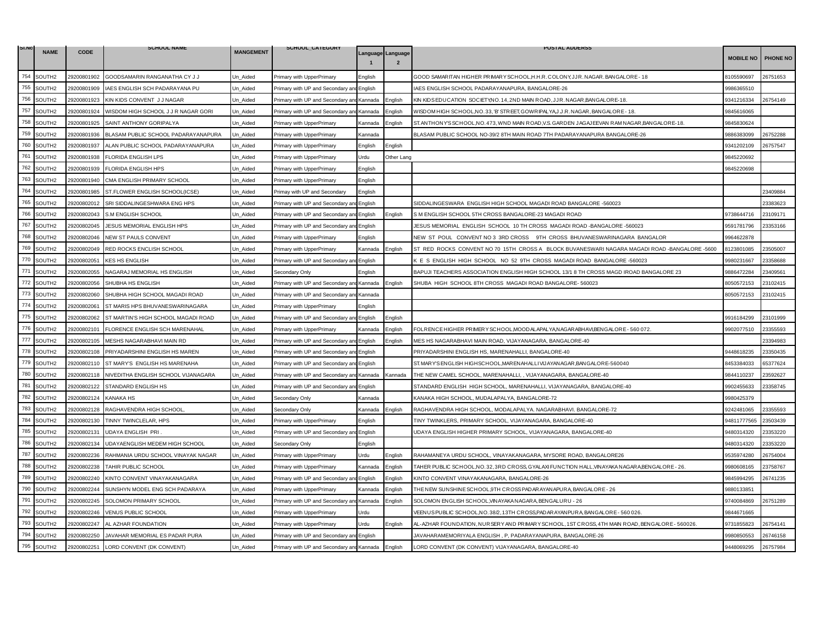| SI.NO | <b>NAME</b>        |             | <b>SCHOOL NAME</b>                  | <b>MANGEMENT</b> | SCHOOL_CATEGORY                           |         |                                     | <b>POSTAL ADDERSS</b>                                                                          |                  |                 |
|-------|--------------------|-------------|-------------------------------------|------------------|-------------------------------------------|---------|-------------------------------------|------------------------------------------------------------------------------------------------|------------------|-----------------|
|       |                    | <b>CODE</b> |                                     |                  |                                           |         | Language Language<br>$\overline{2}$ |                                                                                                | <b>MOBILE NO</b> | <b>PHONE NO</b> |
| 754   | SOUTH2             | 29200801902 | GOODSAMARIN RANGANATHA CY J J       | Un_Aided         | Primary with UpperPrimary                 | English |                                     | GOOD SAMARITAN HIGHER PRIMARY SCHOOL,H.H.R. COLONY,JJR. NAGAR. BANGALORE - 18                  | 8105590697       | 26751653        |
| 755   | SOUTH2             | 29200801909 | IAES ENGLISH SCH PADARAYANA PU      | Jn Aided         | Primary with UP and Secondary ar          | English |                                     | <b>IAES ENGLISH SCHOOL PADARAYANAPURA, BANGALORE-26</b>                                        | 9986365510       |                 |
| 756   | SOUTH2             | 29200801923 | KIN KIDS CONVENT J J NAGAR          | Un Aided         | Primary with UP and Secondary and Kannada |         | English                             | KIN KIDSEDUCATION SOCIETY, NO. 14, 2ND MAIN ROAD, JJR. NAGAR, BANGALORE-18.                    | 9341216334       | 26754149        |
| 757   | SOUTH2             | 29200801924 | WISDOM HIGH SCHOOL J J R NAGAR GORI | Jn Aided         | Primary with UP and Secondary an          | Kannada | English                             | WISDOM HIGH SCHOOL,NO.33, 'B' STREET, GOWR IPALYA,J.J.R. NAGAR, BANGALORE - 18.                | 9845616065       |                 |
| 758   | SOUTH2             | 29200801925 | SAINT ANTHONY GORIPALYA             | Jn_Aided         | Primary with UpperPrimary                 | Kannada | Enalish                             | ST. ANTHONY'S SCHOOL, NO. 473, WND MAIN ROAD, V.S. GARDEN JAGAJ EEVAN RAM NAGAR, BANGALORE-18. | 9845830624       |                 |
| 759   | SOUTH2             | 29200801936 | BLASAM PUBLIC SCHOOL PADARAYANAPURA | Un_Aided         | Primary with UpperPrimary                 | Kannada |                                     | BLASAM PUBLIC SCHOOL NO-39/2 8TH MAIN ROAD 7TH PADARAYANAPURA BANGALORE-26                     | 9886383099       | 26752288        |
| 760   | SOUTH <sub>2</sub> | 29200801937 | ALAN PUBLIC SCHOOL PADARAYANAPURA   | Un_Aided         | Primary with UpperPrimary                 | English | English                             |                                                                                                | 9341202109       | 26757547        |
| 761   | SOUTH2             | 29200801938 | <b>FLORIDA ENGLISH LPS</b>          | Un Aided         | Primary with UpperPrimary                 | Urdu    | Other Lang                          |                                                                                                | 9845220692       |                 |
| 762   | SOUTH2             | 29200801939 | <b>FLORIDA ENGLISH HPS</b>          | Un_Aided         | Primary with UpperPrimary                 | English |                                     |                                                                                                | 9845220698       |                 |
| 763   | SOUTH2             | 29200801940 | CMA ENGLISH PRIMARY SCHOOL          | Un Aided         | Primary with UpperPrimary                 | English |                                     |                                                                                                |                  |                 |
| 764   | SOUTH2             | 29200801985 | ST.FLOWER ENGLISH SCHOOL(ICSE)      | Un_Aided         | Primay with UP and Secondary              | English |                                     |                                                                                                |                  | 23409884        |
| 765   | SOUTH2             | 29200802012 | SRI SIDDALINGESHWARA ENG HPS        | Un Aided         | Primary with UP and Secondary a           | English |                                     | SIDDALINGESWARA ENGLISH HIGH SCHOOL MAGADI ROAD BANGALORE -560023                              |                  | 23383623        |
| 766   | SOUTH2             | 29200802043 | S.M ENGLISH SCHOOL                  | Un Aided         | Primary with UP and Secondary an          | English | English                             | S M ENGLISH SCHOOL 5TH CROSS BANGALORE-23 MAGADI ROAD                                          | 9738644716       | 23109171        |
| 767   | SOUTH2             | 29200802045 | JESUS MEMORIAL ENGLISH HPS          | Un_Aided         | Primary with UP and Secondary ar          | English |                                     | JESUS MEMORIAL ENGLISH SCHOOL 10 TH CROSS MAGADI ROAD -BANGALORE -560023                       | 9591781796       | 23353166        |
| 768   | SOUTH2             | 29200802046 | NEW ST PAULS CONVENT                | Jn Aided         | Primary with UpperPrimary                 | English |                                     | NEW ST POUL CONVENT NO 3 3RD CROSS 9TH CROSS BHUVANESWARINAGARA BANGALOR                       | 9964622878       |                 |
| 769   | SOUTH2             | 29200802049 | RED ROCKS ENCLISH SCHOOL            | Un Aided         | Primary with UpperPrimary                 | Kannada | English                             | ST RED ROCKS CONVENT NO 70 15TH CROSS A BLOCK BUVANESWARI NAGARA MAGADI ROAD -BANGALORE -5600  | 8123801085       | 23505007        |
| 770   | SOUTH <sub>2</sub> | 29200802051 | <b>KES HS ENGLISH</b>               | Un_Aided         | Primary with UP and Secondary an          | English |                                     | K E S ENGLISH HIGH SCHOOL NO 52 9TH CROSS MAGADI ROAD BANGALORE -560023                        | 9980231667       | 23358688        |
| 771   | SOUTH2             | 29200802055 | NAGARAJ MEMORIAL HS ENGLISH         | Un_Aided         | Secondary Only                            | English |                                     | BAPUJI TEACHERS ASSOCIATION ENGLISH HIGH SCHOOL 13/1 8 TH CROSS MAGD IROAD BANGALORE 23        | 9886472284       | 23409561        |
| 772   | SOUTH2             | 29200802056 | SHUBHA HS ENGLISH                   | Un_Aided         | Primary with UP and Secondary an          | Kannada | Enalish                             | SHUBA HIGH SCHOOL 8TH CROSS MAGADI ROAD BANGALORE- 560023                                      | 8050572153       | 23102415        |
| 773   | SOUTH <sub>2</sub> | 29200802060 | SHUBHA HIGH SCHOOL MAGADI ROAD      | Un Aided         | Primary with UP and Secondary an          | Kannada |                                     |                                                                                                | 3050572153       | 23102415        |
| 774   | SOUTH2             | 29200802061 | ST MARIS HPS BHUVANESWARINAGARA     | Un_Aided         | Primary with UpperPrimary                 | Enalish |                                     |                                                                                                |                  |                 |
| 775   | SOUTH2             | 29200802062 | ST MARTIN'S HIGH SCHOOL MAGADI ROAD | Un Aided         | Primary with UP and Secondary ar          | English | Enalish                             |                                                                                                | 9916184299       | 23101999        |
| 776   | SOUTH2             | 29200802101 | FLORENCE ENGLISH SCH MARENAHAL      | Un Aided         | Primary with UpperPrimary                 | Kannada | English                             | FOLR ENCE HIGHER PRIMERY SCHOOL, MOOD ALAPALYA, NAGARABHAVI, BENGALORE - 560 072.              | 9902077510       | 23355593        |
| 777   | SOUTH2             | 29200802105 | MESHS NAGARABHAVI MAIN RD           | Un_Aided         | Primary with UP and Secondary and         | English | Enalish                             | MES HS NAGARABHAVI MAIN ROAD, VIJAYANAGARA, BANGALORE-40                                       |                  | 23394983        |
| 778   | SOUTH2             | 29200802108 | PRIYADARSHINI ENGLISH HS MAREN      | Un Aided         | Primary with UP and Secondary an          | English |                                     | PRIYADARSHINI ENGLISH HS, MARENAHALLI, BANGALORE-40                                            | 9448618235       | 23350435        |
| 779   | SOUTH2             | 29200802110 | ST MARY'S ENGLISH HS MARENAHA       | Jn_Aided         | Primary with UP and Secondary and         | English |                                     | ST. MARY'S ENGLISH HIGHSCHOOL, MAREN AHALLI VIJ AYAN AGAR, BANGALORE-560040                    | 3453384033       | 35377624        |
| 780   | SOUTH2             | 29200802118 | NIVEDITHA ENGLISH SCHOOL VIJANAGARA | Un_Aided         | Primary with UP and Secondary ar          | Kannada | Kannada                             | THE NEW CAMEL SCHOOL, MARENAHALLI, , VIJAYANAGARA, BANGALORE-40                                | 9844110237       | 23592627        |
| 781   | SOUTH <sub>2</sub> | 29200802122 | STANDARD ENGLISH HS                 | Un Aided         | Primary with UP and Secondary an          | English |                                     | STANDARD ENGLISH HIGH SCHOOL, MARENAHALLI, VIJAYANAGARA, BANGALORE-40                          | 9902455633       | 23358745        |
| 782   | SOUTH2             | 29200802124 | <b>KANAKA HS</b>                    | Un Aided         | Secondary Only                            | Kannada |                                     | KANAKA HIGH SCHOOL, MUDALAPALYA, BANGALORE-72                                                  | 9980425379       |                 |
| 783   | SOUTH2             | 29200802128 | RAGHAVENDRA HIGH SCHOOL             | Un_Aided         | Secondary Only                            | Kannada | English                             | RAGHAVENDRA HIGH SCHOOL, MODALAPALYA. NAGARABHAVI. BANGALORE-72                                | 9242481065       | 23355593        |
| 784   | SOUTH2             | 29200802130 | TINNY TWINCLELAR, HPS               | Un_Aided         | Primary with UpperPrimary                 | English |                                     | TINY TWINKLERS, PRIMARY SCHOOL, VIJAYANAGARA, BANGALORE-40                                     | 94811777565      | 23503439        |
| 785   | SOUTH2             | 29200802131 | <b>UDAYA ENGLISH PRI</b>            | Un Aided         | Primary with UP and Secondary and         | English |                                     | UDAYA ENGLISH HIGHER PRIMARY SCHOOL, VIJAYANAGARA, BANGALORE-40                                | 9480314320       | 23353220        |
| 786   | SOUTH2             | 29200802134 | UDAYAENGLISH MEDEM HIGH SCHOOL      | Un Aided         | Secondary Only                            | English |                                     |                                                                                                | 9480314320       | 23353220        |
| 787   | SOUTH2             | 29200802236 | RAHMANIA URDU SCHOOL VINAYAK NAGAR  | Un_Aided         | Primary with UpperPrimary                 | Urdu    | English                             | RAHAMANEYA URDU SCHOOL, VINAYAKANAGARA, MYSORE ROAD, BANGALORE26                               | 9535974280       | 26754004        |
| 788   | SOUTH2             | 29200802238 | TAHIR PUBLIC SCHOOL                 | Un_Aided         | Primary with UpperPrimary                 | Kannada | English                             | TAHER PUBLIC SCHOOL,NO. 32, 3RD CROSS, GYALAXI FUNCTION HALL,VINAYAKA NAGARA,BENGALORE - 26    | 9980608165       | 23758767        |
| 789   | SOUTH2             | 29200802240 | KINTO CONVENT VINAYAKANAGARA        | Jn Aided         | Primary with UP and Secondary an          | English | English                             | KINTO CONVENT VINAYAKANAGARA, BANGALORE-26                                                     | 9845994295       | 26741235        |
| 790   | SOUTH2             | 29200802244 | SUNSHYN MODEL ENG SCH PADARAYA      | Un_Aided         | Primary with UpperPrimary                 | Kannada | English                             | THE NEW SUNSHINE SCHOOL, 9TH CROSS PADARAYANAPURA, BANGALORE - 26                              | 9880133851       |                 |
| 791   | SOUTH <sub>2</sub> | 29200802245 | SOLOMON PRIMARY SCHOOL              | Un_Aided         | Primary with UP and Secondary an          | Kannada | Enalish                             | SOLOMON ENGLISH SCHOOL, VINAYAKA NAGARA, BENGALURU - 26                                        | 9740084869       | 26751289        |
| 792   | SOUTH2             | 29200802246 | VENUS PUBLIC SCHOOL                 | Un_Aided         | Primary with UpperPrimary                 | Urdu    |                                     | /EENUS PUBLIC SCHOOL, NO. 38/2, 13TH CROSS, PADARAYAN PURA, BANGALORE - 560 026.               | 9844671665       |                 |
| 793   | SOUTH2             | 29200802247 | AL AZHAR FOUNDATION                 | Un Aided         | Primary with UpperPrimary                 | Urdu    | English                             | AL-AZHAR FOUNDATION, NURSERY AND PRIMARY SCHOOL, 1ST CROSS, 4TH MAIN ROAD, BENGALORE - 560026. | 9731855823       | 26754141        |
| 794   | SOUTH2             | 29200802250 | JAVAHAR MEMORIAL ES PADAR PURA      | Un Aided         | Primary with UP and Secondary an          | English |                                     | JAVAHARAMEMORIYALA ENGLISH, P, PADARAYANAPURA, BANGALORE-26                                    | 9980850553       | 26746158        |
| 795   | SOUTH2             | 29200802251 | LORD CONVENT (DK CONVENT)           | Un Aided         | Primary with UP and Secondary and Kannada |         | English                             | LORD CONVENT (DK CONVENT) VIJAYANAGARA, BANGALORE-40                                           | 9448069295       | 26757984        |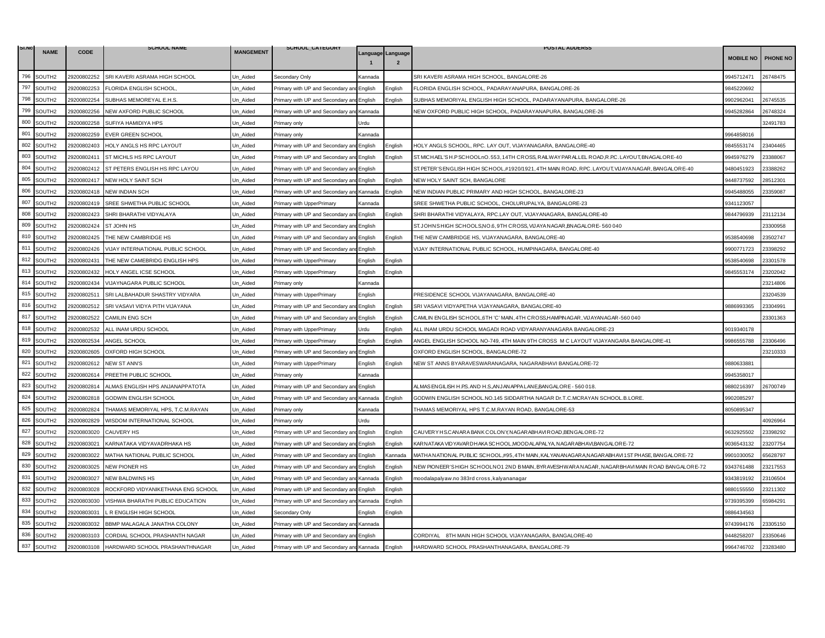| SI.NO | <b>NAME</b>        |             | <b>SCHOOL NAME</b>                         | <b>MANGEMENT</b> | SCHOOL_CAILGORY                           |         |                   | <b>POSTAL ADDERSS</b>                                                                              |                  |                 |
|-------|--------------------|-------------|--------------------------------------------|------------------|-------------------------------------------|---------|-------------------|----------------------------------------------------------------------------------------------------|------------------|-----------------|
|       |                    | <b>CODE</b> |                                            |                  |                                           |         | Language Language |                                                                                                    | <b>MOBILE NO</b> | <b>PHONE NO</b> |
| 796   | SOUTH2             | 29200802252 | SRI KAVERI ASRAMA HIGH SCHOOL              | Un_Aided         | Secondary Only                            | Kannada |                   | SRI KAVERI ASRAMA HIGH SCHOOL, BANGALORE-26                                                        | 9945712471       | 26748475        |
| 797   | SOUTH2             | 29200802253 | FLORIDA ENGLISH SCHOOL                     | Jn Aided         | Primary with UP and Secondary an          | English | Enalish           | FLORIDA ENGLISH SCHOOL, PADARAYANAPURA, BANGALORE-26                                               | 9845220692       |                 |
| 798   | SOUTH2             | 29200802254 | SUBHAS MEMOREYAL E.H.S.                    | Un Aided         | Primary with UP and Secondary and         | English | Enalish           | SUBHAS MEMORIYAL ENGLISH HIGH SCHOOL, PADARAYANAPURA, BANGALORE-26                                 | 9902962041       | 26745535        |
| 799   | SOUTH2             | 29200802256 | NEW AXFORD PUBLIC SCHOOL                   | Jn Aided         | Primary with UP and Secondary an          | Kannada |                   | NEW OXFORD PUBLIC HIGH SCHOOL, PADARAYANAPURA, BANGALORE-26                                        | 9945282864       | 26748324        |
| 800   | SOUTH2             | 29200802258 | SUFIYA HAMIDIYA HPS                        | Un_Aided         | <sup>2</sup> rimary only                  | Urdu    |                   |                                                                                                    |                  | 32491783        |
| 801   | SOUTH2             | 29200802259 | <b>EVER GREEN SCHOOL</b>                   | Un_Aided         | Primary only                              | Kannada |                   |                                                                                                    | 9964858016       |                 |
| 802   | SOUTH2             | 29200802403 | HOLY ANGLS HS RPC LAYOUT                   | Jn Aided         | Primary with UP and Secondary an          | English | English           | HOLY ANGLS SCHOOL, RPC. LAY OUT, VIJAYANAGARA, BANGALORE-40                                        | 9845553174       | 23404465        |
| 803   | SOUTH2             | 29200802411 | ST MICHLS HS RPC LAYOUT                    | Un Aided         | Primary with UP and Secondary an          | English | English           | ST. MICHAEL'SH.P SCHOOLnO.553, 14TH CROSS, RAILWAY PARALLEL ROAD,R.P.C. LAYOUT, BNAGALORE-40       | 9945976279       | 23388067        |
| 804   | SOUTH2             | 29200802412 | ST PETERS ENGLISH HS RPC LAYOU             | Un Aided         | Primary with UP and Secondary an          | English |                   | ST. PETER'S ENGLISH HIGH SCHOOL #1920/1921, 4TH MAIN ROAD, RPC. LAYOUT, VIJAYA NAGAR, BANGALORE-40 | 9480451923       | 23388262        |
| 805   | SOUTH2             | 29200802417 | <b>NEW HOLY SAINT SCH</b>                  | Un Aided         | Primary with UP and Secondary and         | English | English           | NEW HOLY SAINT SCH, BANGALORE                                                                      | 9448737592       | 28512301        |
| 806   | SOUTH2             | 29200802418 | NEW INDIAN SCH                             | Un_Aided         | Primary with UP and Secondary and         | Kannada | Enalish           | NEW INDIAN PUBLIC PRIMARY AND HIGH SCHOOL, BANGALORE-23                                            | 9945488055       | 23359087        |
| 807   | SOUTH2             | 29200802419 | SREE SHWETHA PUBLIC SCHOOL                 | Un Aided         | Primary with UpperPrimary                 | Kannada |                   | SREE SHWETHA PUBLIC SCHOOL, CHOLURUPALYA, BANGALORE-23                                             | 9341123057       |                 |
| 808   | SOUTH2             | 29200802423 | SHRI BHARATHI VIDYALAYA                    | Un Aided         | Primary with UP and Secondary an          | English | English           | SHRI BHARATHI VIDYALAYA, RPC.LAY OUT, VIJAYANAGARA, BANGALORE-40                                   | 9844796939       | 23112134        |
| 809   | SOUTH2             | 29200802424 | ST JOHN HS                                 | Un_Aided         | Primary with UP and Secondary a           | English |                   | ST. JOHNS HIGH SCHOOLS, NO.6, 9TH CROSS, VIJAYA NAGAR, BNAGALORE-560 040                           |                  | 23300958        |
| 810   | SOUTH2             | 29200802425 | THE NEW CAMBRIDGE HS                       | Jn Aided         | Primary with UP and Secondary ar          | English | English           | THE NEW CAMBRIDGE HS, VIJAYANAGARA, BANGALORE-40                                                   | 9538540698       | 23502747        |
| 811   | SOUTH2             | 29200802426 | VIJAY INTERNATIONAL PUBLIC SCHOOL          | Un Aided         | Primary with UP and Secondary and         | English |                   | VIJAY INTERNATIONAL PUBLIC SCHOOL, HUMPINAGARA, BANGALORE-40                                       | 9900771723       | 23398292        |
| 812   | SOUTH2             | 29200802431 | THE NEW CAMEBRIDG ENGLISH HPS              | Jn_Aided         | Primary with UpperPrimary                 | English | English           |                                                                                                    | 9538540698       | 23301578        |
| 813   | SOUTH2             | 29200802432 | HOLY ANGEL ICSE SCHOOL                     | Un_Aided         | Primary with UpperPrimary                 | English | English           |                                                                                                    | 9845553174       | 23202042        |
| 814   | SOUTH2             | 29200802434 | VIJAYNAGARA PUBLIC SCHOOL                  | Un_Aided         | Primary only                              | Kannada |                   |                                                                                                    |                  | 23214806        |
| 815   | SOUTH2             | 29200802511 | SRI LALBAHADUR SHASTRY VIDYARA             | Un_Aided         | Primary with UpperPrimary                 | English |                   | PRESIDENCE SCHOOL VIJAYANAGARA, BANGALORE-40                                                       |                  | 23204539        |
| 816   | SOUTH2             | 29200802512 | SRI VASAVI VIDYA PITH VIJAYANA             | Un Aided         | Primary with UP and Secondary a           | English | English           | SRI VASAVI VIDYAPETHA VIJAYANAGARA, BANGALORE-40                                                   | 9886993365       | 23304991        |
| 817   | SOUTH2             | 29200802522 | CAMILIN ENG SCH                            | Un Aided         | Primary with UP and Secondary ar          | English | English           | CAMLIN ENGLISH SCHOOL,6TH 'C' MAIN, 4TH CROSS,HAMPINAGAR, VIJAYANAGAR-560 040                      |                  | 23301363        |
| 818   | SOUTH2             | 29200802532 | ALL INAM URDU SCHOOL                       | Jn Aided         | Primary with UpperPrimary                 | Urdu    | Enalish           | ALL INAM URDU SCHOOL MAGADI ROAD VIDYARANYANAGARA BANGALORE-23                                     | 9019340178       |                 |
| 819   | SOUTH2             | 29200802534 | ANGEL SCHOOL                               | Un Aided         | Primary with UpperPrimary                 | English | English           | ANGEL ENGLISH SCHOOL NO-749, 4TH MAIN 9TH CROSS M C LAYOUT VIJAYANGARA BANGALORE-41                | 9986555788       | 23306496        |
| 820   | SOUTH <sub>2</sub> | 29200802605 | OXFORD HIGH SCHOOL                         | Jn Aided         | Primary with UP and Secondary ar          | English |                   | OXFORD ENGLISH SCHOOL, BANGALORE-72                                                                |                  | 23210333        |
| 821   | SOUTH2             | 29200802612 | <b>NEW ST ANN'S</b>                        | Jn Aided         | Primary with UpperPrimary                 | English | English           | NEW ST ANNS BYARAVESWARANAGARA, NAGARABHAVI BANGALORE-72                                           | 9880633881       |                 |
| 822   | SOUTH2             | 29200802614 | PREETHI PUBLIC SCHOOL                      | Un Aided         | Primarv onlv                              | Kannada |                   |                                                                                                    | 9945358017       |                 |
| 823   | SOUTH2             | 29200802814 | ALMAS ENGLISH HPS ANJANAPPATOTA            | Un Aided         | Primary with UP and Secondary an          | English |                   | ALMAS ENGILISH H.P.S. AND H.S. AN JANAPPA LANE, BANGALORE - 560 018.                               | 9880216397       | 26700749        |
| 824   | SOUTH2             | 29200802818 | GODWIN ENGLISH SCHOOL                      | Un Aided         | Primary with UP and Secondary an          | Kannada | English           | GODWIN ENGLISH SCHOOL.NO.145 SIDDARTHA NAGAR Dr.T.C.MCRAYAN SCHOOL.B.LORE.                         | 9902085297       |                 |
| 825   | SOUTH2             | 29200802824 | THAMAS MEMORIYAL HPS, T.C.M.RAYAN          | Un_Aided         | <sup>9</sup> rimary only                  | Kannada |                   | THAMAS MEMORIYAL HPS T.C.M.RAYAN ROAD, BANGALORE-53                                                | 8050895347       |                 |
| 826   | SOUTH2             | 29200802829 | WISDOM INTERNATIONAL SCHOOL                | Un_Aided         | Primary only                              | Urdu    |                   |                                                                                                    |                  | 40926964        |
| 827   | SOUTH2             | 29200803020 | <b>CAUVERY HS</b>                          | Un Aided         | Primary with UP and Secondary and         | English | English           | CAUVERY HS.CANARA BANK COLONY, NAGARABHAVIROAD, BENGALORE-72                                       | 9632925502       | 23398292        |
| 828   | SOUTH <sub>2</sub> | 29200803021 | KARNATAKA VIDYAVADRHAKA HS                 | Jn Aided         | Primary with UP and Secondary ar          | English | English           | KARNATAKA VIDYAVARDHAKA SCHOOL,MOODALAPALYA, NAGARABHAVI,BANGALORE-72                              | 9036543132       | 23207754        |
| 829   | SOUTH2             | 29200803022 | MATHA NATIONAL PUBLIC SCHOOL               | Un_Aided         | Primary with UP and Secondary ar          | English | Kannada           | MATHA NATIONAL PUBLIC SCHOOL,#95, 4TH MAIN, KALYANANAGARA,NAGARABHAVI 1ST PHASE, BANGALORE-72      | 9901030052       | 35628797        |
| 830   | SOUTH2             | 29200803025 | <b>NEW PIONER HS</b>                       | Un_Aided         | Primary with UP and Secondary ar          | English | English           | NEW PIONEER 'S HIGH SCHOOLNO1 2ND BMAIN, BYRAVESHWARA NAGAR, NAGAR BHAVI MAIN ROAD BANGALORE-72    | 9343761488       | 23217553        |
| 831   | SOUTH2             | 29200803027 | <b>NEW BALDWINS HS</b>                     | Jn Aided         | Primary with UP and Secondary and         | Kannada | English           | moodalapalyaw.no 383rd cross, kalyananagar                                                         | 9343819192       | 23106504        |
| 832   | SOUTH2             | 29200803028 | ROCKFORD VIDYANIKETHANA ENG SCHOOL         | Un Aided         | Primary with UP and Secondary ar          | English | English           |                                                                                                    | 9880155550       | 23211302        |
| 833   | SOUTH2             | 29200803030 | VISHWA BHARATHI PUBLIC EDUCATION           | Un_Aided         | Primary with UP and Secondary an          | Kannada | English           |                                                                                                    | 9739395399       | 35984291        |
| 834   | SOUTH2             | 29200803031 | L R ENGLISH HIGH SCHOOL                    | Un_Aided         | Secondary Only                            | English | English           |                                                                                                    | 9886434563       |                 |
| 835   | SOUTH2             | 29200803032 | BBMP MALAGALA JANATHA COLONY               | Un Aided         | Primary with UP and Secondary ar          | Kannada |                   |                                                                                                    | 9743994176       | 23305150        |
| 836   | SOUTH <sub>2</sub> | 29200803103 | CORDIAL SCHOOL PRASHANTH NAGAR             | Jn Aided         | Primary with UP and Secondary an          | English |                   | CORDIYAL 8TH MAIN HIGH SCHOOL VIJAYANAGARA, BANGALORE-40                                           | 9448258207       | 23350646        |
| 837   | SOUTH2             |             | 29200803108 HARDWARD SCHOOL PRASHANTHNAGAR | Un Aided         | Primary with UP and Secondary and Kannada |         | English           | HARDWARD SCHOOL PRASHANTHANAGARA, BANGALORE-79                                                     | 9964746702       | 23283480        |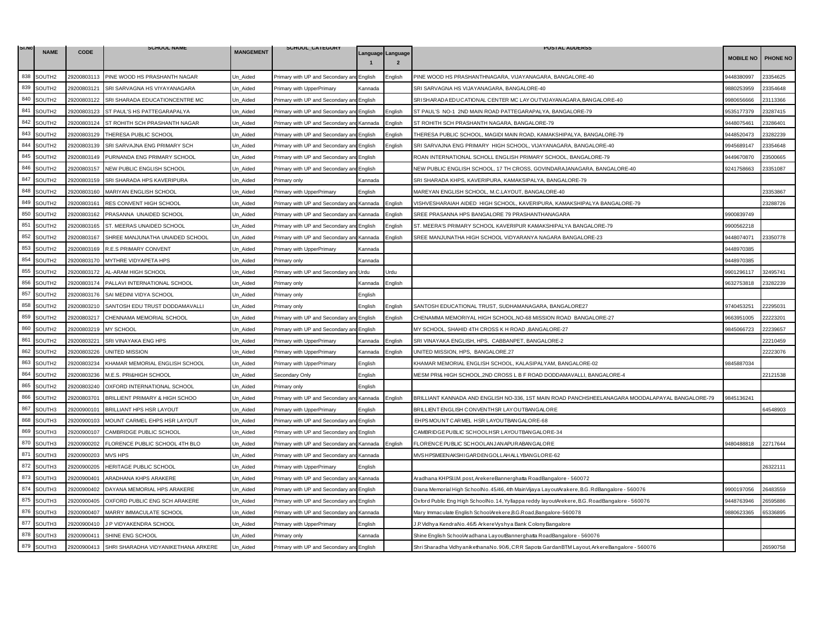| SI.NO |                    |             | <b>SCHOOL NAME</b>                              |                  | SCHOOL_CATEGORY                           |         |                                     | <b>POSTAL ADDERSS</b>                                                                           |                  |                 |
|-------|--------------------|-------------|-------------------------------------------------|------------------|-------------------------------------------|---------|-------------------------------------|-------------------------------------------------------------------------------------------------|------------------|-----------------|
|       | <b>NAME</b>        | <b>CODE</b> |                                                 | <b>MANGEMENT</b> |                                           |         | Language Language<br>$\overline{2}$ |                                                                                                 | <b>MOBILE NO</b> | <b>PHONE NO</b> |
| 838   | SOUTH2             | 29200803113 | PINE WOOD HS PRASHANTH NAGAR                    | Un_Aided         | Primary with UP and Secondary an          | English | :nalish                             | PINE WOOD HS PRASHANTHNAGARA, VIJAYANAGARA, BANGALORE-40                                        | 9448380997       | 23354625        |
| 839   | SOUTH2             | 29200803121 | SRI SARVAGNA HS VIYAYANAGARA                    | Jn Aided         | Primary with UpperPrimary                 | Kannada |                                     | SRI SARVAGNA HS VIJAYANAGARA, BANGALORE-40                                                      | 9880253959       | 23354648        |
| 840   | SOUTH2             | 29200803122 | SRI SHARADA EDUCATIONCENTRE MC                  | Un Aided         | Primary with UP and Secondary and English |         |                                     | SRISHARADA EDUCATIONAL CENTER MC LAY OUTVIJAYANAGARA, BANGALORE-40                              | 9980656666       | 23113366        |
| 841   | SOUTH2             | 29200803123 | ST PAUL'S HS PATTEGARAPALYA                     | Jn Aided         | Primary with UP and Secondary ar          | English | English                             | ST PAUL'S NO-1 2ND MAIN ROAD PATTEGARAPALYA, BANGALORE-79                                       | 9535177379       | 23287415        |
| 842   | SOUTH2             | 29200803124 | ST ROHITH SCH PRASHANTH NAGAR                   | Jn_Aided         | rimary with UP and Secondary an           | Kannada | English                             | ST ROHITH SCH PRASHANTH NAGARA, BANGALORE-79                                                    | 9448075461       | 23286401        |
| 843   | SOUTH2             | 29200803129 | THERESA PUBLIC SCHOOL                           | Un_Aided         | Primary with UP and Secondary ar          | English | Enalish                             | THERESA PUBLIC SCHOOL, MAGIDI MAIN ROAD, KAMAKSHIPALYA, BANGALORE-79                            | 9448520473       | 23282239        |
| 844   | SOUTH2             | 29200803139 | SRI SARVAJNA ENG PRIMARY SCH                    | Jn Aided         | Primary with UP and Secondary and         | English | Enalish                             | SRI SARVAJNA ENG PRIMARY HIGH SCHOOL, VIJAYANAGARA, BANGALORE-40                                | 9945689147       | 23354648        |
| 845   | SOUTH2             | 29200803149 | PURNANDA ENG PRIMARY SCHOOL                     | Un Aided         | Primary with UP and Secondary an          | English |                                     | ROAN INTERNATIONAL SCHOLL ENGLISH PRIMARY SCHOOL, BANGALORE-79                                  | 9449670870       | 23500665        |
| 846   | SOUTH2             | 29200803157 | NEW PUBLIC ENGLISH SCHOOL                       | Un_Aided         | Primary with UP and Secondary an          | English |                                     | NEW PUBLIC ENGLISH SCHOOL, 17 TH CROSS, GOVINDARAJANAGARA, BANGALORE-40                         | 9241758663       | 23351087        |
| 847   | SOUTH2             | 29200803159 | SRI SHARADA HPS KAVERIPURA                      | Jn_Aided         | Primary only                              | Kannada |                                     | SRI SHARADA KHPS, KAVERIPURA, KAMAKSIPALYA, BANGALORE-79                                        |                  |                 |
| 848   | SOUTH2             | 29200803160 | MARIYAN ENGLISH SCHOOL                          | Un_Aided         | Primary with UpperPrimary                 | English |                                     | MAREYAN ENGLISH SCHOOL, M.C.LAYOUT, BANGALORE-40                                                |                  | 23353867        |
| 849   | SOUTH <sub>2</sub> | 29200803161 | RES CONVENT HIGH SCHOOL                         | Un Aided         | Primary with UP and Secondary ar          | Kannada | English                             | VISHVESHARAIAH AIDED HIGH SCHOOL, KAVERIPURA, KAMAKSHIPALYA BANGALORE-79                        |                  | 23288726        |
| 850   | SOUTH2             | 29200803162 | PRASANNA UNAIDED SCHOOL                         | Un_Aided         | Primary with UP and Secondary and         | Kannada | English                             | SREE PRASANNA HPS BANGALORE 79 PRASHANTHANAGARA                                                 | 9900839749       |                 |
| 851   | SOUTH2             | 29200803165 | ST. MEERAS UNAIDED SCHOOL                       | Un_Aided         | Primary with UP and Secondary ar          | English | English                             | ST. MEERA'S PRIMARY SCHOOL KAVERIPUR KAMAKSHIPALYA BANGALORE-79                                 | 9900562218       |                 |
| 852   | SOUTH2             | 29200803167 | SHREE MANJUNATHA UNAIDED SCHOOL                 | Jn Aided         | Primary with UP and Secondary and         | Kannada | English                             | SREE MANJUNATHA HIGH SCHOOL VIDYARANYA NAGARA BANGALORE-23                                      | 9448074071       | 23350778        |
| 853   | SOUTH2             | 29200803169 | R.E.S PRIMARY CONVENT                           | Un Aided         | Primary with UpperPrimary                 | Kannada |                                     |                                                                                                 | 9448970385       |                 |
| 854   | SOUTH2             | 29200803170 | MYTHRE VIDYAPETA HPS                            | Un_Aided         | Primary only                              | Kannada |                                     |                                                                                                 | 9448970385       |                 |
| 855   | SOUTH2             | 29200803172 | AL-ARAM HIGH SCHOOL                             | Jn Aided         | Primary with UP and Secondary ar          | Urdu    | Urdu                                |                                                                                                 | 9901296117       | 32495741        |
| 856   | SOUTH2             |             | 29200803174 PALLAVI INTERNATIONAL SCHOOL        | Un_Aided         | Primary only                              | Kannada | English                             |                                                                                                 | 9632753818       | 23282239        |
| 857   | SOUTH2             | 29200803176 | SAI MEDINI VIDYA SCHOOL                         | Jn Aided         | Primary only                              | English |                                     |                                                                                                 |                  |                 |
| 858   | SOUTH2             | 29200803210 | SANTOSH EDU TRUST DODDAMAVALLI                  | Un Aided         | <sup>2</sup> rimary only                  | English | English                             | SANTOSH EDUCATIONAL TRUST, SUDHAMANAGARA, BANGALORE27                                           | 9740453251       | 22295031        |
| 859   | SOUTH2             | 29200803217 | CHENNAMA MEMORIAL SCHOOL                        | Un_Aided         | Primary with UP and Secondary ar          | English | English                             | CHENAMMA MEMORIYAL HIGH SCHOOL,NO-68 MISSION ROAD  BANGALORE-27                                 | 9663951005       | 22223201        |
| 860   | SOUTH2             | 29200803219 | <b>MY SCHOOL</b>                                | Jn Aided         | Primary with UP and Secondary an          | English |                                     | MY SCHOOL, SHAHID 4TH CROSS K H ROAD , BANGALORE-27                                             | 9845066723       | 22239657        |
| 861   | SOUTH2             | 29200803221 | SRI VINAYAKA ENG HPS                            | Un Aided         | Primary with UpperPrimary                 | Kannada | English                             | SRI VINAYAKA ENGLISH, HPS, CABBANPET, BANGALORE-2                                               |                  | 22210459        |
| 862   | SOUTH2             | 29200803226 | <b>UNITED MISSION</b>                           | Un_Aided         | Primary with UpperPrimary                 | Kannada | English                             | UNITED MISSION, HPS, BANGALORE.27                                                               |                  | 22223076        |
| 863   | SOUTH2             | 29200803234 | KHAMAR MEMORIAL ENGLISH SCHOOL                  | Jn_Aided         | Primary with UpperPrimary                 | English |                                     | KHAMAR MEMORIAL ENGLISH SCHOOL, KALASIPALYAM, BANGALORE-02                                      | 9845887034       |                 |
| 864   | SOUTH2             | 29200803236 | M.E.S. PRI&HIGH SCHOOL                          | Un Aided         | Secondary Only                            | English |                                     | MESM PRI& HIGH SCHOOL,2ND CROSS L B F ROAD DODDAMAVALLI, BANGALORE-4                            |                  | 22121538        |
| 865   | SOUTH <sub>2</sub> | 29200803240 | OXFORD INTERNATIONAL SCHOOL                     | Jn Aided         | <sup>o</sup> rimarv onlv                  | English |                                     |                                                                                                 |                  |                 |
| 866   | SOUTH2             | 29200803701 | BRILLIENT PRIMARY & HIGH SCHOO                  | Un_Aided         | Primary with UP and Secondary and Kannada |         | English                             | BRILLIANT KANNADA AND ENGLISH NO-336, 1ST MAIN ROAD PANCHSHEELANAGARA MOODALAPAYAL BANGALORE-79 | 9845136241       |                 |
| 867   | SOUTH3             | 29200900101 | BRILLIANT HPS HSR LAYOUT                        | Un_Aided         | Primary with UpperPrimary                 | English |                                     | BRILLIENT ENGLISH CONVENTHSR LAY OUTBANGALORE                                                   |                  | 64548903        |
| 868   | SOUTH3             | 29200900103 | MOUNT CARMEL EHPS HSR LAYOUT                    | Jn Aided         | Primary with UP and Secondary and         | English |                                     | EHPS MOUNT CARMEL HSR LAYOUTBANGALORE-68                                                        |                  |                 |
| 869   | SOUTH3             | 29200900107 | CAMBRIDGE PUBLIC SCHOOL                         | Un Aided         | Primary with UP and Secondary ar          | English |                                     | CAMBRIDGE PUBLIC SCHOOLHSR LAYOUTBANGALORE-34                                                   |                  |                 |
| 870   | SOUTH3             | 29200900202 | FLORENCE PUBLIC SCHOOL 4TH BLO                  | Un_Aided         | Primary with UP and Secondary an          | Kannada | Enalish                             | FLORENCE PUBLIC SCHOOLANJANAPURABANGALORE                                                       | 9480488818       | 22717644        |
| 871   | SOUTH3             | 29200900203 | <b>MVS HPS</b>                                  | Un Aided         | Primary with UP and Secondary and         | Kannada |                                     | MVSHPSMEENAKSHIGARDENGOLLAHALLYBANGLORE-62                                                      |                  |                 |
| 872   | SOUTH3             | 29200900205 | HERITAGE PUBLIC SCHOOL                          | Un_Aided         | Primary with UpperPrimary                 | English |                                     |                                                                                                 |                  | 26322111        |
| 873   | SOUTH3             | 29200900401 | ARADHANA KHPS ARAKERE                           | Jn Aided         | Primary with UP and Secondary ar          | Kannada |                                     | Aradhana KHPSI.I.M. post, ArekereBannerghatta RoadBangalore - 560072                            |                  |                 |
| 874   | SOUTH3             | 29200900402 | DAYANA MEMORIAL HPS ARAKERE                     | Un Aided         | Primary with UP and Secondary an          | English |                                     | Diana Memorial High SchoolNo. 45/46, 4th MainVijaya LayoutArakere, B.G. RdBangalore - 560076    | 9900197056       | 26483559        |
| 875   | SOUTH3             | 29200900405 | OXFORD PUBLIC ENG SCH ARAKERE                   | Un_Aided         | Primary with UP and Secondary an          | English |                                     | Oxford Public Eng High SchoolNo. 14, Yyllappa reddy layoutArekere, B.G. RoadBangalore - 560076  | 9448763946       | 26595886        |
| 876   | SOUTH3             | 29200900407 | MARRY IMMACULATE SCHOOL                         | Jn Aided         | Primary with UP and Secondary and         | Kannada |                                     | Mary Immaculate English SchoolArekere, B.G.Road, Bangalore-560078                               | 9880623365       | 65336895        |
| 877   | SOUTH3             | 29200900410 | J P VIDYAKENDRA SCHOOL                          | Un Aided         | Primary with UpperPrimary                 | English |                                     | J.P. Vidhya KendraNo. 46/5 ArkereVyshya Bank ColonyBangalore                                    |                  |                 |
| 878   | SOUTH3             | 29200900411 | SHINE ENG SCHOOL                                | Un_Aided         | <sup>2</sup> rimary only                  | Kannada |                                     | Shine English SchoolAradhana LayoutBannerghatta RoadBangalore - 560076                          |                  |                 |
| 879   | SOUTH3             |             | 29200900413 SHRI SHARADHA VIDYANIKETHANA ARKERE | Un_Aided         | Primary with UP and Secondary and English |         |                                     | Shri Sharadha VidhyanikethanaNo. 90/6, CRR Sapota GardanBTM Layout, ArkereBangalore - 560076    |                  | 26590758        |
|       |                    |             |                                                 |                  |                                           |         |                                     |                                                                                                 |                  |                 |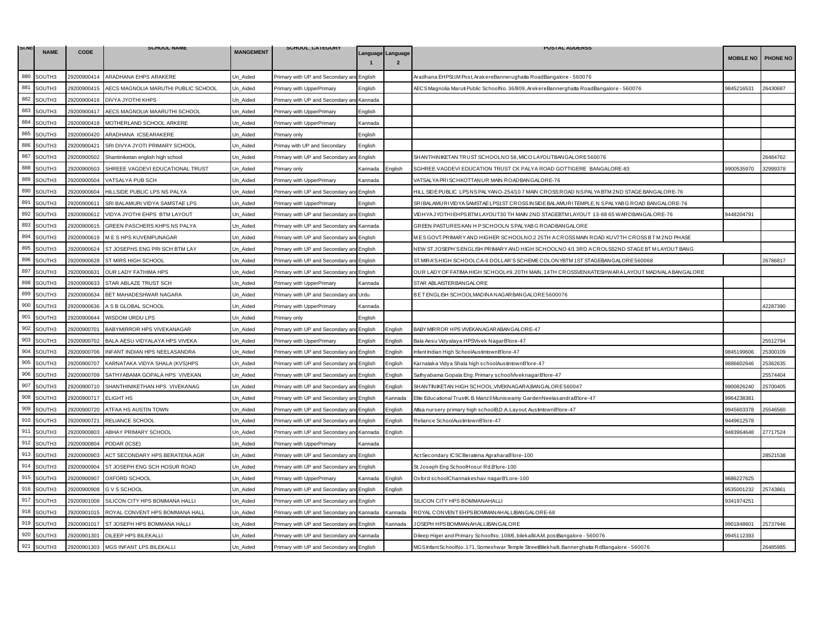| SI.NO | <b>NAME</b>        | <b>CODE</b> | <b>SCHOOL NAME</b>                  | <b>MANGEMENT</b> | SCHOOL_CATEGORY                           |         |                                                                                                                                        | <b>POSTAL ADDERSS</b>                                                                          |                  |                 |
|-------|--------------------|-------------|-------------------------------------|------------------|-------------------------------------------|---------|----------------------------------------------------------------------------------------------------------------------------------------|------------------------------------------------------------------------------------------------|------------------|-----------------|
|       |                    |             |                                     |                  |                                           |         | Language Language                                                                                                                      |                                                                                                | <b>MOBILE NO</b> | <b>PHONE NO</b> |
| 880   | SOUTH3             | 29200900414 | ARADHANA EHPS ARAKERE               | Un_Aided         | Primary with UP and Secondary an          | English |                                                                                                                                        | Aradhana EHPSI.I.M Post, ArakereBannerughatta RoadBangalore - 560076                           |                  |                 |
| 881   | SOUTH3             | 29200900415 | AECS MAGNOLIA MARUTHI PUBLIC SCHOOL | Jn Aided         | Primary with UpperPrimary                 | English |                                                                                                                                        | AECS Magnolia Maruti Public SchoolNo. 36/909, ArekereBannerghatta RoadBangalore - 560076       | 9845216531       | 26430687        |
| 882   | SOUTH <sub>3</sub> | 29200900416 | DIVYA JYOTHI KHPS                   | Un Aided         | Primary with UP and Secondary and Kannada |         |                                                                                                                                        |                                                                                                |                  |                 |
| 883   | SOUTH3             | 29200900417 | AECS MAGNOLIA MAARUTHI SCHOOL       | Jn_Aided         | Primary with UpperPrimary                 | English |                                                                                                                                        |                                                                                                |                  |                 |
| 884   | SOUTH3             | 29200900418 | MOTHERLAND SCHOOL ARKERE            | Jn_Aided         | Primary with UpperPrimary                 | Kannada |                                                                                                                                        |                                                                                                |                  |                 |
| 885   | SOUTH3             | 29200900420 | ARADHANA ICSEARAKERE                | Un_Aided         | Primary only                              | English |                                                                                                                                        |                                                                                                |                  |                 |
| 886   | SOUTH3             | 29200900421 | SRI DIVYA JYOTI PRIMARY SCHOOL      | Jn_Aided         | Primay with UP and Secondary              | English |                                                                                                                                        |                                                                                                |                  |                 |
| 887   | SOUTH3             | 29200900502 | Shantiniketan english high school   | Jn Aided         | Primary with UP and Secondary a           | English |                                                                                                                                        | SHANTHINIKETAN TRUST SCHOOLNO 58, MICO LAYOUTBANGALORE 560076                                  |                  | 26484762        |
| 888   | SOUTH3             | 29200900503 | SHREEE VAGDEVI EDUCATIONAL TRUST    | Un_Aided         | Primary only                              | Kannada | English                                                                                                                                | SGHREE VAGDEVI EDUCATION TRUST CK PALYA ROAD GOTTIGERE BANGALORE-83                            | 9900535970       | 32999378        |
| 889   | SOUTH3             | 29200900504 | VATSALYA PUB SCH                    | Jn Aided         | Primary with UpperPrimary                 | Kannada |                                                                                                                                        | VATSALYA PRISCHKOTTANUR MAIN ROADBANGALORE-76                                                  |                  |                 |
| 890   | SOUTH3             | 29200900604 | HILLSIDE PUBLIC LPS NS PALYA        | Un_Aided         | Primary with UP and Secondary ar          | English |                                                                                                                                        | HILL SIDE PUBLIC LPS NS PALYANO-254/10 7 MAIN CROSS ROAD NS PALYA BTM 2ND STAGE BANGALORE-76   |                  |                 |
| 891   | SOUTH3             | 29200900611 | SRI BALAMURI VIDYA SAMSTAE LPS      | Jn Aided         | Primary with UpperPrimary                 | English |                                                                                                                                        | SRIBALAMURIVID YA SAMSTAE LPS1ST CROSS IN SIDE BALAMURITEMPLE, N S PALYAB G ROAD BANGALORE-76  |                  |                 |
| 892   | SOUTH3             | 29200900612 | VIDYA JYOTHI EHPS BTM LAYOUT        | Un Aided         | Primary with UP and Secondary an          | English |                                                                                                                                        | VIDHYA JYOTHI EHPS BTM LAYOUT30 TH MAIN 2ND STAGEBTM LAYOUT 13-68 65 WARDBANGALORE-76          | 9448204791       |                 |
| 893   | SOUTH3             | 29200900615 | GREEN PASCHERS KHPS NS PALYA        | Un_Aided         | Primary with UP and Secondary ar          | Kannada |                                                                                                                                        | GREEN PASTURES KAN H P SCHOOLN S PALYABG ROADBANGALORE                                         |                  |                 |
| 894   | SOUTH3             | 29200900619 | M E S HPS KUVEMPUNAGAR              | Jn Aided         | Primary with UP and Secondary ar          | English |                                                                                                                                        | MESGOVT.PRIMARYAND HIGHER SCHOOLNO.2 25TH ACROSSMAIN ROAD KUV7TH CROSSBT M2ND PHASE            |                  |                 |
| 895   | SOUTH3             | 29200900624 | ST JOSEPHS ENG PRI SCH BTM LAY      | Un Aided         | Primary with UP and Secondary a           | English |                                                                                                                                        | NEW ST JOSEPH'S ENGLISH PRIMARY AND HIGH SCHOOLNO 4/1 3RD A CROLSS2ND STAGE BT MLAYOUT BANG    |                  |                 |
| 896   | SOUTH3             | 29200900628 | ST MIRS HIGH SCHOOL                 | Jn_Aided         | Primary with UP and Secondary ar          | English |                                                                                                                                        | ST. MIR A'S HIGH SCHOOLCA-6 DOLLAR 'S SCHEME COLONYBTM 1ST STAGEBANGALORE 560068               |                  | 26786817        |
| 897   | SOUTH3             | 29200900631 | OUR LADY FATHIMA HPS                | Un_Aided         | Primary with UP and Secondary an          | English |                                                                                                                                        | OUR LADY OF FATIMA HIGH SCHOOL#9, 20TH MAIN, 14TH CROSSVENKATESHWARA LAYOUT MADIVALA BANGALORE |                  |                 |
| 898   | SOUTH3             | 29200900633 | STAR ABLAZE TRUST SCH               | Un_Aided         | Primary with UpperPrimary                 | Kannada |                                                                                                                                        | STAR ABLAISTER BANGALORE                                                                       |                  |                 |
| 899   | SOUTH3             | 29200900634 | BET MAHADESHWAR NAGARA              | Jn Aided         | Primary with UP and Secondary an          | Urdu    |                                                                                                                                        | BET ENGLISH SCHOOLMADINA NAGARBANGALORE 5600076                                                |                  |                 |
| 900   | SOUTH3             | 29200900636 | A S B GLOBAL SCHOOL                 | Un_Aided         | Primary with UpperPrimary                 | Kannada |                                                                                                                                        |                                                                                                |                  | 12287390        |
| 901   | SOUTH3             | 29200900644 | WISDOM URDU LPS                     | Un_Aided         | Primary only                              | English |                                                                                                                                        |                                                                                                |                  |                 |
| 902   | SOUTH3             | 29200900701 | BABYMIRROR HPS VIVEKANAGAR          | Jn Aided         | Primary with UP and Secondary an          | English | English                                                                                                                                | BABY MIR ROR HPS VIVEKAN AGAR ABAN GALORE-47                                                   |                  |                 |
| 903   | SOUTH3             | 29200900702 | BALA AESU VIDYALAYA HPS VIVEKA      | Un_Aided         | Primary with UpperPrimary                 | English | English                                                                                                                                | Bala Aesu Vidyalaya HPSVivek NagarB'lore-47                                                    |                  | 25512794        |
| 904   | SOUTH3             | 29200900706 | INFANT INDIAN HPS NEELASANDRA       | Jn Aided         | Primary with UP and Secondary ar          | English | English                                                                                                                                | Infant Indian High SchoolAustintownB'lore-47                                                   | 9845199606       | 25300109        |
| 905   | SOUTH3             | 29200900707 | KARNATAKA VIDYA SHALA (KVS)HPS      | Jn_Aided         | Primary with UP and Secondary an          | English | English                                                                                                                                | Karnataka Vidya Shala high schoolAustintownB'lore-47                                           | 886602646        | 25362635        |
| 906   | SOUTH3             | 29200900709 | SATHYABAMA GOPALA HPS VIVEKAN       | Un_Aided         | Primary with UP and Secondary ar          | English | English                                                                                                                                | Sathyabama Gopala Eng. Primary schoolViveknagarB'lore-47                                       |                  | 25574404        |
| 907   | SOUTH3             | 29200900710 | SHANTHINIKETHAN HPS VIVEKANAG       | Jn Aided         | Primary with UP and Secondary an          | English | English                                                                                                                                | SHANTINIKETAN HIGH SCHOOL, VIVEKNAGARA, BANGALORE 560047                                       | 9900826240       | 25700405        |
| 908   | SOUTH3             | 29200900717 | <b>ELIGHT HS</b>                    | Un Aided         | Primary with UP and Secondary a           | English | <annada< td=""><td>Elite Educational TrustK. B. Manzil Muniswamy GardenNeelasandraB'lore-47</td><td>9964238381</td><td></td></annada<> | Elite Educational TrustK. B. Manzil Muniswamy GardenNeelasandraB'lore-47                       | 9964238381       |                 |
| 909   | SOUTH3             | 29200900720 | ATFAA HS AUSTIN TOWN                | Un_Aided         | Primary with UP and Secondary ar          | English | English                                                                                                                                | Atfaa nursery primary high schoolB.D.A. Layout. AustintownB'lore-47                            | 9945603378       | 25546560        |
| 910   | SOUTH3             | 29200900721 | RELIANCE SCHOOL                     | Jn_Aided         | Primary with UP and Secondary an          | English | English                                                                                                                                | Reliance SchoolAustintownB'lore-47                                                             | 9449612578       |                 |
| 911   | SOUTH3             | 29200900803 | ABHAY PRIMARY SCHOOL                | Un Aided         | Primary with UP and Secondary and         | Kannada | English                                                                                                                                |                                                                                                | 9483964648       | 27717524        |
| 912   | SOUTH3             | 29200900804 | PODAR (ICSE)                        | Jn Aided         | Primary with UpperPrimary                 | Kannada |                                                                                                                                        |                                                                                                |                  |                 |
| 913   | SOUTH3             | 29200900903 | ACT SECONDARY HPS BERATENA AGR      | Un_Aided         | Primary with UP and Secondary ar          | English |                                                                                                                                        | ActSecondary ICSCBeratena AgraharaB'lore-100                                                   |                  | 28521538        |
| 914   | SOUTH3             | 29200900904 | ST JOSEPH ENG SCH HOSUR ROAD        | Un_Aided         | Primary with UP and Secondary ar          | English |                                                                                                                                        | St. Joseph Eng SchoolHosur Rd.B'lore-100                                                       |                  |                 |
| 915   | SOUTH3             | 29200900907 | <b>OXFORD SCHOOL</b>                | Jn Aided         | Primary with UpperPrimary                 | Kannada | English                                                                                                                                | Oxford schoolChannakeshav nagarB'Lore-100                                                      | 9686227625       |                 |
| 916   | SOUTH3             | 29200900908 | G V S SCHOOL                        | Un Aided         | Primary with UP and Secondary ar          | English | English                                                                                                                                |                                                                                                | 9535001232       | 25743861        |
| 917   | SOUTH3             | 29200901008 | SILICON CITY HPS BOMMANA HALLI      | Un_Aided         | Primary with UP and Secondary an          | English |                                                                                                                                        | SILICON CITY HPS BOMMANAHALLI                                                                  | 9341974251       |                 |
| 918   | SOUTH3             | 29200901015 | ROYAL CONVENT HPS BOMMANA HALL      | Un_Aided         | Primary with UP and Secondary ar          | Kannada | Kannada                                                                                                                                | ROYAL CONVENT EHPS BOMMAN AHALLIBAN GALORE-68                                                  |                  |                 |
| 919   | SOUTH3             | 29200901017 | ST JOSEPH HPS BOMMANA HALLI         | Un Aided         | Primary with UP and Secondary an          | English | Kannada                                                                                                                                | JOSEPH HPS BOMMAN AHALLIBAN GALORE                                                             | 9901848601       | 25737946        |
| 920   | SOUTH3             | 29200901301 | DILEEP HPS BILEKALLI                | Jn Aided         | Primary with UP and Secondary and         | Kannada |                                                                                                                                        | Dileep Higer and Primary SchoolNo. 108/6, bilekallil.A.M. postBangalore - 560076               | 9945112393       |                 |
| 921   | SOUTH3             | 29200901303 | MGS INFANT LPS BILEKALLI            | Un Aided         | Primary with UP and Secondary and English |         |                                                                                                                                        | MGS Infant SchoolNo. 171, Someshwar Temple StreetBilekhalli, Bannerghatta RdBangalore - 560076 |                  | 26485985        |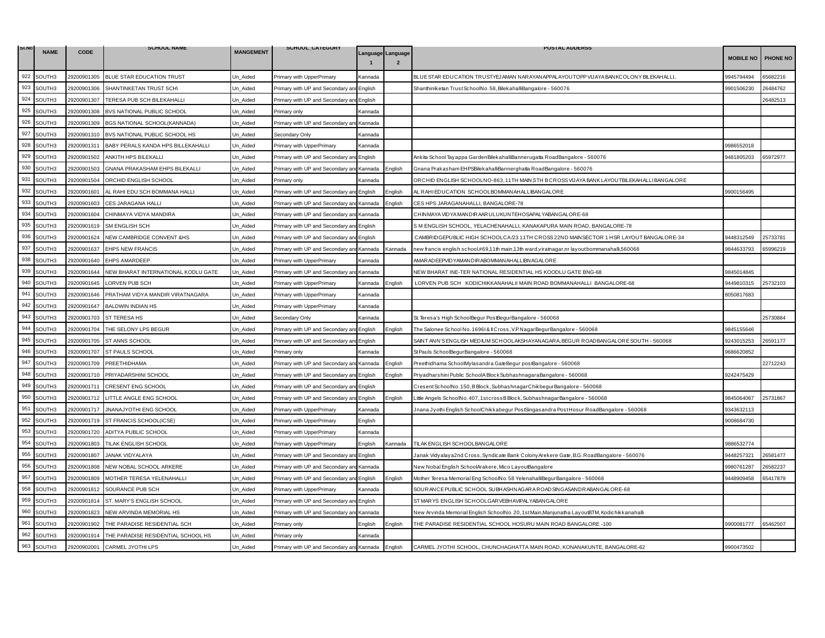| SI.NO | <b>NAME</b> |             | <b>SCHOOL NAME</b>                  | <b>MANGEMENT</b> | SCHOOL_CATEGORY                           |                |                                     | <b>POSTAL ADDERSS</b>                                                                        |                  |                 |
|-------|-------------|-------------|-------------------------------------|------------------|-------------------------------------------|----------------|-------------------------------------|----------------------------------------------------------------------------------------------|------------------|-----------------|
|       |             | <b>CODE</b> |                                     |                  |                                           |                | Language Language<br>$\overline{2}$ |                                                                                              | <b>MOBILE NO</b> | <b>PHONE NO</b> |
| 922   | SOUTH3      | 29200901305 | BLUE STAR EDUCATION TRUST           | Un_Aided         | Primary with UpperPrimary                 | Kannada        |                                     | BLUE STAR EDUCATION TRUSTYEJAMAN NAR AYANAPPALAYOUTOPP VIJAYA BANKCOLONY BILEKAHALLI         | 9945794494       | 35682216        |
| 923   | SOUTH3      | 29200901306 | SHANTINKETAN TRUST SCH\             | Un Aided         | Primary with UP and Secondary an          | English        |                                     | Shanthiniketan Trust SchoolNo. 58, BilekahalliBangalore - 560076                             | 9901506230       | 26484762        |
| 924   | SOUTH3      | 29200901307 | TERESA PUB SCH BILEKAHALLI          | Un Aided         | Primary with UP and Secondary and English |                |                                     |                                                                                              |                  | 26482513        |
| 925   | SOUTH3      | 29200901308 | BVS NATIONAL PUBLIC SCHOOL          | Jn Aided         | <sup>9</sup> rimary only                  | <b>Kannada</b> |                                     |                                                                                              |                  |                 |
| 926   | SOUTH3      | 29200901309 | BGS NATIONAL SCHOOL(KANNADA)        | Jn_Aided         | Primary with UP and Secondary an          | Kannada        |                                     |                                                                                              |                  |                 |
| 927   | SOUTH3      | 29200901310 | BVS NATIONAL PUBLIC SCHOOL HS       | Un_Aided         | Secondary Only                            | Kannada        |                                     |                                                                                              |                  |                 |
| 928   | SOUTH3      | 29200901311 | BABY PERALS KANDA HPS BILLEKAHALLI  | Un Aided         | Primary with UpperPrimary                 | Kannada        |                                     |                                                                                              | 9986552018       |                 |
| 929   | SOUTH3      | 29200901502 | ANKITH HPS BILEKALLI                | Un Aided         | Primary with UP and Secondary a           | English        |                                     | Ankita School Tayappa GardenBilekahalliBannerugatta RoadBangalore - 560076                   | 9481805203       | 65972977        |
| 930   | SOUTH3      | 29200901503 | GNANA PRAKASHAM EHPS BILEKALLI      | Un Aided         | Primary with UP and Secondary ar          | Kannada        | nglish:                             | Gnana Prakasham EHPSBilekahalliBannerghatta RoadBangalore - 560076                           |                  |                 |
| 931   | SOUTH3      | 29200901504 | ORCHID ENGLISH SCHOOL               | Un Aided         | <sup>o</sup> rimarv onlv                  | Kannada        |                                     | ORCHID ENGLISH SCHOOLNO-863,11TH MAIN,5TH B CROSS VIJ AYA BANK LAYOUTBILEKAH ALLI BANG ALORE |                  |                 |
| 932   | SOUTH3      | 29200901601 | AL RAHI EDU SCH BOMMANA HALLI       | Un_Aided         | Primary with UP and Secondary an          | English        | English                             | AL RAHIEDUCATION SCHOOLBOMMANAHALLIBANGALORE                                                 | 9900156495       |                 |
| 933   | SOUTH3      | 29200901603 | CES JARAGANA HALLI                  | Un Aided         | Primary with UP and Secondary ar          | Kannada        | English                             | CES HPS JARAGANAHALLI, BANGALORE-78                                                          |                  |                 |
| 934   | SOUTH3      | 29200901604 | CHINMAYA VIDYA MANDIRA              | Un Aided         | Primary with UP and Secondary and         | Kannada        |                                     | CHINMAYA VIDYA MANDIR AAR ULUKUNTEHOSAPALYABANGALORE-68                                      |                  |                 |
| 935   | SOUTH3      | 29200901619 | SM ENGLISH SCH                      | Un_Aided         | Primary with UP and Secondary ar          | English        |                                     | S M ENGLISH SCHOOL, YELACHENAHALLI, KANAKAPURA MAIN ROAD, BANGALORE-78                       |                  |                 |
| 936   | SOUTH3      | 29200901624 | NEW CAMBRIDGE CONVENT & HS          | Un Aided         | Primary with UP and Secondary ar          | English        |                                     | CAMBRIDGEPUBLIC HIGH SCHOOLCA/23 11TH CROSS 22ND MAINSECTOR 1 HSR LAYOUT BANGALORE-34        | 9448312549       | 25733781        |
| 937   | SOUTH3      | 29200901637 | <b>EHPS NEW FRANCIS</b>             | Un Aided         | Primary with UP and Secondary an          | Kannada        | Kannada                             | new francis english school,#69,11th main,13th ward,viratnagar,nr layoutbommanahalli,560068   | 9844633793       | 65996219        |
| 938   | SOUTH3      | 29200901640 | <b>EHPS AMARDEEP</b>                | Jn_Aided         | Primary with UpperPrimary                 | Kannada        |                                     | MAR AD EEPVID YAMAN DIR ABOMMAN AH ALLIBN AG ALOR E                                          |                  |                 |
| 939   | SOUTH3      | 29200901644 | NEW BHARAT INTERNATIONAL KODLU GATE | Un_Aided         | Primary with UP and Secondary an          | Kannada        |                                     | NEW BHARAT INE-TER NATIONAL RESIDENTIAL HS KOODLU GATE BNG-68                                | 9845014845       |                 |
| 940   | SOUTH3      | 29200901645 | LORVEN PUB SCH                      | Un_Aided         | Primary with UpperPrimary                 | Kannada        | English                             | LORVEN PUB SCH KODICHIKKANAHALII MAIN ROAD BOMMANAHALLI BANGALORE-68                         | 9449810315       | 25732103        |
| 941   | SOUTH3      | 29200901646 | PRATHAM VIDYA MANDIR VIRATNAGARA    | Un Aided         | Primary with UpperPrimary                 | Kannada        |                                     |                                                                                              | 3050817683       |                 |
| 942   | SOUTH3      | 29200901647 | <b>BALDWIN INDIAN HS</b>            | Un Aided         | Primary with UpperPrimary                 | Kannada        |                                     |                                                                                              |                  |                 |
| 943   | SOUTH3      | 29200901703 | <b>ST TERESA HS</b>                 | Un_Aided         | Secondary Only                            | Kannada        |                                     | St. Teresa's High SchoolBegur PostBegurBangalore - 560068                                    |                  | 25730884        |
| 944   | SOUTH3      | 29200901704 | THE SELONY LPS BEGUR                | Jn Aided         | Primary with UP and Secondary an          | English        | nglish:                             | The Salonee School No. 16961& Il Cross, V.P. NagarBegurBangalore - 560068                    | 9845155646       |                 |
| 945   | SOUTH3      | 29200901705 | ST ANNS SCHOOL                      | Un Aided         | Primary with UP and Secondary and         | English        |                                     | SAINT ANN'S ENGLISH MEDIUM SCHOOLAKSHAYANAGARA, BEGUR ROADBANGALORE SOUTH - 560068           | 9243015253       | 26591177        |
| 946   | SOUTH3      | 29200901707 | ST PAULS SCHOOL                     | Un Aided         | Primary only                              | <b>Kannada</b> |                                     | StPauls SchoolBegurBangalore - 560068                                                        | 9686620852       |                 |
| 947   | SOUTH3      | 29200901709 | PREETHIDHAMA                        | Jn Aided         | Primary with UP and Secondary and         | Kannada        | English                             | Preethidhama SchoolMylasandra GateBegur postBangalore - 560068                               |                  | 2712243         |
| 948   | SOUTH3      | 29200901710 | PRIYADARSHINI SCHOOL                | Un Aided         | Primary with UP and Secondary a           | English        | English                             | Priyadharshini Public SchoolA Block SubhashnagaraBangalore - 560068                          | 9242475429       |                 |
| 949   | SOUTH3      | 29200901711 | <b>CRESENT ENG SCHOOL</b>           | Un Aided         | Primary with UP and Secondary an          | English        |                                     | CresentSchoolNo.150, BBlock, SubhashnagarChikbegurBangalore - 560068                         |                  |                 |
| 950   | SOUTH3      | 29200901712 | LITTLE ANGLE ENG SCHOOL             | Un Aided         | Primary with UP and Secondary an          | English        | English                             | Little Angels SchoolNo.407,1stcrossBBlock,SubhashnagarBangalore - 560068                     | 9845064067       | 25731867        |
| 951   | SOUTH3      | 29200901717 | JNANAJYOTHI ENG SCHOOL              | Un_Aided         | Primary with UpperPrimary                 | Kannada        |                                     | Jnana Jyothi English SchoolChikkabegur PostSingasandra PostHosur RoadBangalore - 560068      | 9343632113       |                 |
| 952   | SOUTH3      | 29200901719 | ST FRANCIS SCHOOL(ICSE)             | Un_Aided         | Primary with UpperPrimary                 | English        |                                     |                                                                                              | 9008684730       |                 |
| 953   | SOUTH3      | 29200901720 | ADITYA PUBLIC SCHOOL                | Un Aided         | Primary with UpperPrimary                 | Kannada        |                                     |                                                                                              |                  |                 |
| 954   | SOUTH3      | 29200901803 | TILAK ENGLISH SCHOOL                | Un Aided         | Primary with UpperPrimary                 | English        | <b>Kannada</b>                      | TILAK ENGLISH SCHOOLBANGALORE                                                                | 3886532774       |                 |
| 955   | SOUTH3      | 29200901807 | JANAK VIDYALAYA                     | Un_Aided         | Primary with UP and Secondary ar          | English        |                                     | Janak Vidyalaya2nd Cross, Syndicate Bank Colony Arekere Gate, B.G. RoadBangalore - 560076    | 9448257321       | 26581477        |
| 956   | SOUTH3      | 29200901808 | NEW NOBAL SCHOOL ARKERE             | Un_Aided         | Primary with UP and Secondary ar          | Kannada        |                                     | New Nobal English SchoolArakere, Mico LayoutBangalore                                        | 9980761287       | 26582237        |
| 957   | SOUTH3      | 29200901809 | MOTHER TERESA YELENAHALLI           | Un Aided         | Primary with UP and Secondary and         | English        | Enalish                             | Mother Teresa Memorial Eng SchoolNo.58 YelenahalliBegurBangalore - 560068                    | 9448909458       | 65417879        |
| 958   | SOUTH3      | 29200901812 | SOURANCE PUB SCH                    | Un Aided         | Primary with UpperPrimary                 | Kannada        |                                     | SOURANCE PUBLIC SCHOOL SUBHASHNAGARA ROADSINGASANDRABANGALORE-68                             |                  |                 |
| 959   | SOUTH3      | 29200901814 | ST. MARY'S ENGLISH SCHOOL           | Un_Aided         | Primary with UP and Secondary an          | English        |                                     | ST MARYS ENGLISH SCHOOLGARVEBHAVIPALYABANGALORE                                              |                  |                 |
| 960   | SOUTH3      | 29200901823 | NEW ARVINDA MEMORIAL HS             | Un_Aided         | Primary with UP and Secondary an          | Kannada        |                                     | New Arvinda Memorial English SchoolNo.20,1stMain,Manjunatha LayoutBTM, Kodichikkanahalli     |                  |                 |
| 961   | SOUTH3      | 29200901902 | THE PARADISE RESIDENTIAL SCH        | Un Aided         | Primary only                              | English        | English                             | THE PARADISE RESIDENTIAL SCHOOL HOSURU MAIN ROAD BANGALORE -100                              | 9900081777       | 65462507        |
| 962   | SOUTH3      | 29200901914 | THE PARADISE RESIDENTIAL SCHOOL HS  | Jn Aided         | <sup>2</sup> rimary only                  | Kannada        |                                     |                                                                                              |                  |                 |
| 963   | SOUTH3      | 29200902001 | <b>CARMEL JYOTHI LPS</b>            | Un Aided         | Primary with UP and Secondary and Kannada |                | English                             | CARMEL JYOTHI SCHOOL, CHUNCHAGHATTA MAIN ROAD, KONANAKUNTE, BANGALORE-62                     | 9900473502       |                 |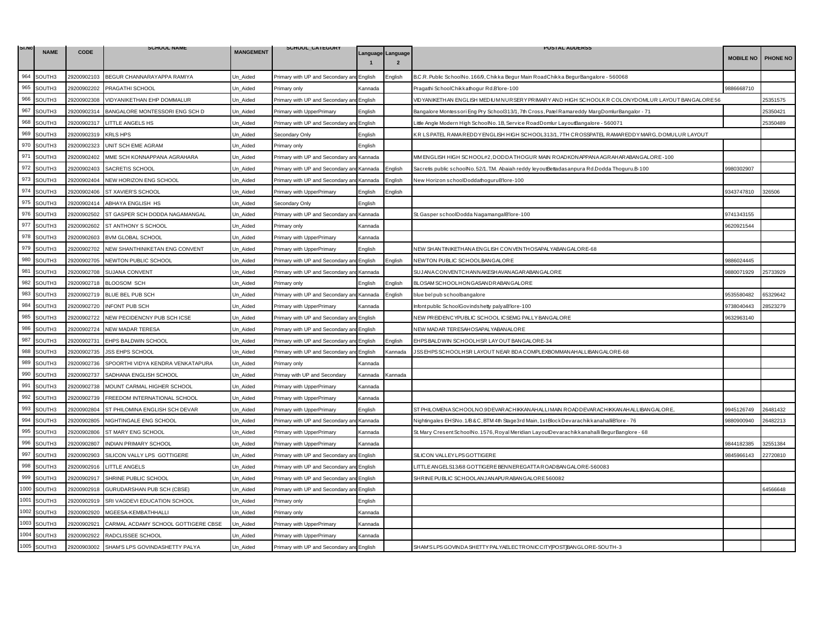| SI.N | <b>NAME</b>        | <b>CODE</b> | <b>SCHOOL NAME</b>                  | <b>MANGEMENT</b> | SCHOOL_CATEGORY                           |         |                                     | <b>POSTAL ADDERSS</b>                                                                                |                    |          |
|------|--------------------|-------------|-------------------------------------|------------------|-------------------------------------------|---------|-------------------------------------|------------------------------------------------------------------------------------------------------|--------------------|----------|
|      |                    |             |                                     |                  |                                           |         | Language Language<br>$\overline{2}$ |                                                                                                      | MOBILE NO PHONE NO |          |
| 964  | SOUTH3             | 29200902103 | BEGUR CHANNARAYAPPA RAMIYA          | Un_Aided         | Primary with UP and Secondary an          | English | :nalish                             | B.C.R. Public SchoolNo. 166/9, Chikka Begur Main RoadChikka BegurBangalore - 560068                  |                    |          |
| 965  | SOUTH3             | 29200902202 | PRAGATHI SCHOOL                     | Jn_Aided         | <sup>2</sup> rimary only                  | Kannada |                                     | Pragathi SchoolChikkathogur Rd.B'lore-100                                                            | 9886668710         |          |
| 966  | SOUTH3             | 29200902308 | VIDYANIKETHAN EHP DOMMALUR          | Un Aided         | Primary with UP and Secondary and English |         |                                     | VID YANIKETHAN ENGLISH MEDIUM NUR SER Y PRIMAR Y AND HIGH SCHOOLK R COLONYDOMLUR LAYOUT BANGALORE 56 |                    | 25351575 |
| 967  | SOUTH3             | 29200902314 | BANGALORE MONTESSORI ENG SCH D      | Jn_Aided         | Primary with UpperPrimary                 | English |                                     | 17 - Bangalore Montessori Eng Pry School313/1, 7th Cross, Patel Ramareddy MargDomlurBangalor         |                    | 25350421 |
| 968  | SOUTH3             | 29200902317 | LITTLE ANGELS HS                    | Un_Aided         | Primary with UP and Secondary an          | English |                                     | ittle Angle Modern High SchoolNo. 1B, Service RoadDomlur LayoutBangalore - 560071.                   |                    | 25350489 |
| 969  | SOUTH3             | 29200902319 | <b>KRLS HPS</b>                     | Un_Aided         | Secondary Only                            | English |                                     | KR LS PATEL RAMA REDDY ENGLISH HIGH SCHOOL313/1, 7TH CROSSPATEL RAMAREDDY MARG, DOMULUR LAYOUT       |                    |          |
| 970  | SOUTH3             | 29200902323 | UNIT SCH EME AGRAM                  | Jn_Aided         | Primary only                              | English |                                     |                                                                                                      |                    |          |
| 971  | SOUTH3             | 29200902402 | MME SCH KONNAPPANA AGRAHARA         | Un Aided         | Primary with UP and Secondary ar          | Kannada |                                     | MM ENGLISH HIGH SCHOOL#2, DODDA THOGUR MAIN ROADKONAPPANA AGRAHARABANGALORE-100                      |                    |          |
| 972  | SOUTH3             | 29200902403 | SACRETIS SCHOOL                     | Un_Aided         | Primary with UP and Secondary an          | Kannada | English                             | Sacretis public schoolNo.52/1. T.M. Abaiah reddy leyoutBettadasanpura Rd.Dodda Thoguru.B-100         | 9980302907         |          |
| 973  | SOUTH3             | 29200902404 | NEW HORIZON ENG SCHOOL              | Jn Aided         | Primary with UP and Secondary and         | Kannada | English                             | New Horizon schoolDoddathoguruB'lore-100                                                             |                    |          |
| 974  | SOUTH3             | 29200902406 | ST XAVIER'S SCHOOL                  | Un_Aided         | Primary with UpperPrimary                 | English | English                             |                                                                                                      | 9343747810         | 326506   |
| 975  | SOUTH3             | 29200902414 | ABHAYA ENGLISH HS                   | Un Aided         | Secondary Only                            | English |                                     |                                                                                                      |                    |          |
| 976  | SOUTH3             | 29200902502 | ST GASPER SCH DODDA NAGAMANGAL      | Un Aided         | Primary with UP and Secondary and         | Kannada |                                     | St. Gasper schoolDodda NagamangalB'lore-100                                                          | 9741343155         |          |
| 977  | SOUTH3             | 29200902602 | ST ANTHONY S SCHOOL                 | Un_Aided         | <sup>9</sup> rimary only                  | Kannada |                                     |                                                                                                      | 9620921544         |          |
| 978  | SOUTH3             | 29200902603 | <b>BVM GLOBAL SCHOOL</b>            | Jn Aided         | Primary with UpperPrimary                 | Kannada |                                     |                                                                                                      |                    |          |
| 979  | SOUTH3             | 29200902702 | NEW SHANTHINIKETAN ENG CONVENT      | Un Aided         | Primary with UpperPrimary                 | English |                                     | NEW SHANTINIKETHANA ENGLISH CONVENTHOSAPALYABANGALORE-68                                             |                    |          |
| 980  | SOUTH3             | 29200902705 | NEWTON PUBLIC SCHOOL                | Jn_Aided         | Primary with UP and Secondary ar          | English | English                             | NEWTON PUBLIC SCHOOLBANGALORE                                                                        | 9886024445         |          |
| 981  | SOUTH3             | 29200902708 | SUJANA CONVENT                      | Un_Aided         | Primary with UP and Secondary ar          | Kannada |                                     | SUJANA CONVENTCHANNAKESHAVANAGAR ABANGALORE                                                          | 9880071929         | 25733929 |
| 982  | SOUTH3             | 29200902718 | BLOOSOM SCH                         | Un_Aided         | Primary only                              | English | English                             | BLOSAM SCHOOLHONGASANDRABANGALORE                                                                    |                    |          |
| 983  | SOUTH3             | 29200902719 | <b>BLUE BEL PUB SCH</b>             | Jn Aided         | Primary with UP and Secondary an          | Kannada | English                             | blue bel pub schoolbangalore                                                                         | 3535580482         | 5329642  |
| 984  | SOUTH3             | 29200902720 | <b>INFONT PUB SCH</b>               | Un_Aided         | Primary with UpperPrimary                 | Kannada |                                     | Infont public SchoolGovindshetty palyaB'lore-100                                                     | 3738040443         | 28523279 |
| 985  | SOUTH3             | 29200902722 | NEW PECIDENCNY PUB SCH ICSE         | Un_Aided         | Primary with UP and Secondary an          | English |                                     | NEW PREIDENCYPUBLIC SCHOOL ICSEMG PALLY BANGALORE                                                    | 9632963140         |          |
| 986  | SOUTH3             | 29200902724 | <b>NEW MADAR TERESA</b>             | Jn Aided         | Primary with UP and Secondary and         | English |                                     | <b>NEW MADAR TERESAHOSAPALYABANALORE</b>                                                             |                    |          |
| 987  | SOUTH3             | 29200902731 | EHPS BALDWIN SCHOOL                 | Un_Aided         | Primary with UP and Secondary and         | English | English                             | EHPS BALDWIN SCHOOLHSR LAYOUT BANGALORE-34                                                           |                    |          |
| 988  | SOUTH <sub>3</sub> | 29200902735 | <b>JSS EHPS SCHOOL</b>              | Jn Aided         | Primary with UP and Secondary ar          | English | <b>Cannada</b>                      | ISS EHPS SCHOOLHSR LAYOUT NEAR BDA COMPLEXBOMMAN AHALLIBAN GALORE-68                                 |                    |          |
| 989  | SOUTH3             | 29200902736 | SPOORTHI VIDYA KENDRA VENKATAPURA   | Un_Aided         | Primary only                              | Kannada |                                     |                                                                                                      |                    |          |
| 990  | SOUTH3             | 29200902737 | SADHANA ENGLISH SCHOOL              | Un_Aided         | Primay with UP and Secondary              | Kannada | Kannada                             |                                                                                                      |                    |          |
| 991  | SOUTH3             | 29200902738 | MOUNT CARMAL HIGHER SCHOOL          | Jn Aided         | Primary with UpperPrimary                 | Kannada |                                     |                                                                                                      |                    |          |
| 992  | SOUTH3             | 29200902739 | FREEDOM INTERNATIONAL SCHOOL        | Un Aided         | Primary with UpperPrimary                 | Kannada |                                     |                                                                                                      |                    |          |
| 993  | SOUTH3             | 29200902804 | ST PHILOMINA ENGLISH SCH DEVAR      | Un_Aided         | Primary with UpperPrimary                 | English |                                     | ST PHILOMENA SCHOOLNO.9DEVARACHIKKANAHALLIMAIN ROADDEVARACHIKKANAHALLIBANGALORE                      | 9945126749         | 26481432 |
| 994  | SOUTH3             | 29200902805 | NIGHTINGALE ENG SCHOOL              | Un_Aided         | Primary with UP and Secondary ar          | Kannada |                                     | Nightingales EHSNo. 1/B&C, BTM 4th Stage3rd Main, 1st Block DevarachikkanahalliB'lore - 76           | 9880900940         | 26482213 |
| 995  | SOUTH3             | 29200902806 | ST MARY ENG SCHOOL                  | Un Aided         | Primary with UpperPrimary                 | Kannada |                                     | St. Mary Cresent SchoolNo. 1576, Royal Meridian LayoutDevarachikkanahalli BegurBanglore - 68         |                    |          |
| 996  | SOUTH3             | 29200902807 | INDIAN PRIMARY SCHOOL               | Jn Aided         | Primary with UpperPrimary                 | Kannada |                                     |                                                                                                      | 9844182385         | 32551384 |
| 997  | SOUTH3             | 29200902903 | SILICON VALLY LPS GOTTIGERE         | Un_Aided         | Primary with UP and Secondary ar          | English |                                     | SILICON VALLEY LPS GOTTIGERE                                                                         | 9845966143         | 22720810 |
| 998  | SOUTH3             | 29200902916 | <b>ITTLE ANGELS</b>                 | Un_Aided         | Primary with UP and Secondary ar          | English |                                     | LITTLE ANGELS13/68 GOTTIGERE BENNER EGATTA ROADBANGALORE-560083                                      |                    |          |
| 999  | SOUTH3             | 29200902917 | SHRINE PUBLIC SCHOOL                | Jn Aided         | Primary with UP and Secondary and         | English |                                     | SHRINE PUBLIC SCHOOLANJANAPURABANGALORE 560082                                                       |                    |          |
| 1000 | SOUTH3             | 29200902918 | GURUDARSHAN PUB SCH (CBSE)          | Un Aided         | Primary with UP and Secondary an          | English |                                     |                                                                                                      |                    | 64566648 |
| 1001 | SOUTH3             | 29200902919 | SRI VAGDEVI EDUCATION SCHOOL        | Un_Aided         | Primary only                              | English |                                     |                                                                                                      |                    |          |
| 1002 | SOUTH3             | 29200902920 | MGEESA-KEMBATHHALLI                 | Un_Aided         | Primary only                              | Kannada |                                     |                                                                                                      |                    |          |
|      | 1003 SOUTH3        | 29200902921 | CARMAL ACDAMY SCHOOL GOTTIGERE CBSE | Un Aided         | Primary with UpperPrimary                 | Kannada |                                     |                                                                                                      |                    |          |
| 1004 | SOUTH <sub>3</sub> | 29200902922 | RADCLISSEE SCHOOL                   | Jn Aided         | Primary with UpperPrimary                 | Kannada |                                     |                                                                                                      |                    |          |
|      | 1005 SOUTH3        | 29200903002 | SHAM'S LPS GOVINDASHETTY PALYA      | Un Aided         | Primary with UP and Secondary and English |         |                                     | SHAM'S LPS GOVINDA SHETTY PALYAELECTRONIC CITY POST BANGLORE-SOUTH-3                                 |                    |          |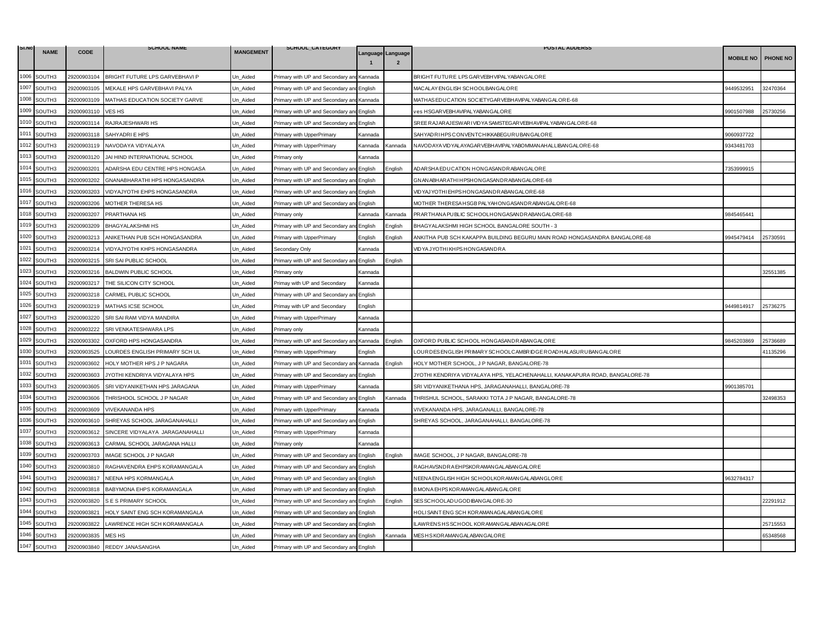| SI.NO | <b>NAME</b> | <b>CODE</b> | <b>SCHOOL NAME</b>              | <b>MANGEMENT</b> | SCHOOL_CATEGORY                           |                |                                                                                                                   | <b>POSTAL ADDERSS</b>                                                        |                  |                 |
|-------|-------------|-------------|---------------------------------|------------------|-------------------------------------------|----------------|-------------------------------------------------------------------------------------------------------------------|------------------------------------------------------------------------------|------------------|-----------------|
|       |             |             |                                 |                  |                                           |                | Language Language                                                                                                 |                                                                              | <b>MOBILE NO</b> | <b>PHONE NO</b> |
| 1006  | SOUTH3      | 29200903104 | BRIGHT FUTURE LPS GARVEBHAVI P  | Un_Aided         | Primary with UP and Secondary an          | Kannada        |                                                                                                                   | BRIGHT FUTURE LPS GARVEBHVIPALYABAN GALORE                                   |                  |                 |
| 1007  | SOUTH3      | 29200903105 | MEKALE HPS GARVEBHAVI PALYA     | Jn Aided         | Primary with UP and Secondary an          | English        |                                                                                                                   | MACALAY ENGLISH SCHOOLBANGALORE                                              | 9449532951       | 32470364        |
| 1008  | SOUTH3      | 29200903109 | MATHAS EDUCATION SOCIETY GARVE  | Un Aided         | Primary with UP and Secondary and Kannada |                |                                                                                                                   | MATHAS EDUCATION SOCIETYGAR VEBHAVIPALYABAN GALORE-68                        |                  |                 |
| 1009  | SOUTH3      | 29200903110 | VES HS                          | Jn_Aided         | Primary with UP and Secondary an          | English        |                                                                                                                   | es HSGARVEBHAVIPALYABANGALORE                                                | 9901507988       | 25730256        |
| 1010  | SOUTH3      | 29200903114 | RAJRAJESHWARI HS                | Un_Aided         | Primary with UP and Secondary and         | English        |                                                                                                                   | SREE RAJARAJESWARI VID YA SAMSTEGAR VEBHAVIPAL YABAN GALORE-68               |                  |                 |
| 1011  | SOUTH3      | 29200903118 | SAHYADRI E HPS                  | Un_Aided         | Primary with UpperPrimary                 | Kannada        |                                                                                                                   | SAHYADRIHPSCONVENTCHIKKABEGURUBANGALORE                                      | 9060937722       |                 |
| 1012  | SOUTH3      | 29200903119 | NAVODAYA VIDYALAYA              | Un_Aided         | Primary with UpperPrimary                 | Kannada        | Kannada                                                                                                           | NAVODAYA VIDYALAYAGAR VEBHAVIPALYABOMMAN AHALLIBAN GALORE-68                 | 9343481703       |                 |
| 1013  | SOUTH3      | 29200903120 | JAI HIND INTERNATIONAL SCHOOL   | Un Aided         | Primary only                              | Kannada        |                                                                                                                   |                                                                              |                  |                 |
| 1014  | SOUTH3      | 29200903201 | ADARSHA EDU CENTRE HPS HONGASA  | Un_Aided         | Primary with UP and Secondary ar          | English        | :nalish                                                                                                           | ADAR SHA EDUCATION HONGASANDRABANGALORE                                      | 7353999915       |                 |
| 1015  | SOUTH3      | 29200903202 | GNANABHARATHI HPS HONGASANDRA   | Un Aided         | Primary with UP and Secondary and English |                |                                                                                                                   | GNANABHARATHIHPSHONGASANDRABANGALORE-68                                      |                  |                 |
| 1016  | SOUTH3      | 29200903203 | VIDYAJYOTHI EHPS HONGASANDRA    | Un_Aided         | Primary with UP and Secondary and         | English        |                                                                                                                   | VIDYAJYOTHI EHPSHONGASANDRABANGALORE-68                                      |                  |                 |
| 1017  | SOUTH3      | 29200903206 | MOTHER THERESA HS               | Un Aided         | Primary with UP and Secondary ar          | English        |                                                                                                                   | MOTHER THERESA HSGB PALYAHON GASAND RABAN GALORE-68                          |                  |                 |
| 1018  | SOUTH3      | 29200903207 | PRARTHANA HS                    | Un Aided         | Primarv onlv                              | Kannada        | Kannada                                                                                                           | PRARTHANA PUBLIC SCHOOLHONGASANDRABANGALORE-68                               | 9845465441       |                 |
| 1019  | SOUTH3      | 29200903209 | BHAGYALAKSHMI HS                | Un_Aided         | Primary with UP and Secondary a           | English        | nglish                                                                                                            | BHAGYALAKSHMI HIGH SCHOOL BANGALORE SOUTH - 3                                |                  |                 |
| 1020  | SOUTH3      | 29200903213 | ANIKETHAN PUB SCH HONGASANDRA   | Un Aided         | Primary with UpperPrimary                 | English        | :nglish                                                                                                           | ANKITHA PUB SCH KAKAPPA BUILDING BEGURU MAIN ROAD HONGASANDRA BANGALORE-68   | 9945479414       | 25730591        |
| 1021  | SOUTH3      | 29200903214 | VIDYAJYOTHI KHPS HONGASANDRA    | Un Aided         | Secondary Only                            | Kannada        |                                                                                                                   | VIDYAJYOTHIKHPSHONGASANDRA                                                   |                  |                 |
| 1022  | SOUTH3      | 29200903215 | SRI SAI PUBLIC SCHOOL           | Un_Aided         | Primary with UP and Secondary an          | English        | nglish                                                                                                            |                                                                              |                  |                 |
| 1023  | SOUTH3      | 29200903216 | <b>BALDWIN PUBLIC SCHOOL</b>    | Un_Aided         | Primary only                              | Kannada        |                                                                                                                   |                                                                              |                  | 32551385        |
| 1024  | SOUTH3      | 29200903217 | THE SILICON CITY SCHOOL         | Un_Aided         | Primay with UP and Secondary              | Kannada        |                                                                                                                   |                                                                              |                  |                 |
| 1025  | SOUTH3      | 29200903218 | CARMEL PUBLIC SCHOOL            | Jn Aided         | Primary with UP and Secondary ar          | English        |                                                                                                                   |                                                                              |                  |                 |
| 1026  | SOUTH3      | 29200903219 | MATHAS ICSE SCHOOL              | Un_Aided         | Primay with UP and Secondary              | English        |                                                                                                                   |                                                                              | 9449814917       | 25736275        |
| 1027  | SOUTH3      | 29200903220 | SRI SAI RAM VIDYA MANDIRA       | Un_Aided         | Primary with UpperPrimary                 | Kannada        |                                                                                                                   |                                                                              |                  |                 |
| 1028  | SOUTH3      | 29200903222 | SRI VENKATESHWARA LPS           | Un Aided         | Primary only                              | Kannada        |                                                                                                                   |                                                                              |                  |                 |
| 1029  | SOUTH3      | 29200903302 | OXFORD HPS HONGASANDRA          | Un_Aided         | Primary with UP and Secondary an          | Kannada        | English                                                                                                           | OXFORD PUBLIC SCHOOL HONGASANDRABANGALORE                                    | 9845203869       | 25736689        |
| 1030  | SOUTH3      | 29200903525 | LOURDES ENGLISH PRIMARY SCH UL  | Un Aided         | Primary with UpperPrimary                 | English        |                                                                                                                   | LOURDES ENGLISH PRIMARY SCHOOLCAMBRIDGE ROADHALASURUBANGALORE                |                  | 41135296        |
| 1031  | SOUTH3      | 29200903602 | HOLY MOTHER HPS J P NAGARA      | Jn_Aided         | Primary with UP and Secondary and Kannada |                | English                                                                                                           | HOLY MOTHER SCHOOL, J P NAGAR, BANGALORE-78                                  |                  |                 |
| 1032  | SOUTH3      | 29200903603 | JYOTHI KENDRIYA VIDYALAYA HPS   | Un_Aided         | Primary with UP and Secondary ar          | English        |                                                                                                                   | JYOTHI KENDRIYA VIDYALAYA HPS, YELACHENAHALLI, KANAKAPURA ROAD, BANGALORE-78 |                  |                 |
| 1033  | SOUTH3      | 29200903605 | SRI VIDYANIKETHAN HPS JARAGANA  | Un Aided         | Primary with UpperPrimary                 | Kannada        |                                                                                                                   | SRI VIDYANIKETHANA HPS, JARAGANAHALLI, BANGALORE-78                          | 9901385701       |                 |
| 1034  | SOUTH3      | 29200903606 | THRISHOOL SCHOOL J P NAGAR      | Un Aided         | Primary with UP and Secondary an          | English        | <annada< td=""><td>THRISHUL SCHOOL, SARAKKI TOTA J P NAGAR, BANGALORE-78</td><td></td><td>32498353</td></annada<> | THRISHUL SCHOOL, SARAKKI TOTA J P NAGAR, BANGALORE-78                        |                  | 32498353        |
| 1035  | SOUTH3      | 29200903609 | <b>VIVEKANANDA HPS</b>          | Un_Aided         | Primary with UpperPrimary                 | Kannada        |                                                                                                                   | VIVEKANANDA HPS, JARAGANALLI, BANGALORE-78                                   |                  |                 |
| 1036  | SOUTH3      | 29200903610 | SHREYAS SCHOOL JARAGANAHALLI    | Un_Aided         | Primary with UP and Secondary an          | English        |                                                                                                                   | SHREYAS SCHOOL, JARAGANAHALLI, BANGALORE-78                                  |                  |                 |
| 1037  | SOUTH3      | 29200903612 | SINCERE VIDYALAYA JARAGANAHALLI | Un_Aided         | Primary with UpperPrimary                 | Kannada        |                                                                                                                   |                                                                              |                  |                 |
| 1038  | SOUTH3      | 29200903613 | CARMAL SCHOOL JARAGANA HALLI    | Un Aided         | Primary only                              | <b>Kannada</b> |                                                                                                                   |                                                                              |                  |                 |
| 1039  | SOUTH3      | 29200903703 | IMAGE SCHOOL J P NAGAR          | Un_Aided         | Primary with UP and Secondary an          | English        | English                                                                                                           | MAGE SCHOOL, J P NAGAR, BANGALORE-78                                         |                  |                 |
| 1040  | SOUTH3      | 29200903810 | RAGHAVENDRA EHPS KORAMANGALA    | Un_Aided         | Primary with UP and Secondary an          | English        |                                                                                                                   | RAGHAVSNDRA EHPSKORAMANGALABANGALORE                                         |                  |                 |
| 1041  | SOUTH3      | 29200903817 | NEENA HPS KORMANGALA            | Un Aided         | Primary with UP and Secondary and         | English        |                                                                                                                   | NEENA ENGLISH HIGH SCHOOLKOR AMANGALABANGLORE                                | 9632784317       |                 |
| 1042  | SOUTH3      | 29200903818 | BABYMONA EHPS KORAMANGALA       | Un_Aided         | Primary with UP and Secondary ar          | English        |                                                                                                                   | B MON A EHPS KOR AMANG ALABANG ALORE                                         |                  |                 |
| 1043  | SOUTH3      | 29200903820 | S E S PRIMARY SCHOOL            | Un_Aided         | Primary with UP and Secondary and         | English        | :nglish                                                                                                           | SES SCHOOLADUGODIBANGALORE-30                                                |                  | 22291912        |
| 1044  | SOUTH3      | 29200903821 | HOLY SAINT ENG SCH KORAMANGALA  | Un_Aided         | Primary with UP and Secondary and English |                |                                                                                                                   | HOLI SAINT ENG SCH KOR AMAN AGALABAN GALORE                                  |                  |                 |
| 1045  | SOUTH3      | 29200903822 | LAWRENCE HIGH SCH KORAMANGALA   | Un_Aided         | Primary with UP and Secondary an          | English        |                                                                                                                   | LAWRENSHSSCHOOL KORAMANGALABANAGALORE                                        |                  | 25715553        |
| 1046  | SOUTH3      | 29200903835 | MES HS                          | Jn Aided         | Primary with UP and Secondary an          | English        | Kannada                                                                                                           | MES H SKOR AMAN GALABAN GALORE                                               |                  | 65348568        |
| 1047  | SOUTH3      |             | 29200903840 REDDY JANASANGHA    | Un Aided         | Primary with UP and Secondary and English |                |                                                                                                                   |                                                                              |                  |                 |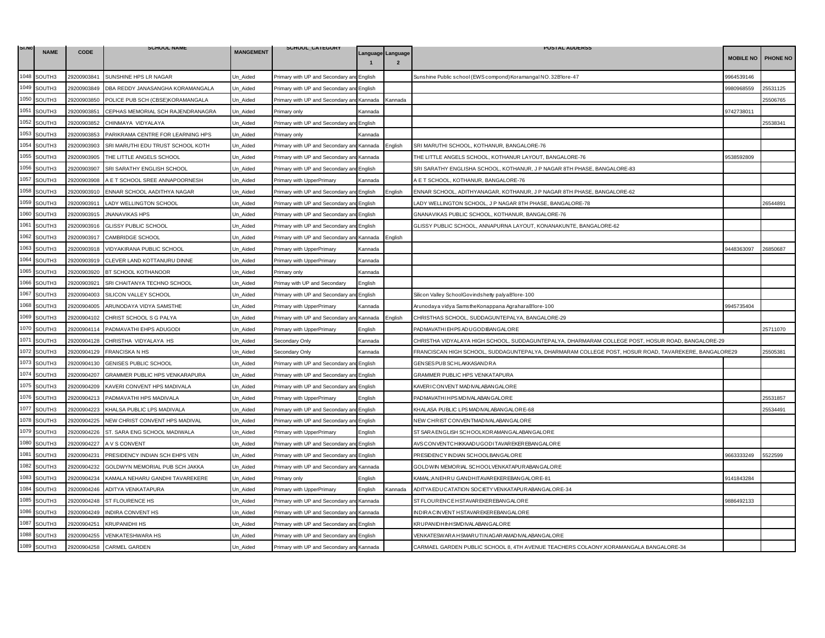| SI.NO | <b>NAME</b>        | <b>CODE</b> | <b>SCHOOL NAME</b>                | <b>MANGEMENT</b> | SCHOOL_CATEGORY                           |                   |                | <b>POSTAL ADDERSS</b>                                                                                |                  |          |
|-------|--------------------|-------------|-----------------------------------|------------------|-------------------------------------------|-------------------|----------------|------------------------------------------------------------------------------------------------------|------------------|----------|
|       |                    |             |                                   |                  |                                           | Language Language |                |                                                                                                      | <b>MOBILE NO</b> | PHONE NO |
| 1048  | SOUTH3             | 29200903841 | SUNSHINE HPS LR NAGAR             | Un_Aided         | Primary with UP and Secondary ar          | English           |                | Sunshine Public school (EWS compond) Koramangal NO.32B'lore-47                                       | 9964539146       |          |
| 1049  | SOUTH3             | 29200903849 | DBA REDDY JANASANGHA KORAMANGALA  | Jn Aided         | Primary with UP and Secondary an          | Enalish           |                |                                                                                                      | 9980968559       | 25531125 |
| 1050  | SOUTH3             | 29200903850 | POLICE PUB SCH (CBSE)KORAMANGALA  | Un Aided         | Primary with UP and Secondary and         | Kannada           | Kannada        |                                                                                                      |                  | 25506765 |
| 1051  | SOUTH3             | 29200903851 | CEPHAS MEMORIAL SCH RAJENDRANAGRA | Un_Aided         | Primary only                              | Kannada           |                |                                                                                                      | 9742738011       |          |
| 1052  | SOUTH3             | 29200903852 | CHINMAYA VIDYALAYA                | Jn_Aided         | Primary with UP and Secondary and         | English           |                |                                                                                                      |                  | 25538341 |
|       | 1053 SOUTH3        | 29200903853 | PARIKRAMA CENTRE FOR LEARNING HPS | Un Aided         | Primary only                              | Kannada           |                |                                                                                                      |                  |          |
| 1054  | SOUTH3             | 29200903903 | SRI MARUTHI EDU TRUST SCHOOL KOTH | Jn Aided         | Primary with UP and Secondary an          | Kannada           | English        | SRI MARUTHI SCHOOL, KOTHANUR, BANGALORE-76                                                           |                  |          |
| 1055  | SOUTH3             | 29200903905 | THE LITTLE ANGELS SCHOOL          | Un_Aided         | rimary with UP and Secondary and          | Kannada           |                | THE LITTLE ANGELS SCHOOL, KOTHANUR LAYOUT, BANGALORE-76                                              | 9538592809       |          |
| 1056  | SOUTH3             | 29200903907 | SRI SARATHY ENGLISH SCHOOL        | Un_Aided         | Primary with UP and Secondary ar          | English           |                | SRI SARATHY ENGLISHA SCHOOL, KOTHANUR, J P NAGAR 8TH PHASE, BANGALORE-83                             |                  |          |
| 1057  | SOUTH3             | 29200903908 | A E T SCHOOL SREE ANNAPOORNESH    | Jn Aided         | Primary with UpperPrimary                 | Kannada           |                | A E T SCHOOL, KOTHANUR, BANGALORE-76                                                                 |                  |          |
| 1058  | SOUTH3             | 29200903910 | ENNAR SCHOOL AADITHYA NAGAR       | Un Aided         | Primary with UP and Secondary ar          | English           | English        | ENNAR SCHOOL, ADITHYANAGAR, KOTHANUR, J P NAGAR 8TH PHASE, BANGALORE-62                              |                  |          |
| 1059  | SOUTH3             | 29200903911 | LADY WELLINGTON SCHOOL            | Un_Aided         | Primary with UP and Secondary an          | English           |                | LADY WELLINGTON SCHOOL, J P NAGAR 8TH PHASE, BANGALORE-78                                            |                  | 26544891 |
| 1060  | SOUTH3             | 29200903915 | <b>JNANAVIKAS HPS</b>             | Un Aided         | Primary with UP and Secondary and         | English           |                | GNANAVIKAS PUBLIC SCHOOL, KOTHANUR, BANGALORE-76                                                     |                  |          |
| 1061  | SOUTH3             | 29200903916 | GLISSY PUBLIC SCHOOL              | Un_Aided         | Primary with UP and Secondary ar          | English           |                | GLISSY PUBLIC SCHOOL, ANNAPURNA LAYOUT, KONANAKUNTE, BANGALORE-62                                    |                  |          |
| 1062  | SOUTH3             | 29200903917 | CAMBRIDGE SCHOOL                  | Un Aided         | Primary with UP and Secondary an          | Kannada           | English        |                                                                                                      |                  |          |
| 1063  | SOUTH3             | 29200903918 | VIDYAKIRANA PUBLIC SCHOOL         | Un Aided         | Primary with UpperPrimary                 | Kannada           |                |                                                                                                      | 9448363097       | 26850687 |
| 1064  | SOUTH3             | 29200903919 | CLEVER LAND KOTTANURU DINNE       | Un Aided         | Primary with UpperPrimary                 | Kannada           |                |                                                                                                      |                  |          |
| 1065  | SOUTH3             | 29200903920 | BT SCHOOL KOTHANOOR               | Jn Aided         | Primary only                              | Kannada           |                |                                                                                                      |                  |          |
| 1066  | SOUTH3             | 29200903921 | SRI CHAITANYA TECHNO SCHOOL       | Un Aided         | Primay with UP and Secondary              | English           |                |                                                                                                      |                  |          |
| 1067  | SOUTH3             | 29200904003 | SILICON VALLEY SCHOOL             | Jn Aided         | Primary with UP and Secondary ar          | English           |                | Silicon Valley SchoolGovindshetty palyaB'lore-100                                                    |                  |          |
| 1068  | SOUTH3             | 29200904005 | ARUNODAYA VIDYA SAMSTHE           | Un_Aided         | Primary with UpperPrimary                 | Kannada           |                | Arunodaya vidya SamstheKonappana AgraharaB'lore-100                                                  | 9945735404       |          |
| 1069  | SOUTH3             | 29200904102 | CHRIST SCHOOL S G PALYA           | Un_Aided         | Primary with UP and Secondary ar          | Kannada           | Enalish        | CHRISTHAS SCHOOL, SUDDAGUNTEPALYA, BANGALORE-29                                                      |                  |          |
| 1070  | SOUTH3             | 29200904114 | PADMAVATHI EHPS ADUGODI           | Jn Aided         | Primary with UpperPrimary                 | English           |                | PADMAVATHI EHPS ADUGODIBANGALORE                                                                     |                  | 25711070 |
| 1071  | SOUTH <sub>3</sub> | 29200904128 | CHRISTHA VIDYALAYA HS             | Un_Aided         | Secondary Only                            | Kannada           |                | CHRISTHA VIDYALAYA HIGH SCHOOL, SUDDAGUNTEPALYA, DHARMARAM COLLEGE POST, HOSUR ROAD, BANGALORE-29    |                  |          |
| 1072  | SOUTH3             | 29200904129 | <b>FRANCISKA N HS</b>             | Un_Aided         | Secondary Only                            | Kannada           |                | FRANCISCAN HIGH SCHOOL, SUDDAGUNTEPALYA, DHARMARAM COLLEGE POST, HOSUR ROAD, TAVAREKERE, BANGALORE29 |                  | 25505381 |
| 1073  | SOUTH3             | 29200904130 | GENISES PUBLIC SCHOOL             | Jn Aided         | Primary with UP and Secondary and         | English           |                | GENSES PUB SCHLAKKASANDRA                                                                            |                  |          |
|       | 1074 SOUTH3        | 29200904207 | GRAMMER PUBLIC HPS VENKARAPURA    | Un Aided         | Primary with UP and Secondary and         | English           |                | GRAMMER PUBLIC HPS VENKATAPURA                                                                       |                  |          |
| 1075  | SOUTH <sub>3</sub> | 29200904209 | KAVERI CONVENT HPS MADIVALA       | Jn Aided         | Primary with UP and Secondary an          | English           |                | <b>KAVERICONVENT MADIVALABANGALORE</b>                                                               |                  |          |
| 1076  | SOUTH3             | 29200904213 | PADMAVATHI HPS MADIVALA           | Un_Aided         | Primary with UpperPrimary                 | English           |                | PADMAVATHIHPS MDIVALABANG ALORE                                                                      |                  | 25531857 |
| 1077  | SOUTH3             | 29200904223 | KHALSA PUBLIC LPS MADIVALA        | Un_Aided         | Primary with UP and Secondary ar          | English           |                | KHALASA PUBLIC LPS MAD IVALABAN GALORE-68                                                            |                  | 25534491 |
| 1078  | SOUTH3             | 29200904225 | NEW CHRIST CONVENT HPS MADIVAL    | Un Aided         | Primary with UP and Secondary and         | English           |                | NEW CHRIST CONVENTMADIVALABANGALORE                                                                  |                  |          |
| 1079  | SOUTH3             | 29200904226 | ST. SARA ENG SCHOOL MADIWALA      | Un Aided         | Primary with UpperPrimary                 | English           |                | ST SAR A ENGLISH SCHOOLKOR AMANGALABANGALORE                                                         |                  |          |
| 1080  | SOUTH3             | 29200904227 | A V S CONVENT                     | Un_Aided         | Primary with UP and Secondary ar          | English           |                | AVSCONVENTCHIKKAADUGODITAVAR EKEREBANGALORE                                                          |                  |          |
| 1081  | SOUTH3             | 29200904231 | PRESIDENCY INDIAN SCH EHPS VEN    | Un_Aided         | Primary with UP and Secondary an          | English           |                | PRESIDENCY INDIAN SCHOOLBANGALORE                                                                    | 9663333249       | 5522599  |
| 1082  | SOUTH3             | 29200904232 | GOLDWYN MEMORIAL PUB SCH JAKKA    | Un Aided         | Primary with UP and Secondary and         | Kannada           |                | GOLDWIN MEMORIAL SCHOOLVENKATAPURABANGALORE                                                          |                  |          |
| 1083  | SOUTH3             | 29200904234 | KAMALA NEHARU GANDHI TAVAREKERE   | Jn Aided         | <sup>2</sup> rimary only                  | English           |                | <b>KAMAL;ANEHRU GANDHITAVAREKEREBANGALORE-81</b>                                                     | 9141843284       |          |
| 1084  | SOUTH3             | 29200904246 | ADITYA VENKATAPURA                | Un Aided         | Primary with UpperPrimary                 | English           | <b>Cannada</b> | ADITYA EDUCATATION SOCIETY VENKATAPUR ABANGALORE-34                                                  |                  |          |
| 1085  | SOUTH3             | 29200904248 | ST FLOURENCE HS                   | Un_Aided         | Primary with UP and Secondary an          | Kannada           |                | ST FLOUR ENCE HSTAVAR EKER EBANGALORE                                                                | 9886492133       |          |
| 1086  | SOUTH3             | 29200904249 | INDIRA CONVENT HS                 | Jn Aided         | Primary with UP and Secondary and         | Kannada           |                | IN DIRA CINVENT HSTAVAREKER EBANGALORE                                                               |                  |          |
| 1087  | SOUTH3             | 29200904251 | <b>KRUPANIDHI HS</b>              | Un Aided         | Primary with UP and Secondary and         | English           |                | <b>KRUPANIDHIIHSMDIVALABANGALORE</b>                                                                 |                  |          |
| 1088  | SOUTH3             | 29200904255 | VENKATESHWARA HS                  | Un_Aided         | Primary with UP and Secondary an          | English           |                | VENKATESWAR A HSMAR UTIN AGAR AMADIVALABAN GALOR E                                                   |                  |          |
| 1089  | SOUTH3             |             | 29200904258 CARMEL GARDEN         | Un_Aided         | Primary with UP and Secondary and Kannada |                   |                | CARMAEL GARDEN PUBLIC SCHOOL 8, 4TH AVENUE TEACHERS COLAONY, KORAMANGALA BANGALORE-34                |                  |          |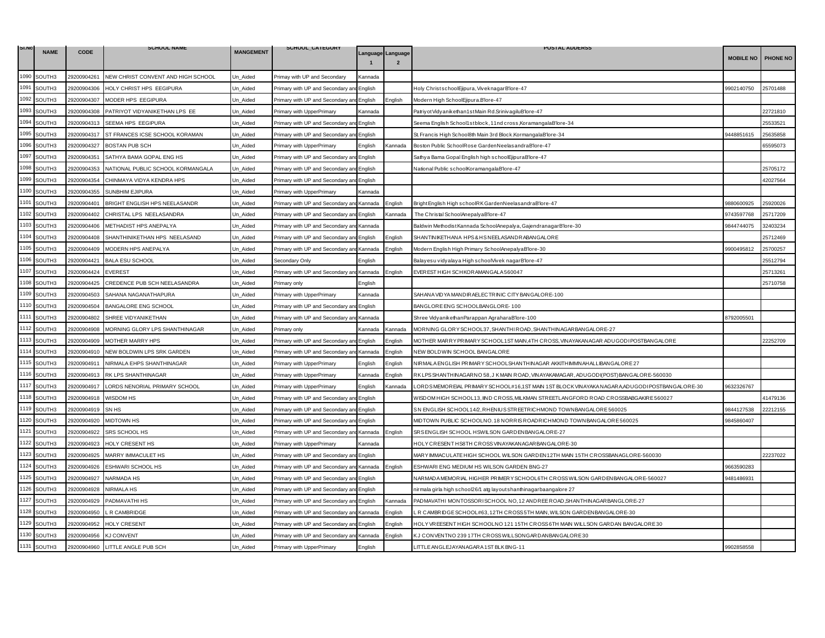| SI.NO |             |             | <b>SCHOOL NAME</b>                 |                  | SCHOOL_CATEGORY                           |         |                   | <b>POSTAL ADDERSS</b>                                                                        |                  |                 |
|-------|-------------|-------------|------------------------------------|------------------|-------------------------------------------|---------|-------------------|----------------------------------------------------------------------------------------------|------------------|-----------------|
|       | <b>NAME</b> | <b>CODE</b> |                                    | <b>MANGEMENT</b> |                                           |         | Language Language |                                                                                              | <b>MOBILE NO</b> | <b>PHONE NO</b> |
| 1090  | SOUTH3      | 29200904261 | NEW CHRIST CONVENT AND HIGH SCHOOL | Un_Aided         | Primay with UP and Secondary              | Kannada |                   |                                                                                              |                  |                 |
| 1091  | SOUTH3      | 29200904306 | HOLY CHRIST HPS EEGIPURA           | Jn Aided         | Primary with UP and Secondary ar          | English |                   | Holy ChristschoolEjipura, ViveknagarB'lore-47                                                | 9902140750       | 25701488        |
| 1092  | SOUTH3      | 29200904307 | MODER HPS EEGIPURA                 | Un Aided         | Primary with UP and Secondary and English |         | English           | Modern High SchoolEjipura.B'lore-47                                                          |                  |                 |
| 1093  | SOUTH3      | 29200904308 | PATRIYOT VIDYANIKETHAN LPS EE      | Jn Aided         | Primary with UpperPrimary                 | Kannada |                   | Patriyot Vidyanikethan1st Main Rd.SrinivagiluB'lore-47                                       |                  | 22721810        |
| 1094  | SOUTH3      | 29200904313 | SEEMA HPS EEGIPURA                 | Jn Aided         | Primary with UP and Secondary an          | English |                   | Seema English School1stblock, 11nd cross, KoramangalaB'lore-34                               |                  | 25533521        |
| 1095  | SOUTH3      | 29200904317 | ST FRANCES ICSE SCHOOL KORAMAN     | Un_Aided         | Primary with UP and Secondary a           | English |                   | St. Francis High School8th Main 3rd Block.KormangalaB'lore-34                                | 9448851615       | 25635858        |
| 1096  | SOUTH3      | 29200904327 | <b>BOSTAN PUB SCH</b>              | Jn Aided         | Primary with UpperPrimary                 | English | Kannada           | Boston Public SchoolRose GardenNeelasandraB'lore-47                                          |                  | 65595073        |
| 1097  | SOUTH3      | 29200904351 | SATHYA BAMA GOPAL ENG HS           | Un Aided         | Primary with UP and Secondary ar          | English |                   | Sathya Bama Gopal English high schoolEjipuraB'lore-47                                        |                  |                 |
| 1098  | SOUTH3      | 29200904353 | NATIONAL PUBLIC SCHOOL KORMANGALA  | Un Aided         | Primary with UP and Secondary an          | English |                   | National Public schoolKoramangalaB'lore-47                                                   |                  | 25705172        |
| 1099  | SOUTH3      | 29200904354 | CHINMAYA VIDYA KENDRA HPS          | Jn_Aided         | Primary with UP and Secondary and         | English |                   |                                                                                              |                  | 42027564        |
| 1100  | SOUTH3      | 29200904355 | SUNBHIM EJIPURA                    | Un Aided         | Primary with UpperPrimary                 | Kannada |                   |                                                                                              |                  |                 |
| 1101  | SOUTH3      | 29200904401 | BRIGHT ENGLISH HPS NEELASANDR      | Jn Aided         | Primary with UP and Secondary ar          | Kannada | English           | Bright English High schoolRK GardenNeelasandraB'lore-47                                      | 9880600925       | 25920026        |
| 1102  | SOUTH3      | 29200904402 | CHRISTAL LPS NEELASANDRA           | Jn_Aided         | Primary with UP and Secondary ar          | English | Kannada           | The Christal SchoolAnepalyaB'lore-47                                                         | 9743597768       | 25717209        |
| 1103  | SOUTH3      | 29200904406 | METHADIST HPS ANEPALYA             | Jn_Aided         | Primary with UP and Secondary ar          | Kannada |                   | Baldwin Methodist Kannada SchoolAnepalya, Gajendranagar B'lore-30                            | 9844744075       | 32403234        |
| 1104  | SOUTH3      | 29200904408 | SHANTHINIKETHAN HPS NEELASAND      | Jn Aided         | Primary with UP and Secondary ar          | English | English           | SHANTINIKETHANA HPS & HS NEELASANDRABANGALORE                                                |                  | 25712469        |
| 1105  | SOUTH3      | 29200904409 | MODERN HPS ANEPALYA                | Jn Aided         | Primary with UP and Secondary an          | Kannada | English           | Modern English High Primary SchoolAnepalyaB'lore-30                                          | 9900495812       | 25700257        |
| 1106  | SOUTH3      | 29200904421 | <b>BALA ESU SCHOOL</b>             | Jn_Aided         | Secondary Only                            | English |                   | Balayesu vidyalaya High schoolVivek nagarB'lore-47                                           |                  | 25512794        |
| 1107  | SOUTH3      | 29200904424 | <b>EVEREST</b>                     | Jn_Aided         | Primary with UP and Secondary ar          | Kannada | English           | EVEREST HIGH SCHKORAMANGALA 560047                                                           |                  | 25713261        |
| 1108  | SOUTH3      | 29200904425 | CREDENCE PUB SCH NEELASANDRA       | Un_Aided         | Primary only                              | English |                   |                                                                                              |                  | 25710758        |
| 1109  | SOUTH3      | 29200904503 | SAHANA NAGANATHAPURA               | Jn Aided         | Primary with UpperPrimary                 | Kannada |                   | SAHANA VIDYA MANDIR AELECTRINIC CITY BANGALORE-100                                           |                  |                 |
| 1110  | SOUTH3      | 29200904504 | <b>BANGALORE ENG SCHOOL</b>        | Jn Aided         | Primary with UP and Secondary an          | English |                   | BANGLORE ENG SCHOOLBANGLORE-100                                                              |                  |                 |
| 1111  | SOUTH3      | 29200904802 | SHREE VIDYANIKETHAN                | Un_Aided         | Primary with UP and Secondary ar          | Kannada |                   | Shree VidyanikethanParappan AgraharaB'lore-100                                               | 3792005501       |                 |
| 1112  | SOUTH3      | 29200904908 | MORNING GLORY LPS SHANTHINAGAR     | Jn Aided         | Primary only                              | Kannada | Kannada           | MORNING GLORY SCHOOL37, SHANTHIROAD, SHANTHINAGARBANGALORE-27                                |                  |                 |
| 1113  | SOUTH3      | 29200904909 | MOTHER MARRY HPS                   | Un Aided         | Primary with UP and Secondary ar          | English | English           | MOTHER MARRY PRIMARY SCHOOL1ST MAIN 4TH CROSS, VINAYAKANAGAR ADUGODI POSTBANGALORE           |                  | 22252709        |
| 1114  | SOUTH3      | 29200904910 | NEW BOLDWIN LPS SRK GARDEN         | Jn_Aided         | Primary with UP and Secondary ar          | Kannada | English           | NEW BOLDWIN SCHOOL BANGALORE                                                                 |                  |                 |
| 1115  | SOUTH3      | 29200904911 | NIRMALA EHPS SHANTHINAGAR          | Jn_Aided         | Primary with UpperPrimary                 | English | English           | NIRMALA ENGLISH PRIMARY SCHOOLSHANTHINAGAR AKKITHIMMNAHALLIBANGALORE 27                      |                  |                 |
| 1116  | SOUTH3      | 29200904913 | RK LPS SHANTHINAGAR                | Un Aided         | Primary with UpperPrimary                 | Kannada | English           | RKLPSSHANTHINAGARNO 58, J KMAIN ROAD, VINAYAKAMAGAR, ADUGODI (POST) BANGALORE-560030         |                  |                 |
| 1117  | SOUTH3      | 29200904917 | LORDS NENORIAL PRIMARY SCHOOL      | Jn Aided         | Primary with UpperPrimary                 | English | Kannada           | -ORDSMEMOREIAL PRIMARY SCHOOL#16.1ST MAIN 1ST BLOCK VINAYAKA NAGARA ADUGODI POSTBANGALORE-30 | 9632326767       |                 |
| 1118  | SOUTH3      | 29200904918 | WISDOM HS                          | Un_Aided         | Primary with UP and Secondary an          | English |                   | WISDOM HIGH SCHOOL13, IIND CROSS, MILKMAN STREETLANGFORD ROAD CROSSBABGAKIRE 560027          |                  | 41479136        |
| 1119  | SOUTH3      | 29200904919 | SN HS                              | Un_Aided         | Primary with UP and Secondary ar          | English |                   | SN ENGLISH SCHOOL14/2, RHENIUS STREETRICHMOND TOWNBANGALORE 560025                           | 9844127538       | 22212155        |
| 1120  | SOUTH3      | 29200904920 | <b>MIDTOWN HS</b>                  | Jn Aided         | Primary with UP and Secondary an          | Enalish |                   | MIDTOWN PUBLIC SCHOOLNO.18 NORRIS ROADRICHMOND TOWNBANGALORE 560025                          | 9845860407       |                 |
| 1121  | SOUTH3      | 29200904922 | SRS SCHOOL HS                      | Un Aided         | Primary with UP and Secondary and         | Kannada | Enalish           | SRS ENGLISH SCHOOL HSWILSON GARDENBANGALORE-27                                               |                  |                 |
| 1122  | SOUTH3      | 29200904923 | HOLY CRESENT HS                    | Jn_Aided         | Primary with UpperPrimary                 | Kannada |                   | HOLY CRESENT HS8TH CROSS VINAYAKAN AGARBANGALORE-30                                          |                  |                 |
| 1123  | SOUTH3      | 29200904925 | MARRY IMMACULET HS                 | Jn Aided         | Primary with UP and Secondary ar          | English |                   | MARY IMMACULATE HIGH SCHOOL WILSON GARDEN12TH MAIN 15TH CROSSBANAGLORE-560030                |                  | 22237022        |
| 1124  | SOUTH3      | 29200904926 | <b>ESHWARI SCHOOL HS</b>           | Un_Aided         | Primary with UP and Secondary ar          | Kannada | English           | ESHWARI ENG MEDIUM HS WILSON GARDEN BNG-27                                                   | 9663590283       |                 |
| 1125  | SOUTH3      | 29200904927 | NARMADA HS                         | Jn Aided         | Primary with UP and Secondary an          | English |                   | VARMADA MEMORIAL HIGHER PRIMERY SCHOOL6TH CROSS WILSON GARDENBANGALORE-560027                | 9481486931       |                 |
| 1126  | SOUTH3      | 29200904928 | NIRMALA HS                         | Un Aided         | Primary with UP and Secondary ar          | English |                   | hirmala girla high school26/1 atg layoutshanthinagarbaangalore 27                            |                  |                 |
| 1127  | SOUTH3      | 29200904929 | PADMAVATHI HS                      | Un_Aided         | Primary with UP and Secondary ar          | English | Kannada           | PADMAVATHI MONTOSSORISCHOOL NO, 12 ANDREE ROAD,SHANTHINAGARBANGLORE-27                       |                  |                 |
| 1128  | SOUTH3      | 29200904950 | L R CAMBRIDGE                      | Jn Aided         | Primary with UP and Secondary an          | Kannada | English           | R CAMBRIDGE SCHOOL#63,12TH CROSS 5TH MAIN, WILSON GARDENBANGALORE-30                         |                  |                 |
| 1129  | SOUTH3      | 29200904952 | <b>HOLY CRESENT</b>                | Un Aided         | Primary with UP and Secondary and         | English | English           | HOLY VREESENT HIGH SCHOOLNO 121 15TH CROSS 6TH MAIN WILLSON GARDAN BANGALORE 30              |                  |                 |
| 1130  | SOUTH3      | 29200904956 | <b>KJ CONVENT</b>                  | Jn_Aided         | Primary with UP and Secondary an          | Kannada | Enalish           | KJ CONVENTNO 239 17TH CROSS WILLSONGARD ANBANGALORE 30                                       |                  |                 |
| 1131  | SOUTH3      | 29200904960 | LITTLE ANGLE PUB SCH               | Un_Aided         | Primary with UpperPrimary                 | English |                   | LITTLE ANGLEJAYANAGARA 1ST BLK BNG-11                                                        | 9902858558       |                 |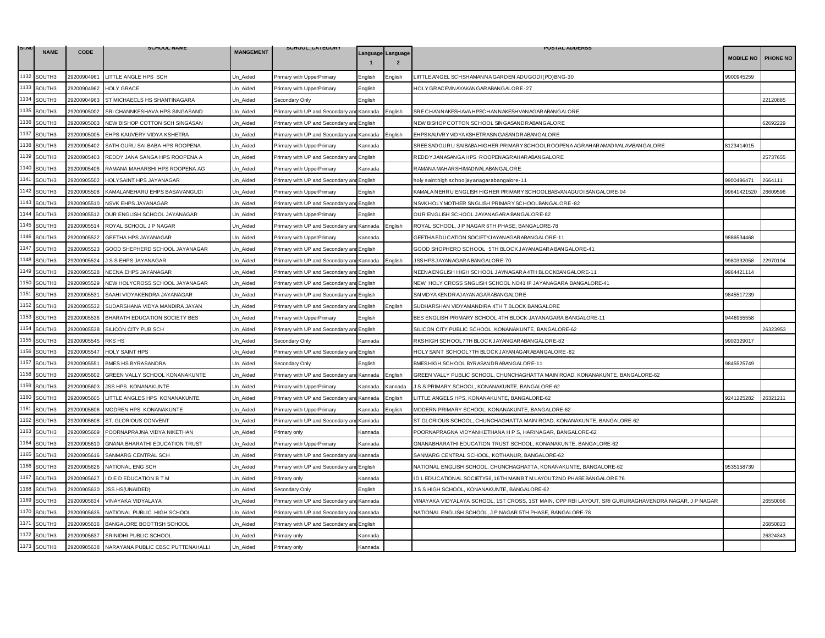| SI.NO | <b>NAME</b> | <b>CODE</b> | <b>SCHOOL NAME</b>                    | <b>MANGEMENT</b> | SCHOOL_CATEGORY                           |                |                                     | <b>POSTAL ADDERSS</b>                                                                                |                  |          |
|-------|-------------|-------------|---------------------------------------|------------------|-------------------------------------------|----------------|-------------------------------------|------------------------------------------------------------------------------------------------------|------------------|----------|
|       |             |             |                                       |                  |                                           |                | Language Language<br>$\overline{2}$ |                                                                                                      | <b>MOBILE NO</b> | PHONE NO |
| 1132  | SOUTH3      | 29200904961 | LITTLE ANGLE HPS SCH                  | Un_Aided         | Primary with UpperPrimary                 | English        | nalish                              | IITTLE ANGEL SCHSHAMANNA GARDEN ADUGODI (PO) BNG-30                                                  | 9900945259       |          |
| 1133  | SOUTH3      | 29200904962 | HOLY GRACE                            | Un Aided         | Primary with UpperPrimary                 | English        |                                     | HOLY GRACEVINAYAKAN GARABAN GALORE-27                                                                |                  |          |
| 1134  | SOUTH3      | 29200904963 | ST MICHAECLS HS SHANTINAGARA          | Un Aided         | Secondary Only                            | English        |                                     |                                                                                                      |                  | 22120885 |
| 1135  | SOUTH3      | 29200905002 | SRI CHANNKESHAVA HPS SINGASAND        | Un_Aided         | Primary with UP and Secondary an          | Kannada        | nalish                              | SRE CHANNAKESHAVA HPSCHANNAKESHVANAGAR ABANGALORE                                                    |                  |          |
| 1136  | SOUTH3      | 29200905003 | NEW BISHOP COTTON SCH SINGASAN        | Un Aided         | Primary with UP and Secondary an          | English        |                                     | NEW BISHOP COTTON SCHOOL SINGASANDRABANGALORE                                                        |                  | 62692229 |
| 1137  | SOUTH3      | 29200905005 | EHPS KAUVERY VIDYA KSHETRA            | Un Aided         | Primary with UP and Secondary and Kannada |                | English                             | EHPS KAUVRY VIDYA KSHETRASING ASANDRABANG ALORE                                                      |                  |          |
| 1138  | SOUTH3      | 29200905402 | SATH GURU SAI BABA HPS ROOPENA        | Un Aided         | Primary with UpperPrimary                 | Kannada        |                                     | SREE SADGURU SAIBABA HIGHER PRIMARY SCHOOLROOPENA AGRAHARAMADIVALAVBANGALORE                         | 3123414015       |          |
| 1139  | SOUTH3      | 29200905403 | REDDY JANA SANGA HPS ROOPENA A        | Un_Aided         | Primary with UP and Secondary an          | English        |                                     | REDDYJANASANGA HPS ROOPENAGRAHARABANGALORE                                                           |                  | 25737655 |
| 1140  | SOUTH3      | 29200905406 | RAMANA MAHARSHI HPS ROOPENA AG        | Un_Aided         | Primary with UpperPrimary                 | Kannada        |                                     | RAMANA MAHAR SHIMAD IVALABAN GALORE                                                                  |                  |          |
| 1141  | SOUTH3      | 29200905502 | HOLYSAINT HPS JAYANAGAR               | Un Aided         | Primary with UP and Secondary and         | English        |                                     | 11-noly sainthigh schooljayanagarabangalore                                                          | 9900496471       | 2664111  |
| 1142  | SOUTH3      | 29200905508 | KAMALANEHARU EHPS BASAVANGUDI         | Un Aided         | Primary with UpperPrimary                 | English        |                                     | KAMALA NEHRU ENGLISH HIGHER PRIMARY SCHOOLBASVANAGUDI BANGALORE-04                                   | 99641421520      | 26609596 |
| 1143  | SOUTH3      | 29200905510 | NSVK EHPS JAYANAGAR                   | Un_Aided         | Primary with UP and Secondary ar          | English        |                                     | NSVK HOLY MOTHER SNGLISH PRIMARY SCHOOLBANGALORE-82                                                  |                  |          |
| 1144  | SOUTH3      | 29200905512 | OUR ENGLISH SCHOOL JAYANAGAR          | Un Aided         | Primary with UpperPrimary                 | English        |                                     | OUR ENGLISH SCHOOL JAYANAGARA BANGALORE-82                                                           |                  |          |
| 1145  | SOUTH3      | 29200905514 | ROYAL SCHOOL J P NAGAR                | Un_Aided         | Primary with UP and Secondary an          | Kannada        | English                             | ROYAL SCHOOL, J P NAGAR 6TH PHASE, BANGALORE-78                                                      |                  |          |
| 1146  | SOUTH3      | 29200905522 | GEETHA HPS JAYANAGAR                  | Jn Aided         | Primary with UpperPrimary                 | Kannada        |                                     | GEETHA EDUCATION SOCIETYJAYANAGARABANGALORE-11                                                       | 3886534468       |          |
| 1147  | SOUTH3      | 29200905523 | GOOD SHEPHERD SCHOOL JAYANAGAR        | Un Aided         | Primary with UP and Secondary an          | English        |                                     | GOOD SHOPHERD SCHOOL 5TH BLOCK JAYANAGARA BANGALORE-41                                               |                  |          |
| 1148  | SOUTH3      | 29200905524 | J S S EHPS JAYANAGAR                  | Un Aided         | Primary with UP and Secondary ar          | Kannada        | nglish                              | JSS HPS JAYAN AGAR A BAN GALORE-70                                                                   | 9980332058       | 22970104 |
| 1149  | SOUTH3      | 29200905528 | NEENA EHPS JAYANAGAR                  | Un Aided         | Primary with UP and Secondary an          | English        |                                     | NEENA ENGLISH HIGH SCHOOL JAYNAGARA 4TH BLOCKBANGALORE-11                                            | 9964421114       |          |
| 1150  | SOUTH3      | 29200905529 | NEW HOLYCROSS SCHOOL JAYANAGAR        | Un Aided         | Primary with UP and Secondary and         | English        |                                     | NEW HOLY CROSS SNGLISH SCHOOL NO41 IF JAYANAGARA BANGALORE-41                                        |                  |          |
| 1151  | SOUTH3      | 29200905531 | SAAHI VIDYAKENDRA JAYANAGAR           | Un Aided         | Primary with UP and Secondary an          | English        |                                     | SAI VID YA KENDRAJAYANAGARABANGALORE                                                                 | 9845517239       |          |
| 1152  | SOUTH3      | 29200905532 | SUDARSHANA VIDYA MANDIRA JAYAN        | Un_Aided         | Primary with UP and Secondary and         | English        | English                             | SUDHARSHAN VIDYAMANDIRA 4TH T BLOCK BANGALORE                                                        |                  |          |
| 1153  | SOUTH3      | 29200905536 | BHARATH EDUCATION SOCIETY BES         | Un_Aided         | Primary with UpperPrimary                 | English        |                                     | BES ENGLISH PRIMARY SCHOOL 4TH BLOCK JAYANAGARA BANGALORE-11                                         | 9448955558       |          |
| 1154  | SOUTH3      | 29200905538 | SILICON CITY PUB SCH                  | Un Aided         | Primary with UP and Secondary an          | English        |                                     | SILICON CITY PUBLIC SCHOOL, KONANAKUNTE, BANGALORE-62                                                |                  | 26323953 |
| 1155  | SOUTH3      | 29200905545 | <b>RKS HS</b>                         | Un_Aided         | Secondary Only                            | Kannada        |                                     | RKS HIGH SCHOOL7TH BLOCK JAYANGARABANGALORE-82                                                       | 9902329017       |          |
| 1156  | SOUTH3      | 29200905547 | <b>HOLY SAINT HPS</b>                 | Un_Aided         | Primary with UP and Secondary an          | English        |                                     | HOLY SAINT SCHOOL7TH BLOCK JAYAN AGAR ABANGALORE-82                                                  |                  |          |
| 1157  | SOUTH3      | 29200905551 | BMES HS BYRASANDRA                    | Jn Aided         | Secondary Only                            | English        |                                     | BMES HIGH SCHOOL BYRASANDRABANGALORE-11                                                              | 9845525749       |          |
| 1158  | SOUTH3      | 29200905602 | GREEN VALLY SCHOOL KONANAKUNTE        | Un Aided         | Primary with UP and Secondary and         | Kannada        | English                             | GREEN VALLY PUBLIC SCHOOL, CHUNCHAGHATTA MAIN ROAD, KONANAKUNTE, BANGALORE-62                        |                  |          |
| 1159  | SOUTH3      | 29200905603 | <b>JSS HPS KONANAKUNTE</b>            | Jn Aided         | Primary with UpperPrimary                 | (annada        | Kannada                             | IS SPRIMARY SCHOOL, KONANAKUNTE, BANGALORE-62                                                        |                  |          |
| 1160  | SOUTH3      | 29200905605 | LITTLE ANGLES HPS KONANAKUNTE         | Un_Aided         | Primary with UP and Secondary and Kannada |                | English                             | ITTLE ANGELS HPS, KONANAKUNTE, BANGALORE-62                                                          | 9241225282       | 26321211 |
| 1161  | SOUTH3      | 29200905606 | MODREN HPS KONANAKUNTE                | Un_Aided         | Primary with UpperPrimary                 | Kannada        | nalish                              | MODERN PRIMARY SCHOOL, KONANAKUNTE, BANGALORE-62                                                     |                  |          |
| 1162  | SOUTH3      | 29200905608 | ST. GLORIOUS CONVENT                  | Un Aided         | Primary with UP and Secondary an          | Kannada        |                                     | ST GLORIOUS SCHOOL, CHUNCHAGHATTA MAIN ROAD, KONANAKUNTE, BANGALORE-62                               |                  |          |
| 1163  | SOUTH3      | 29200905609 | POORNAPRAJNA VIDYA NIKETHAN           | Un Aided         | Primary only                              | Kannada        |                                     | POORNAPRAGNA VIDYANIKETHANA H P S, HARINAGAR, BANGALORE-62                                           |                  |          |
| 1164  | SOUTH3      | 29200905610 | <b>GNANA BHARATHI EDUCATION TRUST</b> | Un_Aided         | Primary with UpperPrimary                 | Kannada        |                                     | GNANABHARATHI EDUCATION TRUST SCHOOL, KONANAKUNTE, BANGALORE-62                                      |                  |          |
| 1165  | SOUTH3      | 29200905616 | SANMARG CENTRAL SCH                   | Jn_Aided         | Primary with UP and Secondary ar          | Kannada        |                                     | SANMARG CENTRAL SCHOOL, KOTHANUR, BANGALORE-62                                                       |                  |          |
| 1166  | SOUTH3      | 29200905626 | NATIONAL ENG SCH                      | Un_Aided         | Primary with UP and Secondary an          | English        |                                     | NATIONAL ENGLISH SCHOOL, CHUNCHAGHATTA, KONANAKUNTE, BANGALORE-62                                    | 9535158739       |          |
| 1167  | SOUTH3      | 29200905627 | I D E D EDUCATION B T M               | Jn Aided         | Primary only                              | <b>Kannada</b> |                                     | ID LEDUCATIONAL SOCIETY56, 16TH MAINBT M LAYOUT2ND PHASE BANGALORE 76                                |                  |          |
| 1168  | SOUTH3      | 29200905630 | <b>JSS HS(UNAIDED)</b>                | Un Aided         | Secondary Only                            | English        |                                     | J S S HIGH SCHOOL, KONANAKUNTE, BANGALORE-62                                                         |                  |          |
| 1169  | SOUTH3      | 29200905634 | VINAYAKA VIDYALAYA                    | Un_Aided         | Primary with UP and Secondary ar          | Kannada        |                                     | VINAYAKA VIDYALAYA SCHOOL, 1ST CROSS, 1ST MAIN, OPP RBI LAYOUT, SRI GURURAGHAVENDRA NAGAR, J P NAGAR |                  | 26550066 |
| 1170  | SOUTH3      | 29200905635 | NATIONAL PUBLIC HIGH SCHOOL           | Un Aided         | Primary with UP and Secondary an          | Kannada        |                                     | VATIONAL ENGLISH SCHOOL, J P NAGAR 5TH PHASE, BANGALORE-78                                           |                  |          |
| 1171  | SOUTH3      | 29200905636 | BANGALORE BOOTTISH SCHOOL             | Un_Aided         | Primary with UP and Secondary an          | English        |                                     |                                                                                                      |                  | 26850823 |
| 1172  | SOUTH3      | 29200905637 | SRINIDHI PUBLIC SCHOOL                | Un_Aided         | Primary only                              | Kannada        |                                     |                                                                                                      |                  | 26324343 |
| 1173  | SOUTH3      | 29200905638 | NARAYANA PUBLIC CBSC PUTTENAHALLI     | Un_Aided         | Primary only                              | Kannada        |                                     |                                                                                                      |                  |          |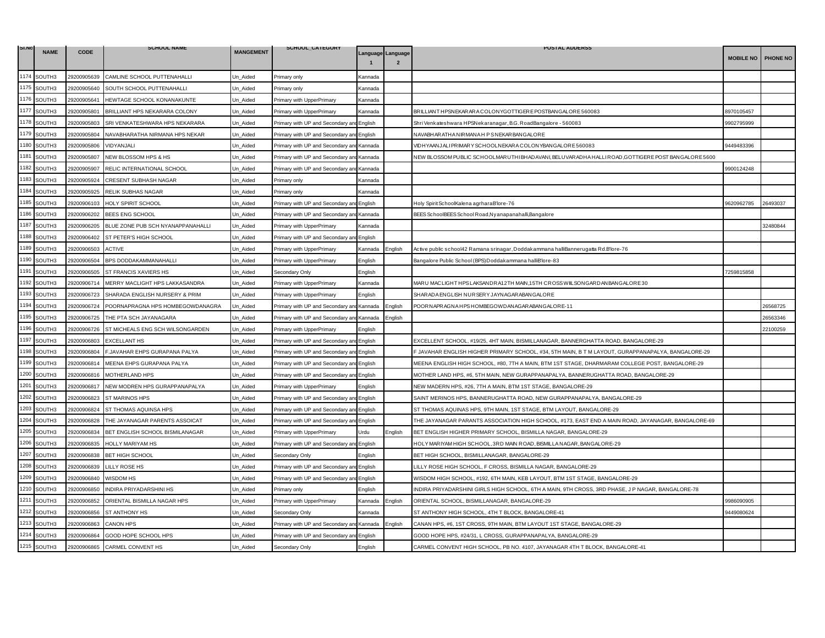| SI.N | <b>NAME</b>        | <b>CODE</b> | <b>SCHOOL NAME</b>                | <b>MANGEMENT</b> | SCHOOL_CATEGORY                           |         |                   | <b>POSTAL ADDERSS</b>                                                                              |                  |          |
|------|--------------------|-------------|-----------------------------------|------------------|-------------------------------------------|---------|-------------------|----------------------------------------------------------------------------------------------------|------------------|----------|
|      |                    |             |                                   |                  |                                           |         | Language Language |                                                                                                    | <b>MOBILE NO</b> | PHONE NO |
| 1174 | SOUTH3             | 29200905639 | CAMLINE SCHOOL PUTTENAHALLI       | Un_Aided         | Primary only                              | Kannada |                   |                                                                                                    |                  |          |
| 1175 | SOUTH3             | 29200905640 | SOUTH SCHOOL PUTTENAHALLI         | Un Aided         | <sup>2</sup> rimary only                  | Kannada |                   |                                                                                                    |                  |          |
| 1176 | SOUTH3             | 29200905641 | HEWTAGE SCHOOL KONANAKUNTE        | Un Aided         | Primary with UpperPrimary                 | Kannada |                   |                                                                                                    |                  |          |
| 1177 | SOUTH3             | 29200905801 | BRILLIANT HPS NEKARARA COLONY     | Un_Aided         | Primary with UpperPrimary                 | Kannada |                   | BRILLIANT HPSNEKAR AR A COLONYGOTTIGERE POSTBANGALORE 560083                                       | 8970105457       |          |
| 1178 | SOUTH3             | 29200905803 | SRI VENKATESHWARA HPS NEKARARA    | Un Aided         | Primary with UP and Secondary an          | English |                   | Shri Venkateshwara HPSNekaranagar, B.G. RoadBangalore - 560083                                     | 9902795999       |          |
| 1179 | SOUTH3             | 29200905804 | NAVABHARATHA NIRMANA HPS NEKAR    | Un Aided         | Primary with UP and Secondary and English |         |                   | NAVABHAR ATHA NIR MANA HPSNEKAR BANGALORE                                                          |                  |          |
| 1180 | SOUTH3             | 29200905806 | VIDYANJALI                        | Un Aided         | Primary with UP and Secondary an          | Kannada |                   | /IDHYAANJALIPRIMARYSCHOOLNEKARACOLONYBANGALORE560083                                               | 3449483396       |          |
| 1181 | SOUTH3             | 29200905807 | NEW BLOSSOM HPS & HS              | Un Aided         | Primary with UP and Secondary an          | Kannada |                   | NEW BLOSSOM PUBLIC SCHOOLMARUTHI BHADAVANI, BELUVARADHA HALLI ROAD,GOTTIGERE POST BANGALORE 5600   |                  |          |
| 1182 | SOUTH3             | 29200905907 | RELIC INTERNATIONAL SCHOOL        | Un_Aided         | Primary with UP and Secondary ar          | Kannada |                   |                                                                                                    | 9900124248       |          |
| 1183 | SOUTH3             | 29200905924 | CRESENT SUBHASH NAGAR             | Un Aided         | Primary only                              | Kannada |                   |                                                                                                    |                  |          |
| 1184 | SOUTH3             | 29200905925 | RELIK SUBHAS NAGAR                | Un Aided         | Primary only                              | Kannada |                   |                                                                                                    |                  |          |
| 1185 | SOUTH3             | 29200906103 | HOLY SPIRIT SCHOOL                | Un_Aided         | Primary with UP and Secondary an          | English |                   | Holy Spirit SchoolKalena agrharaB'lore-76                                                          | 9620962785       | 26493037 |
| 1186 | SOUTH3             | 29200906202 | BEES ENG SCHOOL                   | Un_Aided         | Primary with UP and Secondary and         | Kannada |                   | BEES SchoolBEES School Road,Nyanapanahalli,Bangalore                                               |                  |          |
| 1187 | SOUTH3             | 29200906205 | BLUE ZONE PUB SCH NYANAPPANAHALLI | Un Aided         | Primary with UpperPrimary                 | Kannada |                   |                                                                                                    |                  | 32480844 |
| 1188 | SOUTH <sub>3</sub> | 29200906402 | ST PETER'S HIGH SCHOOL            | Un_Aided         | Primary with UP and Secondary a           | English |                   |                                                                                                    |                  |          |
| 1189 | SOUTH3             | 29200906503 | <b>ACTIVE</b>                     | Un_Aided         | Primary with UpperPrimary                 | Kannada | Enalish           | Active public school42 Ramana srinagar, Doddakammana halliBannerugatta Rd.B'lore-76                |                  |          |
|      | 1190 SOUTH3        | 29200906504 | BPS DODDAKAMMANAHALLI             | Un Aided         | Primary with UpperPrimary                 | English |                   | Bangalore Public School (BPS)Doddakammana halliB'lore-83                                           |                  |          |
| 1191 | SOUTH3             | 29200906505 | ST FRANCIS XAVIERS HS             | Un Aided         | Secondary Only                            | English |                   |                                                                                                    | 7259815858       |          |
| 1192 | SOUTH3             | 29200906714 | MERRY MACLIGHT HPS LAKKASANDRA    | Un Aided         | Primary with UpperPrimary                 | Kannada |                   | MARU MACLIGHT HPS LAKSANDRA12TH MAIN,15TH CROSS WIILSONG ARD ANBANGALORE 30                        |                  |          |
| 1193 | SOUTH3             | 29200906723 | SHARADA ENGLISH NURSERY & PRIM    | Un Aided         | Primary with UpperPrimary                 | English |                   | SHARADA ENGLISH NURSERY JAYNAGARABANGALORE                                                         |                  |          |
| 1194 | SOUTH3             | 29200906724 | POORNAPRAGNA HPS HOMBEGOWDANAGRA  | Un_Aided         | Primary with UP and Secondary a           | Kannada | English           | POOR NAPRAGNA HPS HOMBEGOWD AN AGAR ABANGALORE-11                                                  |                  | 26568725 |
| 1195 | SOUTH3             | 29200906725 | THE PTA SCH JAYANAGARA            | Un_Aided         | Primary with UP and Secondary ar          | Kannada | English           |                                                                                                    |                  | 26563346 |
| 1196 | SOUTH3             | 29200906726 | ST MICHEALS ENG SCH WILSONGARDEN  | Un Aided         | Primary with UpperPrimary                 | English |                   |                                                                                                    |                  | 22100259 |
| 1197 | SOUTH3             | 29200906803 | <b>EXCELLANT HS</b>               | Un_Aided         | Primary with UP and Secondary an          | English |                   | EXCELLENT SCHOOL, #19/25, 4HT MAIN, BISMILLANAGAR, BANNERGHATTA ROAD, BANGALORE-29                 |                  |          |
| 1198 | SOUTH3             | 29200906804 | F.JAVAHAR EHPS GURAPANA PALYA     | Un_Aided         | Primary with UP and Secondary an          | English |                   | F JAVAHAR ENGLISH HIGHER PRIMARY SCHOOL, #34, 5TH MAIN, B T M LAYOUT, GURAPPANAPALYA, BANGALORE-29 |                  |          |
| 1199 | SOUTH3             | 29200906814 | MEENA EHPS GURAPANA PALYA         | Un Aided         | Primary with UP and Secondary an          | English |                   | MEENA ENGLISH HIGH SCHOOL, #80, 7TH A MAIN, BTM 1ST STAGE, DHARMARAM COLLEGE POST, BANGALORE-29    |                  |          |
| 1200 | SOUTH3             | 29200906816 | MOTHERLAND HPS                    | Un_Aided         | Primary with UP and Secondary an          | English |                   | MOTHER LAND HPS, #6, 5TH MAIN, NEW GURAPPANAPALYA, BANNERUGHATTA ROAD, BANGALORE-29                |                  |          |
| 1201 | SOUTH3             | 29200906817 | NEW MODREN HPS GURAPPANAPALYA     | Un_Aided         | Primary with UpperPrimary                 | English |                   | NEW MADERN HPS, #26, 7TH A MAIN, BTM 1ST STAGE, BANGALORE-29                                       |                  |          |
| 1202 | SOUTH3             | 29200906823 | <b>ST MARINOS HPS</b>             | Un Aided         | Primary with UP and Secondary an          | English |                   | SAINT MERINOS HPS, BANNERUGHATTA ROAD, NEW GURAPPANAPALYA, BANGALORE-29                            |                  |          |
| 1203 | SOUTH3             | 29200906824 | ST THOMAS AQUINSA HPS             | Un_Aided         | Primary with UP and Secondary and         | English |                   | ST THOMAS AQUINAS HPS, 9TH MAIN, 1ST STAGE, BTM LAYOUT, BANGALORE-29                               |                  |          |
| 1204 | SOUTH3             | 29200906828 | THE JAYANAGAR PARENTS ASSOICAT    | Un Aided         | Primary with UP and Secondary ar          | English |                   | THE JAYANAGAR PARANTS ASSOCIATION HIGH SCHOOL, #173, EAST END A MAIN ROAD, JAYANAGAR, BANGALORE-69 |                  |          |
| 1205 | SOUTH3             | 29200906834 | BET ENGLISH SCHOOL BISMILANAGAR   | Un Aided         | Primary with UpperPrimary                 | Urdu    | :nalish           | BET ENGLISH HIGHER PRIMARY SCHOOL, BISMILLA NAGAR, BANGALORE-29                                    |                  |          |
|      | 1206 SOUTH3        | 29200906835 | HOLLY MARIYAM HS                  | Un_Aided         | Primary with UP and Secondary ar          | English |                   | HOLY MARIYAM HIGH SCHOOL, 3RD MAIN ROAD, BISMILLA NAGAR, BANGALORE-29                              |                  |          |
| 1207 | SOUTH3             | 29200906838 | <b>BET HIGH SCHOOL</b>            | Un Aided         | Secondary Only                            | English |                   | BET HIGH SCHOOL, BISMILLANAGAR, BANGALORE-29                                                       |                  |          |
| 1208 | SOUTH3             | 29200906839 | LILLY ROSE HS                     | Un Aided         | Primary with UP and Secondary an          | English |                   | ILLY ROSE HIGH SCHOOL, F CROSS, BISMILLA NAGAR, BANGALORE-29                                       |                  |          |
|      | 1209 SOUTH3        | 29200906840 | WISDOM HS                         | Un_Aided         | Primary with UP and Secondary an          | English |                   | WISDOM HIGH SCHOOL, #192, 6TH MAIN, KEB LAYOUT, BTM 1ST STAGE, BANGALORE-29                        |                  |          |
| 1210 | SOUTH3             | 29200906850 | INDIRA PRIYADARSHINI HS           | Un Aided         | Primary only                              | English |                   | INDIRA PRIYADARSHINI GIRLS HIGH SCHOOL, 6TH A MAIN, 9TH CROSS, 3RD PHASE, J P NAGAR, BANGALORE-78  |                  |          |
| 1211 | SOUTH3             | 29200906852 | ORIENTAL BISMILLA NAGAR HPS       | Un Aided         | Primary with UpperPrimary                 | Kannada | English           | ORIENTAL SCHOOL, BISMILLANAGAR, BANGALORE-29                                                       | 9986090905       |          |
| 1212 | SOUTH3             | 29200906856 | ST ANTHONY HS                     | Un_Aided         | Secondary Only                            | Kannada |                   | ST ANTHONY HIGH SCHOOL, 4TH T BLOCK, BANGALORE-41                                                  | 9449080624       |          |
| 1213 | SOUTH3             | 29200906863 | <b>CANON HPS</b>                  | Un Aided         | Primary with UP and Secondary an          | Kannada | English           | CANAN HPS, #6, 1ST CROSS, 9TH MAIN, BTM LAYOUT 1ST STAGE, BANGALORE-29                             |                  |          |
| 1214 | SOUTH3             | 29200906864 | GOOD HOPE SCHOOL HPS              | Un Aided         | Primary with UP and Secondary an          | English |                   | GOOD HOPE HPS, #24/31, L CROSS, GURAPPANAPALYA, BANGALORE-29                                       |                  |          |
| 1215 | SOUTH3             | 29200906865 | CARMEL CONVENT HS                 | Un Aided         | Secondary Only                            | English |                   | CARMEL CONVENT HIGH SCHOOL, PB NO. 4107, JAYANAGAR 4TH T BLOCK, BANGALORE-41                       |                  |          |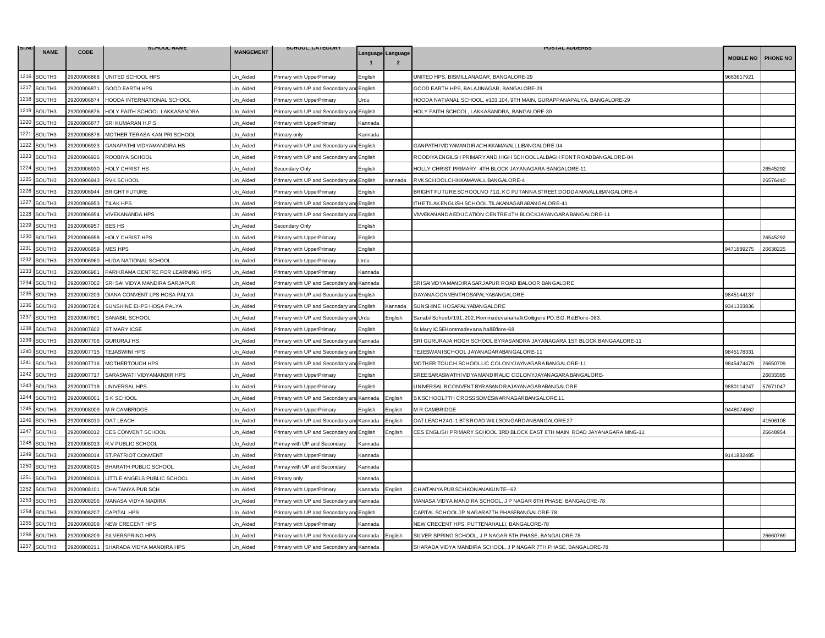| SI.NO | <b>NAME</b> | <b>CODE</b> | <b>SCHOOL NAME</b>                | <b>MANGEMENT</b> | SCHOOL_CATEGORY                           |         |                                     | <b>POSTAL ADDERSS</b>                                                        |                    |          |
|-------|-------------|-------------|-----------------------------------|------------------|-------------------------------------------|---------|-------------------------------------|------------------------------------------------------------------------------|--------------------|----------|
|       |             |             |                                   |                  |                                           |         | Language Language<br>$\overline{2}$ |                                                                              | MOBILE NO PHONE NO |          |
| 1216  | SOUTH3      | 29200906868 | UNITED SCHOOL HPS                 | Un_Aided         | Primary with UpperPrimary                 | English |                                     | UNITED HPS, BISMILLANAGAR, BANGALORE-29                                      | 9663617921         |          |
| 1217  | SOUTH3      | 29200906871 | <b>GOOD EARTH HPS</b>             | Un Aided         | Primary with UP and Secondary an          | English |                                     | GOOD EARTH HPS, BALAJINAGAR, BANGALORE-29                                    |                    |          |
| 1218  | SOUTH3      | 29200906874 | HOODA INTERNATIONAL SCHOOL        | Un Aided         | Primary with UpperPrimary                 | Urdu    |                                     | HOODA NATIANAL SCHOOL, #103,104, 9TH MAIN, GURAPPANAPALYA, BANGALORE-29      |                    |          |
| 1219  | SOUTH3      | 29200906876 | HOLY FAITH SCHOOL LAKKASANDRA     | Jn Aided         | Primary with UP and Secondary an          | English |                                     | HOLY FAITH SCHOOL, LAKKASANDRA, BANGALORE-30                                 |                    |          |
| 1220  | SOUTH3      | 29200906877 | SRI KUMARAN H.P.S                 | Un_Aided         | Primary with UpperPrimary                 | Kannada |                                     |                                                                              |                    |          |
| 1221  | SOUTH3      | 29200906878 | MOTHER TERASA KAN PRI SCHOOL      | Un_Aided         | Primary only                              | Kannada |                                     |                                                                              |                    |          |
| 1222  | SOUTH3      | 29200906923 | GANAPATHI VIDYAMANDIRA HS         | Un_Aided         | Primary with UP and Secondary an          | English |                                     | GAN PATH I VID YAMAN DIR ACHIKKAMAVALLLIBAN GALORE-04                        |                    |          |
| 1223  | SOUTH3      | 29200906926 | ROOBIYA SCHOOL                    | Un Aided         | Primary with UP and Secondary ar          | English |                                     | ROODIYA ENGILSH PRIMARY AND HIGH SCHOOLLALBAGH FONT ROADBANGALORE-04         |                    |          |
| 1224  | SOUTH3      | 29200906930 | HOLY CHRIST HS                    | Un_Aided         | Secondary Only                            | English |                                     | HOLLY CHRIST PRIMARY 4TH BLOCK JAYANAGARA BANGALORE-11                       |                    | 26545292 |
| 1225  | SOUTH3      | 29200906943 | <b>RVK SCHOOL</b>                 | Un Aided         | Primary with UP and Secondary and         | English | ≺annada                             | RVK SCHOOLCHIKKAMAVALLIBANGALORE-4                                           |                    | 26576440 |
| 1226  | SOUTH3      | 29200906944 | <b>BRIGHT FUTURE</b>              | Un_Aided         | Primary with UpperPrimary                 | English |                                     | BRIGHT FUTURE SCHOOLNO 71/1, KC PUTANNA STREET, DODDA MAVALLIBANGALORE-4     |                    |          |
| 1227  | SOUTH3      | 29200906953 | TILAK HPS                         | Un Aided         | Primary with UP and Secondary an          | English |                                     | ITHE TILAK ENGLISH SCHOOL TILAKAN AGAR ABAN GALORE-41                        |                    |          |
| 1228  | SOUTH3      | 29200906954 | <b>VIVEKANANDA HPS</b>            | Un Aided         | Primary with UP and Secondary and         | English |                                     | VIVVEKAN AND A EDUCATION CENTRE 4TH BLOCKJAYANGARA BANGALORE-11              |                    |          |
| 1229  | SOUTH3      | 29200906957 | BES HS                            | Un_Aided         | Secondary Only                            | English |                                     |                                                                              |                    |          |
| 1230  | SOUTH3      | 29200906958 | HOLY CHRIST HPS                   | Un Aided         | Primary with UpperPrimary                 | English |                                     |                                                                              |                    | 26545292 |
| 1231  | SOUTH3      | 29200906959 | <b>MES HPS</b>                    | Un Aided         | Primary with UpperPrimary                 | English |                                     |                                                                              | 9471889275         | 26638225 |
| 1232  | SOUTH3      | 29200906960 | HUDA NATIONAL SCHOOL              | Un_Aided         | Primary with UpperPrimary                 | Urdu    |                                     |                                                                              |                    |          |
| 1233  | SOUTH3      | 29200906961 | PARIKRAMA CENTRE FOR LEARNING HPS | Un_Aided         | Primary with UpperPrimary                 | Kannada |                                     |                                                                              |                    |          |
| 1234  | SOUTH3      | 29200907002 | SRI SAI VIDYA MANDIRA SARJAPUR    | Un_Aided         | Primary with UP and Secondary ar          | Kannada |                                     | SRISAIVIDYA MANDIRA SARJAPUR ROAD IBALOOR BANGALORE                          |                    |          |
| 1235  | SOUTH3      | 29200907203 | DIANA CONVENT LPS HOSA PALYA      | Un Aided         | Primary with UP and Secondary ar          | English |                                     | DAYANA CONVENTHOSAPALYABANGALORE                                             | 9845144137         |          |
| 1236  | SOUTH3      | 29200907204 | SUNSHINE EHPS HOSA PALYA          | Un_Aided         | Primary with UP and Secondary ar          | English | Kannada                             | SUNSHINE HOSAPALYABANGALORE                                                  | 9341303836         |          |
| 1237  | SOUTH3      | 29200907601 | SANABIL SCHOOL                    | Un_Aided         | Primary with UP and Secondary an          | Urdu    | English                             | Sanabil School.#191, 202, Hommadevanahalli.Gottigere PO. B.G. Rd.B'lore-083. |                    |          |
| 1238  | SOUTH3      | 29200907602 | ST MARY ICSE                      | Un Aided         | Primary with UpperPrimary                 | English |                                     | St. Mary ICSEHommadevana halliB'lore-68                                      |                    |          |
| 1239  | SOUTH3      | 29200907706 | <b>GURURAJ HS</b>                 | Un_Aided         | Primary with UP and Secondary and Kannada |         |                                     | SRI GURURAJA HOGH SCHOOL BYRASANDRA JAYANAGARA 1ST BLOCK BANGAALORE-11       |                    |          |
| 1240  | SOUTH3      | 29200907715 | <b>TEJASWINI HPS</b>              | Un Aided         | Primary with UP and Secondary an          | English |                                     | TEJESWANISCHOOL JAYANAGARABANGALORE-11                                       | 9845178331         |          |
| 1241  | SOUTH3      | 29200907716 | MOTHERTOUCH HPS                   | Un_Aided         | Primary with UP and Secondary and         | English |                                     | MOTHER TOUCH SCHOOLLIC COLONYJAYNAGARA BANGALORE-11                          | 9845474479         | 26650709 |
| 1242  | SOUTH3      | 29200907717 | SARASWATI VIDYAMANDIR HPS         | Un_Aided         | Primary with UpperPrimary                 | English |                                     | SREE SARASWATHI VID YA MANDIRALIC COLONYJAYANAGARA BANGALORE-                |                    | 26633385 |
| 1243  | SOUTH3      | 29200907718 | UNIVERSAL HPS                     | Un Aided         | Primary with UpperPrimary                 | English |                                     | UNIVER SAL B CONVENT BYRASANDRAJ AYANAGARABANGALORE                          | 9880114247         | 57671047 |
| 1244  | SOUTH3      | 29200908001 | S K SCHOOL                        | Un Aided         | Primary with UP and Secondary an          | Kannada | English                             | SKSCHOOL7TH CROSS SOMESWARNAGARBANGALORE11                                   |                    |          |
| 1245  | SOUTH3      | 29200908009 | <b>M R CAMBRIDGE</b>              | Un_Aided         | Primary with UpperPrimary                 | English | English                             | M R CAMBRIDGE                                                                | 9448074862         |          |
| 1246  | SOUTH3      | 29200908010 | OAT LEACH                         | Un_Aided         | Primary with UP and Secondary ar          | Kannada | English                             | OAT LEACH24/1-1, BTS ROAD WILLSONGARDANBANGALORE 27                          |                    | 41506108 |
| 1247  | SOUTH3      | 29200908012 | CES CONVENT SCHOOL                | Un Aided         | Primary with UP and Secondary an          | English | English                             | CES ENGLISH PRIMARY SCHOOL 3RD BLOCK EAST 8TH MAIN ROAD JAYANAGARA MNG-11    |                    | 26648954 |
| 1248  | SOUTH3      | 29200908013 | R.V PUBLIC SCHOOL                 | Un Aided         | Primay with UP and Secondary              | Kannada |                                     |                                                                              |                    |          |
| 1249  | SOUTH3      | 29200908014 | ST.PATRIOT CONVENT                | Un_Aided         | Primary with UpperPrimary                 | Kannada |                                     |                                                                              | 9141832485         |          |
| 1250  | SOUTH3      | 29200908015 | BHARATH PUBLIC SCHOOL             | Un_Aided         | Primay with UP and Secondary              | Kannada |                                     |                                                                              |                    |          |
| 1251  | SOUTH3      | 29200908016 | LITTLE ANGELS PUBLIC SCHOOL       | Un Aided         | Primary only                              | Kannada |                                     |                                                                              |                    |          |
| 1252  | SOUTH3      | 29200908101 | CHAITANYA PUB SCH                 | Un_Aided         | Primary with UpperPrimary                 | Kannada | English                             | CHAITANYA PUB SCHKONANAKUNTE--62                                             |                    |          |
| 1253  | SOUTH3      | 29200908206 | MANASA VIDYA MADIRA               | Un_Aided         | Primary with UP and Secondary an          | Kannada |                                     | MANASA VIDYA MANDIRA SCHOOL, J P NAGAR 6TH PHASE, BANGALORE-78               |                    |          |
| 1254  | SOUTH3      | 29200908207 | <b>CAPITAL HPS</b>                | Un_Aided         | Primary with UP and Secondary and English |         |                                     | CAPITAL SCHOOLJP NAGARA7TH PHASEBANGALORE-78                                 |                    |          |
| 1255  | SOUTH3      | 29200908208 | NEW CRECENT HPS                   | Un Aided         | Primary with UpperPrimary                 | Kannada |                                     | NEW CRECENT HPS, PUTTENAHALLI, BANGALORE-78                                  |                    |          |
| 1256  | SOUTH3      | 29200908209 | SILVERSPRING HPS                  | Jn Aided         | Primary with UP and Secondary an          | Kannada | English                             | SILVER SPRING SCHOOL, J P NAGAR 5TH PHASE, BANGALORE-78                      |                    | 26660769 |
| 1257  | SOUTH3      | 29200908211 | SHARADA VIDYA MANDIRA HPS         | Un Aided         | Primary with UP and Secondary and Kannada |         |                                     | SHARADA VIDYA MANDIRA SCHOOL, J P NAGAR 7TH PHASE, BANGALORE-78              |                    |          |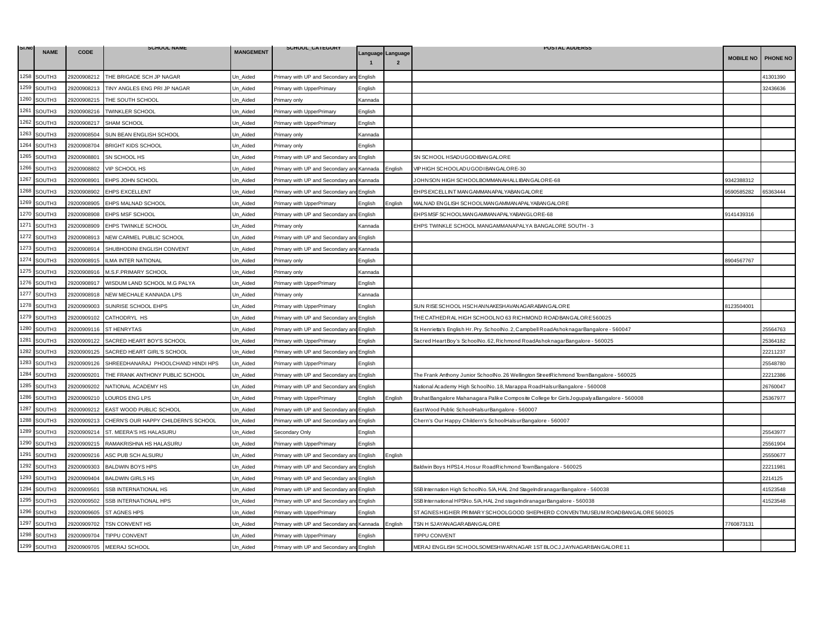| SI.NO | <b>NAME</b> | <b>CODE</b> | <b>SCHOOL NAME</b>                  | <b>MANGEMENT</b> | SCHOOL_CATEGORY                           |         |                                     | <b>POSTAL ADDERSS</b>                                                                       |                  |                 |
|-------|-------------|-------------|-------------------------------------|------------------|-------------------------------------------|---------|-------------------------------------|---------------------------------------------------------------------------------------------|------------------|-----------------|
|       |             |             |                                     |                  |                                           |         | Language Language<br>$\overline{2}$ |                                                                                             | <b>MOBILE NO</b> | <b>PHONE NO</b> |
| 1258  | SOUTH3      | 29200908212 | THE BRIGADE SCH JP NAGAR            | Un_Aided         | Primary with UP and Secondary ar          | English |                                     |                                                                                             |                  | 41301390        |
| 1259  | SOUTH3      | 29200908213 | TINY ANGLES ENG PRI JP NAGAR        | Jn Aided         | Primary with UpperPrimary                 | English |                                     |                                                                                             |                  | 32436636        |
| 1260  | SOUTH3      | 29200908215 | THE SOUTH SCHOOL                    | Un Aided         | Primary only                              | Kannada |                                     |                                                                                             |                  |                 |
| 1261  | SOUTH3      | 29200908216 | <b>TWINKLER SCHOOL</b>              | Jn_Aided         | Primary with UpperPrimary                 | English |                                     |                                                                                             |                  |                 |
| 1262  | SOUTH3      | 29200908217 | SHAM SCHOOL                         | Jn_Aided         | Primary with UpperPrimary                 | English |                                     |                                                                                             |                  |                 |
| 1263  | SOUTH3      | 29200908504 | SUN BEAN ENGLISH SCHOOL             | Un Aided         | Primary only                              | Kannada |                                     |                                                                                             |                  |                 |
| 1264  | SOUTH3      | 29200908704 | <b>BRIGHT KIDS SCHOOL</b>           | Jn Aided         | Primary only                              | English |                                     |                                                                                             |                  |                 |
| 1265  | SOUTH3      | 29200908801 | SN SCHOOL HS                        | Un_Aided         | Primary with UP and Secondary a           | English |                                     | SN SCHOOL HSADUGODIBANGALORE                                                                |                  |                 |
| 1266  | SOUTH3      | 29200908802 | VIP SCHOOL HS                       | Un_Aided         | Primary with UP and Secondary ar          | Kannada | English                             | VIP HIGH SCHOOLADUGODI BANGALORE-30                                                         |                  |                 |
| 1267  | SOUTH3      | 29200908901 | EHPS JOHN SCHOOL                    | Jn Aided         | Primary with UP and Secondary and         | Kannada |                                     | JOHNSON HIGH SCHOOLBOMMAN AHALLIBAN GALORE-68                                               | 9342388312       |                 |
| 1268  | SOUTH3      | 29200908902 | <b>EHPS EXCELLENT</b>               | Un Aided         | Primary with UP and Secondary an          | English |                                     | EHPS EXCELLINT MANGAMMAN APALYABAN GALORE                                                   | 9590585282       | 65363444        |
| 1269  | SOUTH3      | 29200908905 | EHPS MALNAD SCHOOL                  | Un_Aided         | Primary with UpperPrimary                 | English | English                             | MALNAD ENGLISH SCHOOLMANGAMMANAPALYABANGALORE                                               |                  |                 |
| 1270  | SOUTH3      | 29200908908 | EHPS MSF SCHOOL                     | Un Aided         | Primary with UP and Secondary and English |         |                                     | EHPS MSF SCHOOLMAN GAMMAN APALYABAN GLORE-68                                                | 9141439316       |                 |
| 1271  | SOUTH3      | 29200908909 | EHPS TWINKLE SCHOOL                 | Un_Aided         | Primary only                              | Kannada |                                     | EHPS TWINKLE SCHOOL MANGAMMANAPALYA BANGALORE SOUTH - 3                                     |                  |                 |
| 1272  | SOUTH3      | 29200908913 | NEW CARMEL PUBLIC SCHOOL            | Jn Aided         | Primary with UP and Secondary an          | English |                                     |                                                                                             |                  |                 |
| 1273  | SOUTH3      | 29200908914 | SHUBHODINI ENGLISH CONVENT          | Un Aided         | Primary with UP and Secondary and         | Kannada |                                     |                                                                                             |                  |                 |
| 1274  | SOUTH3      | 29200908915 | LMA INTER NATIONAL                  | Jn Aided         | Primary only                              | English |                                     |                                                                                             | 8904567767       |                 |
| 1275  | SOUTH3      | 29200908916 | M.S.F.PRIMARY SCHOOL                | Jn Aided         | Primary only                              | Kannada |                                     |                                                                                             |                  |                 |
| 1276  | SOUTH3      | 29200908917 | WISDUM LAND SCHOOL M.G PALYA        | Un Aided         | Primary with UpperPrimary                 | English |                                     |                                                                                             |                  |                 |
| 1277  | SOUTH3      | 29200908918 | NEW MECHALE KANNADA LPS             | Jn Aided         | Primary only                              | Kannada |                                     |                                                                                             |                  |                 |
| 1278  | SOUTH3      | 29200909003 | SUNRISE SCHOOL EHPS                 | Un_Aided         | Primary with UpperPrimary                 | English |                                     | SUN RISE SCHOOL HSCHANNAKESHAVANAGARABANGALORE                                              | 8123504001       |                 |
| 1279  | SOUTH3      | 29200909102 | CATHODRYL HS                        | Un_Aided         | Primary with UP and Secondary ar          | English |                                     | THE CATHEDRAL HIGH SCHOOLNO 63 RICHMOND ROADBANGALORE 560025                                |                  |                 |
| 1280  | SOUTH3      | 29200909116 | <b>ST HENRYTAS</b>                  | Jn Aided         | Primary with UP and Secondary and         | English |                                     | St. Henrietta's English Hr. Pry. SchoolNo. 2, Campbell RoadAshoknagarBangalore - 560047     |                  | 25564763        |
| 1281  | SOUTH3      | 29200909122 | SACRED HEART BOY'S SCHOOL           | Un_Aided         | Primary with UpperPrimary                 | English |                                     | Sacred HeartBoy's SchoolNo.62, Richmond RoadAshoknagarBangalore - 560025                    |                  | 25364182        |
| 1282  | SOUTH3      | 29200909125 | SACRED HEART GIRL'S SCHOOL          | Un_Aided         | Primary with UP and Secondary an          | English |                                     |                                                                                             |                  | 22211237        |
| 1283  | SOUTH3      | 29200909126 | SHREEDHANARAJ PHOOLCHAND HINDI HPS  | Jn Aided         | Primary with UpperPrimary                 | English |                                     |                                                                                             |                  | 25548780        |
| 1284  | SOUTH3      | 29200909201 | THE FRANK ANTHONY PUBLIC SCHOOL     | Un Aided         | Primary with UP and Secondary and         | English |                                     | The Frank Anthony Junior SchoolNo.26 Wellington StreetRichmond TownBangalore - 560025       |                  | 22212386        |
| 1285  | SOUTH3      | 29200909202 | NATIONAL ACADEMY HS                 | Jn Aided         | Primary with UP and Secondary an          | English |                                     | National Academy High SchoolNo. 18, Marappa RoadHalsurBangalore - 560008                    |                  | 26760047        |
| 1286  | SOUTH3      | 29200909210 | <b>LOURDS ENG LPS</b>               | Jn Aided         | Primary with UpperPrimary                 | English | English                             | Bruhat Bangalore Mahanagara Palike Composite College for Girls Jogupaly aBangalore - 560008 |                  | 25367977        |
| 1287  | SOUTH3      | 29200909212 | EAST WOOD PUBLIC SCHOOL             | Un_Aided         | Primary with UP and Secondary ar          | English |                                     | East Wood Public SchoolHalsurBangalore - 560007                                             |                  |                 |
| 1288  | SOUTH3      | 29200909213 | CHERN'S OUR HAPPY CHILDERN'S SCHOOL | Jn Aided         | Primary with UP and Secondary an          | English |                                     | Chern's Our Happy Childern's SchoolHalsurBangalore - 560007                                 |                  |                 |
| 1289  | SOUTH3      | 29200909214 | ST. MEERA'S HS HALASURU             | Un Aided         | Secondary Only                            | English |                                     |                                                                                             |                  | 25543977        |
| 1290  | SOUTH3      | 29200909215 | RAMAKRISHNA HS HALASURU             | Un_Aided         | Primary with UpperPrimary                 | English |                                     |                                                                                             |                  | 25561904        |
| 1291  | SOUTH3      | 29200909216 | ASC PUB SCH ALSURU                  | Jn_Aided         | Primary with UP and Secondary ar          | English | English                             |                                                                                             |                  | 25550677        |
| 1292  | SOUTH3      | 29200909303 | <b>BALDWIN BOYS HPS</b>             | Un Aided         | Primary with UP and Secondary and English |         |                                     | Baldwin Boys HPS14, Hosur RoadRichmond TownBangalore - 560025                               |                  | 22211981        |
| 1293  | SOUTH3      | 29200909404 | <b>BALDWIN GIRLS HS</b>             | Jn Aided         | Primary with UP and Secondary an          | English |                                     |                                                                                             |                  | 2214125         |
| 1294  | SOUTH3      | 29200909501 | SSB INTERNATIONAL HS                | Un Aided         | Primary with UP and Secondary and         | English |                                     | SSB Internation High SchoolNo. 5/A, HAL 2nd StageIndiranagarBangalore - 560038              |                  | 41523548        |
| 1295  | SOUTH3      | 29200909502 | SSB INTERNATIONAL HPS               | Un_Aided         | Primary with UP and Secondary an          | English |                                     | SSB International HPSNo. 5/A, HAL 2nd stageIndiranagarBangalore - 560038                    |                  | 41523548        |
| 1296  | SOUTH3      | 29200909605 | <b>ST AGNES HPS</b>                 | Jn Aided         | Primary with UpperPrimary                 | English |                                     | ST AGNES HIGHER PRIMARY SCHOOLGOOD SHEPHERD CONVENTMUSEUM ROADBANGALORE 560025              |                  |                 |
| 1297  | SOUTH3      | 29200909702 | TSN CONVENT HS                      | Un Aided         | Primary with UP and Secondary an          | Kannada | Enalish                             | TSN H SJAYANAGARABANGALORE                                                                  | 7760873131       |                 |
| 1298  | SOUTH3      | 29200909704 | <b>TIPPU CONVENT</b>                | Un_Aided         | Primary with UpperPrimary                 | English |                                     | <b>TIPPU CONVENT</b>                                                                        |                  |                 |
| 1299  | SOUTH3      | 29200909705 | MEERAJ SCHOOL                       | Un_Aided         | Primary with UP and Secondary and English |         |                                     | MERAJ ENGLISH SCHOOLSOMESHWARNAGAR 1ST BLOCJ, JAYNAGARBANGALORE 11                          |                  |                 |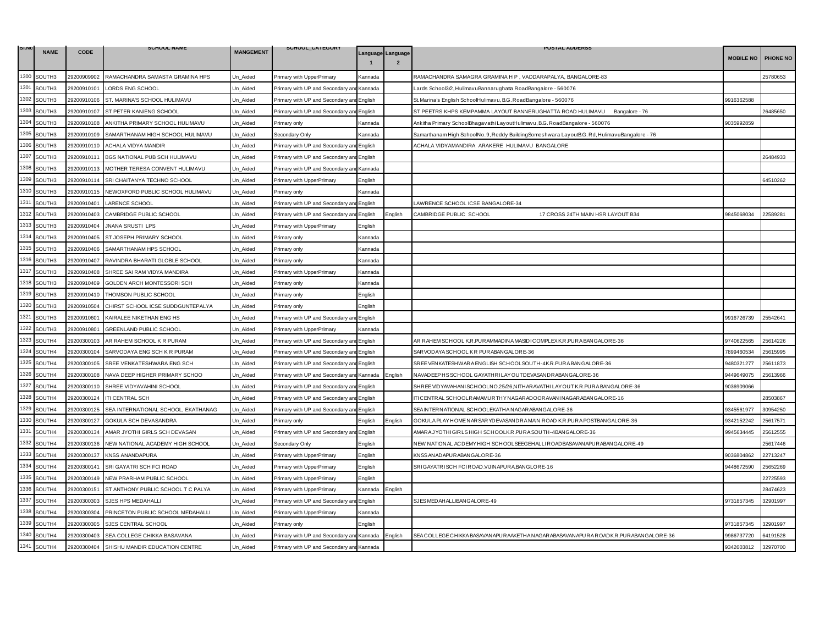| SI.NO | <b>NAME</b> | <b>CODE</b> | <b>SCHOOL NAME</b>                  | <b>MANGEMENT</b> | SCHOOL_CATEGORY                           |                                                                                                                                                     |                   | <b>POSTAL ADDERSS</b>                                                                       |                  |          |
|-------|-------------|-------------|-------------------------------------|------------------|-------------------------------------------|-----------------------------------------------------------------------------------------------------------------------------------------------------|-------------------|---------------------------------------------------------------------------------------------|------------------|----------|
|       |             |             |                                     |                  |                                           |                                                                                                                                                     | Language Language |                                                                                             | <b>MOBILE NO</b> | PHONE NO |
| 1300  | SOUTH3      | 29200909902 | RAMACHANDRA SAMASTA GRAMINA HPS     | Un_Aided         | Primary with UpperPrimary                 | <annada< td=""><td></td><td>RAMACHANDRA SAMAGRA GRAMINA H P, VADDARAPALYA, BANGALORE-83</td><td></td><td>25780653</td></annada<>                    |                   | RAMACHANDRA SAMAGRA GRAMINA H P, VADDARAPALYA, BANGALORE-83                                 |                  | 25780653 |
| 1301  | SOUTH3      | 29200910101 | LORDS ENG SCHOOL                    | Jn Aided         | Primary with UP and Secondary an          | Kannada                                                                                                                                             |                   | Lards School3/2, HulimavuBannarughatta RoadBangalore - 560076                               |                  |          |
| 1302  | SOUTH3      | 29200910106 | ST. MARINA'S SCHOOL HULIMAVU        | Un_Aided         | Primary with UP and Secondary and English |                                                                                                                                                     |                   | St. Marina's English SchoolHulimavu, B.G. RoadBangalore - 560076                            | 9916362588       |          |
| 1303  | SOUTH3      | 29200910107 | ST PETER KAN/ENG SCHOOL             | Jn Aided         | Primary with UP and Secondary an          | English                                                                                                                                             |                   | ST PEETRS KHPS KEMPAMMA LAYOUT BANNERUGHATTA ROAD HULIMAVU Bangalore - 76                   |                  | 26485650 |
| 1304  | SOUTH3      | 29200910108 | ANKITHA PRIMARY SCHOOL HULIMAVU     | Jn Aided         | Primary only                              | <annada< td=""><td></td><td>Ankitha Primary SchoolBhagavathi LayoutHulimavu, B.G. RoadBangalore - 560076</td><td>9035992859</td><td></td></annada<> |                   | Ankitha Primary SchoolBhagavathi LayoutHulimavu, B.G. RoadBangalore - 560076                | 9035992859       |          |
| 1305  | SOUTH3      | 29200910109 | SAMARTHANAM HIGH SCHOOL HULIMAVU    | Un_Aided         | Secondary Only                            | Kannada                                                                                                                                             |                   | Samarthanam High SchoolNo.9, Reddy BuildingSomeshwara LayoutB.G. Rd, HulimavuBangalore - 76 |                  |          |
| 1306  | SOUTH3      | 29200910110 | ACHALA VIDYA MANDIR                 | Jn Aided         | Primary with UP and Secondary ar          | English                                                                                                                                             |                   | ACHALA VIDYAMANDIRA ARAKERE HULIMAVU BANGALORE                                              |                  |          |
| 1307  | SOUTH3      | 29200910111 | BGS NATIONAL PUB SCH HULIMAVU       | Un Aided         | Primary with UP and Secondary an          | English                                                                                                                                             |                   |                                                                                             |                  | 26484933 |
| 1308  | SOUTH3      | 29200910113 | MOTHER TERESA CONVENT HULIMAVU      | Un_Aided         | Primary with UP and Secondary an          | Kannada                                                                                                                                             |                   |                                                                                             |                  |          |
| 1309  | SOUTH3      | 29200910114 | SRI CHAITANYA TECHNO SCHOOL         | Jn Aided         | Primary with UpperPrimary                 | English                                                                                                                                             |                   |                                                                                             |                  | 64510262 |
| 1310  | SOUTH3      | 29200910115 | NEWOXFORD PUBLIC SCHOOL HULIMAVU    | Un_Aided         | Primary only                              | <b>Kannada</b>                                                                                                                                      |                   |                                                                                             |                  |          |
| 1311  | SOUTH3      | 29200910401 | <b>LARENCE SCHOOL</b>               | Un_Aided         | Primary with UP and Secondary ar          | English                                                                                                                                             |                   | LAWRENCE SCHOOL ICSE BANGALORE-34                                                           |                  |          |
| 1312  | SOUTH3      | 29200910403 | CAMBRIDGE PUBLIC SCHOOL             | Jn_Aided         | Primary with UP and Secondary an          | English                                                                                                                                             | English           | CAMBRIDGE PUBLIC SCHOOL<br>17 CROSS 24TH MAIN HSR LAYOUT B34                                | 845068034        | 22589281 |
| 1313  | SOUTH3      | 29200910404 | <b>JNANA SRUSTI LPS</b>             | Un_Aided         | Primary with UpperPrimary                 | English                                                                                                                                             |                   |                                                                                             |                  |          |
| 1314  | SOUTH3      | 29200910405 | ST JOSEPH PRIMARY SCHOOL            | Jn Aided         | Primary only                              | <annada< td=""><td></td><td></td><td></td><td></td></annada<>                                                                                       |                   |                                                                                             |                  |          |
| 1315  | SOUTH3      | 29200910406 | SAMARTHANAM HPS SCHOOL              | Un Aided         | Primary only                              | Kannada                                                                                                                                             |                   |                                                                                             |                  |          |
| 1316  | SOUTH3      | 29200910407 | RAVINDRA BHARATI GLOBLE SCHOOL      | Un_Aided         | Primary only                              | Kannada                                                                                                                                             |                   |                                                                                             |                  |          |
| 1317  | SOUTH3      | 29200910408 | SHREE SAI RAM VIDYA MANDIRA         | Jn Aided         | Primary with UpperPrimary                 | Kannada                                                                                                                                             |                   |                                                                                             |                  |          |
| 1318  | SOUTH3      | 29200910409 | GOLDEN ARCH MONTESSORI SCH          | Un Aided         | Primary only                              | Kannada                                                                                                                                             |                   |                                                                                             |                  |          |
| 1319  | SOUTH3      | 29200910410 | THOMSON PUBLIC SCHOOL               | Jn_Aided         | Primary only                              | English                                                                                                                                             |                   |                                                                                             |                  |          |
| 1320  | SOUTH3      | 29200910504 | CHIRST SCHOOL ICSE SUDDGUNTEPALYA   | Un_Aided         | <sup>2</sup> rimary only                  | English                                                                                                                                             |                   |                                                                                             |                  |          |
| 1321  | SOUTH3      | 29200910601 | KAIRALEE NIKETHAN ENG HS            | Un_Aided         | Primary with UP and Secondary an          | English                                                                                                                                             |                   |                                                                                             | 9916726739       | 25542641 |
| 1322  | SOUTH3      | 29200910801 | GREENLAND PUBLIC SCHOOL             | Jn_Aided         | Primary with UpperPrimary                 | <annada< td=""><td></td><td></td><td></td><td></td></annada<>                                                                                       |                   |                                                                                             |                  |          |
| 1323  | SOUTH4      | 29200300103 | AR RAHEM SCHOOL K R PURAM           | Un Aided         | Primary with UP and Secondary and         | <b>English</b>                                                                                                                                      |                   | AR RAHEM SCHOOL K.R.PURAMMAD IN A MASIDI COMPLEX K.R.PURA BANGALORE-36                      | 9740622565       | 25614226 |
| 1324  | SOUTH4      | 29200300104 | SARVODAYA ENG SCH K R PURAM         | Un_Aided         | Primary with UP and Secondary ar          | English                                                                                                                                             |                   | SARVODAYA SCHOOL KR PURABANGALORE-36                                                        | 7899460534       | 25615995 |
| 1325  | SOUTH4      | 29200300105 | SREE VENKATESHWARA ENG SCH          | Jn Aided         | Primary with UP and Secondary an          | English                                                                                                                                             |                   | SREE VENKATESHWARA ENGLISH SCHOOLSOUTH-4K.R.PURA BANGALORE-36                               | 9480321277       | 25611873 |
| 1326  | SOUTH4      | 29200300108 | NAVA DEEP HIGHER PRIMARY SCHOO      | Un Aided         | Primary with UP and Secondary and         | Kannada                                                                                                                                             | English           | NAVADEEP HSSCHOOL GAYATHRILAY OUTDEVASANDRABANGALORE-36                                     | 9449649075       | 15613966 |
| 1327  | SOUTH4      | 29200300110 | SHREE VIDYAVAHINI SCHOOL            | Un_Aided         | Primary with UP and Secondary an          | English                                                                                                                                             |                   | SHREE VIDYAVAHANI SCHOOLNO.25/26,NITHARAVATHI LAY OUT K.R.PURA BANGALORE-36                 | 9036909066       |          |
| 1328  | SOUTH4      | 29200300124 | <b>ITI CENTRAL SCH</b>              | Jn_Aided         | Primary with UP and Secondary and         | English                                                                                                                                             |                   | ITI CENTRAL SCHOOLRAMAMURTHYNAGARADOORAVANINAGARABANGALORE-16                               |                  | 28503867 |
| 1329  | SOUTH4      | 29200300125 | SEA INTERNATIONAL SCHOOL, EKATHANAG | Un Aided         | Primary with UP and Secondary and         | English                                                                                                                                             |                   | SEA INTERNATIONAL SCHOOLEKATHANAGARABANGALORE-36                                            | 9345561977       | 30954250 |
| 1330  | SOUTH4      | 29200300127 | GOKULA SCH DEVASANDRA               | Jn Aided         | Primary only                              | English                                                                                                                                             | English           | GOKULA PLAY HOME NAR SAR YDEVASANDRA MAIN ROAD K.R.PURA POSTBANGALORE-36                    | 9342152242       | 25617571 |
| 1331  | SOUTH4      | 29200300134 | AMAR JYOTHI GIRLS SCH DEVASAN       | Un_Aided         | Primary with UP and Secondary and English |                                                                                                                                                     |                   | AMARA JYOTHI GIRLS HIGH SCHOOLK.R.PURA SOUTH-4BAN GALORE-36                                 | 9945634445       | 25612555 |
| 1332  | SOUTH4      | 29200300136 | NEW NATIONAL ACADEMY HIGH SCHOOL    | Un_Aided         | Secondary Only                            | English                                                                                                                                             |                   | NEW NATIONAL ACDEMY HIGH SCHOOLSEEGEHALLI ROADBASAVANAPUR ABANGALORE-49                     |                  | 25617446 |
| 1333  | SOUTH4      | 29200300137 | <b>KNSS ANANDAPURA</b>              | Jn Aided         | Primary with UpperPrimary                 | English                                                                                                                                             |                   | KNSS AN AD APUR ABANG ALORE-36                                                              | 9036804862       | 22713247 |
| 1334  | SOUTH4      | 29200300141 | SRI GAYATRI SCH FCI ROAD            | Un Aided         | Primary with UpperPrimary                 | English                                                                                                                                             |                   | SRIGAYATRISCH FCIROAD.VIJINAPURA.BANGLORE-16                                                | 9448672590       | 25652269 |
| 1335  | SOUTH4      | 29200300149 | NEW PRARHAM PUBLIC SCHOOL           | Un_Aided         | Primary with UpperPrimary                 | English                                                                                                                                             |                   |                                                                                             |                  | 22725593 |
| 1336  | SOUTH4      | 29200300151 | ST ANTHONY PUBLIC SCHOOL T C PALYA  | Jn_Aided         | Primary with UpperPrimary                 | Kannada                                                                                                                                             | English           |                                                                                             |                  | 28474623 |
| 1337  | SOUTH4      | 29200300303 | SJES HPS MEDAHALLI                  | Un Aided         | Primary with UP and Secondary an          | English                                                                                                                                             |                   | SJES MED AH ALLIBANG ALORE-49                                                               | 9731857345       | 32901997 |
| 1338  | SOUTH4      | 29200300304 | PRINCETON PUBLIC SCHOOL MEDAHALLI   | Un_Aided         | Primary with UpperPrimary                 | Kannada                                                                                                                                             |                   |                                                                                             |                  |          |
| 1339  | SOUTH4      | 29200300305 | SJES CENTRAL SCHOOL                 | Jn_Aided         | Primary only                              | English                                                                                                                                             |                   |                                                                                             | 9731857345       | 32901997 |
| 1340  | SOUTH4      | 29200300403 | SEA COLLEGE CHIKKA BASAVANA         | Un Aided         | Primary with UP and Secondary an          | d Kannada                                                                                                                                           | Enalish           | SEA COLLEGE CHIKKA BASAVAN APUR AAKETHA NAGAR ABASAVAN APUR A ROADK.R. PUR ABAN GALORE-36   | 9986737720       | 64191528 |
| 1341  | SOUTH4      | 29200300404 | SHISHU MANDIR EDUCATION CENTRE      | Un_Aided         | Primary with UP and Secondary and Kannada |                                                                                                                                                     |                   |                                                                                             | 9342603812       | 32970700 |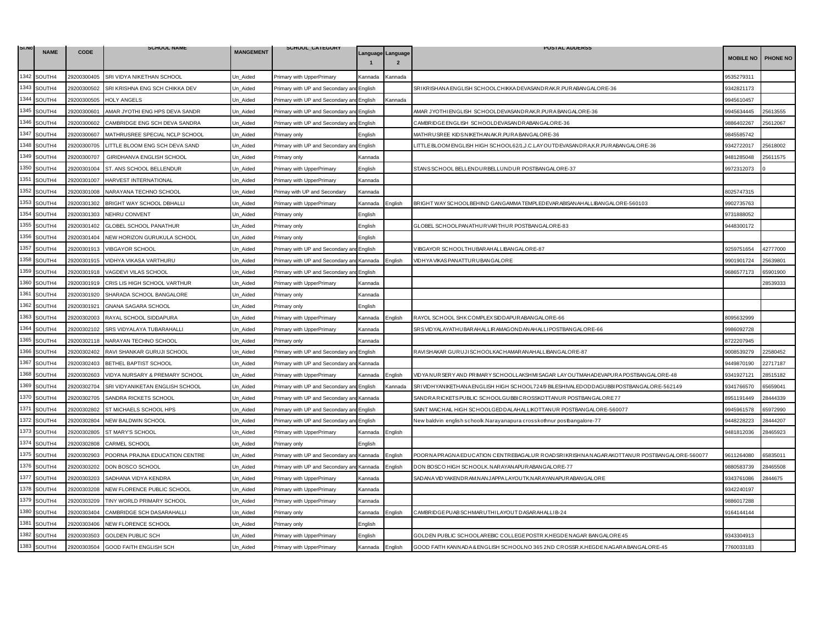| SI.No | <b>NAME</b> | <b>CODE</b> | <b>SCHOOL NAME</b>              | <b>MANGEMENT</b> | SCHOOL_CATEGORY                           |         |                                     | <b>POSTAL ADDERSS</b>                                                                     |                  |          |
|-------|-------------|-------------|---------------------------------|------------------|-------------------------------------------|---------|-------------------------------------|-------------------------------------------------------------------------------------------|------------------|----------|
|       |             |             |                                 |                  |                                           |         | Language Language<br>$\overline{2}$ |                                                                                           | <b>MOBILE NO</b> | PHONE NO |
| 1342  | SOUTH4      | 29200300405 | SRI VIDYA NIKETHAN SCHOOL       | Un_Aided         | Primary with UpperPrimary                 | Kannada | Kannada                             |                                                                                           | 9535279311       |          |
| 1343  | SOUTH4      | 29200300502 | SRI KRISHNA ENG SCH CHIKKA DEV  | Un Aided         | Primary with UP and Secondary a           | English |                                     | SRIKRISHANA ENGLISH SCHOOLCHIKKA DEVASANDRAK.R.PURABANGALORE-36                           | 9342821173       |          |
| 1344  | SOUTH4      | 29200300505 | <b>HOLY ANGELS</b>              | Un Aided         | Primary with UP and Secondary an          | English | Kannada                             |                                                                                           | 9945610457       |          |
| 1345  | SOUTH4      | 29200300601 | AMAR JYOTHI ENG HPS DEVA SANDR  | Un Aided         | Primary with UP and Secondary an          | English |                                     | AMAR JYOTHIENGLISH SCHOOLDEVASANDRAK.R.PURA BANGALORE-36                                  | 9945634445       | 25613555 |
| 1346  | SOUTH4      | 29200300602 | CAMBRIDGE ENG SCH DEVA SANDRA   | Un_Aided         | Primary with UP and Secondary an          | English |                                     | CAMBRIDGE ENGLISH SCHOOLDEVASANDRABANGALORE-36                                            | 9886402267       | 25612067 |
| 1347  | SOUTH4      | 29200300607 | MATHRUSREE SPECIAL NCLP SCHOOL  | Un Aided         | Primary only                              | English |                                     | MATHRUSREE KIDS NIKETHANAK.R.PURA BANGALORE-36                                            | 9845585742       |          |
| 1348  | SOUTH4      | 29200300705 | LITTLE BLOOM ENG SCH DEVA SAND  | Un Aided         | Primary with UP and Secondary and         | English |                                     | LITTLE BLOOM ENGLISH HIGH SCHOOL62/1, J.C.LAY OUTDEVASANDRA,K.R.PUR ABANGALORE-36         | 342722017        | 25618002 |
| 1349  | SOUTH4      | 29200300707 | GIRIDHANVA ENGLISH SCHOOL       | Un_Aided         | <sup>2</sup> rimary only                  | Kannada |                                     |                                                                                           | 9481285048       | 25611575 |
| 1350  | SOUTH4      | 29200301004 | ST. ANS SCHOOL BELLENDUR        | Un_Aided         | Primary with UpperPrimary                 | English |                                     | STANS SCHOOL BELLENDUR BELLUNDUR POSTBANGALORE-37                                         | 9972312073       |          |
| 1351  | SOUTH4      | 29200301007 | HARVEST INTERNATIONAL           | Un Aided         | Primary with UpperPrimary                 | Kannada |                                     |                                                                                           |                  |          |
| 1352  | SOUTH4      | 29200301008 | NARAYANA TECHNO SCHOOL          | Un Aided         | Primay with UP and Secondary              | Kannada |                                     |                                                                                           | 8025747315       |          |
| 1353  | SOUTH4      | 29200301302 | BRIGHT WAY SCHOOL DBHALLI       | Un_Aided         | Primary with UpperPrimary                 | Kannada | English                             | BRIGHT WAY SCHOOLBEHIND GANGAMMA TEMPLED EVAR ABISAN AHALLIBANGALORE-560103               | 9902735763       |          |
| 1354  | SOUTH4      | 29200301303 | NEHRU CONVENT                   | Un Aided         | Primary only                              | English |                                     |                                                                                           | 9731888052       |          |
| 1355  | SOUTH4      | 29200301402 | GLOBEL SCHOOL PANATHUR          | Un_Aided         | Primary only                              | English |                                     | GLOBEL SCHOOLPANATHUR VARTHUR POSTBANGALORE-83                                            | 9448300172       |          |
| 1356  | SOUTH4      | 29200301404 | NEW HORIZON GURUKULA SCHOOL     | Un Aided         | Primary only                              | English |                                     |                                                                                           |                  |          |
| 1357  | SOUTH4      | 29200301913 | VIBGAYOR SCHOOL                 | Un Aided         | Primary with UP and Secondary ar          | English |                                     | VIBGAYOR SCHOOLTHUBARAHALLIBANGALORE-87                                                   | 3259751654       | 42777000 |
| 1358  | SOUTH4      | 29200301915 | VIDHYA VIKASA VARTHURU          | Un_Aided         | Primary with UP and Secondary ar          | Kannada | English                             | VIDHYA VIKAS PAN ATTUR UBAN GALOR E                                                       | 9901901724       | 25639801 |
| 1359  | SOUTH4      | 29200301918 | VAGDEVI VILAS SCHOOL            | Un Aided         | Primary with UP and Secondary an          | English |                                     |                                                                                           | 9686577173       | 65901900 |
| 1360  | SOUTH4      | 29200301919 | CRIS LIS HIGH SCHOOL VARTHUR    | Un_Aided         | Primary with UpperPrimary                 | Kannada |                                     |                                                                                           |                  | 28539333 |
| 1361  | SOUTH4      | 29200301920 | SHARADA SCHOOL BANGALORE        | Jn Aided         | Primary only                              | Kannada |                                     |                                                                                           |                  |          |
| 1362  | SOUTH4      | 29200301921 | <b>GNANA SAGARA SCHOOL</b>      | Un Aided         | <sup>2</sup> rimary only                  | English |                                     |                                                                                           |                  |          |
| 1363  | SOUTH4      | 29200302003 | RAYAL SCHOOL SIDDAPURA          | Un Aided         | Primary with UpperPrimary                 | Kannada | English                             | RAYOL SCHOOL SHK COMPLEX SIDDAPUR ABANGALORE-66                                           | 8095632999       |          |
| 1364  | SOUTH4      | 29200302102 | SRS VIDYALAYA TUBARAHALLI       | Un Aided         | Primary with UpperPrimary                 | Kannada |                                     | SRS VID YALAYATHUBAR AHALLIR AMAGONDAN AHALLI POSTBANG ALORE-66                           | 9986092728       |          |
| 1365  | SOUTH4      | 29200302118 | NARAYAN TECHNO SCHOOL           | Un Aided         | <sup>2</sup> rimary only                  | Kannada |                                     |                                                                                           | 8722207945       |          |
| 1366  | SOUTH4      | 29200302402 | RAVI SHANKAR GURUJI SCHOOL      | Un Aided         | Primary with UP and Secondary an          | English |                                     | RAVISHAKAR GURUJISCHOOLKACHAMARANAHALLIBANGALORE-87                                       | 9008539279       | 22580452 |
| 1367  | SOUTH4      | 29200302403 | BETHEL BAPTIST SCHOOL           | Jn_Aided         | Primary with UP and Secondary and         | Kannada |                                     |                                                                                           | 9449870190       | 22717187 |
| 1368  | SOUTH4      | 29200302603 | VIDYA NURSARY & PREMARY SCHOOL  | Un_Aided         | Primary with UpperPrimary                 | Kannada | English                             | VID YA NUR SER Y AND PR IMAR Y SCHOOLLAKSHMI SAGAR LAY OUTMAHAD EVAPUR A POSTBANGALORE-48 | 9341927121       | 28515182 |
| 1369  | SOUTH4      | 29200302704 | SRI VIDYANIKETAN ENGLISH SCHOOL | Un Aided         | Primary with UP and Secondary an          | English | Kannada                             | SRIVIDHYANIKETHANA ENGLISH HIGH SCHOOL724/9 BILESHIVALEDODDAGUBBI POSTBANGALORE-562149    | 9341766570       | 65659041 |
| 1370  | SOUTH4      | 29200302705 | SANDRA RICKETS SCHOOL           | Un Aided         | Primary with UP and Secondary and Kannada |         |                                     | SANDRARICKETS PUBLIC SCHOOLGUBBICROSSKOTTANUR POSTBANGALORE 77                            | 8951191449       | 28444339 |
| 1371  | SOUTH4      | 29200302802 | ST MICHAELS SCHOOL HPS          | Un_Aided         | Primary with UP and Secondary an          | English |                                     | SAINT MAICHAIL HIGH SCHOOLGEDDALAHALLIKOTTANUR POSTBANGALORE-560077                       | 9945961578       | 65972990 |
| 1372  | SOUTH4      | 29200302804 | NEW BALDWIN SCHOOL              | Un Aided         | Primary with UP and Secondary an          | English |                                     | New baldvin  english schoolk.Narayanapura crosskothnur postbangalore-77                   | 9448228223       | 28444207 |
| 1373  | SOUTH4      | 29200302805 | ST MARY'S SCHOOL                | Un Aided         | Primary with UpperPrimary                 | Kannada | English                             |                                                                                           | 9481812036       | 28465923 |
| 1374  | SOUTH4      | 29200302808 | CARMEL SCHOOL                   | Un Aided         | Primary only                              | English |                                     |                                                                                           |                  |          |
| 1375  | SOUTH4      | 29200302903 | POORNA PRAJNA EDUCATION CENTRE  | Un_Aided         | Primary with UP and Secondary ar          | Kannada | Enalish                             | POORNA PRAGNA EDUCATION CENTREBAGALUR ROADSRIKRISHNA NAGARAKOTTANUR POSTBANGALORE-560077  | 9611264080       | 35835011 |
| 1376  | SOUTH4      | 29200303202 | DON BOSCO SCHOOL                | Un_Aided         | Primary with UP and Secondary an          | Kannada | Enalish                             | DON BOSCO HIGH SCHOOLK. NARAYANAPURABANGALORE-77                                          | 9880583739       | 28465508 |
| 1377  | SOUTH4      | 29200303203 | SADHANA VIDYA KENDRA            | Un Aided         | Primary with UpperPrimary                 | Kannada |                                     | SADANA VIDYAKENDRAM.NANJAPPA LAYOUTK.NARAYANAPURABANGALORE                                | 9343761086       | 2844675  |
| 1378  | SOUTH4      | 29200303208 | NEW FLORENCE PUBLIC SCHOOL      | Un_Aided         | Primary with UpperPrimary                 | Kannada |                                     |                                                                                           | 9342240197       |          |
| 1379  | SOUTH4      | 29200303209 | TINY WORLD PRIMARY SCHOOL       | Un_Aided         | Primary with UpperPrimary                 | Kannada |                                     |                                                                                           | 9886017288       |          |
| 1380  | SOUTH4      | 29200303404 | CAMBRIDGE SCH DASARAHALLI       | Un_Aided         | Primary only                              | Kannada | English                             | CAMBRIDGE PUAB SCHMARUTHILAYOUT DASAR AHALLIB-24                                          | 9164144144       |          |
| 1381  | SOUTH4      | 29200303406 | NEW FLORENCE SCHOOL             | Un Aided         | Primary only                              | English |                                     |                                                                                           |                  |          |
| 1382  | SOUTH4      | 29200303503 | GOLDEN PUBLIC SCH               | Jn Aided         | Primary with UpperPrimary                 | English |                                     | GOLDEN PUBLIC SCHOOLAREBIC COLLEGE POSTR.K.HEGDE NAGAR BANGALORE 45                       | 3343304913       |          |
| 1383  | SOUTH4      | 29200303504 | GOOD FAITH ENGLISH SCH          | Un Aided         | Primary with UpperPrimary                 | Kannada | English                             | GOOD FAITH KANNADA & ENGLISH SCHOOLNO 365 2ND CROSSR.K.HEGDENAGARA BANGALORE-45           | 7760033183       |          |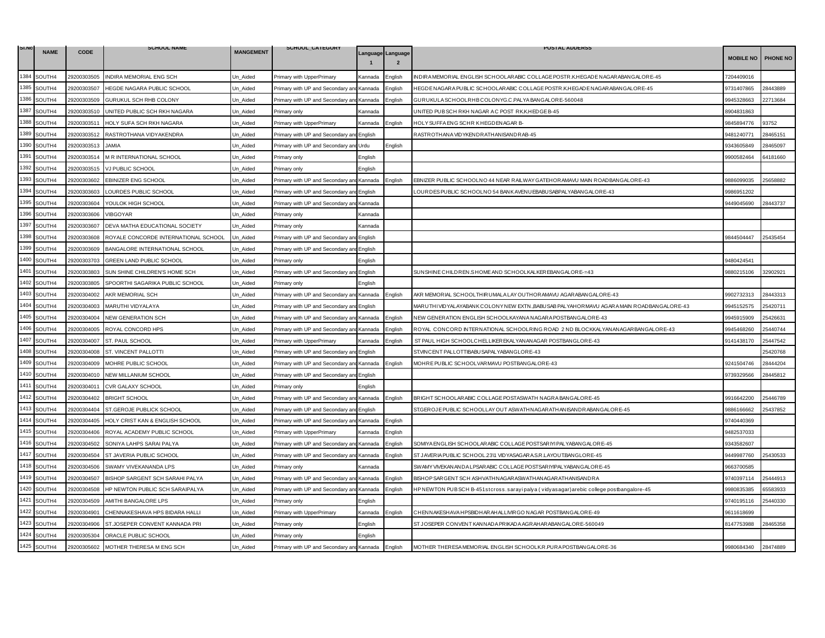| SI.N |             |             | <b>SCHOOL NAME</b>                   |                  | SCHOOL_CATEGORY                                   |         |                                     | <b>POSTAL ADDERSS</b>                                                                    |                  |                 |
|------|-------------|-------------|--------------------------------------|------------------|---------------------------------------------------|---------|-------------------------------------|------------------------------------------------------------------------------------------|------------------|-----------------|
|      | <b>NAME</b> | CODE        |                                      | <b>MANGEMENT</b> |                                                   |         | Language Language<br>$\overline{2}$ |                                                                                          | <b>MOBILE NO</b> | <b>PHONE NO</b> |
| 1384 | SOUTH4      | 29200303505 | INDIRA MEMORIAL ENG SCH              | Un_Aided         | Primary with UpperPrimary                         | Kannada | English                             | INDIRA MEMORIAL ENGLISH SCHOOLARABIC COLLAGE POSTR.K.HEGADE NAGARABANGALORE-45           | 7204409016       |                 |
| 1385 | SOUTH4      | 29200303507 | HEGDE NAGARA PUBLIC SCHOOL           | Un Aided         | Primary with UP and Secondary ar                  | Kannada | :nglish                             | HEGDE NAGARA PUBLIC SCHOOLARABIC COLLAGE POSTR.K.HEGADE NAGARABANGALORE-45               | 9731407865       | 28443889        |
| 1386 | SOUTH4      | 29200303509 | GURUKUL SCH RHB COLONY               | Un Aided         | Primary with UP and Secondary and                 | Kannada | Enalish                             | GURUKULA SCHOOLRHB COLONYG.C.PALYA BANGALORE-560048                                      | 9945328663       | 22713684        |
| 1387 | SOUTH4      | 29200303510 | UNITED PUBLIC SCH RKH NAGARA         | Un_Aided         | Primary only                                      | Kannada |                                     | JNITED PUB SCH RKH NAGAR AC POST RK.K.HEDGE B-45                                         | 3904831863       |                 |
| 1388 | SOUTH4      | 29200303511 | HOLY SUFA SCH RKH NAGARA             | Un_Aided         | Primary with UpperPrimary                         | Kannada | Enalish                             | HOLY SUFFAENG SCHR KHEGDENAGAR B-                                                        | 9845894776       | 93752           |
| 1389 | SOUTH4      | 29200303512 | RASTROTHANA VIDYAKENDRA              | Un_Aided         | Primary with UP and Secondary ar                  | English |                                     | RASTROTHANA VIDYKENDRATHANISANDRAB-45                                                    | 9481240771       | 28465151        |
| 1390 | SOUTH4      | 29200303513 | <b>JAMIA</b>                         | Un Aided         | Primary with UP and Secondary an                  | Urdu    | English                             |                                                                                          | 3343605849       | 28465097        |
| 1391 | SOUTH4      | 29200303514 | M R INTERNATIONAL SCHOOL             | Un Aided         | Primary only                                      | English |                                     |                                                                                          | 9900582464       | 64181660        |
| 1392 | SOUTH4      | 29200303515 | VJ PUBLIC SCHOOL                     | Un_Aided         | <sup>2</sup> rimary only                          | English |                                     |                                                                                          |                  |                 |
| 1393 | SOUTH4      | 29200303602 | EBINIZER ENG SCHOOL                  | Un Aided         | Primary with UP and Secondary and Kannada         |         | :nalish                             | EBNIZER PUBLIC SCHOOLNO 44 NEAR RAILWAY GATEHORAMAVU MAIN ROADBANGALORE-43               | 886099035        | 25658882        |
| 1394 | SOUTH4      | 29200303603 | LOURDES PUBLIC SCHOOL                | Un Aided         | Primary with UP and Secondary an                  | English |                                     | LOURDES PUBLIC SCHOOLNO 54 BANK AVENUEBABUSABPALYABANGALORE-43                           | 9986951202       |                 |
| 1395 | SOUTH4      | 29200303604 | YOULOK HIGH SCHOOL                   | Un Aided         | Primary with UP and Secondary ar                  | Kannada |                                     |                                                                                          | 3449045690       | 28443737        |
| 1396 | SOUTH4      | 29200303606 | <b>VIBGOYAR</b>                      | Un Aided         | Primary only                                      | Kannada |                                     |                                                                                          |                  |                 |
| 1397 | SOUTH4      | 29200303607 | DEVA MATHA EDUCATIONAL SOCIETY       | Un Aided         | Primary only                                      | Kannada |                                     |                                                                                          |                  |                 |
| 1398 | SOUTH4      | 29200303608 | ROYALE CONCORDE INTERNATIONAL SCHOOL | Un Aided         | Primary with UP and Secondary an                  | English |                                     |                                                                                          | 9844504447       | 25435454        |
| 1399 | SOUTH4      | 29200303609 | BANGALORE INTERNATIONAL SCHOOL       | Un Aided         | Primary with UP and Secondary an                  | English |                                     |                                                                                          |                  |                 |
| 1400 | SOUTH4      | 29200303703 | GREEN LAND PUBLIC SCHOOL             | Un Aided         | Primary only                                      | English |                                     |                                                                                          | 480424541        |                 |
| 1401 | SOUTH4      | 29200303803 | SUN SHINE CHILDREN'S HOME SCH        | Un Aided         | Primary with UP and Secondary an                  | English |                                     | SUNSHINE CHILDREN.SHOME AND SCHOOLKALKEREBANGALORE-=43                                   | 9880215106       | 32902921        |
| 1402 | SOUTH4      | 29200303805 | SPOORTHI SAGARIKA PUBLIC SCHOOL      | Un_Aided         | Primary only                                      | English |                                     |                                                                                          |                  |                 |
| 1403 | SOUTH4      | 29200304002 | AKR MEMORIAL SCH                     | Un Aided         | Primary with UP and Secondary an                  | Kannada | English                             | AKR MEMORIAL SCHOOLTHIRUMALA LAYOUTHORAMAVU AGARABAN GALORE-43                           | 9902732313       | 28443313        |
| 1404 | SOUTH4      | 29200304003 | MARUTHI VIDYALAYA                    | Un Aided         | Primary with UP and Secondary an                  | English |                                     | MARUTHI VIDYALAYABANK COLONY NEW EXTN.,BABUSAB PALYAHOR MAVU AGARA MAIN ROADBANGALORE-43 | 9945152575       | 25420711        |
| 1405 | SOUTH4      | 29200304004 | <b>NEW GENERATION SCH</b>            | Un_Aided         | Primary with UP and Secondary an                  | Kannada | English                             | NEW GENERATION ENGLISH SCHOOLKAYANA NAGARA POSTBANGALORE-43                              | 9945915909       | 25426631        |
| 1406 | SOUTH4      | 29200304005 | ROYAL CONCORD HPS                    | Un_Aided         | Primary with UP and Secondary and                 | Kannada | English                             | ROYAL CONCORD INTERNATIONAL SCHOOLRING ROAD 2 ND BLOCKKALYANANAGARBANGALORE-43           | 9945468260       | 25440744        |
| 1407 | SOUTH4      | 29200304007 | ST. PAUL SCHOOL                      | Un Aided         | Primary with UpperPrimary                         | Kannada | English                             | ST PAUL HIGH SCHOOLCHELLIKER EKALYANANAGAR POSTBANGLORE-43                               | 9141438170       | 25447542        |
| 1408 | SOUTH4      | 29200304008 | ST. VINCENT PALLOTTI                 | Un Aided         | Primary with UP and Secondary an                  | English |                                     | ST.VINCENT PALLOTTIBABUSAPALYABANGLORE-43                                                |                  | 25420768        |
| 1409 | SOUTH4      | 29200304009 | MOHRE PUBLIC SCHOOL                  | Un_Aided         | Primary with UP and Secondary and Kannada         |         | English                             | MOHRE PUBLIC SCHOOLVARMAVU POSTBANGALORE-43                                              | 9241504746       | 28444204        |
|      | 1410 SOUTH4 | 29200304010 | NEW MILLANIUM SCHOOL                 | Un_Aided         | Primary with UP and Secondary an                  | English |                                     |                                                                                          | 9739329566       | 28445812        |
| 1411 | SOUTH4      | 29200304011 | CVR GALAXY SCHOOL                    | Un Aided         | Primary only                                      | English |                                     |                                                                                          |                  |                 |
| 1412 | SOUTH4      | 29200304402 | <b>BRIGHT SCHOOL</b>                 | Un Aided         | Primary with UP and Secondary an                  | Kannada | English                             | BRIGHT SCHOOLARABIC COLLAGE POSTASWATH NAGRA BANGALORE-45                                | 9916642200       | 25446789        |
| 1413 | SOUTH4      | 29200304404 | ST.GEROJE PUBLICK SCHOOL             | Un_Aided         | Primary with UP and Secondary ar                  | English |                                     | ST.GEROJE PUBLIC SCHOOLLAY OUT ASWATHNAGAR ATHANISANDR ABANGALORE-45                     | 886166662        | 25437852        |
| 1414 | SOUTH4      | 29200304405 | HOLY CRIST KAN & ENGLISH SCHOOL      | Un_Aided         | Primary with UP and Secondary an                  | Kannada | English                             |                                                                                          | 9740440369       |                 |
|      | 1415 SOUTH4 | 29200304406 | ROYAL ACADEMY PUBLIC SCHOOL          | Un Aided         | Primary with UpperPrimary                         | Kannada | Enalish                             |                                                                                          | 9482537033       |                 |
| 1416 | SOUTH4      | 29200304502 | SONIYA LAHPS SARAI PALYA             | Un Aided         | Primary with UP and Secondary an                  | Kannada | English                             | SOMIYA ENGLISH SCHOOLAR ABIC COLLAGE POSTSAR IYI PALYABANGALOR E-45                      | 9343582607       |                 |
| 1417 | SOUTH4      | 29200304504 | ST JAVERIA PUBLIC SCHOOL             | Un Aided         | Primary with UP and Secondary an                  | Kannada | English                             | ST JAVER IA PUBLIC SCHOOL.23\1 VIDYASAGAR A.S.R.LAYOUT.BANGLORE-45                       | 9449987760       | 25430533        |
| 1418 | SOUTH4      | 29200304506 | SWAMY VIVEKANANDA LPS                | Un Aided         | Primary only                                      | Kannada |                                     | SWAMY VIVEKAN AND A LPSAR ABIC COLLAGE POSTSAR IYIPALYABAN GALORE-45                     | 9663700585       |                 |
| 1419 | SOUTH4      | 29200304507 | BISHOP SARGENT SCH SARAHI PALYA      | Un Aided         | Primary with UP and Secondary an                  | Kannada | English                             | BISHOP SAR GENT SCH ASHVATHNAGAR ASWATHANAGAR ATHANISANDRA                               | 9740397114       | 25444913        |
| 1420 | SOUTH4      | 29200304508 | HP NEWTON PUBLIC SCH SARAIPALYA      | Un_Aided         | Primary with UP and Secondary an                  | Kannada | English                             | HPNEWTON PUBSCH B-451stcross.sarayipalya (vidyasagar)arebic college postbangalore-45     | 9980835385       | 65583933        |
| 1421 | SOUTH4      | 29200304509 | AMITHI BANGALORE LPS                 | Un Aided         | Primary only                                      | English |                                     |                                                                                          | 9740195116       | 25440330        |
| 1422 | SOUTH4      | 29200304901 | CHENNAKESHAVA HPS BIDARA HALLI       | Un Aided         | Primary with UpperPrimary                         | Kannada | Enalish                             | CHENNAKESHAVA HPSBIDHAR AHALLIVIR GO NAGAR POSTBANGALORE-49                              | 9611618699       |                 |
| 1423 | SOUTH4      | 29200304906 | ST.JOSEPER CONVENT KANNADA PRI       | Un_Aided         | Primary only                                      | English |                                     | ST JOSEPER CONVENT KANNADA PRIKADA AGRAHARABANGALORE-560049                              | 3147753988       | 28465358        |
| 1424 | SOUTH4      | 29200305304 | ORACLE PUBLIC SCHOOL                 | Un Aided         | Primary only                                      | Enalish |                                     |                                                                                          |                  |                 |
|      | 1425 SOUTH4 | 29200305602 | MOTHER THERESA M ENG SCH             | Un Aided         | Primary with UP and Secondary and Kannada English |         |                                     | MOTHER THERESA MEMORIAL ENGLISH SCHOOLK.R.PURA POSTBANGALORE-36                          | 9980684340       | 28474889        |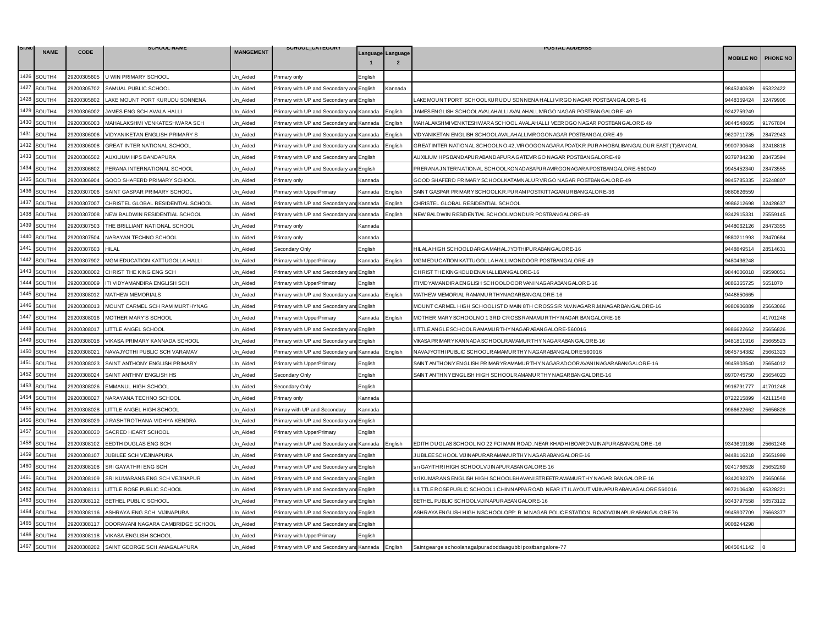| SI.NO |             |             | <b>SCHOOL NAME</b>                 |                  | SCHOOL_CAILGORY                           |         |                   | <b>POSTAL ADDERSS</b>                                                                         |                  |                 |
|-------|-------------|-------------|------------------------------------|------------------|-------------------------------------------|---------|-------------------|-----------------------------------------------------------------------------------------------|------------------|-----------------|
|       | <b>NAME</b> | <b>CODE</b> |                                    | <b>MANGEMENT</b> |                                           |         | Language Language |                                                                                               | <b>MOBILE NO</b> | <b>PHONE NO</b> |
| 1426  | SOUTH4      | 29200305605 | U WIN PRIMARY SCHOOL               | Un_Aided         | <sup>2</sup> rimary only                  | :nalish |                   |                                                                                               |                  |                 |
| 1427  | SOUTH4      | 29200305702 | SAMUAL PUBLIC SCHOOL               | Jn Aided         | Primary with UP and Secondary an          | English | Kannada           |                                                                                               | 9845240639       | 65322422        |
| 1428  | SOUTH4      | 29200305802 | LAKE MOUNT PORT KURUDU SONNENA     | Un Aided         | Primary with UP and Secondary and English |         |                   | LAKE MOUNT PORT SCHOOLKURUDU SONNENA HALLIVIRGO NAGAR POSTBANGALORE-49                        | 9448359424       | 32479906        |
| 1429  | SOUTH4      | 29200306002 | JAMES ENG SCH AVALA HALLI          | Jn Aided         | Primary with UP and Secondary an          | Kannada | English           | JAMES ENGLISH SCHOOLAVALAHALLI AVALAHALLIVIR GO NAGAR POSTBANGALORE-49                        | 9242759249       |                 |
| 1430  | SOUTH4      | 29200306003 | MAHALAKSHMI VENKATESHWARA SCH      | Un Aided         | Primary with UP and Secondary and         | Kannada | English           | MAHALAKSHMI VENKTESHWARA SCHOOL AVALAHALLI VEER OGO NAGAR POSTBANGALORE-49                    | 9844548605       | 91767804        |
| 1431  | SOUTH4      | 29200306006 | VIDYANIKETAN ENGLISH PRIMARY S     | Un_Aided         | Primary with UP and Secondary ar          | Kannada | Enalish           | VIDYANIKETAN ENGLISH SCHOOLAVALAHALLIVIR OGONAGAR POSTBANGALORE-49                            | 9620711735       | 28472943        |
| 1432  | SOUTH4      | 29200306008 | GREAT INTER NATIONAL SCHOOL        | Jn Aided         | Primary with UP and Secondary and Kannada |         | Enalish           | GREAT INTER NATIONAL SCHOOLNO.42, VIROOGONAGARA POAT,K.R.PURA HOBALIBANGALOUR EAST (T) BANGAL | 9900790648       | 32418818        |
| 1433  | SOUTH4      | 29200306502 | AUXILIUM HPS BANDAPURA             | Un Aided         | Primary with UP and Secondary an          | English |                   | AUXILIUM HPS BAND APUR ABAND APUR A GATEVIR GO NAGAR POSTBANG ALORE-49                        | 9379784238       | 28473594        |
| 1434  | SOUTH4      | 29200306602 | PERANA INTERNATIONAL SCHOOL        | Un Aided         | Primary with UP and Secondary ar          | English |                   | PRERANA JNTERNATIONAL SCHOOLKONADASAPURAVIRGONAGARA POSTBANGALORE-560049                      | 9945452340       | 28473555        |
| 1435  | SOUTH4      | 29200306904 | GOOD SHAFERD PRIMARY SCHOOL        | Jn Aided         | <sup>9</sup> rimary only                  | Kannada |                   | GOOD SHAFERD PRIMARY SCHOOLKATAMNALUR VIRGO NAGAR POSTBANGALORE-49                            | 9945785335       | 25248807        |
| 1436  | SOUTH4      | 29200307006 | SAINT GASPAR PRIMARY SCHOOL        | Un_Aided         | Primary with UpperPrimary                 | Kannada | English           | SAINT GASPAR PRIMARY SCHOOLK.R.PURAM POSTKITTAGANURBANGALORE-36                               | 9880826559       |                 |
| 1437  | SOUTH4      | 29200307007 | CHRISTEL GLOBAL RESIDENTIAL SCHOOL | Jn Aided         | Primary with UP and Secondary ar          | Kannada | Enalish           | CHRISTEL GLOBAL RESIDENTIAL SCHOOL                                                            | 9986212698       | 32428637        |
| 1438  | SOUTH4      | 29200307008 | NEW BALDWIN RESIDENTIAL SCHOOL     | Un Aided         | Primary with UP and Secondary and Kannada |         | English           | NEW BALDWIN RESIDENTIAL SCHOOLMONDUR POSTBANGALORE-49                                         | 9342915331       | 25559145        |
| 1439  | SOUTH4      | 29200307503 | THE BRILLIANT NATIONAL SCHOOL      | Un_Aided         | Primary only                              | Kannada |                   |                                                                                               | 9448062126       | 28473355        |
| 1440  | SOUTH4      | 29200307504 | NARAYAN TECHNO SCHOOL              | Jn Aided         | Primary only                              | Kannada |                   |                                                                                               | 9880211993       | 28470684        |
| 1441  | SOUTH4      | 29200307603 | <b>HILAL</b>                       | Un Aided         | Secondary Only                            | English |                   | HILALA HIGH SCHOOLDAR GA MAHALJYOTHIPUR ABANGALORE-16                                         | 9448849514       | 28514631        |
| 1442  | SOUTH4      | 29200307902 | MGM EDUCATION KATTUGOLLA HALLI     | Jn_Aided         | Primary with UpperPrimary                 | Kannada | Enalish           | MGM EDUCATION KATTUGOLLA HALLIMONDOOR POSTBANGALORE-49                                        | 9480436248       |                 |
| 1443  | SOUTH4      | 29200308002 | CHRIST THE KING ENG SCH            | Un_Aided         | Primary with UP and Secondary ar          | English |                   | CHRIST THE KINGKOUDENAHALLIBANGALORE-16                                                       | 9844006018       | 69590051        |
| 1444  | SOUTH4      | 29200308009 | ITI VIDYAMANDIRA ENGLISH SCH       | Un_Aided         | Primary with UpperPrimary                 | English |                   | ITI VID YAMAN DIR A ENGLISH SCHOOLDOOR VAN IN AGAR ABANGALORE-16                              | 9886365725       | 5651070         |
| 1445  | SOUTH4      | 29200308012 | <b>MATHEW MEMORIALS</b>            | Jn_Aided         | Primary with UP and Secondary an          | Kannada | English           | MATHEW MEMORIAL RAMAMURTHYNAGARBANGALORE-16                                                   | 3448850665       |                 |
| 1446  | SOUTH4      | 29200308013 | MOUNT CARMEL SCH RAM MURTHYNAG     | Un_Aided         | Primary with UP and Secondary and         | English |                   | MOUNT CARMEL HIGH SCHOOLIST D MAIN 8TH CROSS SIR M.V.NAGARR.M.NAGARBANGALORE-16               | 9980906889       | 25663066        |
| 1447  | SOUTH4      | 29200308016 | MOTHER MARY'S SCHOOL               | Un_Aided         | Primary with UpperPrimary                 | Kannada | English           | MOTHER MARY SCHOOLNO 13RD CROSS RAMAMURTHY NAGAR BANGALORE-16                                 |                  | 41701248        |
| 1448  | SOUTH4      | 29200308017 | LITTLE ANGEL SCHOOL                | Jn Aided         | Primary with UP and Secondary and English |         |                   | LITTLE ANGLE SCHOOLR AMAMURTHY NAGARABANGALORE-560016                                         | 9986622662       | 25656826        |
| 1449  | SOUTH4      | 29200308018 | VIKASA PRIMARY KANNADA SCHOOL      | Un Aided         | Primary with UP and Secondary and         | English |                   | VIKASA PRIMARYKAN NADA SCHOOLRAMAMURTHYN AGARABAN GALORE-16                                   | 9481811916       | 25665523        |
| 1450  | SOUTH4      | 29200308021 | NAVAJYOTHI PUBLIC SCH VARAMAV      | Jn Aided         | Primary with UP and Secondary an          | Kannada | English           | NAVAJYOTHI PUBLIC SCHOOLRAMAMURTHY NAGARABANGALORE 560016                                     | 9845754382       | 25661323        |
| 1451  | SOUTH4      | 29200308023 | SAINT ANTHONY ENGLISH PRIMARY      | Un_Aided         | Primary with UpperPrimary                 | English |                   | SAINT ANTHONY ENGLISH PR IMARYR AMAMURTHY NAGAR ADOOR AVANI NAGAR ABANGALORE-16               | 9945903540       | 15654012        |
| 1452  | SOUTH4      | 29200308024 | SAINT ANTHNY ENGLISH HS            | Un_Aided         | Secondary Only                            | English |                   | SAINT ANTHNY ENGLISH HIGH SCHOOLRAMAMURTHYNAGARBANGALORE-16                                   | 8970745750       | 25654023        |
| 1453  | SOUTH4      | 29200308026 | <b>EMMANUL HIGH SCHOOL</b>         | Jn Aided         | Secondary Only                            | English |                   |                                                                                               | 9916791777       | 41701248        |
| 1454  | SOUTH4      | 29200308027 | NARAYANA TECHNO SCHOOL             | Un Aided         | Primary only                              | Kannada |                   |                                                                                               | 3722215899       | 42111548        |
| 1455  | SOUTH4      | 29200308028 | LITTLE ANGEL HIGH SCHOOL           | Un Aided         | Primay with UP and Secondary              | Kannada |                   |                                                                                               | 9986622662       | 25656826        |
| 1456  | SOUTH4      | 29200308029 | J RASHTROTHANA VIDHYA KENDRA       | Jn_Aided         | Primary with UP and Secondary ar          | English |                   |                                                                                               |                  |                 |
| 1457  | SOUTH4      | 29200308030 | SACRED HEART SCHOOL                | Un Aided         | Primary with UpperPrimary                 | English |                   |                                                                                               |                  |                 |
| 1458  | SOUTH4      | 29200308102 | EEDTH DUGLAS ENG SCH               | Jn Aided         | Primary with UP and Secondary ar          | Kannada | Enalish           | EDITH DUGLAS SCHOOL NO 22 FCIMAIN ROAD. NEAR KHADHIBOARDVIJINAPURABANGALORE-16                | 9343619186       | 5661246         |
| 1459  | SOUTH4      | 29200308107 | JUBILEE SCH VEJINAPURA             | Un_Aided         | Primary with UP and Secondary an          | English |                   | JUBILEE SCHOOL VIJINAPURARAMAMURTHYNAGARABANGALORE-16                                         | 9448116218       | 25651999        |
| 1460  | SOUTH4      | 29200308108 | SRI GAYATHRI ENG SCH               | Un_Aided         | Primary with UP and Secondary ar          | English |                   | STİ GAYITHRI HIGH SCHOOLVIJINAPURABANGALORE-16                                                | 9241766528       | 25652269        |
| 1461  | SOUTH4      | 29200308109 | SRI KUMARANS ENG SCH VEJINAPUR     | Jn Aided         | Primary with UP and Secondary and English |         |                   | sri KUMARANSENGLISH HIGH SCHOOLBHAVANI STREETRAMAMURTHY NAGAR BANGALORE-16                    | 9342092379       | 25650656        |
| 1462  | SOUTH4      | 29200308111 | LITTLE ROSE PUBLIC SCHOOL          | Un Aided         | Primary with UP and Secondary and         | English |                   | LILTTLE ROSE PUBLIC SCHOOL1 CHINNAPPA ROAD NEAR IT I LAYOUT VIJINAPURABANAGALORE 560016       | 9972106430       | 35328221        |
| 1463  | SOUTH4      | 29200308112 | BETHEL PUBLIC SCHOOL               | Un_Aided         | Primary with UP and Secondary an          | English |                   | BETHEL PUBLIC SCHOOLVIJINAPURABANGALORE-16                                                    | 9343797558       | 56573122        |
| 1464  | SOUTH4      | 29200308116 | ASHRAYA ENG SCH VIJINAPURA         | Un_Aided         | Primary with UP and Secondary an          | English |                   | ASHRAYA ENGLISH HIGH NSCHOOLOPP: R MNAGAR POLICE STATION ROADVIJINAPURABANGALORE 76           | 9945907709       | 25663377        |
| 1465  | SOUTH4      | 29200308117 | DOORAVANI NAGARA CAMBRIDGE SCHOOL  | Un Aided         | Primary with UP and Secondary ar          | English |                   |                                                                                               | 9008244298       |                 |
| 1466  | SOUTH4      | 29200308118 | VIKASA ENGLISH SCHOOL              | Jn Aided         | Primary with UpperPrimary                 | English |                   |                                                                                               |                  |                 |
| 1467  | SOUTH4      | 29200308202 | SAINT GEORGE SCH ANAGALAPURA       | Un Aided         | Primary with UP and Secondary and Kannada |         | English           | Saintgearge schoolanagalpuradoddaagubbi postbangalore-77                                      | 9845641142       |                 |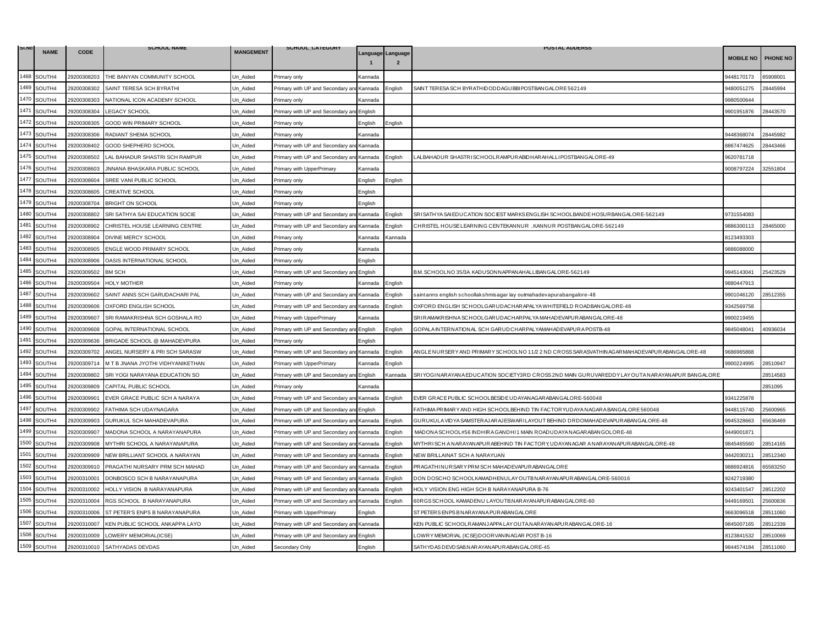| SI.NO | <b>NAME</b> | <b>CODE</b> | <b>SCHOOL NAME</b>                   | <b>MANGEMENT</b> | SCHOOL_CATEGORY                   |                |                   | <b>POSTAL ADDERSS</b>                                                                           |                  |          |
|-------|-------------|-------------|--------------------------------------|------------------|-----------------------------------|----------------|-------------------|-------------------------------------------------------------------------------------------------|------------------|----------|
|       |             |             |                                      |                  |                                   |                | Language Language |                                                                                                 | <b>MOBILE NO</b> | PHONE NO |
| 1468  | SOUTH4      | 29200308203 | THE BANYAN COMMUNITY SCHOOL          | Un_Aided         | Primary only                      | Kannada        |                   |                                                                                                 | 9448170173       | 65908001 |
| 1469  | SOUTH4      | 29200308302 | SAINT TERESA SCH BYRATHI             | Jn Aided         | Primary with UP and Secondary ar  | Kannada        | English           | SAINT TERESA SCH BYRATHIDODDAGUBBI POSTBANGALORE 562149                                         | 9480051275       | 28445994 |
| 1470  | SOUTH4      | 29200308303 | NATIONAL ICON ACADEMY SCHOOL         | Un Aided         | Primarv onlv                      | Kannada        |                   |                                                                                                 | 9980500644       |          |
| 1471  | SOUTH4      | 29200308304 | <b>LEGACY SCHOOL</b>                 | Un_Aided         | Primary with UP and Secondary ar  | English        |                   |                                                                                                 | 9901951876       | 28443570 |
| 1472  | SOUTH4      | 29200308305 | GOOD WIN PRIMARY SCHOOL              | Un Aided         | Primary only                      | English        | :nglish           |                                                                                                 |                  |          |
| 1473  | SOUTH4      | 29200308306 | RADIANT SHEMA SCHOOL                 | Un Aided         | Primary only                      | Kannada        |                   |                                                                                                 | 9448368074       | 28445982 |
| 1474  | SOUTH4      | 29200308402 | GOOD SHEPHERD SCHOOL                 | Jn Aided         | Primary with UP and Secondary ar  | Kannada        |                   |                                                                                                 | 3867474625       | 28443466 |
| 1475  | SOUTH4      | 29200308502 | LAL BAHADUR SHASTRI SCH RAMPUR       | Un Aided         | Primary with UP and Secondary an  | Kannada        | :nalish           | LALBAHADUR SHASTRISCHOOLRAMPURABIDHARAHALLIPOSTBANGALORE-49                                     | 9620781718       |          |
| 1476  | SOUTH4      | 29200308603 | <b>JNNANA BHASKARA PUBLIC SCHOOL</b> | Un_Aided         | Primary with UpperPrimary         | Kannada        |                   |                                                                                                 | 9008797224       | 32551804 |
| 1477  | SOUTH4      | 29200308604 | SREE VANI PUBLIC SCHOOL              | Un Aided         | Primary only                      | English        | Enalish           |                                                                                                 |                  |          |
| 1478  | SOUTH4      | 29200308605 | <b>CREATIVE SCHOOL</b>               | Un Aided         | Primary only                      | English        |                   |                                                                                                 |                  |          |
| 1479  | SOUTH4      | 29200308704 | <b>BRIGHT ON SCHOOL</b>              | Un_Aided         | Primary only                      | English        |                   |                                                                                                 |                  |          |
| 1480  | SOUTH4      | 29200308802 | SRI SATHYA SAI EDUCATION SOCIE       | Un_Aided         | Primary with UP and Secondary an  | Kannada        | English           | SRISATHYA SAI EDUCATION SOCIEST MARKS ENGLISH SCHOOLBANDE HOSURBANGALORE-562149                 | 9731554083       |          |
| 1481  | SOUTH4      | 29200308902 | CHRISTEL HOUSE LEARNING CENTRE       | Un Aided         | Primary with UP and Secondary ar  | Kannada        | English           | CHRISTEL HOUSE LEARNING CENTEKANNUR, KANNUR POSTBANGALORE-562149                                | 9886300113       | 28465000 |
| 1482  | SOUTH4      | 29200308904 | DIVINE MERCY SCHOOL                  | Un_Aided         | Primary only                      | Kannada        | Kannada           |                                                                                                 | 8123493303       |          |
| 1483  | SOUTH4      | 29200308905 | ENGLE WOOD PRIMARY SCHOOL            | Un Aided         | Primary only                      | Kannada        |                   |                                                                                                 | 9886088000       |          |
| 1484  | SOUTH4      | 29200308906 | OASIS INTERNATIONAL SCHOOL           | Un_Aided         | Primary only                      | English        |                   |                                                                                                 |                  |          |
| 1485  | SOUTH4      | 29200309502 | <b>BM SCH</b>                        | Un Aided         | Primary with UP and Secondary an  | English        |                   | B.M. SCHOOLNO 35/3A KADUSONNAPPANAHALLIBANGALORE-562149                                         | 9945143041       | 25423529 |
| 1486  | SOUTH4      | 29200309504 | <b>HOLY MOTHER</b>                   | Un Aided         | Primary only                      | Kannada        | English           |                                                                                                 | 9880447913       |          |
| 1487  | SOUTH4      | 29200309602 | SAINT ANNS SCH GARUDACHARI PAL       | Un_Aided         | Primary with UP and Secondary a   | Kannada        | Enalish           | saintanns english schoollakshmisagar lay outmahadevapurabangalore-48                            | 9901046120       | 28512355 |
| 1488  | SOUTH4      | 29200309606 | OXFORD ENGLISH SCHOOL                | Jn Aided         | Primary with UP and Secondary ar  | Kannada        | :nglish           | OXFORD ENGLISH SCHOOLGARUDACHARAPALYA WHITEFIELD ROADBANGALORE-48                               | 9342569758       |          |
| 1489  | SOUTH4      | 29200309607 | SRI RAMAKRISHNA SCH GOSHALA RO       | Un Aided         | Primary with UpperPrimary         | Kannada        |                   | SRIR AMAKRISHNA SCHOOLGARUD ACHAR PALYA MAHAD EVAPUR ABANGALORE-48                              | 9900219455       |          |
| 1490  | SOUTH4      | 29200309608 | GOPAL INTERNATIONAL SCHOOL           | Un Aided         | Primary with UP and Secondary an  | English        | nglish            | GOPALA INTERNATIONAL SCH GARUDCHARPALYAMAHAD EVAPURA POSTB-48                                   | 9845048041       | 40936034 |
| 1491  | SOUTH4      | 29200309636 | BRIGADE SCHOOL @ MAHADEVPURA         | Un_Aided         | Primary only                      | English        |                   |                                                                                                 |                  |          |
| 1492  | SOUTH4      | 29200309702 | ANGEL NURSERY & PRI SCH SARASW       | Un_Aided         | Primary with UP and Secondary ar  | Kannada        | English           | ANGLE NUR SER Y AND PRIMAR Y SCHOOLNO 11/2 2 ND CROSS SAR ASVATHINAGARMAHAD EVAPURABANGALORE-48 | 9686965868       |          |
| 1493  | SOUTH4      | 29200309714 | M T B JNANA JYOTHI VIDHYANIKETHAN    | Un Aided         | Primary with UpperPrimary         | <b>Kannada</b> | English           |                                                                                                 | 9900224995       | 28510947 |
| 1494  | SOUTH4      | 29200309802 | SRI YOGI NARAYANA EDUCATION SO       | Un_Aided         | Primary with UP and Secondary ar  | English        | Kannada           | SRIYOGINARAYANA EDUCATION SOCIETY3RD CROSS 2ND MAIN GURUVAREDDY LAY OUTA NARAYANAPUR BANGALORE  |                  | 28514583 |
| 1495  | SOUTH4      | 29200309809 | CAPITAL PUBLIC SCHOOL                | Un Aided         | Primary only                      | Kannada        |                   |                                                                                                 |                  | 2851095  |
| 1496  | SOUTH4      | 29200309901 | EVER GRACE PUBLIC SCH A NARAYA       | Un Aided         | Primary with UP and Secondary and | Kannada        | English           | EVER GRACE PUBLIC SCHOOLBESIDE UDAYANAGARABANGALORE-560048                                      | 9341225878       |          |
| 1497  | SOUTH4      | 29200309902 | FATHIMA SCH UDAYNAGARA               | Un Aided         | Primary with UP and Secondary and | English        |                   | FATHIMA PRIMARY AND HIGH SCHOOLBEHIND TIN FACTORYUDAYA NAGARA BANGALORE 560048                  | 9448115740       | 25600965 |
| 1498  | SOUTH4      | 29200309903 | GURUKUL SCH MAHADEVAPURA             | Jn Aided         | Primary with UP and Secondary ar  | Kannada        | English           | GURUKULA VIDYA SAMSTERAJ ARAJ ESWARI LAYOUT BEHIND DRDOMAHAD EVAPUR ABAN GALORE-48              | 9945328663       | 65636469 |
| 1499  | SOUTH4      | 29200309907 | MADONA SCHOOL A NARAYANAPURA         | Jn Aided         | Primary with UP and Secondary an  | Kannada        | English           | MADONA SCHOOL#56 INDHIRA GANDHI1 MAIN ROADUDAYA NAGARABANGOLORE-48                              | 9449001871       |          |
| 1500  | SOUTH4      | 29200309908 | MYTHRI SCHOOL A NARAYANAPURA         | Un_Aided         | Primary with UP and Secondary ar  | Kannada        | English           | MYTHRISCH ANARAYANAPURABEHIND TIN FACTORY, UDAYANAGAR ANARAYANAPURABANGALORE-48                 | 9845465560       | 28514165 |
| 1501  | SOUTH4      | 29200309909 | NEW BRILLIANT SCHOOL A NARAYAN       | Un Aided         | Primary with UP and Secondary an  | Kannada        | English           | NEW BRILLAINAT SCH A NARAYUAN                                                                   | 9442030211       | 28512340 |
| 1502  | SOUTH4      | 29200309910 | PRAGATHI NURSARY PRM SCH MAHAD       | Un Aided         | Primary with UP and Secondary and | Kannada        | English           | PRAGATHINURSARY PRM SCH MAHADEVAPURABANGALORE                                                   | 9886924816       | 35583250 |
| 1503  | SOUTH4      | 29200310001 | DONBOSCO SCH B NARAYANAPURA          | Un_Aided         | Primary with UP and Secondary ar  | Kannada        | English           | DON DOSCHO SCHOOLKAMADHENULAY OUTBNARAYANAPURABANGALORE-560016                                  | 9242719380       |          |
| 1504  | SOUTH4      | 29200310002 | HOLLY VISION B NARAYANAPURA          | Un Aided         | Primary with UP and Secondary an  | Kannada        | :nglish           | HOLY VISION ENG HIGH SCH B NARAYANAPURA B-76                                                    | 9243401547       | 28512202 |
| 1505  | SOUTH4      | 29200310004 | RGS SCHOOL B NARAYANAPURA            | Un Aided         | Primary with UP and Secondary and | Kannada        | English           | 60RGSSCHOOL KAMADENU LAYOUTB.NARAYANAPURABANGALORE-60                                           | 9449169501       | 25600836 |
| 1506  | SOUTH4      | 29200310006 | ST PETER'S ENPS B NARAYANAPURA       | Un_Aided         | Primary with UpperPrimary         | English        |                   | ST PETER SENPS B NAR AYAN A PUR ABANG ALORE                                                     | 9663096518       | 28511060 |
| 1507  | SOUTH4      | 29200310007 | KEN PUBLIC SCHOOL ANKAPPA LAYO       | Un Aided         | Primary with UP and Secondary an  | Kannada        |                   | KEN PUBLIC SCHOOLR AMANJAPPA LAY OUTA NAR AYAN APUR ABANG ALORE-16                              | 9845007165       | 28512339 |
| 1508  | SOUTH4      | 29200310009 | LOWERY MEMORIAL(ICSE)                | Un Aided         | Primary with UP and Secondary an  | Enalish        |                   | LOWRYMEMORIAL (ICSE) DOOR VAN IN AGAR POST B-16                                                 | 8123841532       | 28510069 |
| 1509  | SOUTH4      | 29200310010 | SATHYADAS DEVDAS                     | Un Aided         | Secondary Only                    | English        |                   | SATH YDAS DEVD SAB.N AR AYAN APUR ABAN GALORE-45                                                | 9844574184       | 28511060 |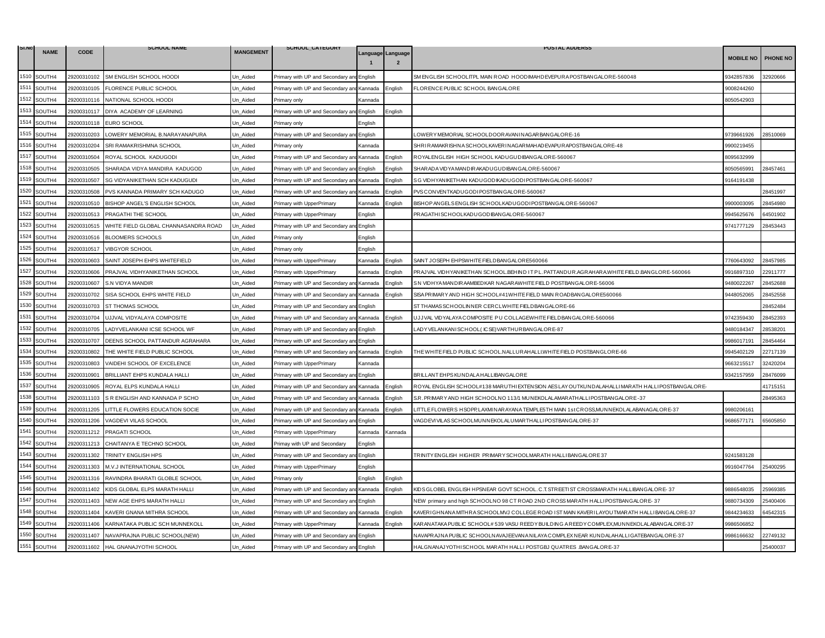| SI.NO |             |             | <b>SCHOOL NAME</b>                   |                  | SCHOOL_CATEGORY                           |         |                                     | <b>POSTAL ADDERSS</b>                                                                          |                  |                 |
|-------|-------------|-------------|--------------------------------------|------------------|-------------------------------------------|---------|-------------------------------------|------------------------------------------------------------------------------------------------|------------------|-----------------|
|       | <b>NAME</b> | <b>CODE</b> |                                      | <b>MANGEMENT</b> |                                           |         | Language Language<br>$\overline{2}$ |                                                                                                | <b>MOBILE NO</b> | <b>PHONE NO</b> |
|       | 1510 SOUTH4 | 29200310102 | SM ENGLISH SCHOOL HOODI              | Un_Aided         | Primary with UP and Secondary an          | Enalish |                                     | SM ENGLISH SCHOOLITPL MAIN ROAD HOODIMAHDEVEPURA POSTBANGALORE-560048                          | 9342857836       | 32920666        |
| 1511  | SOUTH4      | 29200310105 | FLORENCE PUBLIC SCHOOL               | Jn Aided         | Primary with UP and Secondary an          | Kannada | English                             | FLORENCE PUBLIC SCHOOL BANGALORE                                                               | 9008244260       |                 |
| 1512  | SOUTH4      |             | 29200310116 NATIONAL SCHOOL HOODI    | Un Aided         | Primary only                              | Kannada |                                     |                                                                                                | 8050542903       |                 |
| 1513  | SOUTH4      |             | 29200310117 DIYA ACADEMY OF LEARNING | Jn Aided         | Primary with UP and Secondary an          | English | Enalish                             |                                                                                                |                  |                 |
| 1514  | SOUTH4      | 29200310118 | <b>EURO SCHOOL</b>                   | Jn Aided         | Primary only                              | English |                                     |                                                                                                |                  |                 |
| 1515  | SOUTH4      | 29200310203 | LOWERY MEMORIAL B.NARAYANAPURA       | Un_Aided         | Primary with UP and Secondary an          | English |                                     | LOWERYMEMORIAL SCHOOLDOORAVANINAGARBANGALORE-16                                                | 9739661926       | 28510069        |
| 1516  | SOUTH4      | 29200310204 | SRI RAMAKRISHMNA SCHOOL              | Jn Aided         | Primary only                              | Kannada |                                     | SHRIRAMAKRISHNA SCHOOLKAVERINAGARMAHAD EVAPURAPOSTBANGALORE-48                                 | 9900219455       |                 |
| 1517  | SOUTH4      | 29200310504 | ROYAL SCHOOL KADUGODI                | Un Aided         | Primary with UP and Secondary ar          | Kannada | English                             | ROYALENGLISH HIGH SCHOOL KADUGUDIBANGALORE-560067                                              | 8095632999       |                 |
|       | 1518 SOUTH4 | 29200310505 | SHARADA VIDYA MANDIRA KADUGOD        | Un Aided         | Primary with UP and Secondary an          | English | English                             | SHAR ADA VID YA MANDIR AKADU GUD IBAN GALORE-560067                                            | 8050565991       | 28457461        |
| 1519  | SOUTH4      | 29200310507 | SG VIDYANIKETHAN SCH KADUGUDI        | Un_Aided         | Primary with UP and Secondary and         | Kannada | English                             | SG VIDHYANIKETHAN KADUGODIKADUGODI POSTBANGALORE-560067                                        | 9164191438       |                 |
| 1520  | SOUTH4      | 29200310508 | PVS KANNADA PRIMARY SCH KADUGO       | Un Aided         | Primary with UP and Secondary and         | Kannada | English                             | PVSCONVENTKADUGODI POSTBANGALORE-560067                                                        |                  | 28451997        |
| 1521  | SOUTH4      | 29200310510 | BISHOP ANGEL'S ENGLISH SCHOOL        | Un Aided         | Primary with UpperPrimary                 | Kannada | English                             | BISHOP ANGELS ENGLISH SCHOOLKADUGODI POSTBANGALORE-560067                                      | 9900003095       | 28454980        |
| 1522  | SOUTH4      |             | 29200310513 PRAGATHI THE SCHOOL      | Un_Aided         | Primary with UpperPrimary                 | English |                                     | PRAGATHISCHOOLKADUGODIBANGALORE-560067                                                         | 9945625676       | 34501902        |
| 1523  | SOUTH4      | 29200310515 | WHITE FIELD GLOBAL CHANNASANDRA ROAD | Un_Aided         | Primary with UP and Secondary ar          | English |                                     |                                                                                                | 9741777129       | 28453443        |
| 1524  | SOUTH4      | 29200310516 | <b>BLOOMERS SCHOOLS</b>              | Jn Aided         | <sup>2</sup> rimary only                  | English |                                     |                                                                                                |                  |                 |
| 1525  | SOUTH4      | 29200310517 | VIBGYOR SCHOOL                       | Un Aided         | Primary only                              | English |                                     |                                                                                                |                  |                 |
| 1526  | SOUTH4      | 29200310603 | SAINT JOSEPH EHPS WHITEFIELD         | Un_Aided         | rimary with UpperPrimary                  | Kannada | Enalish                             | SAINT JOSEPH EHPSWHITE FIELDBANGALOR E560066                                                   | 7760643092       | 28457985        |
| 1527  | SOUTH4      | 29200310606 | PRAJVAL VIDHYANIKETHAN SCHOOL        | Un Aided         | Primary with UpperPrimary                 | Kannada | English                             | PRAJVAL VIDHYANIKETHAN SCHOOL.BEHIND IT PL. PATTANDUR.AGRAHARA.WHITE FIELD.BANGLORE-560066     | 9916897310       | 22911777        |
| 1528  | SOUTH4      | 29200310607 | S.N VIDYA MANDIR                     | Un_Aided         | Primary with UP and Secondary and Kannada |         | English                             | SN VIDHYA MANDIR AAMBEDKAR NAGAR AWHITE FIELD POSTBANGALORE-56006                              | 9480022267       | 28452688        |
| 1529  | SOUTH4      | 29200310702 | SISA SCHOOL EHPS WHITE FIELD         | Jn Aided         | Primary with UP and Secondary an          | Kannada | Enalish                             | SISA PR IMARY AND HIGH SCHOOL#41WHITE FIELD MAIN ROADBANGALORE560066                           | 9448052065       | 28452558        |
| 1530  | SOUTH4      | 29200310703 | ST THOMAS SCHOOL                     | Un Aided         | Primary with UP and Secondary and         | English |                                     | ST THAMAS SCHOOLINNER CERCLWHITE FIELDBANGALORE-66                                             |                  | 28452484        |
| 1531  | SOUTH4      | 29200310704 | UJJVAL VIDYALAYA COMPOSITE           | Un_Aided         | Primary with UP and Secondary an          | Kannada | English                             | UJJVAL VIDYALAYA COMPOSITE PU COLLAGEWHITE FIELDBANGALORE-560066                               | 9742359430       | 28452393        |
| 1532  | SOUTH4      | 29200310705 | LADYVELANKANI ICSE SCHOOL WF         | Jn Aided         | Primary with UP and Secondary and         | English |                                     | ADY VELANKANISCHOOL (ICSE) VARTHURBANGALORE-87                                                 | 9480184347       | 28538201        |
| 1533  | SOUTH4      | 29200310707 | DEENS SCHOOL PATTANDUR AGRAHARA      | Un Aided         | Primary with UP and Secondary an          | English |                                     |                                                                                                | 9986017191       | 28454464        |
| 1534  | SOUTH4      | 29200310802 | THE WHITE FIELD PUBLIC SCHOOL        | Un_Aided         | Primary with UP and Secondary an          | Kannada | Enalish                             | THE WHITE FIELD PUBLIC SCHOOL NALLURAHALLI.WHITE FIELD POST.BANGLORE-66                        | 9945402129       | 22717139        |
| 1535  | SOUTH4      | 29200310803 | VAIDEHI SCHOOL OF EXCELENCE          | Jn_Aided         | Primary with UpperPrimary                 | Kannada |                                     |                                                                                                | 9663215517       | 32420204        |
|       | 1536 SOUTH4 | 29200310901 | BRILLIANT EHPS KUNDALA HALLI         | Un Aided         | Primary with UP and Secondary an          | English |                                     | BRILLANT EHPS KUNDALA HALLIBANGALORE                                                           | 9342157959       | 28476099        |
| 1537  | SOUTH4      | 29200310905 | ROYAL ELPS KUNDALA HALLI             | Jn Aided         | Primary with UP and Secondary an          | Kannada | Enalish                             | ROYAL ENGLISH SCHOOL#138 MARUTHI EXTENSION AES LAY OUTKUNDALAHALLI MARATH HALLI POSTBANGALORE- |                  | 41715151        |
| 1538  | SOUTH4      | 29200311103 | S R ENGLISH AND KANNADA P SCHO       | Un_Aided         | Primary with UP and Secondary and Kannada |         | English                             | S.R. PRIMARY AND HIGH SCHOOLNO 113/1 MUNEKOLALAMARATHALLI POSTBANGALORE - 37                   |                  | 28495363        |
| 1539  | SOUTH4      | 29200311205 | LITTLE FLOWERS EDUCATION SOCIE       | Un_Aided         | Primary with UP and Secondary ar          | Kannada | Enalish                             | LITTLE FLOWERS HSOPP, LAXMINAR AYANA TEMPLE5TH MAIN 1stCROSS, MUNNEKOLALABANAGALORE-37         | 9980206161       |                 |
| 1540  | SOUTH4      | 29200311206 | VAGDEVI VILAS SCHOOL                 | Un Aided         | Primary with UP and Secondary an          | English |                                     | VAGDEVI VILAS SCHOOLMUNNEKOLALUMARTHALLI POSTBANGALORE-37                                      | 9686577171       | 65605850        |
| 1541  | SOUTH4      | 29200311212 | PRAGATI SCHOOL                       | Un Aided         | Primary with UpperPrimary                 | Kannada | Kannada                             |                                                                                                |                  |                 |
| 1542  | SOUTH4      | 29200311213 | CHAITANYA E TECHNO SCHOOL            | Un_Aided         | Primay with UP and Secondary              | English |                                     |                                                                                                |                  |                 |
| 1543  | SOUTH4      | 29200311302 | TRINITY ENGLISH HPS                  | Un Aided         | Primary with UP and Secondary an          | English |                                     | TRINITY ENGLISH HIGHER PRIMARY SCHOOLMARATH HALLI BANGALORE 37                                 | 9241583128       |                 |
| 1544  | SOUTH4      | 29200311303 | M.V.J INTERNATIONAL SCHOOL           | Un_Aided         | Primary with UpperPrimary                 | English |                                     |                                                                                                | 9916047764       | 25400295        |
| 1545  | SOUTH4      | 29200311316 | RAVINDRA BHARATI GLOBLE SCHOOL       | Jn Aided         | Primary only                              | English | Enalish                             |                                                                                                |                  |                 |
| 1546  | SOUTH4      | 29200311402 | KIDS GLOBAL ELPS MARATH HALLI        | Un Aided         | Primary with UP and Secondary an          | Kannada | English                             | KIDS GLOBEL ENGLISH HPSNEAR GOVT SCHOOL. C.T. STREETI ST CROSSMARATH HALLIBANGALORE- 37        | 9886548035       | 25969385        |
| 1547  | SOUTH4      | 29200311403 | NEW AGE EHPS MARATH HALLI            | Un_Aided         | Primary with UP and Secondary ar          | English |                                     | NEW_primary and high SCHOOLNO 98 CT ROAD 2ND CROSS MARATH HALLI POSTBANGALORE- 37              | 9880734309       | 25400406        |
| 1548  | SOUTH4      | 29200311404 | KAVERI GNANA MITHRA SCHOOL           | Un Aided         | Primary with UP and Secondary and         | Kannada | English                             | KAVERI GHNANA MITHRA SCHOOLMVJ COLLEGE ROAD I ST MAIN KAVERI LAYOUTMARATH HALLI BANGALORE-37   | 9844234633       | 64542315        |
| 1549  | SOUTH4      | 29200311406 | KARNATAKA PUBLIC SCH MUNNEKOLL       | Un Aided         | Primary with UpperPrimary                 | Kannada | English                             | KARANATAKA PUBLIC SCHOOL# 539 VASU REEDY BUILDING A REEDY COMPLEX,MUNNEKOLALABANGALORE-37      | 9986506852       |                 |
| 1550  | SOUTH4      | 29200311407 | NAVAPRAJNA PUBLIC SCHOOL(NEW)        | Un_Aided         | Primary with UP and Secondary and         | English |                                     | NAVAPRAJNA PUBLIC SCHOOLNAVAJEEVANA NILAYA COMPLEX NEAR KUNDALAHALLI GATEBANGALORE-37          | 9986166632       | 22749132        |
| 1551  | SOUTH4      |             | 29200311602 HAL GNANAJYOTHI SCHOOL   | Un_Aided         | Primary with UP and Secondary and English |         |                                     | HALGNANAJYOTHI SCHOOL MARATH HALLI POSTGBJ QUATRES .BANGALORE-37                               |                  | 25400037        |
|       |             |             |                                      |                  |                                           |         |                                     |                                                                                                |                  |                 |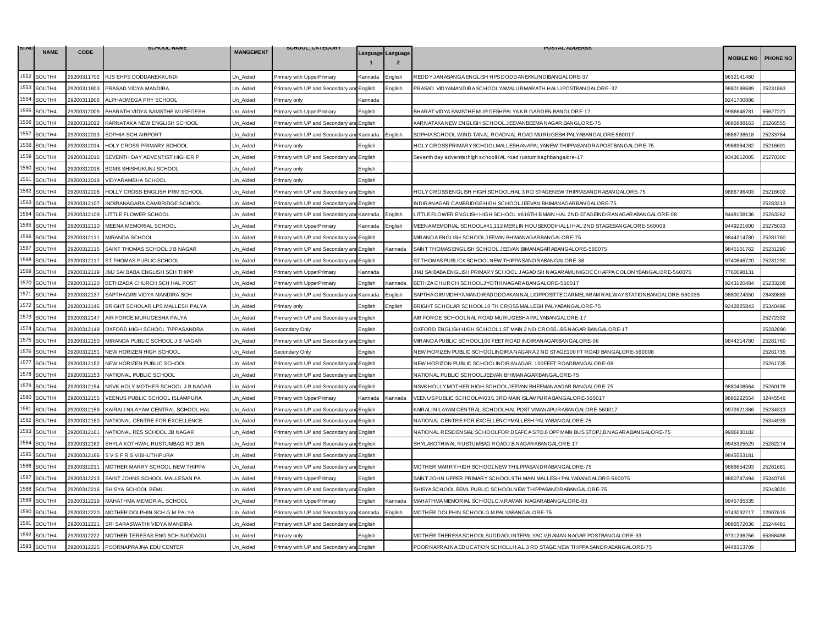| SI.NO | <b>NAME</b> | <b>CODE</b> | <b>SCHOOL NAME</b>                 | <b>MANGEMENT</b> | SCHOOL_CATEGORY                           |         |                                     | <b>POSTAL ADDERSS</b>                                                                         |                  |                 |
|-------|-------------|-------------|------------------------------------|------------------|-------------------------------------------|---------|-------------------------------------|-----------------------------------------------------------------------------------------------|------------------|-----------------|
|       |             |             |                                    |                  |                                           |         | Language Language<br>$\overline{2}$ |                                                                                               | <b>MOBILE NO</b> | <b>PHONE NO</b> |
| 1552  | SOUTH4      | 29200311702 | RJS EHPS DODDANEKKUNDI             | Un_Aided         | Primary with UpperPrimary                 | Kannada | Enalish                             | REDDY JANASANGA ENGLISH HPS DODDANEKKUNDIBANGALORE-37                                         | 9632141460       |                 |
| 1553  | SOUTH4      | 29200311803 | PRASAD VIDYA MANDIRA               | Jn Aided         | Primary with UP and Secondary an          | English | Enalish                             | PRASAD VIDYAMANDIRA SCHOOLYAMALURMARATH HALLI POSTBANGALORE-37                                | 9880198689       | 25231863        |
| 1554  | SOUTH4      | 29200311906 | ALPHAOMEGA PRY SCHOOL              | Un Aided         | Primary only                              | Kannada |                                     |                                                                                               | 9241700886       |                 |
| 1555  | SOUTH4      | 29200312009 | BHARATH VIDYA SAMSTHE MUREGESH     | Jn Aided         | Primary with UpperPrimary                 | English |                                     | BHAR AT VID YA SAMSTHE MURGESHPALYA.K.R.GARDEN.BANGLORE-17                                    | 9986646781       | 65627221        |
| 1556  | SOUTH4      | 29200312012 | KARNATAKA NEW ENGLISH SCHOOL       | Un Aided         | Primary with UP and Secondary an          | English |                                     | KARNATAKA NEW ENGLISH SCHOOL.JEEVANBEEMA NAGAR.BANGLORE-75                                    | 9886888163       | 25266555        |
| 1557  | SOUTH4      | 29200312013 | SOPHIA SCH AIRPORT                 | Un_Aided         | Primary with UP and Secondary ar          | Kannada | Enalish                             | SOPHIA SCHOOL WIND TANAL ROADNAL ROAD MURUGESH PALYABANGALORE 560017                          | 9886738518       | 25233784        |
| 1558  | SOUTH4      | 29200312014 | HOLY CROSS PRIMARY SCHOOL          | Un Aided         | Primary only                              | English |                                     | HOLY CROSS PRIMARY SCHOOLMALLESHAN APALYAN EW THIPPASAND RA POSTBANG ALORE-75                 | 9986984282       | 25216601        |
| 1559  | SOUTH4      | 29200312016 | SEVENTH DAY ADVENTIST HIGHER P     | Un Aided         | Primary with UP and Secondary an          | English |                                     | Seventh day adventisthigh schoolHAL road rustum baghbangalore-17                              | 9343612005       | 25270300        |
| 1560  | SOUTH4      | 29200312018 | <b>BGMS SHISHUKUNJ SCHOOL</b>      | Un Aided         | Primary only                              | English |                                     |                                                                                               |                  |                 |
| 1561  | SOUTH4      | 29200312019 | VIDYARAMBHA SCHOOL                 | Un_Aided         | Primary only                              | English |                                     |                                                                                               |                  |                 |
| 1562  | SOUTH4      | 29200312106 | HOLLY CROSS ENGLISH PRM SCHOOL     | Un Aided         | Primary with UP and Secondary and         | English |                                     | HOLY CROSS ENGLISH HIGH SCHOOLHAL 3 RD STAGENEW THIPPASANDRABANGALORE-75                      | 9886796403       | 25216602        |
| 1563  | SOUTH4      | 29200312107 | INDIRANAGARA CAMBRIDGE SCHOOL      | Un Aided         | Primary with UP and Secondary an          | English |                                     | INDIRANAGAR CAMBRIDGE HIGH SCHOOLJEEVAN BHIMANAGARBANGALORE-75                                |                  | 25283213        |
| 1564  | SOUTH4      | 29200312109 | LITTLE FLOWER SCHOOL               | Un_Aided         | Primary with UP and Secondary and Kannada |         | English                             | LITTLE FLOWER ENGLISH HIGH SCHOOL #616TH BMAIN HAL 2ND STAGEINDIRANAGARABANGALORE-08          | 9448108136       | 25263262        |
| 1565  | SOUTH4      | 29200312110 | MEENA MEMORIAL SCHOOL              | Un_Aided         | Primary with UpperPrimary                 | Kannada | Enalish                             | MEENA MEMORIAL SCHOOL#41,112 MERLIN HOUSEKODIHALLI HAL 2ND STAGEBANGALORE-560008              | 9449221600       | 25275033        |
| 1566  | SOUTH4      | 29200312111 | MIRANDA SCHOOL                     | Un Aided         | Primary with UP and Secondary an          | English |                                     | MIRANDA ENGLISH SCHOOLJEEVAN BHIMANAGAR BANGALORE-75                                          | 9844214780       | 25281760        |
| 1567  | SOUTH4      | 29200312115 | SAINT THOMAS SCHOOL J B NAGAR      | Un Aided         | Primary with UP and Secondary ar          | English | Kannada                             | SAINT THOMAS ENGLISH SCHOOL JEEVAN BIMAN AGAR ABAN GALORE-560075                              | 9845101762       | 25231290        |
| 1568  | SOUTH4      | 29200312117 | ST THOMAS PUBLIC SCHOOL            | Un_Aided         | Primary with UP and Secondary an          | English |                                     | ST THOMAS PUBLICK SCHOOLNEW THIPPA SANDRABANGALORE-38                                         | 9740646720       | 25231290        |
| 1569  | SOUTH4      | 29200312119 | JMJ SAI BABA ENGLISH SCH THIPP     | Un Aided         | Primary with UpperPrimary                 | Kannada |                                     | JMJ SAIBABA ENGLISH PRIMARY SCHOOL JAGADISH NAGARAMUNIGOCCHAPPA COLONYBANGALORE-560075        | 7760098131       |                 |
| 1570  | SOUTH4      | 29200312120 | BETHZADA CHURCH SCH HAL POST       | Un_Aided         | Primary with UpperPrimary                 | English | Kannada                             | BETHZA CHURCH SCHOOLJ YOTHINAGARA BANGALORE-560017                                            | 9243120484       | 25233208        |
| 1571  | SOUTH4      | 29200312137 | SAPTHAGIRI VIDYA MANDIRA SCH       | Jn Aided         | Primary with UP and Secondary ar          | Kannada | Enalish                             | SAPTHA GIRI VIDHYA MANDIR ADODDAKANNALLIOPPOSITTE CAR MELARAM RAILWAY STATIONBANGALORE-560035 | 9880024350       | 28439889        |
| 1572  | SOUTH4      | 29200312146 | BRIGHT SCHOLAR LPS MALLESH PALYA   | Un Aided         | Primary only                              | English | Enalish                             | BRIGHT SCHOLAR SCHOOL10 TH CROSS MALLESH PALYABANGALORE-75                                    | 9242825843       | 25340496        |
| 1573  | SOUTH4      | 29200312147 | AIR FORCE MURUGESHA PALYA          | Un_Aided         | Primary with UP and Secondary ar          | English |                                     | AIR FORCE SCHOOLNAL ROAD MURUGESHA PALYABANGALORE-17                                          |                  | 25272332        |
| 1574  | SOUTH4      | 29200312149 | OXFORD HIGH SCHOOL TIPPASANDRA     | Un Aided         | Secondary Only                            | English |                                     | OXFORD ENGLISH HIGH SCHOOL1 ST MAIN 2 ND CROSS LBS NAGAR BANGALORE-17                         |                  | 25282890        |
| 1575  | SOUTH4      | 29200312150 | MIRANDA PUBLIC SCHOOL J B NAGAR    | Un Aided         | Primary with UP and Secondary an          | English |                                     | MIRANDA PUBLIC SCHOOL100 FEET ROAD INDIRANAGARBANGALORE-08                                    | 9844214780       | 25281760        |
| 1576  | SOUTH4      | 29200312151 | NEW HORIZEN HIGH SCHOOL            | Un_Aided         | Secondary Only                            | English |                                     | NEW HORIZEN PUBLIC SCHOOLINDIRA NAGARA 2 ND STAGE100 FT ROAD BANGALORE-560008                 |                  | 25261735        |
| 1577  | SOUTH4      | 29200312152 | NEW HORIZEN PUBLIC SCHOOL          | Un_Aided         | Primary with UP and Secondary an          | English |                                     | NEW HORIZON PUBLIC SCHOOLINDIRANAGAR 100FEET ROADBANGALORE-08                                 |                  | 25261735        |
| 1578  | SOUTH4      | 29200312153 | NATIONAL PUBLIC SCHOOL             | Un Aided         | Primary with UP and Secondary an          | English |                                     | NATIONAL PUBLIC SCHOOLJEEVAN BHIMANAGARBANGALORE-75                                           |                  |                 |
| 1579  | SOUTH4      | 29200312154 | NSVK HOLY MOTHER SCHOOL J B NAGAR  | Jn Aided         | Primary with UP and Secondary an          | English |                                     | NSVK HOLLY MOTHER HIGH SCHOOLJEEVAN BHEEMANAAGAR BANGALORE-75                                 | 3880408564       | 25260178        |
| 1580  | SOUTH4      | 29200312155 | VEENUS PUBLIC SCHOOL ISLAMPURA     | Un_Aided         | Primary with UpperPrimary                 | Kannada | Kannada                             | VEENUS PUBLIC SCHOOL#403/1 3RD MAIN ISLAMPURA BANGALORE-560017                                | 3886222554       | 32445546        |
| 1581  | SOUTH4      | 29200312159 | KAIRALI NILAYAM CENTRAL SCHOOL HAL | Un_Aided         | Primary with UP and Secondary ar          | English |                                     | KAIR ALINILAYAM CENTRAL SCHOOLHAL POST VIMANAPUR ABANGALORE-560017                            | 9972621386       | 25234313        |
| 1582  | SOUTH4      | 29200312160 | NATIONAL CENTRE FOR EXCELLENCE     | Un Aided         | Primary with UP and Secondary and         | Enalish |                                     | NATIONAL CENTRE FOR EXCELLENCYMALLESH PALYABANGALORE-75                                       |                  | 25344939        |
| 1583  | SOUTH4      | 29200312161 | NATIONAL RES SCHOOL JB NAGAR       | Un Aided         | Primary with UP and Secondary and         | English |                                     | NATIONAL RESIDENSIAL SCHOOLFOR DEAFCA SITO.6 OPP MAIN BUS STOPJ.B.NAGARA,BANGALORE-75         | 9986630182       |                 |
| 1584  | SOUTH4      | 29200312162 | SHYLA KOTHWAL RUSTUMBAG RD JBN     | Un_Aided         | Primary with UP and Secondary an          | English |                                     | SHYLAKOTHWAL RUSTUMBAG ROADJ.B.NAGARABANGALORE-17                                             | 9945325529       | 25262274        |
| 1585  | SOUTH4      | 29200312166 | S V S F R S VIBHUTHIPURA           | Jn Aided         | Primary with UP and Secondary an          | English |                                     |                                                                                               | 9845553181       |                 |
| 1586  | SOUTH4      | 29200312211 | MOTHER MARRY SCHOOL NEW THIPPA     | Un_Aided         | Primary with UP and Secondary and English |         |                                     | MOTHER MARRY HIGH SCHOOLNEW THILPPASANDRABANGALORE-75                                         | 9886654293       | 25281661        |
| 1587  | SOUTH4      | 29200312213 | SAINT JOHNS SCHOOL MALLESAN PA     | Un Aided         | Primary with UpperPrimary                 | English |                                     | SAINT JOHN UPPER PRIMARY SCHOOL9TH MAIN MALLESH PALYABANGALORE-560075                         | 9880747494       | 25340745        |
| 1588  | SOUTH4      | 29200312216 | SHISYA SCHOOL BEML                 | Un Aided         | Primary with UP and Secondary an          | English |                                     | SHISYA SCHOOL BEML PUBLIC SCHOOLNEW THIPPASANDRABANGALORE-75                                  |                  | 25343820        |
| 1589  | SOUTH4      | 29200312219 | MAHATHMA MEMORIAL SCHOOL           | Un_Aided         | Primary with UpperPrimary                 | English | Kannada                             | MAHATHMA MEMORIAL SCHOOLC.V.RAMAN NAGARABANGALORE-83                                          | 9945785335       |                 |
| 1590  | SOUTH4      | 29200312220 | MOTHER DOLPHIN SCH G M PALYA       | Un Aided         | Primary with UP and Secondary an          | Kannada | English                             | MOTHER DOLPHIN SCHOOLG M PALYABANGALORE-75                                                    | 9743092217       | 22907615        |
| 1591  | SOUTH4      | 29200312221 | SRI SARASWATHI VIDYA MANDIRA       | Un Aided         | Primary with UP and Secondary an          | English |                                     |                                                                                               | 9886572036       | 25244481        |
| 1592  | SOUTH4      | 29200312222 | MOTHER TERESAS ENG SCH SUDDAGU     | Un_Aided         | Primary only                              | -nalish |                                     | MOTHER THERESA SCHOOLSUDDAGUNTEPALYAC.V,RAMAN NAGAR POSTBANGALORE-93                          | 9731296256       | 65368486        |
| 1593  | SOUTH4      | 29200312225 | POORNAPRAJNA EDU CENTER            | Un_Aided         | Primary with UP and Secondary and English |         |                                     | POORNAPRAJNA EDUCATION SCHOLLH AL 3 RD STAGE NEW THIPPA SANDRABANGALORE-75                    | 9448313709       |                 |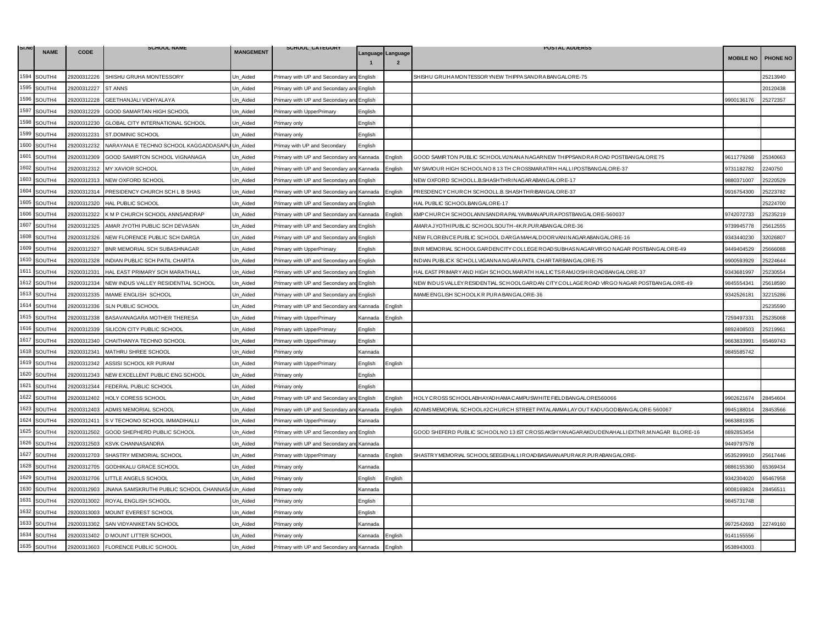| SI.NO | <b>NAME</b> | <b>CODE</b> | <b>SCHOOL NAME</b>                               | <b>MANGEMENT</b> | SCHOOL_CATEGORY                           |                   |                | <b>POSTAL ADDERSS</b>                                                                      |                  |                 |
|-------|-------------|-------------|--------------------------------------------------|------------------|-------------------------------------------|-------------------|----------------|--------------------------------------------------------------------------------------------|------------------|-----------------|
|       |             |             |                                                  |                  |                                           | Language Language | $\overline{2}$ |                                                                                            | <b>MOBILE NO</b> | <b>PHONE NO</b> |
| 1594  | SOUTH4      | 29200312226 | SHISHU GRUHA MONTESSORY                          | Un_Aided         | Primary with UP and Secondary ar          | English           |                | SHISHU GRUHA MONTESSOR YNEW THIPPA SANDRA BANGALORE-75                                     |                  | 25213940        |
| 1595  | SOUTH4      | 29200312227 | <b>ST ANNS</b>                                   | Jn Aided         | Primary with UP and Secondary ar          | English           |                |                                                                                            |                  | 20120438        |
| 1596  | SOUTH4      | 29200312228 | GEETHANJALI VIDHYALAYA                           | Un Aided         | Primary with UP and Secondary and         | English           |                |                                                                                            | 9900136176       | 25272357        |
| 1597  | SOUTH4      | 29200312229 | GOOD SAMARTAN HIGH SCHOOL                        | Jn Aided         | Primary with UpperPrimary                 | English           |                |                                                                                            |                  |                 |
| 1598  | SOUTH4      | 29200312230 | GLOBAL CITY INTERNATIONAL SCHOOL                 | Jn_Aided         | Primary only                              | English           |                |                                                                                            |                  |                 |
| 1599  | SOUTH4      | 29200312231 | ST.DOMINIC SCHOOL                                | Un Aided         | Primary only                              | English           |                |                                                                                            |                  |                 |
| 1600  | SOUTH4      | 29200312232 | NARAYANA E TECHNO SCHOOL KAGGADDASAPU            | Un Aided         | Primay with UP and Secondary              | English           |                |                                                                                            |                  |                 |
| 1601  | SOUTH4      | 29200312309 | GOOD SAMIRTON SCHOOL VIGNANAGA                   | Un_Aided         | Primary with UP and Secondary ar          | Kannada           | Enalish        | GOOD SAMIRTON PUBLIC SCHOOLVIJNANA NAGARNEW THIPPSANDRA ROAD POSTBANGALORE 75              | 9611779268       | 25340663        |
| 1602  | SOUTH4      | 29200312312 | MY XAVIOR SCHOOL                                 | Un_Aided         | Primary with UP and Secondary an          | Kannada           | English        | MY SAVIOUR HIGH SCHOOLNO 8 13 TH CROSSMARATRH HALLI POSTBANGALORE-37                       | 9731182782       | 2240750         |
| 1603  | SOUTH4      | 29200312313 | NEW OXFORD SCHOOL                                | Jn Aided         | Primary with UP and Secondary and         | English           |                | NEW OXFORD SCHOOLL.B.SHASHTHRINAGARABANGALORE-17                                           | 9880371007       | 25220529        |
| 1604  | SOUTH4      | 29200312314 | PRESIDENCY CHURCH SCH L B SHAS                   | Un Aided         | Primary with UP and Secondary an          | Kannada           | Enalish        | PRESDENCY CHURCH SCHOOLL B. SHASHTHRIBANGALORE-37                                          | 9916754300       | 25223782        |
| 1605  | SOUTH4      | 29200312320 | HAL PUBLIC SCHOOL                                | Un_Aided         | Primary with UP and Secondary an          | English           |                | HAL PUBLIC SCHOOLBANGALORE-17                                                              |                  | 25224700        |
| 1606  | SOUTH4      | 29200312322 | K M P CHURCH SCHOOL ANNSANDRAP                   | Un_Aided         | Primary with UP and Secondary and Kannada |                   | English        | KMP CHURCH SCHOOLANNSANDRA PALYAVIMANAPURA POSTBANGALORE-560037                            | 9742072733       | 25235219        |
| 1607  | SOUTH4      | 29200312325 | AMAR JYOTHI PUBLIC SCH DEVASAN                   | Un_Aided         | Primary with UP and Secondary an          | English           |                | AMARA JYOTHIPUBLIC SCHOOLSOUTH-4K.R.PURABANGALORE-36                                       | 9739945778       | 25612555        |
| 1608  | SOUTH4      | 29200312326 | NEW FLORENCE PUBLIC SCH DARGA                    | Jn Aided         | Primary with UP and Secondary and         | English           |                | NEW FLORENCE PUBLIC SCHOOL DARGA MAHALDOOR VAN INAGARABANGALORE-16                         | 9343440230       | 32026807        |
| 1609  | SOUTH4      | 29200312327 | BNR MEMORIAL SCH SUBASHNAGAR                     | Un Aided         | Primary with UpperPrimary                 | English           |                | BNR MEMORIAL SCHOOLGARDENCITY COLLEGE ROADSUBHAS NAGAR VIRGO NAGAR POSTBANGALORE-49        | 3449404529       | 25666088        |
| 1610  | SOUTH4      | 29200312328 | INDIAN PUBLIC SCH PATIL CHARTA                   | Jn_Aided         | Primary with UP and Secondary ar          | English           |                | INDIAN PUBLICK SCHOLLVIGANNA NGARA PATIL CHARTAR BANGALORE-75                              | 9900593929       | 25224644        |
| 1611  | SOUTH4      | 29200312331 | HAL EAST PRIMARY SCH MARATHALL                   | Jn Aided         | Primary with UP and Secondary ar          | English           |                | HAL EAST PRIMARY AND HIGH SCHOOLMARATH HALLICTS RAMJOSHI ROADBANGALORE-37                  | 9343681997       | 25230554        |
| 1612  | SOUTH4      | 29200312334 | NEW INDUS VALLEY RESIDENTIAL SCHOOL              | Un_Aided         | Primary with UP and Secondary and         | English           |                | NEW INDUS VALLEY RESIDENTIAL SCHOOLGARDAN CITY COLLAGE ROAD VIRGO NAGAR POSTBANGALORE-49   | 9845554341       | 25618590        |
| 1613  | SOUTH4      | 29200312335 | IMAME ENGLISH SCHOOL                             | Jn Aided         | Primary with UP and Secondary ar          | English           |                | IMAME ENGLISH SCHOOLKR PURA BANGALORE-36                                                   | 342526181        | 32215286        |
| 1614  | SOUTH4      | 29200312336 | SLN PUBLIC SCHOOL                                | Un Aided         | Primary with UP and Secondary and         | Kannada           | English        |                                                                                            |                  | 25235590        |
| 1615  | SOUTH4      | 29200312338 | BASAVANAGARA MOTHER THERESA                      | Un Aided         | Primary with UpperPrimary                 | Kannada           | English        |                                                                                            | 7259497331       | 25235068        |
| 1616  | SOUTH4      | 29200312339 | SILICON CITY PUBLIC SCHOOL                       | Jn Aided         | Primary with UpperPrimary                 | English           |                |                                                                                            | 8892408503       | 25219961        |
| 1617  | SOUTH4      | 29200312340 | CHAITHANYA TECHNO SCHOOL                         | Un Aided         | Primary with UpperPrimary                 | English           |                |                                                                                            | 9663833991       | 65469743        |
| 1618  | SOUTH4      | 29200312341 | MATHRU SHREE SCHOOL                              | Jn Aided         | Primary only                              | Kannada           |                |                                                                                            | 9845585742       |                 |
| 1619  | SOUTH4      | 29200312342 | ASSISI SCHOOL KR PURAM                           | Jn_Aided         | Primary with UpperPrimary                 | English           | English        |                                                                                            |                  |                 |
| 1620  | SOUTH4      | 29200312343 | NEW EXCELLENT PUBLIC ENG SCHOOL                  | Un_Aided         | Primary only                              | English           |                |                                                                                            |                  |                 |
| 1621  | SOUTH4      | 29200312344 | FEDERAL PUBLIC SCHOOL                            | Jn Aided         | Primary only                              | English           |                |                                                                                            |                  |                 |
| 1622  | SOUTH4      | 29200312402 | HOLY CORESS SCHOOL                               | Jn Aided         | Primary with UP and Secondary an          | English           | English        | HOLY CROSS SCHOOLABHAYADHAMA CAMPUSWHITE FIELDBAN GALORE560066                             | 9902621674       | 28454604        |
| 1623  | SOUTH4      | 29200312403 | ADMIS MEMORIAL SCHOOL                            | Un_Aided         | Primary with UP and Secondary an          | Kannada           | English        | ADAMS MEMOR IAL SCHOOL#2CHURCH STREET PATALAMMA LAY OUT KADUGODIBANGALORE-560067           | 9945188014       | 28453566        |
| 1624  | SOUTH4      | 29200312411 | S V TECHONO SCHOOL IMMADIHALLI                   | Jn Aided         | Primary with UpperPrimary                 | Kannada           |                |                                                                                            | 9663881935       |                 |
| 1625  | SOUTH4      | 29200312502 | GOOD SHEPHERD PUBLIC SCHOOL                      | Un Aided         | Primary with UP and Secondary and         | English           |                | GOOD SHEFERD PUBLIC SCHOOLNO 13 IST CROSS AKSHYANAGARAKOUDENAHALLI EXTNR.M.NAGAR B.LORE-16 | 8892853454       |                 |
| 1626  | SOUTH4      | 29200312503 | KSVK CHANNASANDRA                                | Jn Aided         | Primary with UP and Secondary ar          | Kannada           |                |                                                                                            | 9449797578       |                 |
| 1627  | SOUTH4      | 29200312703 | SHASTRY MEMORIAL SCHOOL                          | Un Aided         | Primary with UpperPrimary                 | Kannada           | Enalish        | SHASTRY MEMORIAL SCHOOLSEEGEHALLI ROADBASAVAN APURAK.R.PURABAN GALORE-                     | 9535299910       | 25617446        |
| 1628  | SOUTH4      | 29200312705 | GODHIKALU GRACE SCHOOL                           | Un_Aided         | Primary only                              | Kannada           |                |                                                                                            | 9886155360       | 65369434        |
| 1629  | SOUTH4      | 29200312706 | LITTLE ANGELS SCHOOL                             | Jn Aided         | Primary only                              | English           | English        |                                                                                            | 9342304020       | 65467958        |
| 1630  | SOUTH4      | 29200312903 | JNANA SAMSKRUTHI PUBLIC SCHOOL CHANNASA Un_Aided |                  | Primary only                              | Kannada           |                |                                                                                            | 9008169824       | 28456511        |
| 1631  | SOUTH4      | 29200313002 | ROYAL ENGLISH SCHOOL                             | Jn_Aided         | Primary only                              | English           |                |                                                                                            | 9845731748       |                 |
| 1632  | SOUTH4      | 29200313003 | MOUNT EVEREST SCHOOL                             | Jn_Aided         | Primary only                              | English           |                |                                                                                            |                  |                 |
| 1633  | SOUTH4      | 29200313302 | SAN VIDYANIKETAN SCHOOL                          | Un Aided         | Primary only                              | Kannada           |                |                                                                                            | 9972542693       | 22749160        |
| 1634  | SOUTH4      | 29200313402 | D MOUNT LITTER SCHOOL                            | Jn Aided         | Primary only                              | Kannada           | Enalish        |                                                                                            | 9141155556       |                 |
| 1635  | SOUTH4      |             | 29200313603 FLORENCE PUBLIC SCHOOL               | Un Aided         | Primary with UP and Secondary and Kannada |                   | English        |                                                                                            | 9538943003       |                 |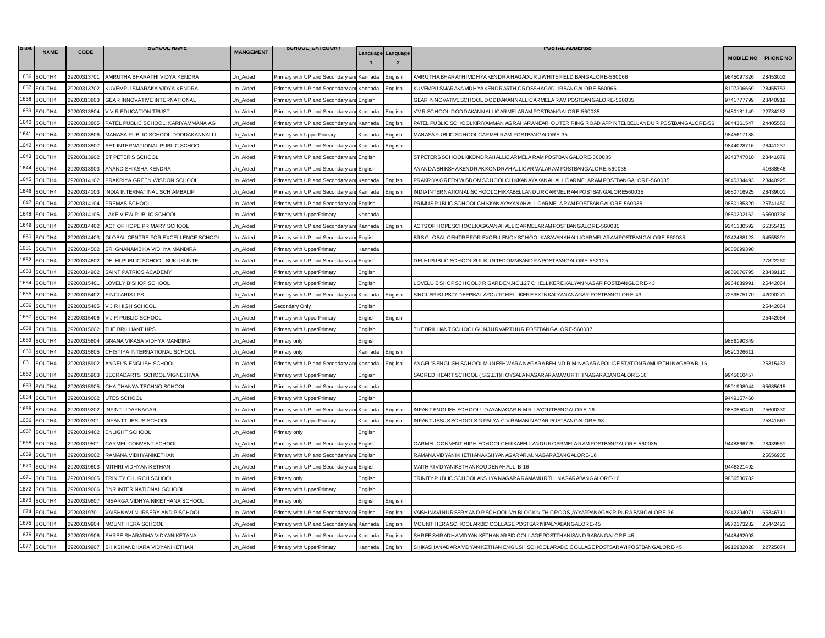| SI.NO |             |             | <b>SCHOOL NAME</b>                  |                  | SCHOOL_CATEGORY                           |         |                                     | <b>POSTAL ADDERSS</b>                                                                               |                  |                 |
|-------|-------------|-------------|-------------------------------------|------------------|-------------------------------------------|---------|-------------------------------------|-----------------------------------------------------------------------------------------------------|------------------|-----------------|
|       | <b>NAME</b> | <b>CODE</b> |                                     | <b>MANGEMENT</b> |                                           |         | Language Language<br>$\overline{2}$ |                                                                                                     | <b>MOBILE NO</b> | <b>PHONE NO</b> |
| 1636  | SOUTH4      | 29200313701 | AMRUTHA BHARATHI VIDYA KENDRA       | Un Aided         | Primary with UP and Secondary an          | Kannada | Enalish                             | AMRUTHA BHARATHI VIDHYA KENDRA HAGADURUWHITE FIELD BANGALORE-560066                                 | 3845097326       | 28453002        |
| 1637  | SOUTH4      | 29200313702 | KUVEMPU SMARAKA VIDYA KENDRA        | Un Aided         | Primary with UP and Secondary and         | Kannada | English                             | KUVEMPU SMAR AKA VIDHYA KENDR A5TH CROSSHAGADUR BANGALORE-560066                                    | 8197306669       | 28455753        |
| 1638  | SOUTH4      | 29200313803 | GEAR INNOVATIVE INTERNATIONAL       | Un_Aided         | Primary with UP and Secondary ar          | English |                                     | GEAR INNOVATIVE SCHOOL DODDAKANNALLICARMELA RAM POSTBANGALORE-560035                                | 9741777799       | 28440919        |
| 1639  | SOUTH4      | 29200313804 | V.V.R EDUCATION TRUST               | Jn Aided         | Primary with UP and Secondary an          | Kannada | English                             | V V R SCHOOL DODDAKANNALLICARMELARAM POSTBANGALORE-560035                                           | 9480181149       | 2734262         |
| 1640  | SOUTH4      | 29200313805 | PATEL PUBLIC SCHOOL, KARIYAMMANA AG | Un Aided         | Primary with UP and Secondary an          | Kannada | English                             | PATEL PUBLIC SCHOOLKIRIYAMMAN AGRAHARANEAR OUTER RING ROAD APP INTELBELLANDUR POST,BANGALORE-56     | 9844361547       | 24405583        |
| 1641  | SOUTH4      | 29200313806 | MANASA PUBLIC SCHOOL DODDAKANNALLI  | Un_Aided         | Primary with UpperPrimary                 | Kannada | English                             | MANASA PUBLIC SCHOOLCARMELRAM POSTBANGALORE-35                                                      | 9845617188       |                 |
| 1642  | SOUTH4      | 29200313807 | AET INTERNATIONAL PUBLIC SCHOOL     | Un_Aided         | Primary with UP and Secondary an          | Kannada | :nglish                             |                                                                                                     | 9844028716       | 28441237        |
| 1643  | SOUTH4      | 29200313902 | ST PETER'S SCHOOL                   | Un Aided         | Primary with UP and Secondary and         | English |                                     | ST PETERS SCHOOLKIKONDRAHALLICARMELA RAM POSTBANGALORE-560035                                       | 9343747810       | 28441079        |
| 1644  | SOUTH4      | 29200313903 | ANAND SHIKSHA KENDRA                | Un_Aided         | Primary with UP and Secondary ar          | English |                                     | AN AND A SHIKSHA KENDRAKIKONDRAHALLICAR MALAR AM POSTBANG ALORE-560035                              |                  | 41688546        |
| 1645  | SOUTH4      | 29200314102 | PRAKRIYA GREEN WISDON SCHOOL        | Jn_Aided         | Primary with UP and Secondary and Kannada |         | English                             | PRAKRIYA GREEN WISDOM SCHOOLCHIKKAN AYAKAN AH ALLICAR MELAR AM POSTBAN GALORE-560035                | 9845334493       | 28440925        |
| 1646  | SOUTH4      | 29200314103 | INDIA INTERNATINAL SCH AMBALIP      | Un Aided         | Primary with UP and Secondary an          | Kannada | Enalish                             | INDIA INTERNATIONAL SCHOOLCHIKKABELLANDURCAR MELRAM POSTBANGALORE560035                             | 9880716925       | 28439001        |
| 1647  | SOUTH4      | 29200314104 | PREMAS SCHOOL                       | Un Aided         | Primary with UP and Secondary an          | English |                                     | PRIMUS PUBLIC SCHOOLCHIKKAN AYAKAN AHALLICAR MELA RAM POSTBAN GALORE-560035                         | 9880185320       | 25741450        |
| 1648  | SOUTH4      | 29200314105 | LAKE VIEW PUBLIC SCHOOL             | Un Aided         | Primary with UpperPrimary                 | Kannada |                                     |                                                                                                     | 9880202162       | 35600736        |
| 1649  | SOUTH4      | 29200314402 | ACT OF HOPE PRIMARY SCHOOL          | Un Aided         | Primary with UP and Secondary ar          | Kannada | nglish                              | ACTS OF HOPE SCHOOLKASAVAN AHALLICAR MELAR AM POSTBAN GALOR E-560035                                | 9241130592       | 65355415        |
| 1650  | SOUTH4      | 29200314403 | GLOBAL CENTRE FOR EXCELLENCE SCHOOL | Un Aided         | Primary with UP and Secondary an          | English |                                     | BRS GLOBAL CENTRE FOR EXCELLENCY SCHOOLKASAVAN AHALLICAR MELAR AM POSTBANGALORE-560035              | 9342488123       | 64555391        |
| 1651  | SOUTH4      | 29200314502 | SRI GNANAMBIKA VIDHYA MANDIRA       | Un Aided         | Primary with UpperPrimary                 | Kannada |                                     |                                                                                                     | 9035699390       |                 |
| 1652  | SOUTH4      | 29200314602 | DELHI PUBLIC SCHOOL SUKLIKUNTE      | Un Aided         | Primary with UP and Secondary an          | English |                                     | DELHIPUBLIC SCHOOLSULIKUNTEDOMMSANDRA POSTBANGALORE-562125                                          |                  | 27822260        |
| 1653  | SOUTH4      | 29200314902 | SAINT PATRICS ACADEMY               | Un_Aided         | Primary with UpperPrimary                 | English |                                     |                                                                                                     | 9886076795       | 28439115        |
| 1654  | SOUTH4      | 29200315401 | LOVELY BISHOP SCHOOL                | Un_Aided         | Primary with UpperPrimary                 | Enalish |                                     | LOVELU BISHOP SCHOOLJ.R.GARDEN.NO.127.CHELLIKERE.KALYANNAGAR POSTBANGLORE-43                        | 9964839991       | 25442064        |
| 1655  | SOUTH4      | 29200315402 | <b>SINCLARIS LPS</b>                | Jn Aided         | Primary with UP and Secondary ar          | Kannada | English                             | SINCLARIS LPS#7 DEEPIKA LAYOUTCHELLIKERE EXTNKALYANANAGAR POSTBANGLORE-43                           | 7259575170       | 42090271        |
| 1656  | SOUTH4      | 29200315405 | V J R HIGH SCHOOL                   | Un_Aided         | Secondary Only                            | Enalish |                                     |                                                                                                     |                  | 25442064        |
| 1657  | SOUTH4      | 29200315406 | V J R PUBLIC SCHOOL                 | Un_Aided         | Primary with UpperPrimary                 | English | Enalish                             |                                                                                                     |                  | 25442064        |
| 1658  | SOUTH4      | 29200315602 | THE BRILLIANT HPS                   | Un Aided         | Primary with UpperPrimary                 | English |                                     | THE BRILLIANT SCHOOLGUNJURVARTHUR POSTBANGALORE-560087                                              |                  |                 |
| 1659  | SOUTH4      | 29200315604 | GNANA VIKASA VIDHYA MANDIRA         | Un_Aided         | Primary only                              | English |                                     |                                                                                                     | 9886190349       |                 |
| 1660  | SOUTH4      | 29200315605 | CHISTIYA INTERNATIONAL SCHOOL       | Un Aided         | Primary only                              | Kannada | English                             |                                                                                                     | 9591326611       |                 |
| 1661  | SOUTH4      | 29200315902 | ANGEL'S ENGLISH SCHOOL              | Un Aided         | Primary with UP and Secondary and Kannada |         | Enalish                             | ANGEL'S ENGLISH SCHOOLMUNESHWAR A NAGAR A BEHIND R.M. NAGAR A POLICE STATIONR AMURTHI NAGAR A B.-16 |                  | 25315433        |
| 1662  | SOUTH4      | 29200315903 | SECRADARTS SCHOOL VIGNESHWA         | Un_Aided         | Primary with UpperPrimary                 | English |                                     | SACRED HEART SCHOOL (S.G.E.T) HOYSALA NAGARAR AMAMURTHINAGARABAN GALORE-16                          | 9945610457       |                 |
| 1663  | SOUTH4      | 29200315905 | CHAITHANYA TECHNO SCHOOL            | Un Aided         | Primary with UP and Secondary ar          | Kannada |                                     |                                                                                                     | 9591998944       | 35685615        |
| 1664  | SOUTH4      | 29200319002 | UTES SCHOOL                         | Un Aided         | Primary with UpperPrimary                 | English |                                     |                                                                                                     | 9449157460       |                 |
| 1665  | SOUTH4      | 29200319202 | INFINT UDAYNAGAR                    | Un_Aided         | Primary with UP and Secondary ar          | Kannada | nglish                              | INFANT ENGLISH SCHOOLUDAYANAGAR N.M.R.LAYOUTBANGALORE-16                                            | 9880550401       | 25600330        |
| 1666  | SOUTH4      | 29200319301 | <b>INFANTT JESUS SCHOOL</b>         | Un Aided         | Primary with UpperPrimary                 | Kannada | :nalish                             | INFANT JESUS SCHOOLS.G.PALYA.C.V.RAMAN NAGAR POSTBANGALORE-93                                       |                  | 25341567        |
| 1667  | SOUTH4      | 29200319402 | <b>ENLIGHT SCHOOL</b>               | Un Aided         | Primary only                              | English |                                     |                                                                                                     |                  |                 |
| 1668  | SOUTH4      | 29200319501 | CARMEL CONVENT SCHOOL               | Un_Aided         | Primary with UP and Secondary ar          | English |                                     | CAR MEL CONVENT HIGH SCHOOLCHIKKABELLANDUR CAR MELA RAM POSTBAN GALORE-560035                       | 3448866725       | 28439551        |
| 1669  | SOUTH4      | 29200319602 | RAMANA VIDHYANIKETHAN               | Un Aided         | Primary with UP and Secondary an          | Enalish |                                     | RAMANA VIDYAN IKHETHAN AKSHYAN AGARAR.M. NAGARABAN GALORE-16                                        |                  | 25656905        |
| 1670  | SOUTH4      | 29200319603 | MITHRI VIDHYANIKETHAN               | Un_Aided         | Primary with UP and Secondary an          | Enalish |                                     | MAITHRIVIDYANIKETHANKOUDENAHALLIB-16                                                                | 9448321492       |                 |
| 1671  | SOUTH4      | 29200319605 | TRINITY CHURCH SCHOOL               | Un Aided         | Primary only                              | English |                                     | TRINITY PUBLIC SCHOOLAKSHYA NAGARA RAMAMURTHI NAGARABANGALORE-16                                    | 9886530782       |                 |
| 1672  | SOUTH4      | 29200319606 | BNR INTER NATIONAL SCHOOL           | Un Aided         | Primary with UpperPrimary                 | English |                                     |                                                                                                     |                  |                 |
| 1673  | SOUTH4      | 29200319607 | NISARGA VIDHYA NIKETHANA SCHOOL     | Un_Aided         | Primary only                              | English | English                             |                                                                                                     |                  |                 |
| 1674  | SOUTH4      | 29200319701 | VAISHNAVI NURSERY AND P SCHOOL      | Un Aided         | Primary with UP and Secondary ar          | English | English                             | VAISHIN AVINURSERY AND PSCHOOLIVII BLOCK,iv TH CROOS ,AYYAPPANAGAK.R.PURA BANGALORE-36              | 9242294071       | 65346711        |
| 1675  | SOUTH4      | 29200319904 | MOUNT HERA SCHOOL                   | Un Aided         | Primary with UP and Secondary an          | Kannada | English                             | MOUNT HERA SCHOOLAR BIC COLLAGE POSTSAR IYIPALYABAN GALORE-45                                       | 9972173282       | 25442421        |
| 1676  | SOUTH4      | 29200319906 | SHREE SHARADHA VIDYANIKETANA        | Un_Aided         | Primary with UP and Secondary an          | Kannada | English                             | SHREE SHRADHA VID YAN IKETHAN AR BIC COLLAGE POSTTHAN ISAN DRABAN GALORE-45                         | 9448462093       |                 |
| 1677  | SOUTH4      | 29200319907 | SHIKSHANDHARA VIDYANIKETHAN         | Un_Aided         | Primary with UpperPrimary                 | Kannada | English                             | SHIKASHANADARA VIDYANIKETHAN ENGILSH SCHOOLARABIC COLLAGE POSTSARAYI POSTBANGALORE-45               | 9916982028       | 22725074        |